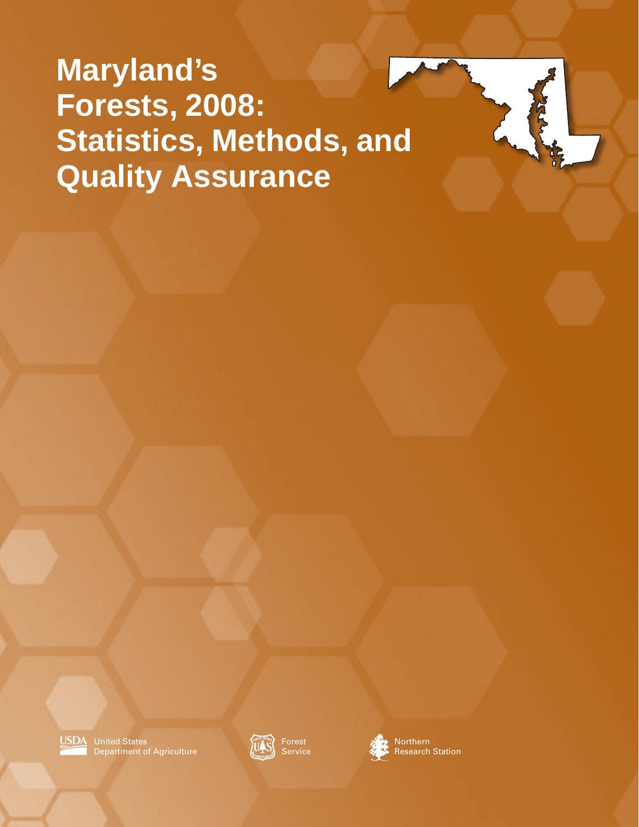**Maryland's Forests, 2008: Statistics, Methods, and Quality Assurance**





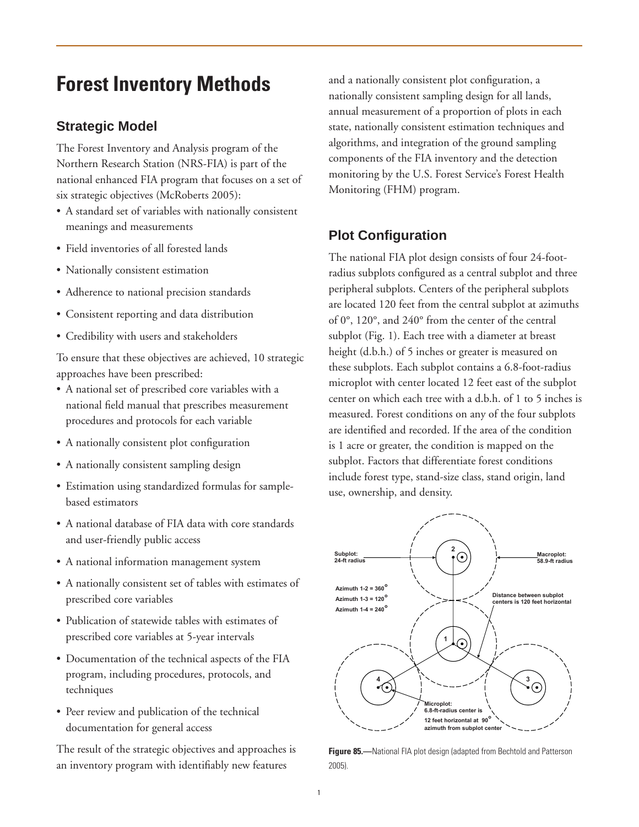# **Forest Inventory Methods**

## **Strategic Model**

The Forest Inventory and Analysis program of the Northern Research Station (NRS-FIA) is part of the national enhanced FIA program that focuses on a set of six strategic objectives (McRoberts 2005):

- A standard set of variables with nationally consistent meanings and measurements
- Field inventories of all forested lands
- Nationally consistent estimation
- Adherence to national precision standards
- Consistent reporting and data distribution
- Credibility with users and stakeholders

To ensure that these objectives are achieved, 10 strategic approaches have been prescribed:

- • A national set of prescribed core variables with a national field manual that prescribes measurement procedures and protocols for each variable
- A nationally consistent plot configuration
- A nationally consistent sampling design
- • Estimation using standardized formulas for samplebased estimators
- A national database of FIA data with core standards and user-friendly public access
- A national information management system
- A nationally consistent set of tables with estimates of prescribed core variables
- Publication of statewide tables with estimates of prescribed core variables at 5-year intervals
- Documentation of the technical aspects of the FIA program, including procedures, protocols, and techniques
- Peer review and publication of the technical documentation for general access

The result of the strategic objectives and approaches is an inventory program with identifiably new features

and a nationally consistent plot configuration, a nationally consistent sampling design for all lands, annual measurement of a proportion of plots in each state, nationally consistent estimation techniques and algorithms, and integration of the ground sampling components of the FIA inventory and the detection monitoring by the U.S. Forest Service's Forest Health Monitoring (FHM) program.

## **Plot Configuration**

The national FIA plot design consists of four 24-footradius subplots configured as a central subplot and three peripheral subplots. Centers of the peripheral subplots are located 120 feet from the central subplot at azimuths of 0°, 120°, and 240° from the center of the central subplot (Fig. 1). Each tree with a diameter at breast height (d.b.h.) of 5 inches or greater is measured on these subplots. Each subplot contains a 6.8-foot-radius microplot with center located 12 feet east of the subplot center on which each tree with a d.b.h. of 1 to 5 inches is measured. Forest conditions on any of the four subplots are identified and recorded. If the area of the condition is 1 acre or greater, the condition is mapped on the subplot. Factors that differentiate forest conditions include forest type, stand-size class, stand origin, land use, ownership, and density.



**Figure 85.—**National FIA plot design (adapted from Bechtold and Patterson 2005).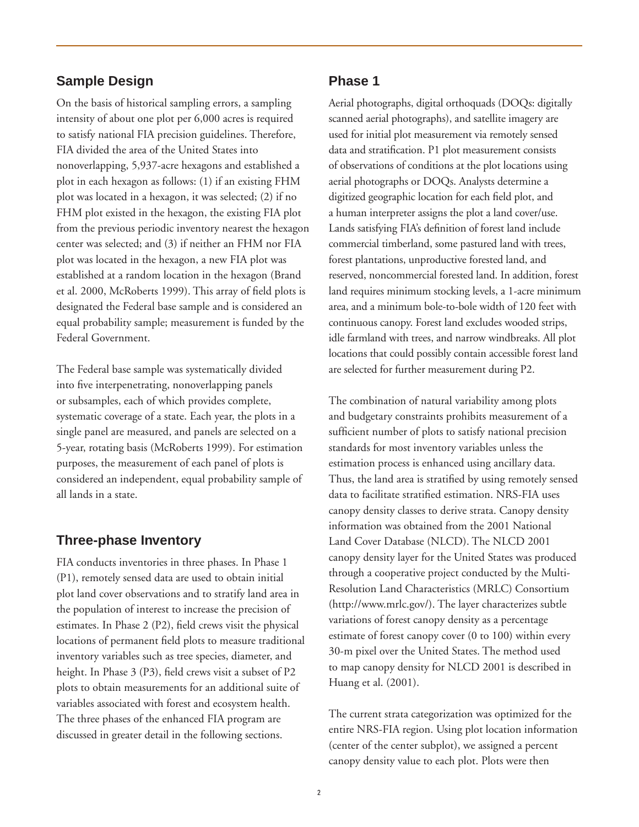### **Sample Design**

On the basis of historical sampling errors, a sampling intensity of about one plot per 6,000 acres is required to satisfy national FIA precision guidelines. Therefore, FIA divided the area of the United States into nonoverlapping, 5,937-acre hexagons and established a plot in each hexagon as follows: (1) if an existing FHM plot was located in a hexagon, it was selected; (2) if no FHM plot existed in the hexagon, the existing FIA plot from the previous periodic inventory nearest the hexagon center was selected; and (3) if neither an FHM nor FIA plot was located in the hexagon, a new FIA plot was established at a random location in the hexagon (Brand et al. 2000, McRoberts 1999). This array of field plots is designated the Federal base sample and is considered an equal probability sample; measurement is funded by the Federal Government.

The Federal base sample was systematically divided into five interpenetrating, nonoverlapping panels or subsamples, each of which provides complete, systematic coverage of a state. Each year, the plots in a single panel are measured, and panels are selected on a 5-year, rotating basis (McRoberts 1999). For estimation purposes, the measurement of each panel of plots is considered an independent, equal probability sample of all lands in a state.

### **Three-phase Inventory**

FIA conducts inventories in three phases. In Phase 1 (P1), remotely sensed data are used to obtain initial plot land cover observations and to stratify land area in the population of interest to increase the precision of estimates. In Phase 2 (P2), field crews visit the physical locations of permanent field plots to measure traditional inventory variables such as tree species, diameter, and height. In Phase 3 (P3), field crews visit a subset of P2 plots to obtain measurements for an additional suite of variables associated with forest and ecosystem health. The three phases of the enhanced FIA program are discussed in greater detail in the following sections.

## **Phase 1**

Aerial photographs, digital orthoquads (DOQs: digitally scanned aerial photographs), and satellite imagery are used for initial plot measurement via remotely sensed data and stratification. P1 plot measurement consists of observations of conditions at the plot locations using aerial photographs or DOQs. Analysts determine a digitized geographic location for each field plot, and a human interpreter assigns the plot a land cover/use. Lands satisfying FIA's definition of forest land include commercial timberland, some pastured land with trees, forest plantations, unproductive forested land, and reserved, noncommercial forested land. In addition, forest land requires minimum stocking levels, a 1-acre minimum area, and a minimum bole-to-bole width of 120 feet with continuous canopy. Forest land excludes wooded strips, idle farmland with trees, and narrow windbreaks. All plot locations that could possibly contain accessible forest land are selected for further measurement during P2.

The combination of natural variability among plots and budgetary constraints prohibits measurement of a sufficient number of plots to satisfy national precision standards for most inventory variables unless the estimation process is enhanced using ancillary data. Thus, the land area is stratified by using remotely sensed data to facilitate stratified estimation. NRS-FIA uses canopy density classes to derive strata. Canopy density information was obtained from the 2001 National Land Cover Database (NLCD). The NLCD 2001 canopy density layer for the United States was produced through a cooperative project conducted by the Multi-Resolution Land Characteristics (MRLC) Consortium (http://www.mrlc.gov/). The layer characterizes subtle variations of forest canopy density as a percentage estimate of forest canopy cover (0 to 100) within every 30-m pixel over the United States. The method used to map canopy density for NLCD 2001 is described in Huang et al. (2001).

The current strata categorization was optimized for the entire NRS-FIA region. Using plot location information (center of the center subplot), we assigned a percent canopy density value to each plot. Plots were then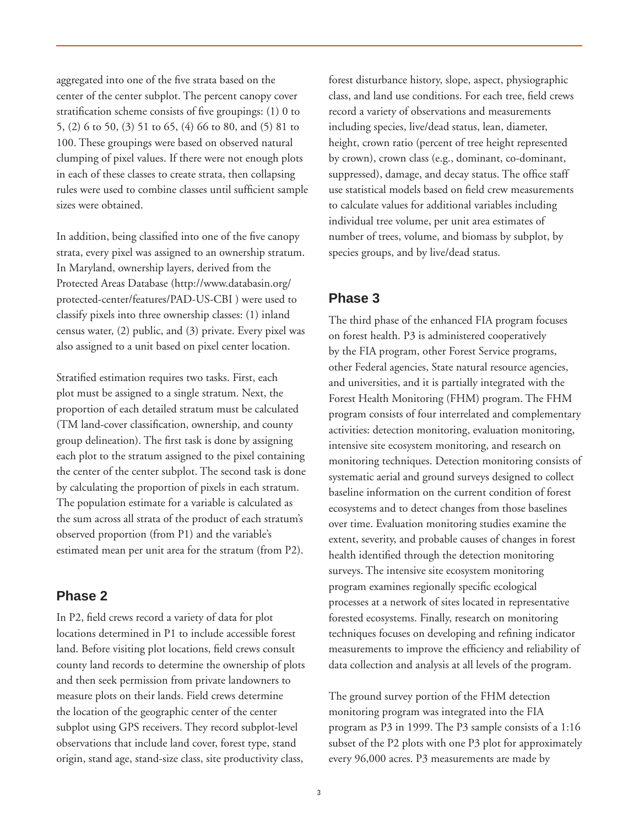aggregated into one of the five strata based on the center of the center subplot. The percent canopy cover stratification scheme consists of five groupings: (1) 0 to 5, (2) 6 to 50, (3) 51 to 65, (4) 66 to 80, and (5) 81 to 100. These groupings were based on observed natural clumping of pixel values. If there were not enough plots in each of these classes to create strata, then collapsing rules were used to combine classes until sufficient sample sizes were obtained.

In addition, being classified into one of the five canopy strata, every pixel was assigned to an ownership stratum. In Maryland, ownership layers, derived from the Protected Areas Database (http://www.databasin.org/ protected-center/features/PAD-US-CBI ) were used to classify pixels into three ownership classes: (1) inland census water, (2) public, and (3) private. Every pixel was also assigned to a unit based on pixel center location.

Stratified estimation requires two tasks. First, each plot must be assigned to a single stratum. Next, the proportion of each detailed stratum must be calculated (TM land-cover classification, ownership, and county group delineation). The first task is done by assigning each plot to the stratum assigned to the pixel containing the center of the center subplot. The second task is done by calculating the proportion of pixels in each stratum. The population estimate for a variable is calculated as the sum across all strata of the product of each stratum's observed proportion (from P1) and the variable's estimated mean per unit area for the stratum (from P2).

### **Phase 2**

In P2, field crews record a variety of data for plot locations determined in P1 to include accessible forest land. Before visiting plot locations, field crews consult county land records to determine the ownership of plots and then seek permission from private landowners to measure plots on their lands. Field crews determine the location of the geographic center of the center subplot using GPS receivers. They record subplot-level observations that include land cover, forest type, stand origin, stand age, stand-size class, site productivity class,

forest disturbance history, slope, aspect, physiographic class, and land use conditions. For each tree, field crews record a variety of observations and measurements including species, live/dead status, lean, diameter, height, crown ratio (percent of tree height represented by crown), crown class (e.g., dominant, co-dominant, suppressed), damage, and decay status. The office staff use statistical models based on field crew measurements to calculate values for additional variables including individual tree volume, per unit area estimates of number of trees, volume, and biomass by subplot, by species groups, and by live/dead status.

## **Phase 3**

The third phase of the enhanced FIA program focuses on forest health. P3 is administered cooperatively by the FIA program, other Forest Service programs, other Federal agencies, State natural resource agencies, and universities, and it is partially integrated with the Forest Health Monitoring (FHM) program. The FHM program consists of four interrelated and complementary activities: detection monitoring, evaluation monitoring, intensive site ecosystem monitoring, and research on monitoring techniques. Detection monitoring consists of systematic aerial and ground surveys designed to collect baseline information on the current condition of forest ecosystems and to detect changes from those baselines over time. Evaluation monitoring studies examine the extent, severity, and probable causes of changes in forest health identified through the detection monitoring surveys. The intensive site ecosystem monitoring program examines regionally specific ecological processes at a network of sites located in representative forested ecosystems. Finally, research on monitoring techniques focuses on developing and refining indicator measurements to improve the efficiency and reliability of data collection and analysis at all levels of the program.

The ground survey portion of the FHM detection monitoring program was integrated into the FIA program as P3 in 1999. The P3 sample consists of a 1:16 subset of the P2 plots with one P3 plot for approximately every 96,000 acres. P3 measurements are made by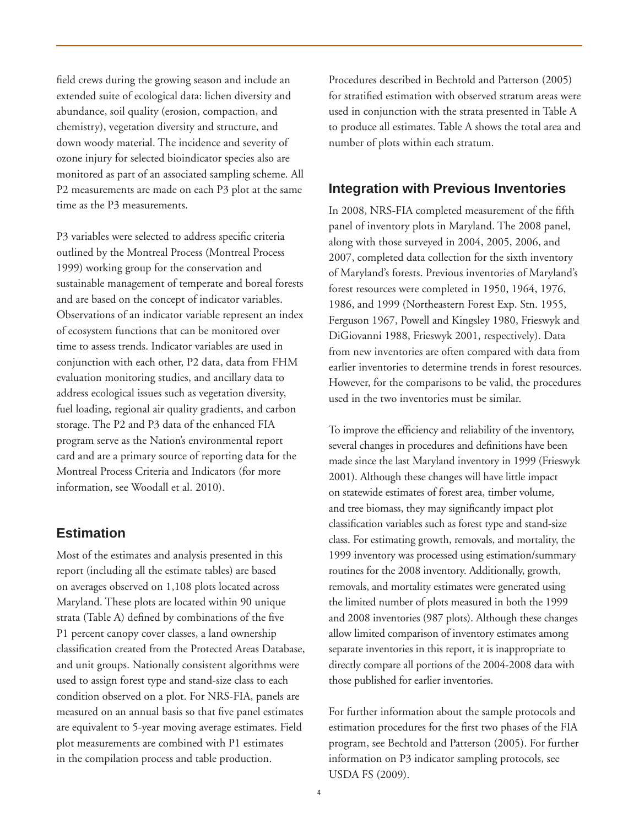field crews during the growing season and include an extended suite of ecological data: lichen diversity and abundance, soil quality (erosion, compaction, and chemistry), vegetation diversity and structure, and down woody material. The incidence and severity of ozone injury for selected bioindicator species also are monitored as part of an associated sampling scheme. All P2 measurements are made on each P3 plot at the same time as the P3 measurements.

P3 variables were selected to address specific criteria outlined by the Montreal Process (Montreal Process 1999) working group for the conservation and sustainable management of temperate and boreal forests and are based on the concept of indicator variables. Observations of an indicator variable represent an index of ecosystem functions that can be monitored over time to assess trends. Indicator variables are used in conjunction with each other, P2 data, data from FHM evaluation monitoring studies, and ancillary data to address ecological issues such as vegetation diversity, fuel loading, regional air quality gradients, and carbon storage. The P2 and P3 data of the enhanced FIA program serve as the Nation's environmental report card and are a primary source of reporting data for the Montreal Process Criteria and Indicators (for more information, see Woodall et al. 2010).

## **Estimation**

Most of the estimates and analysis presented in this report (including all the estimate tables) are based on averages observed on 1,108 plots located across Maryland. These plots are located within 90 unique strata (Table A) defined by combinations of the five P1 percent canopy cover classes, a land ownership classification created from the Protected Areas Database, and unit groups. Nationally consistent algorithms were used to assign forest type and stand-size class to each condition observed on a plot. For NRS-FIA, panels are measured on an annual basis so that five panel estimates are equivalent to 5-year moving average estimates. Field plot measurements are combined with P1 estimates in the compilation process and table production.

Procedures described in Bechtold and Patterson (2005) for stratified estimation with observed stratum areas were used in conjunction with the strata presented in Table A to produce all estimates. Table A shows the total area and number of plots within each stratum.

#### **Integration with Previous Inventories**

In 2008, NRS-FIA completed measurement of the fifth panel of inventory plots in Maryland. The 2008 panel, along with those surveyed in 2004, 2005, 2006, and 2007, completed data collection for the sixth inventory of Maryland's forests. Previous inventories of Maryland's forest resources were completed in 1950, 1964, 1976, 1986, and 1999 (Northeastern Forest Exp. Stn. 1955, Ferguson 1967, Powell and Kingsley 1980, Frieswyk and DiGiovanni 1988, Frieswyk 2001, respectively). Data from new inventories are often compared with data from earlier inventories to determine trends in forest resources. However, for the comparisons to be valid, the procedures used in the two inventories must be similar.

To improve the efficiency and reliability of the inventory, several changes in procedures and definitions have been made since the last Maryland inventory in 1999 (Frieswyk 2001). Although these changes will have little impact on statewide estimates of forest area, timber volume, and tree biomass, they may significantly impact plot classification variables such as forest type and stand-size class. For estimating growth, removals, and mortality, the 1999 inventory was processed using estimation/summary routines for the 2008 inventory. Additionally, growth, removals, and mortality estimates were generated using the limited number of plots measured in both the 1999 and 2008 inventories (987 plots). Although these changes allow limited comparison of inventory estimates among separate inventories in this report, it is inappropriate to directly compare all portions of the 2004-2008 data with those published for earlier inventories.

For further information about the sample protocols and estimation procedures for the first two phases of the FIA program, see Bechtold and Patterson (2005). For further information on P3 indicator sampling protocols, see USDA FS (2009).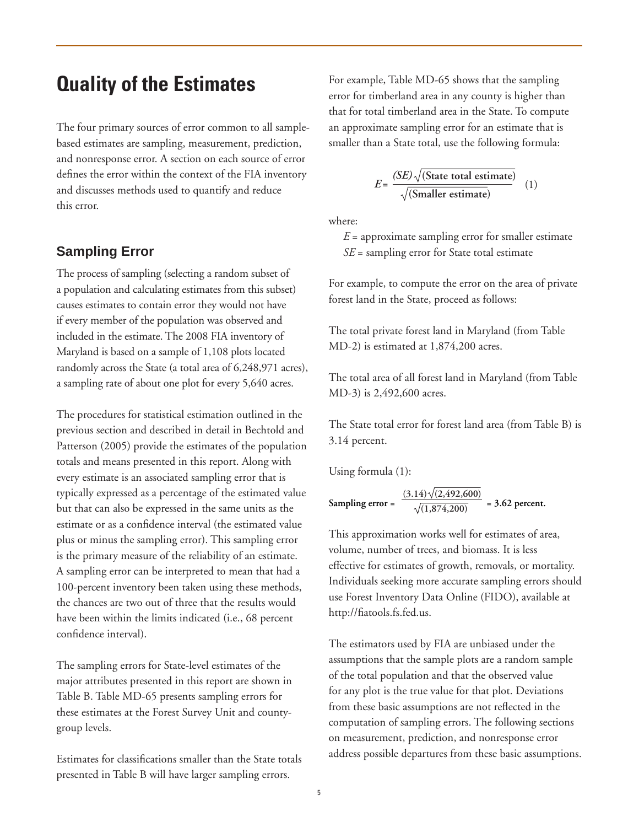## **Quality of the Estimates**

The four primary sources of error common to all samplebased estimates are sampling, measurement, prediction, and nonresponse error. A section on each source of error defines the error within the context of the FIA inventory and discusses methods used to quantify and reduce this error.

### **Sampling Error**

The process of sampling (selecting a random subset of a population and calculating estimates from this subset) causes estimates to contain error they would not have if every member of the population was observed and included in the estimate. The 2008 FIA inventory of Maryland is based on a sample of 1,108 plots located randomly across the State (a total area of 6,248,971 acres), a sampling rate of about one plot for every 5,640 acres.

The procedures for statistical estimation outlined in the previous section and described in detail in Bechtold and Patterson (2005) provide the estimates of the population totals and means presented in this report. Along with every estimate is an associated sampling error that is typically expressed as a percentage of the estimated value but that can also be expressed in the same units as the estimate or as a confidence interval (the estimated value plus or minus the sampling error). This sampling error is the primary measure of the reliability of an estimate. A sampling error can be interpreted to mean that had a 100-percent inventory been taken using these methods, the chances are two out of three that the results would have been within the limits indicated (i.e., 68 percent confidence interval).

The sampling errors for State-level estimates of the major attributes presented in this report are shown in Table B. Table MD-65 presents sampling errors for these estimates at the Forest Survey Unit and countygroup levels.

Estimates for classifications smaller than the State totals presented in Table B will have larger sampling errors.

For example, Table MD-65 shows that the sampling error for timberland area in any county is higher than that for total timberland area in the State. To compute an approximate sampling error for an estimate that is smaller than a State total, use the following formula:

$$
E = \frac{(SE)\sqrt{\text{(State total estimate)}}}{\sqrt{\text{(Smaller estimate)}}}
$$
 (1)

where:

 $E =$  approximate sampling error for smaller estimate *SE* = sampling error for State total estimate

For example, to compute the error on the area of private forest land in the State, proceed as follows:

The total private forest land in Maryland (from Table MD-2) is estimated at 1,874,200 acres.

The total area of all forest land in Maryland (from Table MD-3) is 2,492,600 acres.

The State total error for forest land area (from Table B) is 3.14 percent.

Using formula (1):

Sampling error = 
$$
\frac{(3.14)\sqrt{(2.492,600)}}{\sqrt{(1.874,200)}} = 3.62 \text{ percent.}
$$

This approximation works well for estimates of area, volume, number of trees, and biomass. It is less effective for estimates of growth, removals, or mortality. Individuals seeking more accurate sampling errors should use Forest Inventory Data Online (FIDO), available at http://fiatools.fs.fed.us.

The estimators used by FIA are unbiased under the assumptions that the sample plots are a random sample of the total population and that the observed value for any plot is the true value for that plot. Deviations from these basic assumptions are not reflected in the computation of sampling errors. The following sections on measurement, prediction, and nonresponse error address possible departures from these basic assumptions.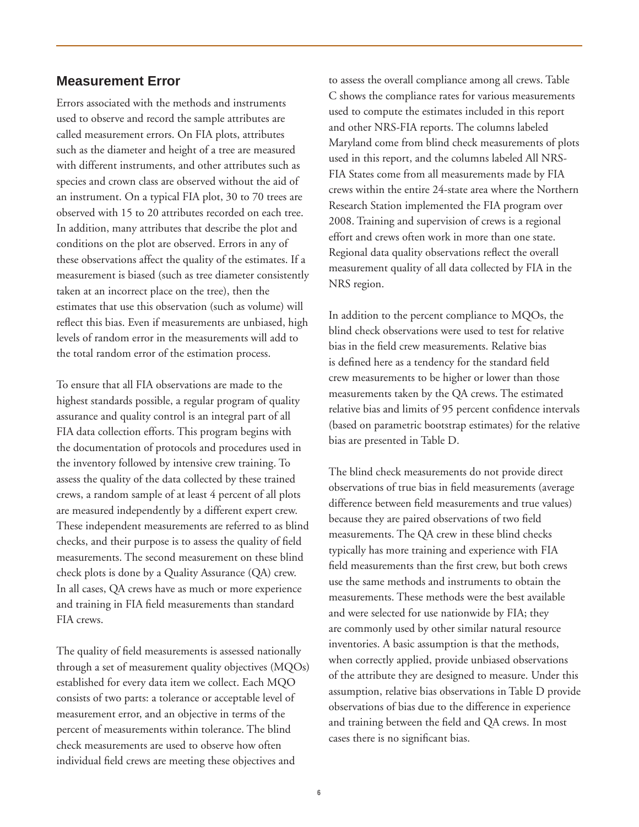### **Measurement Error**

Errors associated with the methods and instruments used to observe and record the sample attributes are called measurement errors. On FIA plots, attributes such as the diameter and height of a tree are measured with different instruments, and other attributes such as species and crown class are observed without the aid of an instrument. On a typical FIA plot, 30 to 70 trees are observed with 15 to 20 attributes recorded on each tree. In addition, many attributes that describe the plot and conditions on the plot are observed. Errors in any of these observations affect the quality of the estimates. If a measurement is biased (such as tree diameter consistently taken at an incorrect place on the tree), then the estimates that use this observation (such as volume) will reflect this bias. Even if measurements are unbiased, high levels of random error in the measurements will add to the total random error of the estimation process.

To ensure that all FIA observations are made to the highest standards possible, a regular program of quality assurance and quality control is an integral part of all FIA data collection efforts. This program begins with the documentation of protocols and procedures used in the inventory followed by intensive crew training. To assess the quality of the data collected by these trained crews, a random sample of at least 4 percent of all plots are measured independently by a different expert crew. These independent measurements are referred to as blind checks, and their purpose is to assess the quality of field measurements. The second measurement on these blind check plots is done by a Quality Assurance (QA) crew. In all cases, QA crews have as much or more experience and training in FIA field measurements than standard FIA crews.

The quality of field measurements is assessed nationally through a set of measurement quality objectives (MQOs) established for every data item we collect. Each MQO consists of two parts: a tolerance or acceptable level of measurement error, and an objective in terms of the percent of measurements within tolerance. The blind check measurements are used to observe how often individual field crews are meeting these objectives and

to assess the overall compliance among all crews. Table C shows the compliance rates for various measurements used to compute the estimates included in this report and other NRS-FIA reports. The columns labeled Maryland come from blind check measurements of plots used in this report, and the columns labeled All NRS-FIA States come from all measurements made by FIA crews within the entire 24-state area where the Northern Research Station implemented the FIA program over 2008. Training and supervision of crews is a regional effort and crews often work in more than one state. Regional data quality observations reflect the overall measurement quality of all data collected by FIA in the NRS region.

In addition to the percent compliance to MQOs, the blind check observations were used to test for relative bias in the field crew measurements. Relative bias is defined here as a tendency for the standard field crew measurements to be higher or lower than those measurements taken by the QA crews. The estimated relative bias and limits of 95 percent confidence intervals (based on parametric bootstrap estimates) for the relative bias are presented in Table D.

The blind check measurements do not provide direct observations of true bias in field measurements (average difference between field measurements and true values) because they are paired observations of two field measurements. The QA crew in these blind checks typically has more training and experience with FIA field measurements than the first crew, but both crews use the same methods and instruments to obtain the measurements. These methods were the best available and were selected for use nationwide by FIA; they are commonly used by other similar natural resource inventories. A basic assumption is that the methods, when correctly applied, provide unbiased observations of the attribute they are designed to measure. Under this assumption, relative bias observations in Table D provide observations of bias due to the difference in experience and training between the field and QA crews. In most cases there is no significant bias.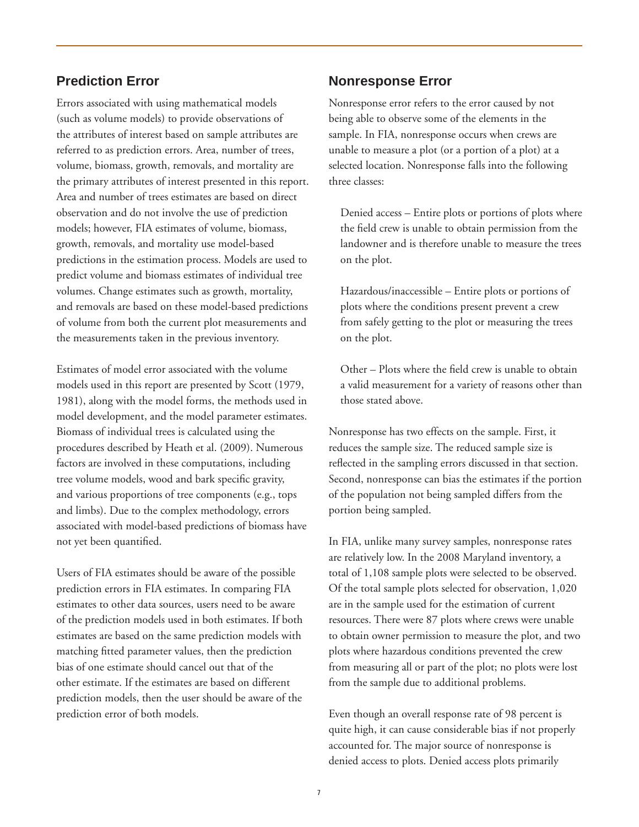## **Prediction Error**

Errors associated with using mathematical models (such as volume models) to provide observations of the attributes of interest based on sample attributes are referred to as prediction errors. Area, number of trees, volume, biomass, growth, removals, and mortality are the primary attributes of interest presented in this report. Area and number of trees estimates are based on direct observation and do not involve the use of prediction models; however, FIA estimates of volume, biomass, growth, removals, and mortality use model-based predictions in the estimation process. Models are used to predict volume and biomass estimates of individual tree volumes. Change estimates such as growth, mortality, and removals are based on these model-based predictions of volume from both the current plot measurements and the measurements taken in the previous inventory.

Estimates of model error associated with the volume models used in this report are presented by Scott (1979, 1981), along with the model forms, the methods used in model development, and the model parameter estimates. Biomass of individual trees is calculated using the procedures described by Heath et al. (2009). Numerous factors are involved in these computations, including tree volume models, wood and bark specific gravity, and various proportions of tree components (e.g., tops and limbs). Due to the complex methodology, errors associated with model-based predictions of biomass have not yet been quantified.

Users of FIA estimates should be aware of the possible prediction errors in FIA estimates. In comparing FIA estimates to other data sources, users need to be aware of the prediction models used in both estimates. If both estimates are based on the same prediction models with matching fitted parameter values, then the prediction bias of one estimate should cancel out that of the other estimate. If the estimates are based on different prediction models, then the user should be aware of the prediction error of both models.

#### **Nonresponse Error**

Nonresponse error refers to the error caused by not being able to observe some of the elements in the sample. In FIA, nonresponse occurs when crews are unable to measure a plot (or a portion of a plot) at a selected location. Nonresponse falls into the following three classes:

 Denied access – Entire plots or portions of plots where the field crew is unable to obtain permission from the landowner and is therefore unable to measure the trees on the plot.

 Hazardous/inaccessible – Entire plots or portions of plots where the conditions present prevent a crew from safely getting to the plot or measuring the trees on the plot.

 Other – Plots where the field crew is unable to obtain a valid measurement for a variety of reasons other than those stated above.

Nonresponse has two effects on the sample. First, it reduces the sample size. The reduced sample size is reflected in the sampling errors discussed in that section. Second, nonresponse can bias the estimates if the portion of the population not being sampled differs from the portion being sampled.

In FIA, unlike many survey samples, nonresponse rates are relatively low. In the 2008 Maryland inventory, a total of 1,108 sample plots were selected to be observed. Of the total sample plots selected for observation, 1,020 are in the sample used for the estimation of current resources. There were 87 plots where crews were unable to obtain owner permission to measure the plot, and two plots where hazardous conditions prevented the crew from measuring all or part of the plot; no plots were lost from the sample due to additional problems.

Even though an overall response rate of 98 percent is quite high, it can cause considerable bias if not properly accounted for. The major source of nonresponse is denied access to plots. Denied access plots primarily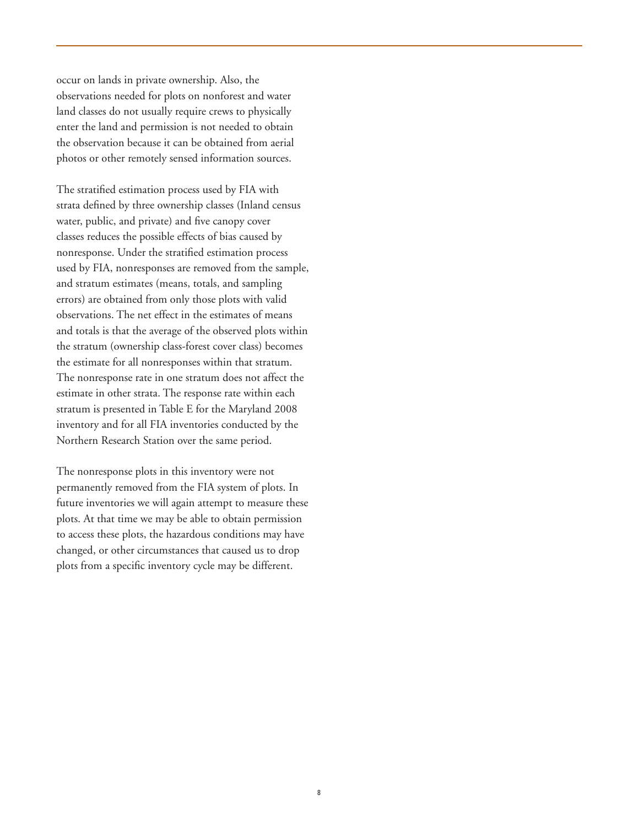occur on lands in private ownership. Also, the observations needed for plots on nonforest and water land classes do not usually require crews to physically enter the land and permission is not needed to obtain the observation because it can be obtained from aerial photos or other remotely sensed information sources.

The stratified estimation process used by FIA with strata defined by three ownership classes (Inland census water, public, and private) and five canopy cover classes reduces the possible effects of bias caused by nonresponse. Under the stratified estimation process used by FIA, nonresponses are removed from the sample, and stratum estimates (means, totals, and sampling errors) are obtained from only those plots with valid observations. The net effect in the estimates of means and totals is that the average of the observed plots within the stratum (ownership class-forest cover class) becomes the estimate for all nonresponses within that stratum. The nonresponse rate in one stratum does not affect the estimate in other strata. The response rate within each stratum is presented in Table E for the Maryland 2008 inventory and for all FIA inventories conducted by the Northern Research Station over the same period.

The nonresponse plots in this inventory were not permanently removed from the FIA system of plots. In future inventories we will again attempt to measure these plots. At that time we may be able to obtain permission to access these plots, the hazardous conditions may have changed, or other circumstances that caused us to drop plots from a specific inventory cycle may be different.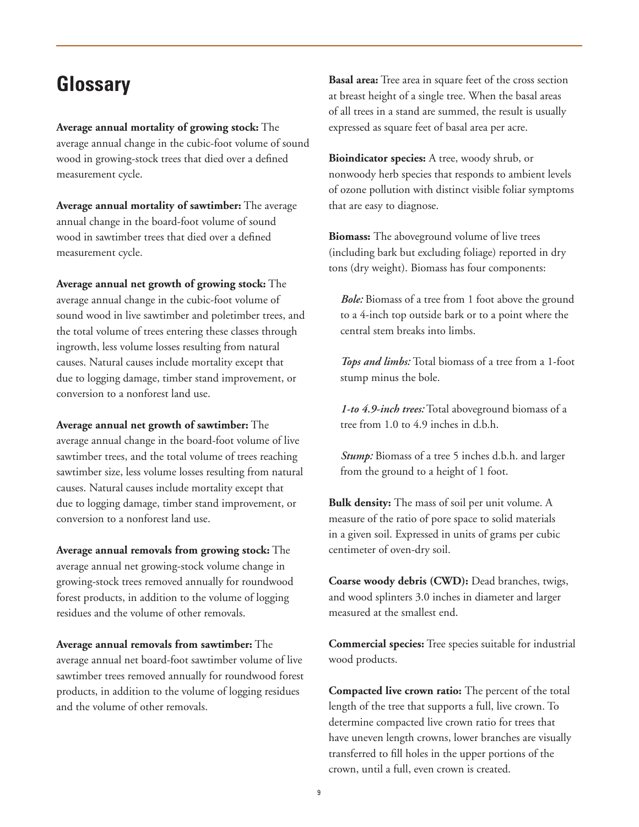# **Glossary**

**Average annual mortality of growing stock:** The average annual change in the cubic-foot volume of sound wood in growing-stock trees that died over a defined measurement cycle.

**Average annual mortality of sawtimber:** The average annual change in the board-foot volume of sound wood in sawtimber trees that died over a defined measurement cycle.

**Average annual net growth of growing stock:** The average annual change in the cubic-foot volume of sound wood in live sawtimber and poletimber trees, and the total volume of trees entering these classes through ingrowth, less volume losses resulting from natural causes. Natural causes include mortality except that due to logging damage, timber stand improvement, or conversion to a nonforest land use.

**Average annual net growth of sawtimber:** The average annual change in the board-foot volume of live sawtimber trees, and the total volume of trees reaching sawtimber size, less volume losses resulting from natural causes. Natural causes include mortality except that due to logging damage, timber stand improvement, or conversion to a nonforest land use.

**Average annual removals from growing stock:** The average annual net growing-stock volume change in growing-stock trees removed annually for roundwood forest products, in addition to the volume of logging residues and the volume of other removals.

**Average annual removals from sawtimber:** The average annual net board-foot sawtimber volume of live sawtimber trees removed annually for roundwood forest products, in addition to the volume of logging residues and the volume of other removals.

**Basal area:** Tree area in square feet of the cross section at breast height of a single tree. When the basal areas of all trees in a stand are summed, the result is usually expressed as square feet of basal area per acre.

**Bioindicator species:** A tree, woody shrub, or nonwoody herb species that responds to ambient levels of ozone pollution with distinct visible foliar symptoms that are easy to diagnose.

**Biomass:** The aboveground volume of live trees (including bark but excluding foliage) reported in dry tons (dry weight). Biomass has four components:

*Bole:* Biomass of a tree from 1 foot above the ground to a 4-inch top outside bark or to a point where the central stem breaks into limbs.

*Tops and limbs:* Total biomass of a tree from a 1-foot stump minus the bole.

*1-to 4.9-inch trees:* Total aboveground biomass of a tree from 1.0 to 4.9 inches in d.b.h.

*Stump:* Biomass of a tree 5 inches d.b.h. and larger from the ground to a height of 1 foot.

**Bulk density:** The mass of soil per unit volume. A measure of the ratio of pore space to solid materials in a given soil. Expressed in units of grams per cubic centimeter of oven-dry soil.

**Coarse woody debris (CWD):** Dead branches, twigs, and wood splinters 3.0 inches in diameter and larger measured at the smallest end.

**Commercial species:** Tree species suitable for industrial wood products.

**Compacted live crown ratio:** The percent of the total length of the tree that supports a full, live crown. To determine compacted live crown ratio for trees that have uneven length crowns, lower branches are visually transferred to fill holes in the upper portions of the crown, until a full, even crown is created.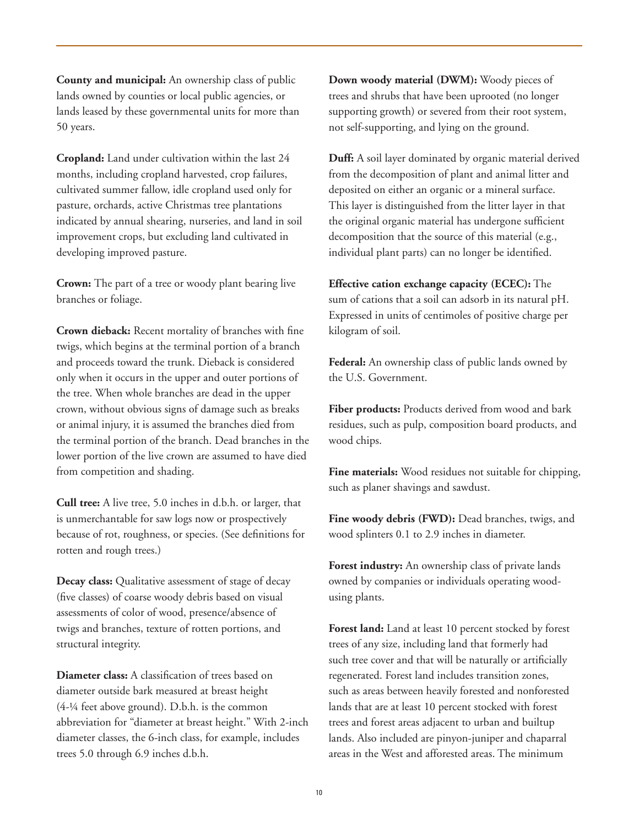**County and municipal:** An ownership class of public lands owned by counties or local public agencies, or lands leased by these governmental units for more than 50 years.

**Cropland:** Land under cultivation within the last 24 months, including cropland harvested, crop failures, cultivated summer fallow, idle cropland used only for pasture, orchards, active Christmas tree plantations indicated by annual shearing, nurseries, and land in soil improvement crops, but excluding land cultivated in developing improved pasture.

**Crown:** The part of a tree or woody plant bearing live branches or foliage.

**Crown dieback:** Recent mortality of branches with fine twigs, which begins at the terminal portion of a branch and proceeds toward the trunk. Dieback is considered only when it occurs in the upper and outer portions of the tree. When whole branches are dead in the upper crown, without obvious signs of damage such as breaks or animal injury, it is assumed the branches died from the terminal portion of the branch. Dead branches in the lower portion of the live crown are assumed to have died from competition and shading.

**Cull tree:** A live tree, 5.0 inches in d.b.h. or larger, that is unmerchantable for saw logs now or prospectively because of rot, roughness, or species. (See definitions for rotten and rough trees.)

**Decay class:** Qualitative assessment of stage of decay (five classes) of coarse woody debris based on visual assessments of color of wood, presence/absence of twigs and branches, texture of rotten portions, and structural integrity.

**Diameter class:** A classification of trees based on diameter outside bark measured at breast height (4-¼ feet above ground). D.b.h. is the common abbreviation for "diameter at breast height." With 2-inch diameter classes, the 6-inch class, for example, includes trees 5.0 through 6.9 inches d.b.h.

**Down woody material (DWM):** Woody pieces of trees and shrubs that have been uprooted (no longer supporting growth) or severed from their root system, not self-supporting, and lying on the ground.

**Duff:** A soil layer dominated by organic material derived from the decomposition of plant and animal litter and deposited on either an organic or a mineral surface. This layer is distinguished from the litter layer in that the original organic material has undergone sufficient decomposition that the source of this material (e.g., individual plant parts) can no longer be identified.

**Effective cation exchange capacity (ECEC):** The sum of cations that a soil can adsorb in its natural pH. Expressed in units of centimoles of positive charge per kilogram of soil.

**Federal:** An ownership class of public lands owned by the U.S. Government.

**Fiber products:** Products derived from wood and bark residues, such as pulp, composition board products, and wood chips.

**Fine materials:** Wood residues not suitable for chipping, such as planer shavings and sawdust.

Fine woody debris (FWD): Dead branches, twigs, and wood splinters 0.1 to 2.9 inches in diameter.

**Forest industry:** An ownership class of private lands owned by companies or individuals operating woodusing plants.

**Forest land:** Land at least 10 percent stocked by forest trees of any size, including land that formerly had such tree cover and that will be naturally or artificially regenerated. Forest land includes transition zones, such as areas between heavily forested and nonforested lands that are at least 10 percent stocked with forest trees and forest areas adjacent to urban and builtup lands. Also included are pinyon-juniper and chaparral areas in the West and afforested areas. The minimum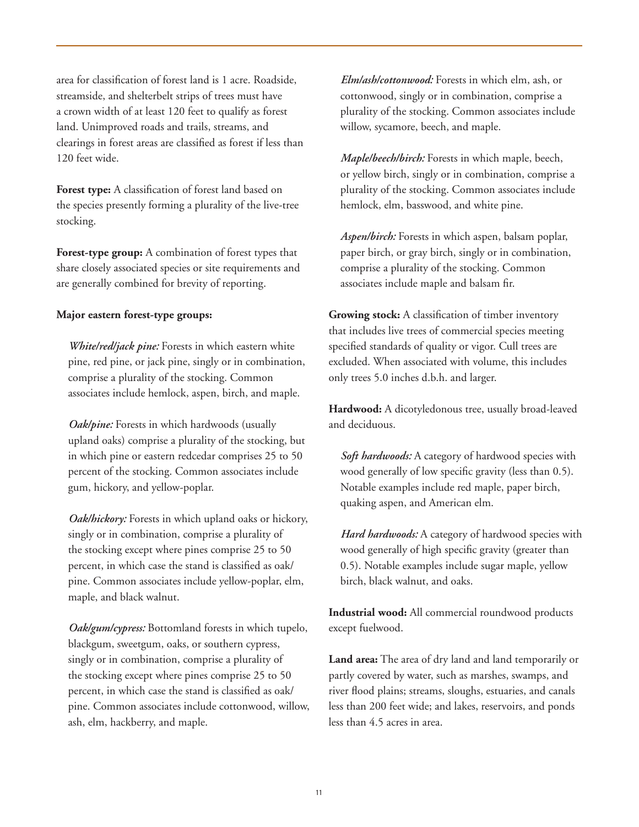area for classification of forest land is 1 acre. Roadside, streamside, and shelterbelt strips of trees must have a crown width of at least 120 feet to qualify as forest land. Unimproved roads and trails, streams, and clearings in forest areas are classified as forest if less than 120 feet wide.

**Forest type:** A classification of forest land based on the species presently forming a plurality of the live-tree stocking.

**Forest-type group:** A combination of forest types that share closely associated species or site requirements and are generally combined for brevity of reporting.

#### **Major eastern forest-type groups:**

*White/red/jack pine:* Forests in which eastern white pine, red pine, or jack pine, singly or in combination, comprise a plurality of the stocking. Common associates include hemlock, aspen, birch, and maple.

*Oak/pine:* Forests in which hardwoods (usually upland oaks) comprise a plurality of the stocking, but in which pine or eastern redcedar comprises 25 to 50 percent of the stocking. Common associates include gum, hickory, and yellow-poplar.

*Oak/hickory:* Forests in which upland oaks or hickory, singly or in combination, comprise a plurality of the stocking except where pines comprise 25 to 50 percent, in which case the stand is classified as oak/ pine. Common associates include yellow-poplar, elm, maple, and black walnut.

*Oak/gum/cypress:* Bottomland forests in which tupelo, blackgum, sweetgum, oaks, or southern cypress, singly or in combination, comprise a plurality of the stocking except where pines comprise 25 to 50 percent, in which case the stand is classified as oak/ pine. Common associates include cottonwood, willow, ash, elm, hackberry, and maple.

*Elm/ash/cottonwood:* Forests in which elm, ash, or cottonwood, singly or in combination, comprise a plurality of the stocking. Common associates include willow, sycamore, beech, and maple.

*Maple/beech/birch:* Forests in which maple, beech, or yellow birch, singly or in combination, comprise a plurality of the stocking. Common associates include hemlock, elm, basswood, and white pine.

*Aspen/birch:* Forests in which aspen, balsam poplar, paper birch, or gray birch, singly or in combination, comprise a plurality of the stocking. Common associates include maple and balsam fir.

**Growing stock:** A classification of timber inventory that includes live trees of commercial species meeting specified standards of quality or vigor. Cull trees are excluded. When associated with volume, this includes only trees 5.0 inches d.b.h. and larger.

**Hardwood:** A dicotyledonous tree, usually broad-leaved and deciduous.

*Soft hardwoods:* A category of hardwood species with wood generally of low specific gravity (less than 0.5). Notable examples include red maple, paper birch, quaking aspen, and American elm.

Hard hardwoods: A category of hardwood species with wood generally of high specific gravity (greater than 0.5). Notable examples include sugar maple, yellow birch, black walnut, and oaks.

**Industrial wood:** All commercial roundwood products except fuelwood.

**Land area:** The area of dry land and land temporarily or partly covered by water, such as marshes, swamps, and river flood plains; streams, sloughs, estuaries, and canals less than 200 feet wide; and lakes, reservoirs, and ponds less than 4.5 acres in area.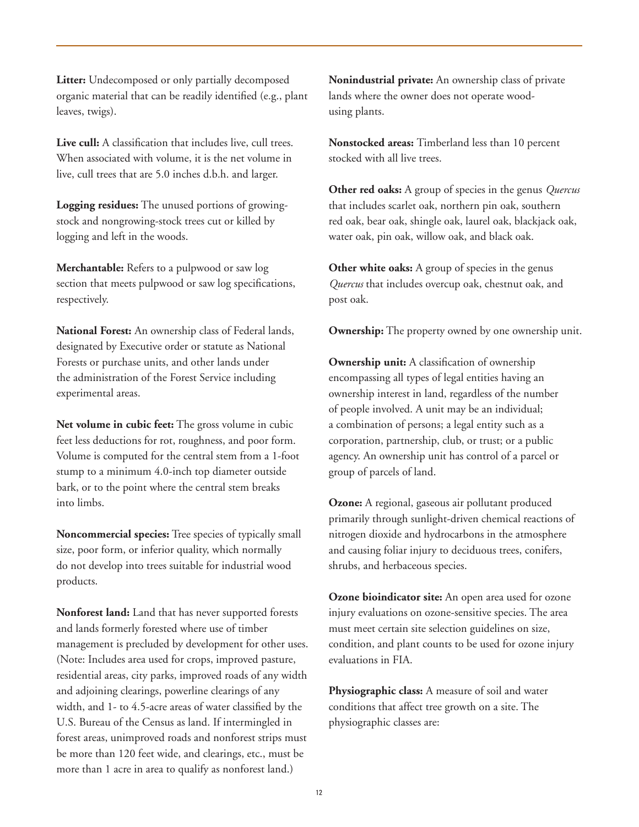**Litter:** Undecomposed or only partially decomposed organic material that can be readily identified (e.g., plant leaves, twigs).

Live cull: A classification that includes live, cull trees. When associated with volume, it is the net volume in live, cull trees that are 5.0 inches d.b.h. and larger.

**Logging residues:** The unused portions of growingstock and nongrowing-stock trees cut or killed by logging and left in the woods.

**Merchantable:** Refers to a pulpwood or saw log section that meets pulpwood or saw log specifications, respectively.

**National Forest:** An ownership class of Federal lands, designated by Executive order or statute as National Forests or purchase units, and other lands under the administration of the Forest Service including experimental areas.

**Net volume in cubic feet:** The gross volume in cubic feet less deductions for rot, roughness, and poor form. Volume is computed for the central stem from a 1-foot stump to a minimum 4.0-inch top diameter outside bark, or to the point where the central stem breaks into limbs.

**Noncommercial species:** Tree species of typically small size, poor form, or inferior quality, which normally do not develop into trees suitable for industrial wood products.

**Nonforest land:** Land that has never supported forests and lands formerly forested where use of timber management is precluded by development for other uses. (Note: Includes area used for crops, improved pasture, residential areas, city parks, improved roads of any width and adjoining clearings, powerline clearings of any width, and 1- to 4.5-acre areas of water classified by the U.S. Bureau of the Census as land. If intermingled in forest areas, unimproved roads and nonforest strips must be more than 120 feet wide, and clearings, etc., must be more than 1 acre in area to qualify as nonforest land.)

**Nonindustrial private:** An ownership class of private lands where the owner does not operate woodusing plants.

**Nonstocked areas:** Timberland less than 10 percent stocked with all live trees.

**Other red oaks:** A group of species in the genus *Quercus* that includes scarlet oak, northern pin oak, southern red oak, bear oak, shingle oak, laurel oak, blackjack oak, water oak, pin oak, willow oak, and black oak.

**Other white oaks:** A group of species in the genus *Quercus* that includes overcup oak, chestnut oak, and post oak.

**Ownership:** The property owned by one ownership unit.

**Ownership unit:** A classification of ownership encompassing all types of legal entities having an ownership interest in land, regardless of the number of people involved. A unit may be an individual; a combination of persons; a legal entity such as a corporation, partnership, club, or trust; or a public agency. An ownership unit has control of a parcel or group of parcels of land.

**Ozone:** A regional, gaseous air pollutant produced primarily through sunlight-driven chemical reactions of nitrogen dioxide and hydrocarbons in the atmosphere and causing foliar injury to deciduous trees, conifers, shrubs, and herbaceous species.

**Ozone bioindicator site:** An open area used for ozone injury evaluations on ozone-sensitive species. The area must meet certain site selection guidelines on size, condition, and plant counts to be used for ozone injury evaluations in FIA.

**Physiographic class:** A measure of soil and water conditions that affect tree growth on a site. The physiographic classes are: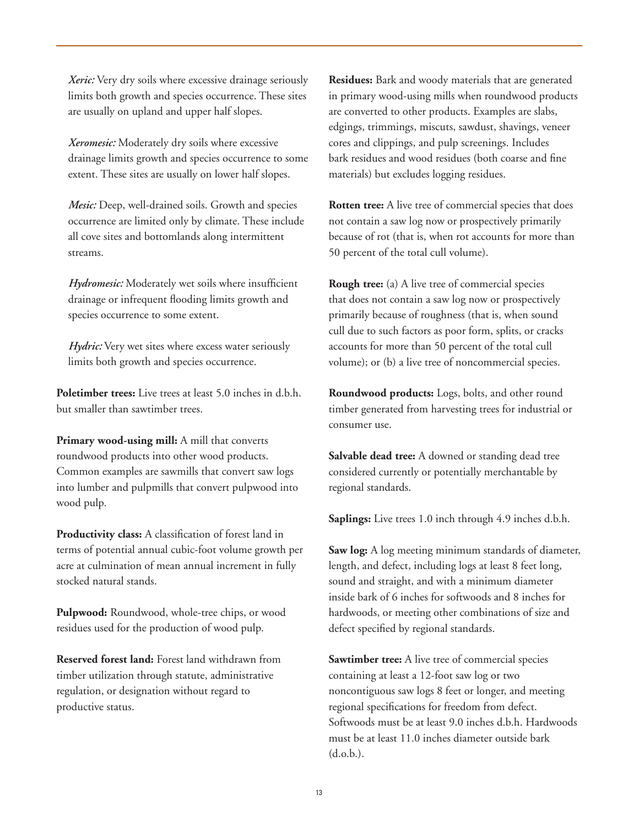*Xeric:* Very dry soils where excessive drainage seriously limits both growth and species occurrence. These sites are usually on upland and upper half slopes.

*Xeromesic:* Moderately dry soils where excessive drainage limits growth and species occurrence to some extent. These sites are usually on lower half slopes.

*Mesic:* Deep, well-drained soils. Growth and species occurrence are limited only by climate. These include all cove sites and bottomlands along intermittent streams.

*Hydromesic:* Moderately wet soils where insufficient drainage or infrequent flooding limits growth and species occurrence to some extent.

*Hydric:* Very wet sites where excess water seriously limits both growth and species occurrence.

**Poletimber trees:** Live trees at least 5.0 inches in d.b.h. but smaller than sawtimber trees.

**Primary wood-using mill:** A mill that converts roundwood products into other wood products. Common examples are sawmills that convert saw logs into lumber and pulpmills that convert pulpwood into wood pulp.

**Productivity class:** A classification of forest land in terms of potential annual cubic-foot volume growth per acre at culmination of mean annual increment in fully stocked natural stands.

**Pulpwood:** Roundwood, whole-tree chips, or wood residues used for the production of wood pulp.

**Reserved forest land:** Forest land withdrawn from timber utilization through statute, administrative regulation, or designation without regard to productive status.

**Residues:** Bark and woody materials that are generated in primary wood-using mills when roundwood products are converted to other products. Examples are slabs, edgings, trimmings, miscuts, sawdust, shavings, veneer cores and clippings, and pulp screenings. Includes bark residues and wood residues (both coarse and fine materials) but excludes logging residues.

**Rotten tree:** A live tree of commercial species that does not contain a saw log now or prospectively primarily because of rot (that is, when rot accounts for more than 50 percent of the total cull volume).

**Rough tree:** (a) A live tree of commercial species that does not contain a saw log now or prospectively primarily because of roughness (that is, when sound cull due to such factors as poor form, splits, or cracks accounts for more than 50 percent of the total cull volume); or (b) a live tree of noncommercial species.

**Roundwood products:** Logs, bolts, and other round timber generated from harvesting trees for industrial or consumer use.

**Salvable dead tree:** A downed or standing dead tree considered currently or potentially merchantable by regional standards.

**Saplings:** Live trees 1.0 inch through 4.9 inches d.b.h.

**Saw log:** A log meeting minimum standards of diameter, length, and defect, including logs at least 8 feet long, sound and straight, and with a minimum diameter inside bark of 6 inches for softwoods and 8 inches for hardwoods, or meeting other combinations of size and defect specified by regional standards.

**Sawtimber tree:** A live tree of commercial species containing at least a 12-foot saw log or two noncontiguous saw logs 8 feet or longer, and meeting regional specifications for freedom from defect. Softwoods must be at least 9.0 inches d.b.h. Hardwoods must be at least 11.0 inches diameter outside bark (d.o.b.).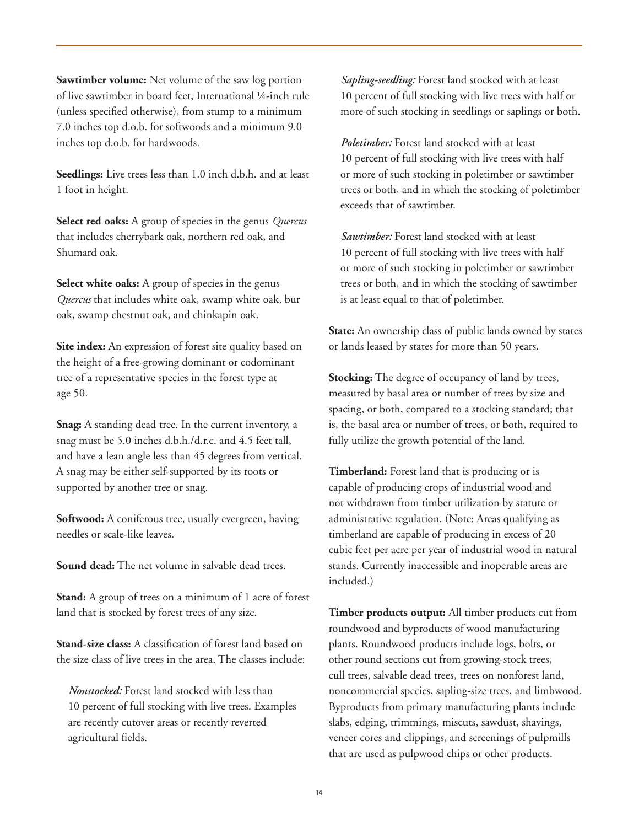**Sawtimber volume:** Net volume of the saw log portion of live sawtimber in board feet, International ¼-inch rule (unless specified otherwise), from stump to a minimum 7.0 inches top d.o.b. for softwoods and a minimum 9.0 inches top d.o.b. for hardwoods.

**Seedlings:** Live trees less than 1.0 inch d.b.h. and at least 1 foot in height.

**Select red oaks:** A group of species in the genus *Quercus* that includes cherrybark oak, northern red oak, and Shumard oak.

**Select white oaks:** A group of species in the genus *Quercus* that includes white oak, swamp white oak, bur oak, swamp chestnut oak, and chinkapin oak.

**Site index:** An expression of forest site quality based on the height of a free-growing dominant or codominant tree of a representative species in the forest type at age 50.

**Snag:** A standing dead tree. In the current inventory, a snag must be 5.0 inches d.b.h./d.r.c. and 4.5 feet tall, and have a lean angle less than 45 degrees from vertical. A snag may be either self-supported by its roots or supported by another tree or snag.

**Softwood:** A coniferous tree, usually evergreen, having needles or scale-like leaves.

**Sound dead:** The net volume in salvable dead trees.

**Stand:** A group of trees on a minimum of 1 acre of forest land that is stocked by forest trees of any size.

**Stand-size class:** A classification of forest land based on the size class of live trees in the area. The classes include:

*Nonstocked:* Forest land stocked with less than 10 percent of full stocking with live trees. Examples are recently cutover areas or recently reverted agricultural fields.

*Sapling-seedling:* Forest land stocked with at least 10 percent of full stocking with live trees with half or more of such stocking in seedlings or saplings or both.

*Poletimber:* Forest land stocked with at least 10 percent of full stocking with live trees with half or more of such stocking in poletimber or sawtimber trees or both, and in which the stocking of poletimber exceeds that of sawtimber.

 *Sawtimber:* Forest land stocked with at least 10 percent of full stocking with live trees with half or more of such stocking in poletimber or sawtimber trees or both, and in which the stocking of sawtimber is at least equal to that of poletimber.

**State:** An ownership class of public lands owned by states or lands leased by states for more than 50 years.

**Stocking:** The degree of occupancy of land by trees, measured by basal area or number of trees by size and spacing, or both, compared to a stocking standard; that is, the basal area or number of trees, or both, required to fully utilize the growth potential of the land.

**Timberland:** Forest land that is producing or is capable of producing crops of industrial wood and not withdrawn from timber utilization by statute or administrative regulation. (Note: Areas qualifying as timberland are capable of producing in excess of 20 cubic feet per acre per year of industrial wood in natural stands. Currently inaccessible and inoperable areas are included.)

**Timber products output:** All timber products cut from roundwood and byproducts of wood manufacturing plants. Roundwood products include logs, bolts, or other round sections cut from growing-stock trees, cull trees, salvable dead trees, trees on nonforest land, noncommercial species, sapling-size trees, and limbwood. Byproducts from primary manufacturing plants include slabs, edging, trimmings, miscuts, sawdust, shavings, veneer cores and clippings, and screenings of pulpmills that are used as pulpwood chips or other products.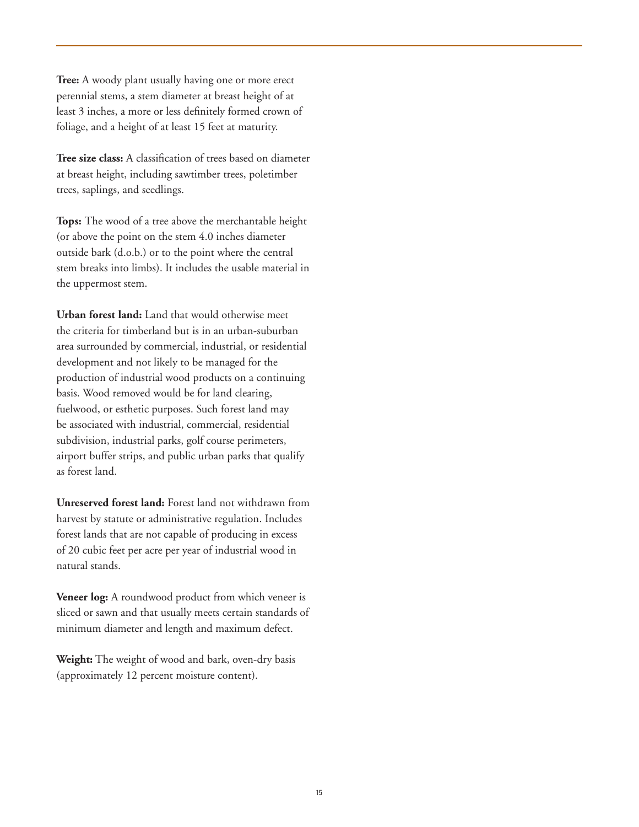**Tree:** A woody plant usually having one or more erect perennial stems, a stem diameter at breast height of at least 3 inches, a more or less definitely formed crown of foliage, and a height of at least 15 feet at maturity.

**Tree size class:** A classification of trees based on diameter at breast height, including sawtimber trees, poletimber trees, saplings, and seedlings.

**Tops:** The wood of a tree above the merchantable height (or above the point on the stem 4.0 inches diameter outside bark (d.o.b.) or to the point where the central stem breaks into limbs). It includes the usable material in the uppermost stem.

**Urban forest land:** Land that would otherwise meet the criteria for timberland but is in an urban-suburban area surrounded by commercial, industrial, or residential development and not likely to be managed for the production of industrial wood products on a continuing basis. Wood removed would be for land clearing, fuelwood, or esthetic purposes. Such forest land may be associated with industrial, commercial, residential subdivision, industrial parks, golf course perimeters, airport buffer strips, and public urban parks that qualify as forest land.

**Unreserved forest land:** Forest land not withdrawn from harvest by statute or administrative regulation. Includes forest lands that are not capable of producing in excess of 20 cubic feet per acre per year of industrial wood in natural stands.

**Veneer log:** A roundwood product from which veneer is sliced or sawn and that usually meets certain standards of minimum diameter and length and maximum defect.

**Weight:** The weight of wood and bark, oven-dry basis (approximately 12 percent moisture content).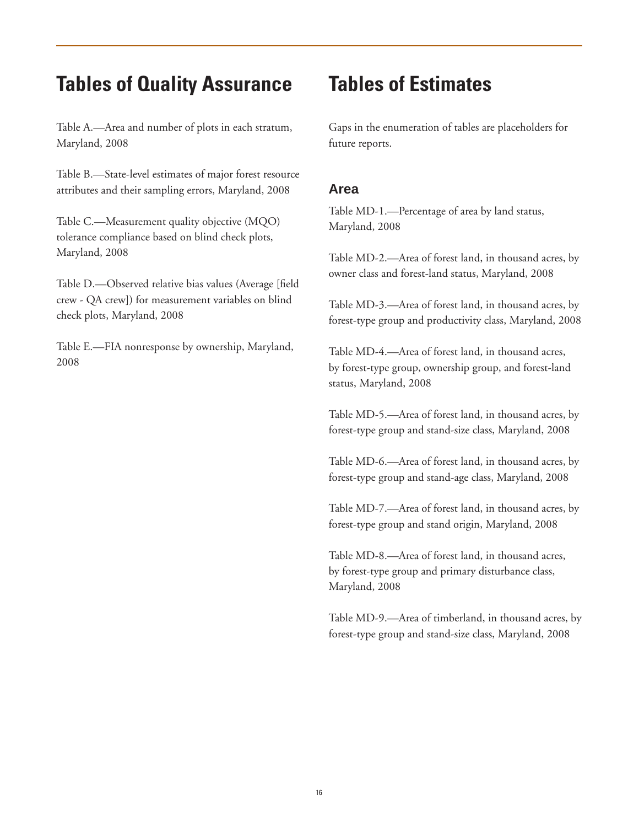## **Tables of Quality Assurance**

Table A.—Area and number of plots in each stratum, Maryland, 2008

Table B.—State-level estimates of major forest resource attributes and their sampling errors, Maryland, 2008

Table C.—Measurement quality objective (MQO) tolerance compliance based on blind check plots, Maryland, 2008

Table D.—Observed relative bias values (Average [field crew - QA crew]) for measurement variables on blind check plots, Maryland, 2008

Table E.—FIA nonresponse by ownership, Maryland, 2008

# **Tables of Estimates**

Gaps in the enumeration of tables are placeholders for future reports.

## **Area**

Table MD-1.—Percentage of area by land status, Maryland, 2008

Table MD-2.—Area of forest land, in thousand acres, by owner class and forest-land status, Maryland, 2008

Table MD-3.—Area of forest land, in thousand acres, by forest-type group and productivity class, Maryland, 2008

Table MD-4.—Area of forest land, in thousand acres, by forest-type group, ownership group, and forest-land status, Maryland, 2008

Table MD-5.—Area of forest land, in thousand acres, by forest-type group and stand-size class, Maryland, 2008

Table MD-6.—Area of forest land, in thousand acres, by forest-type group and stand-age class, Maryland, 2008

Table MD-7.—Area of forest land, in thousand acres, by forest-type group and stand origin, Maryland, 2008

Table MD-8.—Area of forest land, in thousand acres, by forest-type group and primary disturbance class, Maryland, 2008

Table MD-9.—Area of timberland, in thousand acres, by forest-type group and stand-size class, Maryland, 2008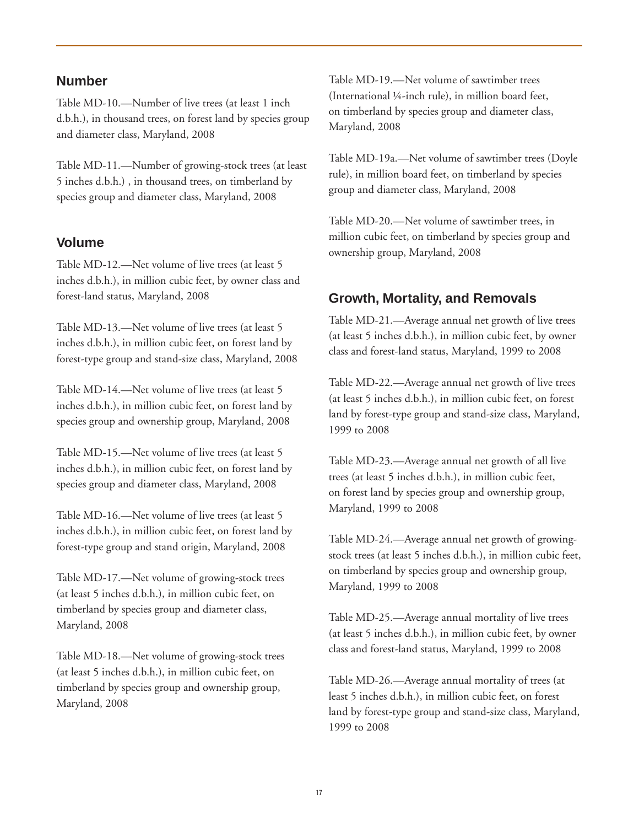#### **Number**

Table MD-10.—Number of live trees (at least 1 inch d.b.h.), in thousand trees, on forest land by species group and diameter class, Maryland, 2008

Table MD-11.—Number of growing-stock trees (at least 5 inches d.b.h.) , in thousand trees, on timberland by species group and diameter class, Maryland, 2008

### **Volume**

Table MD-12.—Net volume of live trees (at least 5 inches d.b.h.), in million cubic feet, by owner class and forest-land status, Maryland, 2008

Table MD-13.—Net volume of live trees (at least 5 inches d.b.h.), in million cubic feet, on forest land by forest-type group and stand-size class, Maryland, 2008

Table MD-14.—Net volume of live trees (at least 5 inches d.b.h.), in million cubic feet, on forest land by species group and ownership group, Maryland, 2008

Table MD-15.—Net volume of live trees (at least 5 inches d.b.h.), in million cubic feet, on forest land by species group and diameter class, Maryland, 2008

Table MD-16.—Net volume of live trees (at least 5 inches d.b.h.), in million cubic feet, on forest land by forest-type group and stand origin, Maryland, 2008

Table MD-17.—Net volume of growing-stock trees (at least 5 inches d.b.h.), in million cubic feet, on timberland by species group and diameter class, Maryland, 2008

Table MD-18.—Net volume of growing-stock trees (at least 5 inches d.b.h.), in million cubic feet, on timberland by species group and ownership group, Maryland, 2008

Table MD-19.—Net volume of sawtimber trees (International ¼-inch rule), in million board feet, on timberland by species group and diameter class, Maryland, 2008

Table MD-19a.—Net volume of sawtimber trees (Doyle rule), in million board feet, on timberland by species group and diameter class, Maryland, 2008

Table MD-20.—Net volume of sawtimber trees, in million cubic feet, on timberland by species group and ownership group, Maryland, 2008

### **Growth, Mortality, and Removals**

Table MD-21.—Average annual net growth of live trees (at least 5 inches d.b.h.), in million cubic feet, by owner class and forest-land status, Maryland, 1999 to 2008

Table MD-22.—Average annual net growth of live trees (at least 5 inches d.b.h.), in million cubic feet, on forest land by forest-type group and stand-size class, Maryland, 1999 to 2008

Table MD-23.—Average annual net growth of all live trees (at least 5 inches d.b.h.), in million cubic feet, on forest land by species group and ownership group, Maryland, 1999 to 2008

Table MD-24.—Average annual net growth of growingstock trees (at least 5 inches d.b.h.), in million cubic feet, on timberland by species group and ownership group, Maryland, 1999 to 2008

Table MD-25.—Average annual mortality of live trees (at least 5 inches d.b.h.), in million cubic feet, by owner class and forest-land status, Maryland, 1999 to 2008

Table MD-26.—Average annual mortality of trees (at least 5 inches d.b.h.), in million cubic feet, on forest land by forest-type group and stand-size class, Maryland, 1999 to 2008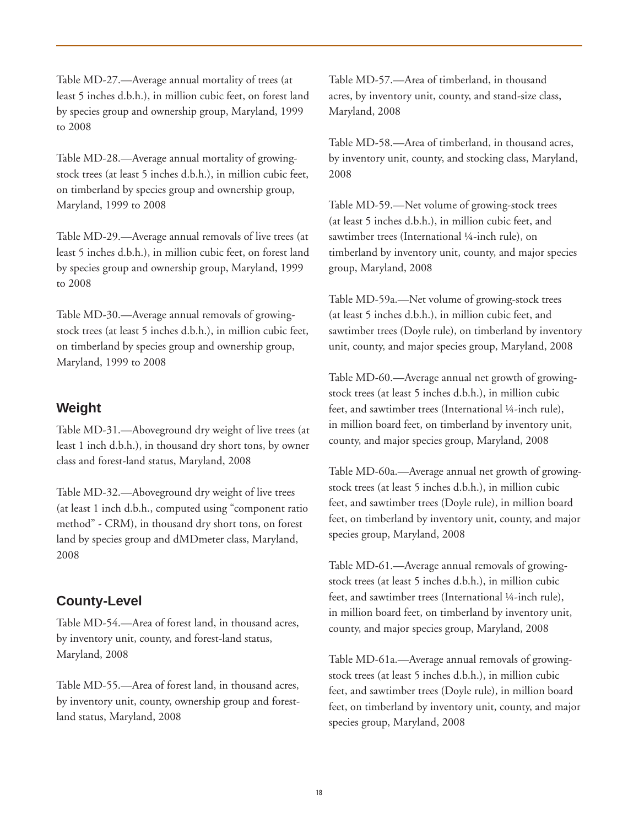Table MD-27.—Average annual mortality of trees (at least 5 inches d.b.h.), in million cubic feet, on forest land by species group and ownership group, Maryland, 1999 to 2008

Table MD-28.—Average annual mortality of growingstock trees (at least 5 inches d.b.h.), in million cubic feet, on timberland by species group and ownership group, Maryland, 1999 to 2008

Table MD-29.—Average annual removals of live trees (at least 5 inches d.b.h.), in million cubic feet, on forest land by species group and ownership group, Maryland, 1999 to 2008

Table MD-30.—Average annual removals of growingstock trees (at least 5 inches d.b.h.), in million cubic feet, on timberland by species group and ownership group, Maryland, 1999 to 2008

## **Weight**

Table MD-31.—Aboveground dry weight of live trees (at least 1 inch d.b.h.), in thousand dry short tons, by owner class and forest-land status, Maryland, 2008

Table MD-32.—Aboveground dry weight of live trees (at least 1 inch d.b.h., computed using "component ratio method" - CRM), in thousand dry short tons, on forest land by species group and dMDmeter class, Maryland, 2008

## **County-Level**

Table MD-54.—Area of forest land, in thousand acres, by inventory unit, county, and forest-land status, Maryland, 2008

Table MD-55.—Area of forest land, in thousand acres, by inventory unit, county, ownership group and forestland status, Maryland, 2008

Table MD-57.—Area of timberland, in thousand acres, by inventory unit, county, and stand-size class, Maryland, 2008

Table MD-58.—Area of timberland, in thousand acres, by inventory unit, county, and stocking class, Maryland, 2008

Table MD-59.—Net volume of growing-stock trees (at least 5 inches d.b.h.), in million cubic feet, and sawtimber trees (International ¼-inch rule), on timberland by inventory unit, county, and major species group, Maryland, 2008

Table MD-59a.—Net volume of growing-stock trees (at least 5 inches d.b.h.), in million cubic feet, and sawtimber trees (Doyle rule), on timberland by inventory unit, county, and major species group, Maryland, 2008

Table MD-60.—Average annual net growth of growingstock trees (at least 5 inches d.b.h.), in million cubic feet, and sawtimber trees (International ¼-inch rule), in million board feet, on timberland by inventory unit, county, and major species group, Maryland, 2008

Table MD-60a.—Average annual net growth of growingstock trees (at least 5 inches d.b.h.), in million cubic feet, and sawtimber trees (Doyle rule), in million board feet, on timberland by inventory unit, county, and major species group, Maryland, 2008

Table MD-61.—Average annual removals of growingstock trees (at least 5 inches d.b.h.), in million cubic feet, and sawtimber trees (International ¼-inch rule), in million board feet, on timberland by inventory unit, county, and major species group, Maryland, 2008

Table MD-61a.—Average annual removals of growingstock trees (at least 5 inches d.b.h.), in million cubic feet, and sawtimber trees (Doyle rule), in million board feet, on timberland by inventory unit, county, and major species group, Maryland, 2008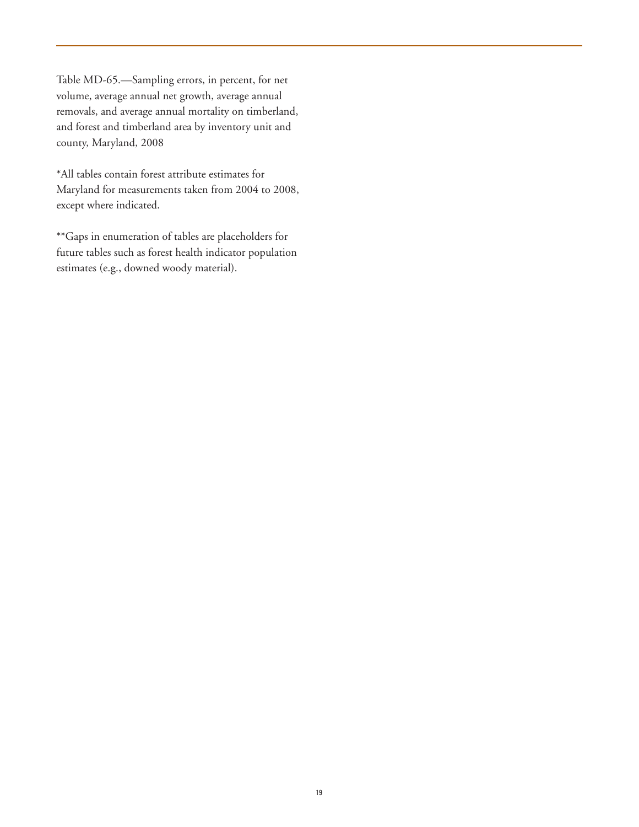Table MD-65.—Sampling errors, in percent, for net volume, average annual net growth, average annual removals, and average annual mortality on timberland, and forest and timberland area by inventory unit and county, Maryland, 2008

\*All tables contain forest attribute estimates for Maryland for measurements taken from 2004 to 2008, except where indicated.

\*\*Gaps in enumeration of tables are placeholders for future tables such as forest health indicator population estimates (e.g., downed woody material).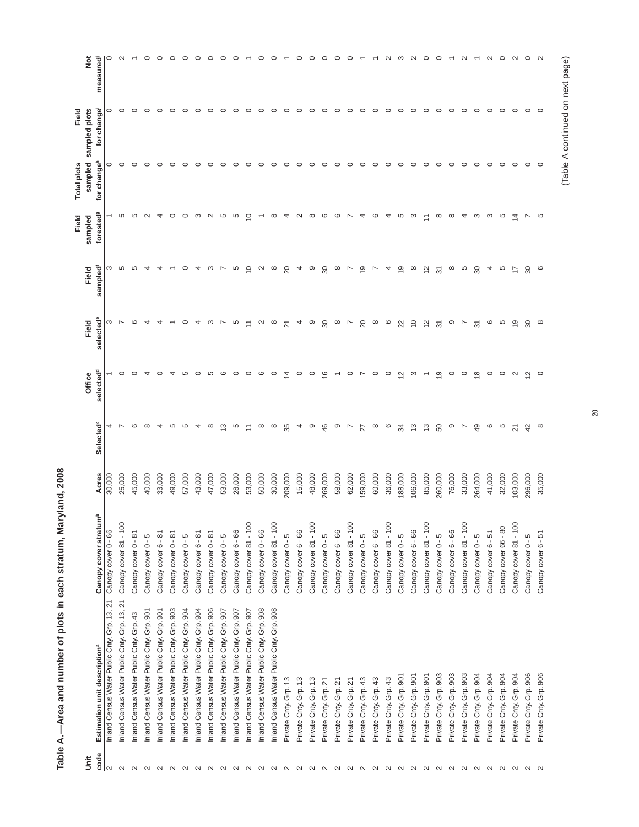|                   |                                                                                          |                                            |                 |                            |                         |                  |                         | Field                 | <b>Total plots</b>           | Field         |                     |
|-------------------|------------------------------------------------------------------------------------------|--------------------------------------------|-----------------|----------------------------|-------------------------|------------------|-------------------------|-----------------------|------------------------------|---------------|---------------------|
| š                 |                                                                                          | $\mathop{\mathsf{E}}^{\mathsf{b}}$         |                 |                            | Office                  | Field            | Field                   | sampled               | sampled                      | sampled plots | $\frac{5}{2}$       |
| code<br>lN        | Inland Census Water Public Cnty. Grp. 13, 21<br>Estimation unit description <sup>ª</sup> | Canopy cover stratu<br>Canopy cover 0 - 66 | Acres<br>30,000 | Selected <sup>c</sup><br>4 | selected                | selected<br>ო    | sampled<br>ო            | forested <sup>9</sup> | for change <sup>h</sup><br>0 | for change    | $\circ$<br>measured |
| $\sim$            | Inland Census Water Public Cnty. Grp. 13, 21                                             | Canopy cover 81 - 10                       | 25,000          |                            |                         |                  | 5                       | 5                     | $\circ$                      |               | $\mathbf{\Omega}$   |
| $\sim$            | Inland Census Water Public Cnty. Grp. 43                                                 | Canopy cover 0 - 81                        | 45,000          | ဖ                          |                         | $\circ$          | LO                      | LO                    | $\circ$                      |               |                     |
| $\sim$            | Inland Census Water Public Cnty. Grp. 901                                                | Canopy cover 0 - 5                         | 40,000          | $\infty$                   |                         |                  |                         | $\sim$                | 0                            |               | $\circ$             |
| $\sim$            | Inland Census Water Public Cnty. Grp. 901                                                | Canopy cover 6 - 81                        | 33,000          | ᅿ                          |                         |                  |                         | ᅿ                     | o                            |               | 0                   |
| $\sim$            | Inland Census Water Public Cnty. Grp. 903                                                | Canopy cover 0 - 81                        | 49,000          | ഥ                          |                         |                  |                         | ○                     | 0                            |               | 0                   |
| $\sim$            | Inland Census Water Public Cnty. Grp. 904                                                | Canopy cover 0 - 5                         | 57,000          | LO                         |                         |                  |                         | $\circ$               | 0                            |               | 0                   |
| $\sim$            | Inland Census Water Public Cnty. Grp. 904                                                | Canopy cover 6 - 81                        | 43,000          | ₹                          | ○                       |                  | 4                       | ო                     | 0                            |               | 0                   |
| $\sim$            | Inland Census Water Public Cnty. Grp. 906                                                | Canopy cover 0 - 81                        | 47,000          | $\infty$                   | 5                       | ო                | ო                       | $\sim$                | 0                            |               | 0                   |
| $\sim$            | Inland Census Water Public Cnty. Grp. 907                                                | Canopy cover 0 - 5                         | 53,000          | က                          | ဖ                       |                  |                         | 5                     | c                            |               | ⊂                   |
| $\mathbf{\Omega}$ | Inland Census Water Public Cnty. Grp. 907                                                | Canopy cover 6 - 66                        | 28,000          | Ю                          | 0                       | LO               | LO                      | Ю                     | 0                            |               |                     |
| $\sim$            | Inland Census Water Public Cnty. Grp. 907                                                | Canopy cover 81 - 100                      | 53,000          | Ξ                          | $\circ$                 |                  | $\supseteq$             | $\subseteq$           | o                            | 0             |                     |
|                   | Inland Census Water Public Cnty. Grp. 908                                                | Canopy cover 0 - 66                        | 50,000          | $^{\circ}$                 | ဖ                       | $\sim$           | $\sim$                  |                       | 0                            | c             |                     |
|                   | Inland Census Water Public Cnty. Grp. 908                                                | Canopy cover 81 - 100                      | 30,000          | ∞                          | 0                       | ∞                | $\infty$                | $\infty$              | 0                            |               |                     |
| a a a a a a a     | Private Cnty. Grp. 13                                                                    | Canopy cover 0 - 5                         | 209,000         | 35                         | 4                       | 2                | 20                      | 4                     | 0                            |               |                     |
|                   | Private Cnty. Grp. 13                                                                    | Canopy cover 6 - 66                        | 15,000          | 4                          | $\circ$                 | 4                | 4                       | $\mathbf{\Omega}$     | ○                            |               | っ                   |
|                   | Private Cnty. Grp. 13                                                                    | Canopy cover 81 - 100                      | 48,000          | ၜ                          | $\circ$                 | ၜ                | ၜ                       | $\infty$              | ○                            |               | ○                   |
|                   | Private Cnty. Grp. 21                                                                    | Canopy cover 0 - 5                         | 269,000         | 46                         | $\overline{6}$          | $\boldsymbol{S}$ | 80                      | $\circ$               | $\circ$                      |               | ○                   |
|                   | Private Cnty. Grp. 21                                                                    | Canopy cover 6 - 66                        | 58,000          | ၜ                          |                         | $\infty$         | $\infty$                | ဖ                     | $\circ$                      |               |                     |
| $\sim$ $\sim$     | Private Cnty. Grp. 21                                                                    | Canopy cover 81 - 100                      | 62,000          | $\overline{ }$             | $\circ$                 | $\overline{ }$   | $\overline{ }$          |                       | $\circ$                      |               |                     |
|                   | Private Cnty. Grp. 43                                                                    | Canopy cover 0 - 5                         | 59,000          | 27                         | $\overline{ }$          | 20               | $\overline{\mathsf{D}}$ | ↴                     | $\circ$                      |               |                     |
|                   | Private Cnty. Grp. 43                                                                    | Canopy cover 6 - 66                        | 60,000          | $\infty$                   | $\circ$                 | $\infty$         | P,                      | ဖ                     | $\circ$                      |               |                     |
| 2 2 2 2 2 2 2     | Private Cnty. Grp. 43                                                                    | Canopy cover 81 - 100                      | 36,000          | G                          | $\circ$                 | $\circ$          | 4                       | 4                     | $\circ$                      |               |                     |
|                   | Private Cnty. Grp. 901                                                                   | Canopy cover 0 - 5                         | 188,000         | ಸ                          | $\tilde{c}$             | 22               | e,                      | 5                     | $\circ$                      | c             |                     |
|                   | Private Cnty. Grp. 901                                                                   | Canopy cover 6 - 66                        | 106,000         | $\frac{3}{2}$              | က                       | $\overline{C}$   | $\infty$                | က                     | $\circ$                      | $\circ$       | $\sim$              |
|                   | Private Cnty. Grp. 901                                                                   | Canopy cover 81 - 100                      | 85,000          | $\frac{3}{2}$              |                         | $\frac{2}{3}$    | $\frac{2}{3}$           | Ξ                     | $\circ$                      | $\circ$       | ○                   |
|                   | Private Cnty. Grp. 903                                                                   | Canopy cover 0 - 5                         | 260,000         | SO                         | ၜ                       | $\overline{5}$   | 51                      | $\infty$              | $\circ$                      | $\circ$       | ○                   |
| $\sim$            | Private Cnty. Grp. 903                                                                   | Canopy cover 6 - 66                        | 76,000          | ၜ                          | $\circ$                 | ၜ                | $\infty$                | $\infty$              | $\circ$                      | $\circ$       |                     |
| $\sim$            | Private Cnty. Grp. 903                                                                   | Canopy cover 81 - 100                      | 33,000          | Ľ                          | $\circ$                 | Ľ                | 5                       | 4                     | $\circ$                      | 0             | $\sim$              |
| $\sim$            | Private Cnty. Grp. 904                                                                   | Canopy cover 0 - 5                         | 264,000         | $\overline{49}$            | $\infty$                | 51               | 80                      | က                     | $\circ$                      | C             |                     |
| $\sim$            | Private Cnty. Grp. 904                                                                   | Canopy cover 6 - 51                        | 41,000          | ဖ                          | $\circ$                 | ဖ                | 4                       | က                     | $\circ$                      | c             | $\mathbf{\Omega}$   |
| $\sim$            | Private Cnty. Grp. 904                                                                   | Canopy cover 66 - 80                       | 32,000          | Ю                          | $\circ$                 | 5                | 5                       | 5                     | $\circ$                      | 0             | $\circ$             |
| $\sim$            | Private Cnty. Grp. 904                                                                   | Canopy cover 81 - 100                      | 103,000         | ম                          | $\sim$                  | ഇ                | $\ddot{ }$              | ₫                     | $\circ$                      | $\circ$       | $\sim$              |
| $\sim$            | Private Cnty. Grp. 906                                                                   | Canopy cover 0 - 5                         | 296,000         | 42                         | $\overline{\mathbf{C}}$ | 80               | င္က                     |                       | $\circ$                      | $\circ$       | $\circ$             |
| $\sim$            | Private Cnty, Grp. 906                                                                   | Canopy cover 6 - 51                        | 35,000          | $\infty$                   | $\circ$                 | $\infty$         | $\circ$                 | 5                     | $\circ$                      | $\circ$       | $\sim$              |
|                   |                                                                                          |                                            |                 |                            |                         |                  |                         |                       |                              |               |                     |

Table A.--Area and number of plots in each stratum, Maryland, 2008 **Table A.—Area and number of plots in each stratum, Maryland, 2008**

# (Table A continued on next page) (Table A continued on next page)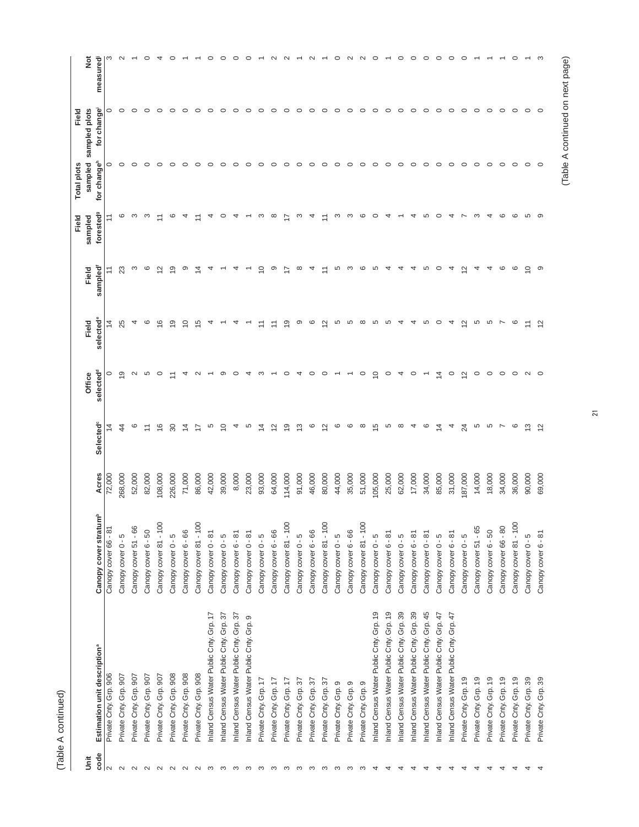| ۴<br>¢ |  |
|--------|--|
|        |  |
|        |  |
|        |  |
|        |  |
|        |  |
|        |  |
|        |  |
|        |  |
|        |  |
|        |  |
|        |  |
|        |  |
|        |  |
|        |  |
|        |  |
|        |  |
|        |  |
|        |  |
|        |  |
|        |  |

|           |                                          |                                   |         |                       |                    |                         |                  | Field                | <b>Total plots</b>                 | Field                       |               |
|-----------|------------------------------------------|-----------------------------------|---------|-----------------------|--------------------|-------------------------|------------------|----------------------|------------------------------------|-----------------------------|---------------|
| code<br>š | Estimation unit description <sup>ª</sup> | Canopy cover stratum <sup>b</sup> | Acres   | Selected <sup>c</sup> | selected<br>Office | selected<br>Field       | sampled<br>Field | foresteds<br>sampled | sampled<br>for change <sup>h</sup> | for change<br>sampled plots | ĕ<br>measured |
|           | Private Cnty. Grp. 906                   | Canopy cover 66 - 81              | 72,000  | $\tilde{4}$           | 0                  | $\overline{4}$          |                  |                      | 0                                  | 0                           | ო             |
|           | Private Cnty. Grp. 907                   | Canopy cover 0 - 5                | 268,000 | 4                     | ၜ                  | 25                      | ಙ                | ဖ                    | $\circ$                            | O                           | $\sim$        |
|           | Private Cnty. Grp. 907                   | Canopy cover 51 - 66              | 52,000  | ဖ                     | $\mathbf{\sim}$    | 4                       | S                | S                    | $\circ$                            |                             |               |
|           | Private Cnty. Grp. 907                   | Canopy cover 6 - 50               | 82,000  | Ξ                     | Ю                  | ဖ                       | ဖ                | က                    | $\circ$                            |                             | 0             |
|           | Private Cnty. Grp. 907                   | Canopy cover 81 - 100             | 108,000 | 9                     | $\circ$            | $\frac{6}{5}$           | $\tilde{ }$      | $\overline{1}$       | o                                  |                             |               |
|           | Private Cnty. Grp. 908                   | Canopy cover 0 - 5                | 226,000 | 80                    |                    | e,                      | ഇ                | ဖ                    | 0                                  |                             |               |
|           | Private Cnty. Grp. 908                   | Canopy cover 6 - 66               | 71,000  | $\overline{4}$        | 4                  | S                       | တ                | 4                    | o                                  |                             |               |
|           | Private Cnty. Grp. 908                   | Canopy cover 81 - 100             | 86,000  | 17                    | $\sim$             | 15                      | 4                | Ξ                    | 0                                  |                             |               |
|           | Inland Census Water Public Cnty. Grp. 17 | Canopy cover 0 - 81               | 42,000  | 5                     |                    |                         |                  | 4                    | o                                  |                             | 0             |
|           | Inland Census Water Public Cnty. Grp. 37 | Canopy cover 0 - 5                | 39,000  | $\circ$               | တ                  |                         |                  | 0                    | c                                  |                             | 0             |
|           | Inland Census Water Public Cnty. Grp. 37 | Canopy cover 6 - 81               | 8,000   | 4                     | 0                  |                         |                  |                      | 0                                  | c                           | 0             |
|           | Inland Census Water Public Cnty. Grp. 9  | Canopy cover 0 - 81               | 23,000  | 5                     | 4                  |                         |                  |                      | 0                                  | o                           |               |
|           | Private Cnty. Grp. 17                    | Canopy cover 0 - 5                | 93,000  | 4                     | ო                  |                         | $\subseteq$      | S                    | 0                                  | c                           |               |
|           | Private Cnty. Grp. 17                    | Canopy cover 6 - 66               | 64,000  | $\mathbf{\Omega}$     |                    | Ξ                       | တ                | $\infty$             | O                                  | 0                           |               |
|           | Private Cnty. Grp. 17                    | Canopy cover 81 - 100             | 114,000 | ၜ                     |                    | တ                       |                  | L                    | 0                                  | 0                           |               |
|           | Private Cnty. Grp. 37                    | Canopy cover 0 - 5                | 91,000  | က                     |                    | တ                       | $^\infty$        | S                    | 0                                  | 0                           |               |
|           | Private Cnty. Grp. 37                    | Canopy cover 6 - 66               | 46,000  | ဖ                     | $\circ$            | ဖ                       | 4                | 4                    | 0                                  | 0                           |               |
|           | Private Cnty. Grp. 37                    | Canopy cover 81 - 100             | 80,000  | $\sim$                | $\circ$            | $\overline{\mathsf{c}}$ |                  | Ξ                    | 0                                  | c                           |               |
|           | Private Cnty. Grp. 9                     | Canopy cover 0 - 5                | 44,000  | ဖ                     |                    | 5                       | 5                | S                    | $\circ$                            | o                           | 0             |
|           | Private Cnty. Grp. 9                     | Canopy cover 6 - 66               | 35,000  | ဖ                     |                    | 5                       | S                | S                    | 0                                  | 0                           |               |
|           | Private Cnty. Grp. 9                     | Canopy cover 81 - 100             | 51,000  | $\infty$              | $\circ$            | $\infty$                | G                | ဖ                    | $\circ$                            | $\circ$                     |               |
|           | Inland Census Water Public Cnty. Grp. 19 | Canopy cover 0 - 5                | 105,000 | 5                     | $\tilde{=}$        | 5                       | LO               | $\circ$              | $\circ$                            | c                           |               |
|           | Inland Census Water Public Cnty. Grp. 19 | Canopy cover 6 - 81               | 25,000  | 5                     | $\circ$            | 5                       | ↴                |                      | $\circ$                            | C                           |               |
|           | Inland Census Water Public Cnty. Grp. 39 | Canopy cover 0 - 5                | 62,000  | $\infty$              | 4                  | 4                       | ᅿ                |                      | $\circ$                            | c                           |               |
|           | Inland Census Water Public Cnty. Grp. 39 | Canopy cover 6 - 81               | 17,000  | 4                     | $\circ$            | 4                       | 4                |                      | $\circ$                            | 0                           |               |
|           | Inland Census Water Public Cnty. Grp. 45 | Canopy cover 0 - 81               | 34,000  | ဖ                     |                    | 5                       | 5                | 5                    | $\circ$                            | $\circ$                     |               |
|           | Inland Census Water Public Cnty. Grp. 47 | Canopy cover 0 - 5                | 85,000  | $\overline{4}$        | 4                  | $\circ$                 | $\circ$          | $\circ$              | $\circ$                            | 0                           |               |
|           | Inland Census Water Public Cnty. Grp. 47 | Canopy cover 6 - 81               | 31,000  | 4                     | $\circ$            | 4                       | 4                | 4                    | $\circ$                            | $\circ$                     |               |
|           | Private Cnty. Grp. 19                    | Canopy cover 0 - 5                | 187,000 | 24                    | $\bar{\mathbf{c}}$ | $\frac{2}{3}$           | 으                |                      | $\circ$                            | 0                           |               |
|           | Private Cnty. Grp. 19                    | Canopy cover 51 - 65              | 14,000  | Ю                     | $\circ$            | Ю                       | 4                | ო                    | $\circ$                            | 0                           |               |
|           | Private Cnty. Grp. 19                    | Canopy cover 6 - 50               | 18,000  | 5                     | $\circ$            | 5                       | 4                |                      | $\circ$                            | $\circ$                     |               |
|           | Private Cnty. Grp. 19                    | Canopy cover 66 - 80              | 34,000  | $\overline{ }$        | $\circ$            | $\overline{ }$          | $\circ$          | G                    | $\circ$                            | 0                           |               |
|           | Private Cnty. Grp. 19                    | Canopy cover 81 - 100             | 36,000  | ဖ                     | $\circ$            | ဖ                       | ဖ                | $\circ$              | $\circ$                            | 0                           |               |
|           | Private Cnty. Grp. 39                    | Canopy cover 0 - 5                | 90,000  | ഇ                     | $\mathbf{\Omega}$  | Ξ                       | $\supseteq$      | 5                    | $\circ$                            | 0                           |               |
|           | Private Cnty. Grp. 39                    | Canopy cover 6 - 81               | 69,000  | $\frac{2}{3}$         | $\circ$            | $\frac{2}{3}$           | တ                | ာ                    | $\circ$                            | $\circ$                     |               |
|           |                                          |                                   |         |                       |                    |                         |                  |                      |                                    |                             |               |

21

# (Table A continued on next page) (Table A continued on next page)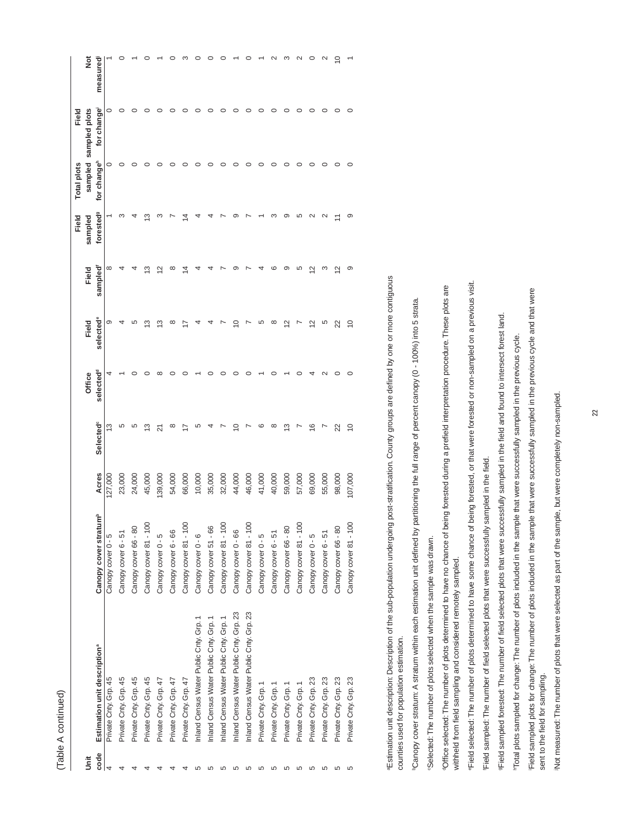| om, |
|-----|
|     |
|     |
|     |

|      |                                          |                                   |         |                       |                       |                         |                         | Field                 | <b>Total plots</b>      | Field                 |                    |
|------|------------------------------------------|-----------------------------------|---------|-----------------------|-----------------------|-------------------------|-------------------------|-----------------------|-------------------------|-----------------------|--------------------|
| š    |                                          |                                   |         |                       | Office                | Field                   | Field                   | sampled               |                         | sampled sampled plots | š                  |
| code | Estimation unit description <sup>ª</sup> | Canopy cover stratum <sup>b</sup> | Acres   | Selected <sup>c</sup> | selected <sup>d</sup> | selected <sup>e</sup>   | sampled                 | forested <sup>9</sup> | for change <sup>h</sup> | for change            | measured           |
|      | Private Cnty. Grp. 45                    | Canopy cover 0 - 5                | 127,000 | ≌                     |                       | ග                       | ∞                       |                       | $\circ$                 | 0                     |                    |
|      | Private Cnty. Grp. 45                    | Canopy cover 6 - 51               | 23,000  | Ю                     |                       |                         |                         |                       |                         |                       |                    |
|      | Private Cnty. Grp. 45                    | Canopy cover 66 - 80              | 24,000  | ഥ                     |                       | ഥ                       |                         |                       |                         |                       |                    |
|      | Private Cnty. Grp. 45                    | Canopy cover 81 - 100             | 45,000  | ≌                     |                       | ო                       | ო                       | ო                     |                         |                       |                    |
|      | Private Cnty. Grp. 47                    | Canopy cover 0 - 5                | 139,000 | ಸ                     | ∞                     | ო                       | $\bar{\mathbb{Z}}$      |                       |                         |                       |                    |
|      | Private Cnty. Grp. 47                    | Canopy cover 6 - 66               | 54,000  | ∞                     |                       | ∞                       | œ                       |                       | 0                       |                       |                    |
|      | Private Cnty. Grp. 47                    | Canopy cover 81 - 100             | 66,000  |                       |                       |                         | 4                       | 4                     |                         |                       |                    |
|      | Inland Census Water Public Cnty. Grp. 1  | Canopy cover 0 - 6                | 10,000  | ഥ                     |                       |                         |                         |                       |                         |                       |                    |
|      | Inland Census Water Public Cnty. Grp. 1  | Canopy cover 51 - 66              | 35,000  |                       |                       |                         |                         |                       |                         |                       |                    |
|      | Inland Census Water Public Cnty, Grp. 1  | Canopy cover 81 - 100             | 32,000  |                       |                       |                         |                         |                       | $\circ$                 |                       |                    |
|      | Inland Census Water Public Cnty. Grp. 23 | Canopy cover 0 - 66               | 44,000  | ₽                     |                       | ₽                       | σ.                      |                       | 0                       |                       |                    |
|      | Inland Census Water Public Cnty. Grp. 23 | Canopy cover 81 - 100             | 46,000  |                       |                       |                         |                         |                       | $\circ$                 |                       |                    |
|      | Private Cnty. Grp. 1                     | Canopy cover 0 - 5                | 41,000  | ဖ                     |                       | LO                      |                         |                       | 0                       |                       |                    |
|      | Private Cnty. Grp. 1                     | Canopy cover 6 - 51               | 40,000  | ∞                     |                       | ∞                       | c                       |                       |                         |                       |                    |
|      | Private Cnty. Grp. 1                     | Canopy cover 66 - 80              | 59,000  | ო                     |                       | $\mathbf{\Omega}$       | σ.                      |                       | ○                       |                       |                    |
|      | Private Cnty. Grp. 1                     | Canopy cover 81 - 100             | 57,000  |                       |                       |                         | دΩ                      | Ю                     | ○                       |                       | $\scriptstyle\sim$ |
|      | Private Cnty. Grp. 23                    | Canopy cover 0 - 5                | 69,000  | $\overline{6}$        |                       | $\overline{\mathsf{c}}$ | $\overline{\mathsf{c}}$ |                       |                         |                       | $\circ$            |
|      | Private Cnty. Grp. 23                    | Canopy cover 6 - 51               | 55,000  |                       |                       | Ю                       | ო                       |                       |                         |                       | $\mathbf{\sim}$    |
|      | Private Cnty. Grp. 23                    | Canopy cover 66 - 80              | 98,000  | 22                    |                       | 22                      | $\simeq$                |                       |                         |                       | $\subseteq$        |
|      | Private Cnty. Grp. 23                    | Canopy cover 81 - 100             | 107,000 | $\overline{C}$        |                       | $\overline{C}$          | ာ                       | ာ                     | $\circ$                 |                       |                    |
|      |                                          |                                   |         |                       |                       |                         |                         |                       |                         |                       |                    |

י⊑stimation unit description: Description of the sub-population undergoing post-stratification. County groups are defined by one or more contiguous aEstimation unit description: Description of the sub-population undergoing post-stratification. County groups are defined by one or more contiguous counties used for population estimation. counties used for population estimation.

"Canopy cover stratum: A stratum within each estimation unit defined by partitioning the full range of percent canopy (0 - 100%) into 5 strata. bCanopy cover stratum: A stratum within each estimation unit defined by partitioning the full range of percent canopy (0 - 100%) into 5 strata.

Selected: The number of plots selected when the sample was drawn. cSelected: The number of plots selected when the sample was drawn.

dOffice selected: The number of plots determined to have no chance of being forested during a prefield interpretation procedure. These plots are Office selected: The number of plots determined to have no chance of being forested during a prefield interpretation procedure. These plots are withheld from field sampling and considered remotely sampled. withheld from field sampling and considered remotely sampled.

eField selected: The number of plots determined to have some chance of being forested, or that were forested or non-sampled on a previous visit. Field selected: The number of plots determined to have some chance of being forested, or that were forested or non-sampled on a previous visit.

Field sampled: The number of field selected plots that were successfully sampled in the field. fField sampled: The number of field selected plots that were successfully sampled in the field. Field sampled forested: The number of field selected plots that were successfully sampled in the field and found to intersect forest land. gField sampled forested: The number of field selected plots that were successfully sampled in the field and found to intersect forest land.

Total plots sampled for change: The number of plots included in the sample that were successfully sampled in the previous cycle. hTotal plots sampled for change: The number of plots included in the sample that were successfully sampled in the previous cycle. Field sampled plots for change: The number of plots included in the sample that were successfully sampled in the previous cycle and that were iField sampled plots for change: The number of plots included in the sample that were successfully sampled in the previous cycle and that were sent to the field for sampling. sent to the field for sampling.

jNot measured: The number of plots that were selected as part of the sample, but were completely non-sampled. Not measured: The number of plots that were selected as part of the sample, but were completely non-sampled.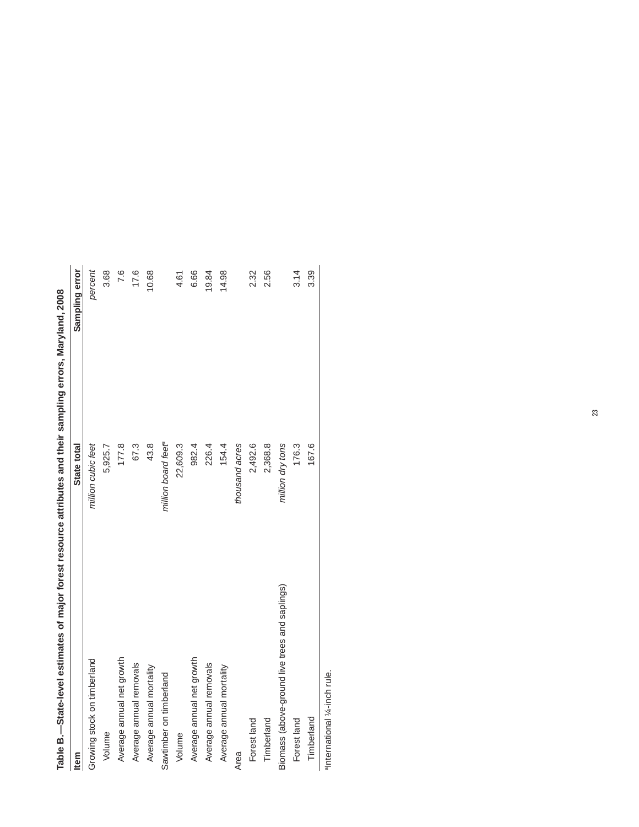| Table B.—State-level estimates of major forest resource attributes and their sampling errors, Maryland, 2008 |                                 |                |
|--------------------------------------------------------------------------------------------------------------|---------------------------------|----------------|
| <b>Item</b>                                                                                                  | State total                     | Sampling error |
| Growing stock on timberland                                                                                  | million cubic feet              | percent        |
| Volume                                                                                                       | 5,925.7                         | 3.68           |
| Average annual net growth                                                                                    | 177.8                           | 7.6            |
| Average annual removals                                                                                      | 67.3                            | 17.6           |
| Average annual mortality                                                                                     | 43.8                            | 10.68          |
| Sawtimber on timberland                                                                                      | million board feet <sup>e</sup> |                |
| Volume                                                                                                       | 22,609.3                        | 4.61           |
| Average annual net growth                                                                                    | 982.4                           | 6.66           |
| Average annual removals                                                                                      | 226.4                           | 19.84          |
| Average annual mortality                                                                                     | 154.4                           | 14.98          |
| Area                                                                                                         | thousand acres                  |                |
| Forest land                                                                                                  | 2,492.6                         | 2.32           |
| Timberland                                                                                                   | 2,368.8                         | 2.56           |
| Biomass (above-ground live trees and saplings)                                                               | million dry tons                |                |
| Forest land                                                                                                  | 176.3                           | 3.14           |
| Timberland                                                                                                   | 167.6                           | 3.39           |
|                                                                                                              |                                 |                |

anternational 1/4-inch rule. aInternational ¼-inch rule.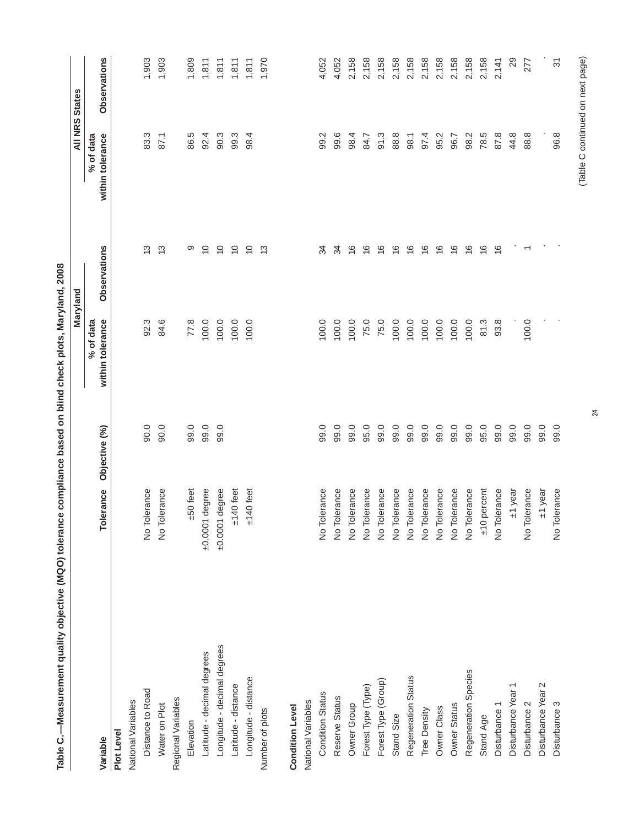| Table C.—Measurement quality objective (MQO) tolerance compliance based on blind check plots, Maryland, 2008 |                  |               |                                 |                |                               |                                      |
|--------------------------------------------------------------------------------------------------------------|------------------|---------------|---------------------------------|----------------|-------------------------------|--------------------------------------|
|                                                                                                              |                  |               |                                 | Maryland       |                               | All NRS States                       |
| Variable                                                                                                     | Tolerance        | Objective (%) | within tolerance<br>$%$ of data | Observations   | % of data<br>within tolerance | Observations                         |
| Plot Level                                                                                                   |                  |               |                                 |                |                               |                                      |
| National Variables                                                                                           |                  |               |                                 |                |                               |                                      |
| Distance to Road                                                                                             | No Tolerance     | 90.0          | 92.3                            | က              | 83.3                          | 1,903                                |
| Water on Plot                                                                                                | No Tolerance     | 90.0          | 84.6                            | $\frac{3}{2}$  | 87.1                          | 1,903                                |
| Regional Variables                                                                                           |                  |               |                                 |                |                               |                                      |
| Elevation                                                                                                    | $±50$ feet       | 99.0          | 77.8                            | တ              | 86.5                          | 1,809                                |
| Latitude - decimal degrees                                                                                   | $±0.0001$ degree | 99.0          | 100.0                           | $\overline{C}$ | 92.4                          | 1,811                                |
| Longitude - decimal degrees                                                                                  | $±0.0001$ degree | 99.0          | 100.0                           | $\overline{C}$ | 90.3                          | 1,811                                |
| Latitude - distance                                                                                          | $±140$ feet      |               | 100.0                           | $\overline{C}$ | 99.3                          | 1,811                                |
| Longitude - distance                                                                                         | $±140$ feet      |               | 100.0                           | $\overline{C}$ | 98.4                          | 1,811                                |
| Number of plots                                                                                              |                  |               |                                 | $\frac{3}{5}$  |                               | 1,970                                |
| <b>Condition Level</b>                                                                                       |                  |               |                                 |                |                               |                                      |
| National Variables                                                                                           |                  |               |                                 |                |                               |                                      |
| <b>Condition Status</b>                                                                                      | No Tolerance     | 99.0          | 100.0                           | 34             | 99.2                          | 4,052                                |
| Reserve Status                                                                                               | No Tolerance     | 99.0          | 100.0                           | 34             | 99.6                          | 4,052                                |
| Owner Group                                                                                                  | No Tolerance     | 99.0          | 100.0                           | $\frac{6}{1}$  | 98.4                          | 2,158                                |
| Forest Type (Type)                                                                                           | No Tolerance     | 95.0          | 75.0                            | $\frac{6}{1}$  | 84.7                          | 2,158                                |
| Forest Type (Group)                                                                                          | No Tolerance     | 99.0          | 75.0                            | $\frac{6}{1}$  | 91.3                          | 2,158                                |
| Stand Size                                                                                                   | No Tolerance     | 99.0          | 100.0                           | $\frac{6}{1}$  | 88.8                          | 2,158                                |
| Regeneration Status                                                                                          | No Tolerance     | 99.0          | 100.0                           | $\frac{6}{1}$  | 98.1                          | 2,158                                |
| Tree Density                                                                                                 | No Tolerance     | 99.0          | 100.0                           | $\frac{6}{1}$  | 97.4                          | 2,158                                |
| Owner Class                                                                                                  | No Tolerance     | 99.0          | 100.0                           | ဖ              | 95.2                          | 2,158                                |
| Owner Status                                                                                                 | No Tolerance     | 99.0          | 100.0                           | ဖ              | 96.7                          | 2,158                                |
| Regeneration Species                                                                                         | No Tolerance     | 99.0          | 100.0                           | ဖ              | 98.2                          | 2,158                                |
| Stand Age                                                                                                    | $±10$ percent    | 95.0          | 81.3                            | ဖ              | 78.5                          | 2,158                                |
| Disturbance 1                                                                                                | No Tolerance     | 99.0          | 93.8                            | $\frac{6}{1}$  | 87.8                          | 2,141                                |
| Disturbance Year                                                                                             | ±1 year          | 99.0          |                                 |                | 44.8                          | 29                                   |
| Disturbance 2                                                                                                | No Tolerance     | 99.0          | 100.0                           |                | $\infty$<br>88.               | 277                                  |
| Disturbance Year 2                                                                                           | H1 year          | 99.0          |                                 |                |                               |                                      |
| Disturbance 3                                                                                                | No Tolerance     | 99.0          |                                 |                | 96.8                          | $\overline{\widetilde{\mathcal{E}}}$ |
|                                                                                                              |                  |               |                                 |                |                               |                                      |

24

# (Table C continued on next page) (Table C continued on next page)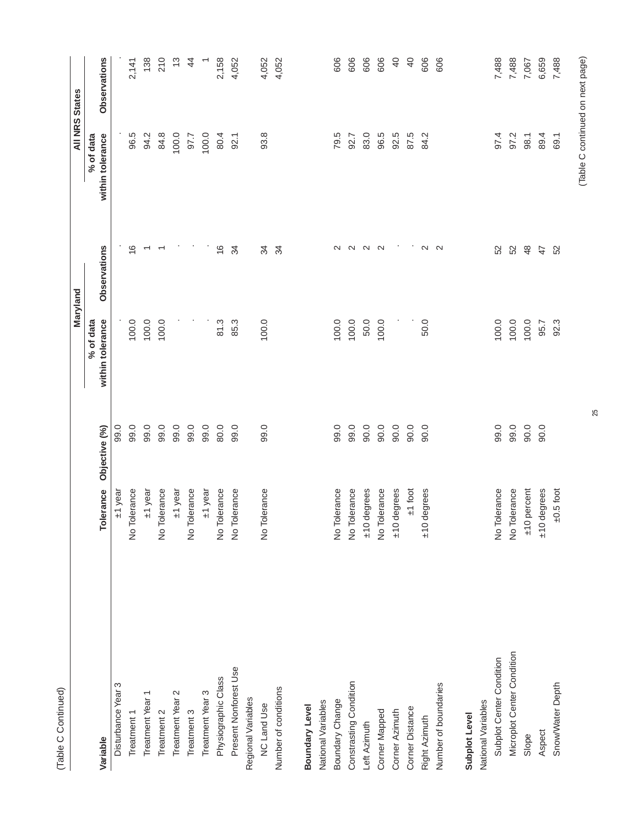| ź |
|---|
|   |
|   |
|   |
|   |

|                            |                          |               |                               | Maryland          |                               | <b>All NRS States</b> |
|----------------------------|--------------------------|---------------|-------------------------------|-------------------|-------------------------------|-----------------------|
| Variable                   | Tolerance                | Objective (%) | within tolerance<br>% of data | Observations      | within tolerance<br>% of data | Observations          |
| Disturbance Year 3         | ±1 year                  | 99.0          |                               |                   |                               |                       |
| Treatment                  | No Tolerance             | 99.0          | 100.0                         | $\frac{6}{1}$     | 96.5                          | 2,141                 |
| Treatment Year 1           | ±1 year                  | 99.0          | 100.0                         |                   | 94.2                          | 138                   |
| Treatment 2                | No Tolerance             | 99.0          | 100.0                         |                   | 84.8                          | 210                   |
| Treatment Year 2           | +1 year                  | 99.0          |                               |                   | 100.0                         | $\tilde{\omega}$      |
| Treatment 3                | No Tolerance             | 99.0          |                               |                   | 97.7                          | $\overline{4}$        |
| Treatment Year 3           | ±1 year                  | 99.0          |                               |                   | 100.0                         | $\overline{ }$        |
| Physiographic Class        | No Tolerance             | 80.0          | 81.3                          | $\frac{6}{1}$     | 80.4                          | 2,158                 |
| Present Nonforest Use      | No Tolerance             | 99.0          | 85.3                          | 34                | 92.1                          | 4,052                 |
| Regional Variables         |                          |               |                               |                   |                               |                       |
| <b>NC Land Use</b>         | No Tolerance             | 99.0          | 100.0                         | 34                | 93.8                          | 4,052                 |
| Number of conditions       |                          |               |                               | $\approx$         |                               | 4,052                 |
| Boundary Level             |                          |               |                               |                   |                               |                       |
| National Variables         |                          |               |                               |                   |                               |                       |
| Boundary Change            | No Tolerance             | 99.0          | 100.0                         | $\mathbf{\Omega}$ | 79.5                          | 606                   |
| Constrasting Condition     | No Tolerance             | 99.0          | 100.0                         | $\sim$            | 92.7                          | 606                   |
| Left Azimuth               | $±10$ degrees            | 90.0          | 50.0                          | $\sim$            | 83.0                          | 606                   |
| Corner Mapped              | No Tolerance             | 90.0          | 100.0                         | $\sim$            | 96.5                          | 606                   |
| Corner Azimuth             | ±10 degrees              | 90.0          |                               |                   | 92.5                          | $\overline{Q}$        |
| Corner Distance            | $±1$ foot                | 90.0          |                               |                   | 87.5                          | $\overline{6}$        |
| Right Azimuth              | degrees<br>$\frac{1}{2}$ | $-0.06$       | 50.0                          | $\sim$            | 84.2                          | 606                   |
| Number of boundaries       |                          |               |                               | $\mathbf{\Omega}$ |                               | 606                   |
| Subplot Level              |                          |               |                               |                   |                               |                       |
| National Variables         |                          |               |                               |                   |                               |                       |
| Subplot Center Condition   | No Tolerance             | 99.0          | 100.0                         | 52                | 97.4                          | 7,488                 |
| Microplot Center Condition | No Tolerance             | 99.0          | 100.0                         | 52                | 97.2                          | 7,488                 |
| Slope                      | $±10$ percent            | 90.0          | 100.0                         | $\frac{8}{3}$     | 98.1                          | 7,067                 |
| Aspect                     | ±10 degrees              | 0.06          | 95.7                          | 47                | 89.4                          | 6,659                 |
| Snow/Water Depth           | $±0.5$ foot              |               | 92.3                          | 52                | 69.1                          | 7,488                 |
|                            |                          |               |                               |                   |                               |                       |

# (Table C continued on next page) (Table C continued on next page)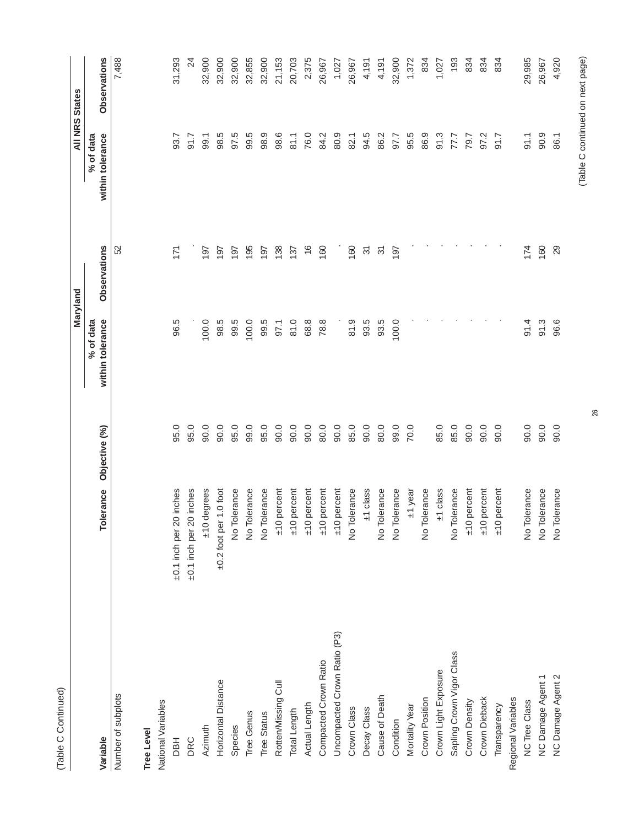| (Table C Continued)          |                             |               |                               |                                      |                               |                       |
|------------------------------|-----------------------------|---------------|-------------------------------|--------------------------------------|-------------------------------|-----------------------|
|                              |                             |               |                               | Maryland                             |                               | <b>All NRS States</b> |
| Variable                     | Tolerance                   | Objective (%) | within tolerance<br>% of data | Observations                         | within tolerance<br>% of data | Observations          |
| Number of subplots           |                             |               |                               | 52                                   |                               | 7,488                 |
| <b>Tree Level</b>            |                             |               |                               |                                      |                               |                       |
| National Variables           |                             |               |                               |                                      |                               |                       |
| <b>HEO</b>                   | ±0.1 inch per 20 inches     | 95.0          | 96.5                          | 171                                  | 93.7                          | 31,293                |
| DRC                          | ±0.1 inch per 20 inches     | 95.0          |                               |                                      | 91.7                          | $\overline{2}$        |
| Azimuth                      | ±10 degrees                 | 90.0          | 100.0                         | 197                                  | 99.1                          | 32,900                |
| Horizontal Distance          | $\pm 0.2$ foot per 1.0 foot | 90.0          | 98.5                          | 197                                  | 98.5                          | 32,900                |
| Species                      | No Tolerance                | 95.0          | 99.5                          | 197                                  | 97.5                          | 32,900                |
| Tree Genus                   | No Tolerance                | 99.0          | 100.0                         | 195                                  | 99.5                          | 32,855                |
| <b>Tree Status</b>           | No Tolerance                | 95.0          | 99.5                          | 197                                  | 98.9                          | 32,900                |
| Rotten/Missing Cull          | percent<br>$\frac{1}{2}$    | 90.0          | 97.1                          | 138                                  | 98.6                          | 21,153                |
| Total Length                 | percent<br>$\frac{1}{2}$    | 90.0          | 81.0                          | 137                                  | 81.1                          | 20,703                |
| Actual Length                | percent<br>$\frac{1}{2}$    | 90.0          | 68.8                          | $\frac{6}{5}$                        | 76.0                          | 2,375                 |
| Compacted Crown Ratio        | percent<br>$\frac{1}{2}$    | 80.0          | 78.8                          | 160                                  | 84.2                          | 26,967                |
| Uncompacted Crown Ratio (P3) | percent<br>$\frac{1}{2}$    | 90.0          |                               |                                      | 80.9                          | 1,027                 |
| Crown Class                  | No Tolerance                | 85.0          | 81.9                          | 160                                  | 82.1                          | 26,967                |
| Decay Class                  | $±1$ class                  | 90.0          | 93.5                          | $\overline{\widetilde{\mathcal{C}}}$ | 94.5                          | 4,191                 |
| Cause of Death               | No Tolerance                | 80.0          | 93.5                          | <u>ল</u>                             | 86.2                          | 4,191                 |
| Condition                    | No Tolerance                | 99.0          | 100.0                         | 197                                  | 97.7                          | 32,900                |
| Mortality Year               | ±1 year                     | 70.0          |                               |                                      | 95.5                          | 1,372                 |
| Crown Position               | No Tolerance                |               |                               |                                      | 86.9                          | 834                   |
| Crown Light Exposure         | $±1$ class                  | 85.0          |                               |                                      | 91.3                          | 1,027                 |
| Sapling Crown Vigor Class    | No Tolerance                | 85.0          |                               |                                      | 77.7                          | 193                   |
| Crown Density                | percent<br>$\frac{1}{2}$    | 90.0          |                               |                                      | 79.7                          | 834                   |
| Crown Dieback                | percent<br>$\frac{1}{2}$    | 90.0          |                               |                                      | 97.2                          | 834                   |
| Transparency                 | percent<br>$\frac{1}{2}$    | 90.0          |                               |                                      | 91.7                          | 834                   |
| Regional Variables           |                             |               |                               |                                      |                               |                       |

26

S46,6389 eeビL 09 - 11 17 4 17 4 16 91.0 01.06 91.0 91.06 92.000 92.000 92.000 92.000 92.000 92.000 9 NC Damage Agent 1 No Tolerance 90.0 91.3 160 90.9 26,967 ONG 4992012 Damage Agent 2 2 96.96 96.96 96.96 96.96 96.96 96.96 97.921 98.4 86.1 86.1 98.4

No Tolerance<br>No Tolerance

No Tolerance

NC Tree Class

NC Damage Agent 1<br>NC Damage Agent 2

# (Table C continued on next page) (Table C continued on next page)

26,967<br>4,920

90.9<br>86.1

 $74$  60<br>29

 $\frac{4}{5}$  36.6

29,985

 $91.1$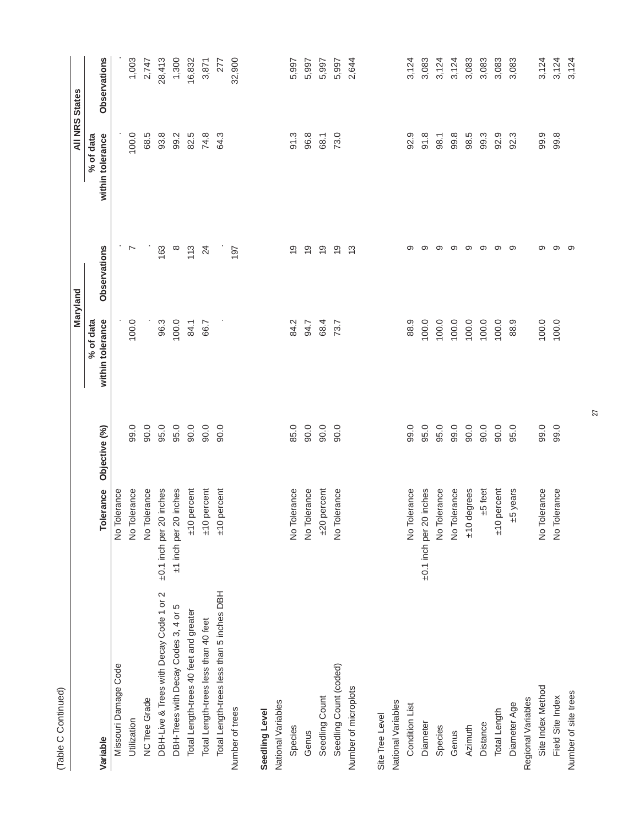|                                           |                          |               |                                 | Maryland       |                               | <b>All NRS States</b> |
|-------------------------------------------|--------------------------|---------------|---------------------------------|----------------|-------------------------------|-----------------------|
| Variable                                  | Tolerance                | Objective (%) | within tolerance<br>$%$ of data | Observations   | within tolerance<br>% of data | Observations          |
| Missouri Damage Code                      | No Tolerance             |               |                                 |                |                               |                       |
| Utilization                               | No Tolerance             | 99.0          | 100.0                           | $\sim$         | 100.0                         | 1,003                 |
| <b>NC Tree Grade</b>                      | No Tolerance             | 90.0          |                                 |                | 68.5                          | 2,747                 |
| DBH-Live & Trees with Decay Code 1 or 2   | ±0.1 inch per 20 inches  | 95.0          | 96.3                            | 163            | 93.8                          | 28,413                |
| DBH-Trees with Decay Codes 3, 4 or 5      | ±1 inch per 20 inches    | 95.0          | 100.0                           | $\infty$       | 99.2                          | 1,300                 |
| Total Length-trees 40 feet and greater    | percent<br>$\frac{1}{2}$ | 90.0          | 84.1                            | 113            | 82.5                          | 16,832                |
| Total Length-trees less than 40 feet      | percent<br>$rac{1}{2}$   | 90.0          | 66.7                            | 24             | 74.8                          | 3,871                 |
| Total Length-trees less than 5 inches DBH | percent<br>$rac{1}{2}$   | 90.0          |                                 |                | 64.3                          | 277                   |
| Number of trees                           |                          |               |                                 | 197            |                               | 32,900                |
| Seedling Level                            |                          |               |                                 |                |                               |                       |
| National Variables                        |                          |               |                                 |                |                               |                       |
| Species                                   | No Tolerance             | 85.0          | 84.2                            | $\overline{0}$ | 91.3                          | 5,997                 |
| Genus                                     | No Tolerance             | 90.0          | 94.7                            | $\frac{6}{1}$  | 96.8                          | 5,997                 |
| Seedling Count                            | percent<br>$+20$         | 90.0          | 68.4                            | $\frac{6}{1}$  | 68.1                          | 5,997                 |
| Seedling Count (coded)                    | No Tolerance             | 90.0          | 73.7                            | $\frac{6}{1}$  | 73.0                          | 5,997                 |
| Number of microplots                      |                          |               |                                 | $\frac{3}{5}$  |                               | 2,644                 |
| Site Tree Level                           |                          |               |                                 |                |                               |                       |
| National Variables                        |                          |               |                                 |                |                               |                       |
| Condition List                            | No Tolerance             | 99.0          | 88.9                            | တ              | 92.9                          | 3,124                 |
| Diameter                                  | ±0.1 inch per 20 inches  | 95.0          | 100.0                           | တ              | 91.8                          | 3,083                 |
| Species                                   | No Tolerance             | 95.0          | 100.0                           | တ              | 98.1                          | 3,124                 |
| Genus                                     | No Tolerance             | 99.0          | 100.0                           | တ              | 99.8                          | 3,124                 |
| Azimuth                                   | ±10 degrees              | 90.0          | 100.0                           | တ              | 98.5                          | 3,083                 |
| Distance                                  | $±5$ feet                | 90.0          | 100.0                           | တ              | 99.3                          | 3,083                 |
| Total Length                              | percent<br>$rac{1}{2}$   | 90.0          | 100.0                           | တ              | 92.9                          | 3,083                 |
| Diameter Age                              | +5 years                 | 95.0          | 88.9                            | တ              | 92.3                          | 3,083                 |
| Regional Variables                        |                          |               |                                 |                |                               |                       |
| Site Index Method                         | No Tolerance             | 99.0          | 100.0                           | တ              | 99.9                          | 3,124                 |
| Field Site Index                          | No Tolerance             | 99.0          | 100.0                           | တ              | 99.8                          | 3,124                 |
| Number of site trees                      |                          |               |                                 | တ              |                               | 3,124                 |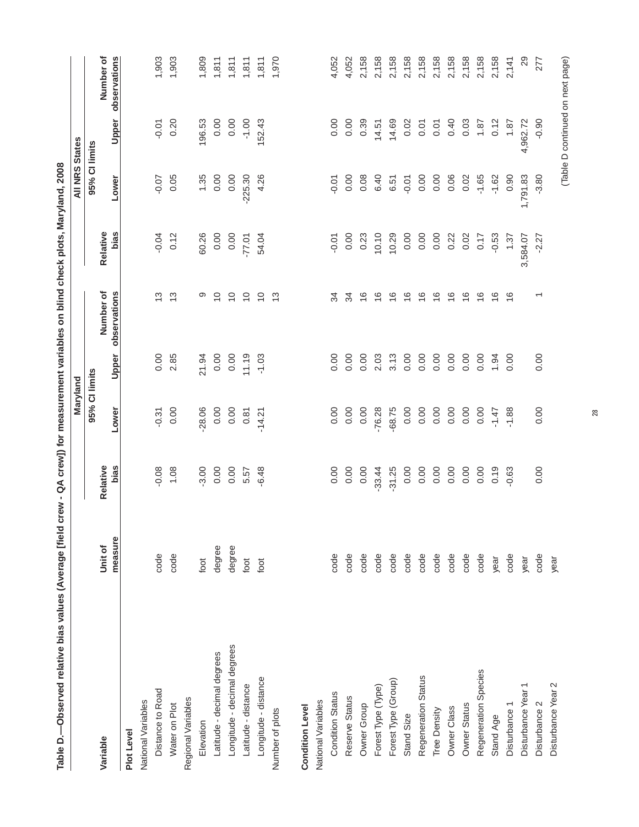| Table D.—Observed relative bias values (Average [field crew - QA crew]) for measurement variables on blind check plots, Maryland, 2008 |         |          |               |         |                |          |                       |          |                                  |
|----------------------------------------------------------------------------------------------------------------------------------------|---------|----------|---------------|---------|----------------|----------|-----------------------|----------|----------------------------------|
|                                                                                                                                        |         |          | Maryland      |         |                |          | <b>All NRS States</b> |          |                                  |
| Variable                                                                                                                               | Unit of | Relative | 95% CI limits |         | Number of      | Relative | 95% CI limits         |          | Number of                        |
|                                                                                                                                        | measure | bias     | Lower         | Upper   | observations   | bias     | Lower                 | Upper    | observations                     |
| Plot Level                                                                                                                             |         |          |               |         |                |          |                       |          |                                  |
| National Variables                                                                                                                     |         |          |               |         |                |          |                       |          |                                  |
| Distance to Road                                                                                                                       | code    | $-0.08$  | $-0.31$       | 0.00    | $\frac{3}{2}$  | $-0.04$  | $-0.07$               | $-0.01$  | 1,903                            |
| Water on Plot                                                                                                                          | code    | 1.08     | 0.00          | 2.85    | $\frac{3}{2}$  | 0.12     | 0.05                  | 0.20     | 1,903                            |
| Regional Variables                                                                                                                     |         |          |               |         |                |          |                       |          |                                  |
| Elevation                                                                                                                              | foot    | $-3.00$  | $-28.06$      | 21.94   | တ              | 60.26    | 1.35                  | 196.53   | 1,809                            |
| Latitude - decimal degrees                                                                                                             | degree  | 0.00     | 0.00          | 0.00    | $\overline{C}$ | 0.00     | 0.00                  | 0.00     | 1,811                            |
| Longitude - decimal degrees                                                                                                            | degree  | 0.00     | 0.00          | 0.00    | $\overline{C}$ | 0.00     | 0.00                  | 0.00     | 1,811                            |
| Latitude - distance                                                                                                                    | foot    | 5.57     | 0.81          | 11.19   | $\overline{C}$ | $-77.01$ | $-225.30$             | $-1.00$  | 1,811                            |
| Longitude - distance                                                                                                                   | foot    | $-6.48$  | $-14.21$      | $-1.03$ | $\overline{C}$ | 54.04    | 4.26                  | 152.43   | 1,811                            |
| Number of plots                                                                                                                        |         |          |               |         | $\frac{3}{2}$  |          |                       |          | 1,970                            |
| <b>Condition Level</b>                                                                                                                 |         |          |               |         |                |          |                       |          |                                  |
| National Variables                                                                                                                     |         |          |               |         |                |          |                       |          |                                  |
| <b>Condition Status</b>                                                                                                                | code    | 0.00     | 0.00          | 0.00    | 34             | $-0.01$  | $-0.01$               | 0.00     | 4,052                            |
| Reserve Status                                                                                                                         | code    | 0.00     | 0.00          | 0.00    | 34             | 0.00     | 0.00                  | 0.00     | 4,052                            |
| Owner Group                                                                                                                            | code    | 0.00     | 0.00          | 0.00    | $\frac{6}{1}$  | 0.23     | 0.08                  | 0.39     | 2,158                            |
| Forest Type (Type)                                                                                                                     | code    | $-33.44$ | $-76.28$      | 2.03    | $\frac{6}{1}$  | 10.10    | 6.40                  | 14.51    | 2,158                            |
| Forest Type (Group)                                                                                                                    | code    | $-31.25$ | $-68.75$      | 3.13    | $\frac{6}{1}$  | 10.29    | 6.51                  | 14.69    | 2,158                            |
| Stand Size                                                                                                                             | code    | 0.00     | 0.00          | 0.00    | $\frac{6}{1}$  | 0.00     | $-0.01$               | 0.02     | 2,158                            |
| Regeneration Status                                                                                                                    | code    | 0.00     | 0.00          | 0.00    | $\frac{6}{1}$  | 0.00     | 0.00                  | 0.01     | 2,158                            |
| Tree Density                                                                                                                           | code    | 0.00     | 0.00          | 0.00    | $\frac{6}{1}$  | 0.00     | 0.00                  | 0.01     | 2,158                            |
| Owner Class                                                                                                                            | code    | 0.00     | 0.00          | 0.00    | $\frac{6}{1}$  | 0.22     | 0.06                  | 0.40     | 2,158                            |
| Owner Status                                                                                                                           | code    | 0.00     | 0.00          | 0.00    | $\frac{6}{1}$  | 0.02     | 0.02                  | 0.03     | 2,158                            |
| Regeneration Species                                                                                                                   | code    | 0.00     | 0.00          | 0.00    | $\frac{6}{1}$  | 0.17     | $-1.65$               | 1.87     | 2,158                            |
| Stand Age                                                                                                                              | year    | 0.19     | $-1.47$       | 1.94    | $\frac{6}{1}$  | $-0.53$  | $-1.62$               | 0.12     | 2,158                            |
| Disturbance 1                                                                                                                          | code    | $-0.63$  | $-1.88$       | 0.00    | $\frac{6}{1}$  | 1.37     | 0.90                  | 1.87     | 2,141                            |
| Disturbance Year                                                                                                                       | year    |          |               |         |                | 3,584.07 | 1,791.83              | 4,962.72 | 29                               |
| Disturbance 2                                                                                                                          | code    | 0.00     | 0.00          | 0.00    |                | $-2.27$  | $-3.80$               | $-0.90$  | 277                              |
| Disturbance Year 2                                                                                                                     | year    |          |               |         |                |          |                       |          | (Table D continued on next page) |

28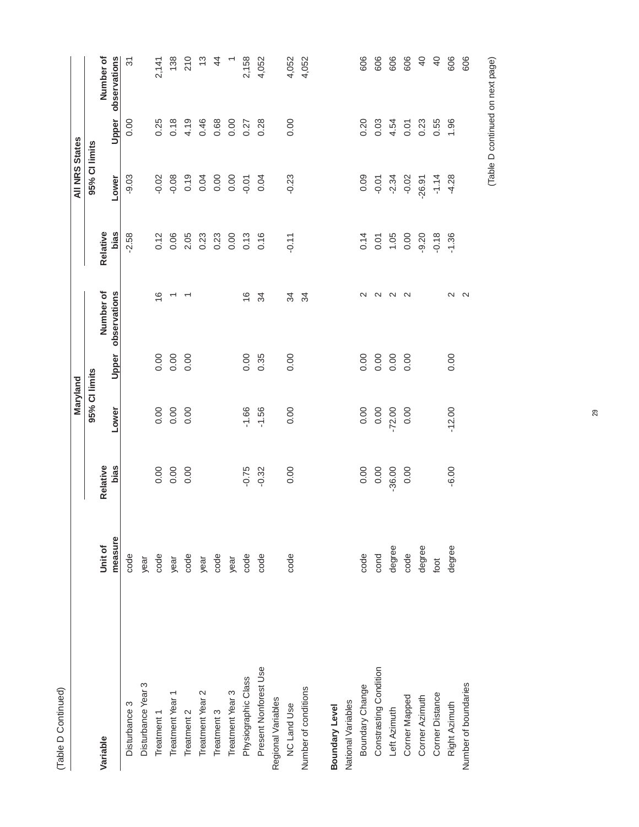| Ξ<br>ē<br>$\sim$<br>Ξ |  |
|-----------------------|--|
| 高                     |  |

|                        |         |          | Maryland      |       |                   |                    | <b>All NRS States</b> |       |                |
|------------------------|---------|----------|---------------|-------|-------------------|--------------------|-----------------------|-------|----------------|
|                        |         |          | 95% CI limits |       |                   |                    | 95% Cl limits         |       |                |
| Variable               | Unit of | Relative |               |       | Number of         | Relative           |                       |       | Number of      |
|                        | measure | bias     | Lower         | Upper | observations      | bias               | Lower                 | Upper | observations   |
| Disturbance 3          | code    |          |               |       |                   | $-2.58$            | $-9.03$               | 8.00  | $\overline{3}$ |
| Disturbance Year 3     | year    |          |               |       |                   |                    |                       |       |                |
| Treatment 1            | code    |          | 0.00          | 0.00  | $\frac{6}{1}$     | 0.12               | $-0.02$               | 0.25  | 2,141          |
| Treatment Year 1       | year    | 0.0000   | 0.00          | 0.00  | $\overline{ }$    |                    | $-0.08$               | 0.18  | 138            |
| Treatment 2            | code    | 0.00     | 0.00          | 0.00  |                   | 0.06<br>2.05       | 0.19                  | 4.19  | 210            |
| Treatment Year 2       | year    |          |               |       |                   | 0.23               | 0.04                  | 0.46  | $\frac{3}{2}$  |
| Treatment 3            | code    |          |               |       |                   | 0.23               | 0.00                  | 0.68  | $\overline{4}$ |
| Treatment Year 3       | year    |          |               |       |                   | 0.00               | 0.00                  | 0.00  |                |
| Physiographic Class    | code    | $-0.75$  | $-1.66$       | 0.00  | $\frac{6}{1}$     | 0.13               | $-0.01$               | 0.27  | 2,158          |
| Present Nonforest Use  | code    | $-0.32$  | $-1.56$       | 0.35  | 34                | 0.16               | 0.04                  | 0.28  | 4,052          |
| Regional Variables     |         |          |               |       |                   |                    |                       |       |                |
| <b>NC Land Use</b>     | code    | 0.00     | 0.00          | 0.00  | 34                | $-0.11$            | $-0.23$               | 0.00  | 4,052          |
| Number of conditions   |         |          |               |       | 34                |                    |                       |       | 4,052          |
|                        |         |          |               |       |                   |                    |                       |       |                |
| Boundary Level         |         |          |               |       |                   |                    |                       |       |                |
| National Variables     |         |          |               |       |                   |                    |                       |       |                |
| Boundary Change        | code    | 0.00     | 0.00          | 0.00  | $\sim$            | 0.14               | 0.09                  | 0.20  | 606            |
| Constrasting Condition | cond    | 0.00     | 0.00          | 0.00  | $\mathbf{\Omega}$ | $0.01$<br>1.05     | $-0.01$               | 0.03  | 606            |
| Left Azimuth           | degree  | $-36.00$ | $-72.00$      | 0.00  | $\sim$            |                    | $-2.34$               | 4.54  | 606            |
| Corner Mapped          | code    | 0.00     | 0.00          | 0.00  | $\sim$            | 0.00               | $-0.02$               | 0.01  | 606            |
| Corner Azimuth         | degree  |          |               |       |                   | $-9.20$<br>$-0.18$ | $-26.91$              | 0.23  | $\overline{a}$ |
| Corner Distance        | foot    |          |               |       |                   |                    | $-1.14$               | 0.55  | $\overline{a}$ |
| Right Azimuth          | degree  | $-6.00$  | $-12.00$      | 0.00  | $\sim$            | $-1.36$            | $-4.28$               | 1.96  | 606            |
| Number of boundaries   |         |          |               |       | $\sim$            |                    |                       |       | 606            |
|                        |         |          |               |       |                   |                    |                       |       |                |

(Table D continued on next page) (Table D continued on next page)

29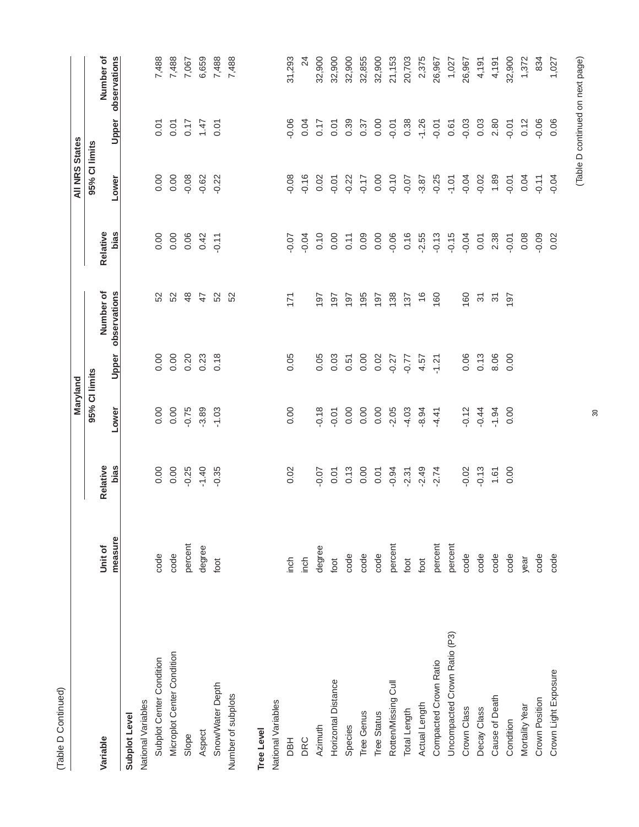|                              |         |          | Maryland      |         |                                      |          | <b>All NRS States</b> |         |                 |
|------------------------------|---------|----------|---------------|---------|--------------------------------------|----------|-----------------------|---------|-----------------|
|                              |         |          | 95% CI limits |         |                                      |          | 95% Cl limits         |         |                 |
| Variable                     | Unit of | Relative |               |         | Number of                            | Relative |                       |         | Number of       |
|                              | measure | bias     | Lower         | Upper   | observations                         | bias     | Lower                 | Upper   | observations    |
| Subplot Level                |         |          |               |         |                                      |          |                       |         |                 |
| National Variables           |         |          |               |         |                                      |          |                       |         |                 |
| Subplot Center Condition     | code    | 0.00     | 0.00          | 0.00    | 52                                   | 0.00     | 0.00                  | 0.07    | 7,488           |
| Microplot Center Condition   | code    | 0.00     | 0.00          | 0.00    | 52                                   | 0.00     | 0.00                  | 0.07    | 7,488           |
| Slope                        | percent | $-0.25$  | $-0.75$       | 0.20    | 48                                   | 0.06     | $-0.08$               | 0.17    | 7,067           |
| Aspect                       | degree  | $-1.40$  | $-3.89$       | 0.23    | $\ddot{4}$                           | 0.42     | $-0.62$               | 1.47    | 6,659           |
| Snow/Water Depth             | foot    | $-0.35$  | $-1.03$       | 0.18    | 52                                   | $-0.11$  | $-0.22$               | 0.01    | 7,488           |
| Number of subplots           |         |          |               |         | 52                                   |          |                       |         | 7,488           |
| <b>Tree Level</b>            |         |          |               |         |                                      |          |                       |         |                 |
| National Variables           |         |          |               |         |                                      |          |                       |         |                 |
| <b>HBU</b>                   | inch    | 0.02     | 0.00          | 0.05    | 171                                  | $-0.07$  | 0.08                  | 0.06    | 31,293          |
| DRC                          | inch    |          |               |         |                                      | $-0.04$  | 0.16                  | 0.04    | $\overline{24}$ |
| Azimuth                      | degree  | $-0.07$  | $-0.18$       | 0.05    | 197                                  | 0.10     | 0.02                  | 0.17    | 32,900          |
| Horizontal Distance          | foot    | 0.01     | $-0.01$       | 0.03    | 197                                  | 0.00     | $-0.01$               | 0.01    | 32,900          |
| Species                      | code    | 0.13     | 0.00          | 0.51    | 197                                  | 0.11     | $-0.22$               | 0.39    | 32,900          |
| Tree Genus                   | code    | 0.00     | 0.00          | 0.00    | 195                                  | 0.09     | $-0.17$               | 0.37    | 32,855          |
| Tree Status                  | code    | 0.01     | 0.00          | 0.02    | 197                                  | 0.00     | 0.00                  | 0.00    | 32,900          |
| Rotten/Missing Cull          | percent | $-0.94$  | $-2.05$       | $-0.27$ | 138                                  | $-0.06$  | $-0.10$               | $-0.01$ | 21,153          |
| Total Length                 | foot    | $-2.31$  | $-4.03$       | $-0.77$ | 137                                  | 0.16     | $-0.07$               | 0.38    | 20,703          |
| Actual Length                | foot    | $-2.49$  | $-8.94$       | 4.57    | $\frac{6}{5}$                        | $-2.55$  | $-3.87$               | $-1.26$ | 2,375           |
| Compacted Crown Ratio        | percent | $-2.74$  | $-4.41$       | $-1.21$ | 160                                  | $-0.13$  | $-0.25$               | $-0.01$ | 26,967          |
| Uncompacted Crown Ratio (P3) | percent |          |               |         |                                      | $-0.15$  | $-1.01$               | 0.61    | 1,027           |
| Crown Class                  | code    | $-0.02$  | $-0.12$       | 0.06    | 160                                  | $-0.04$  | $-0.04$               | $-0.03$ | 26,967          |
| Decay Class                  | code    | $-0.13$  | $-0.44$       | 0.13    | $\overline{\mathcal{E}}$             | 0.01     | $-0.02$               | 0.03    | 4,191           |
| Cause of Death               | code    | 1.61     | $-1.94$       | 8.06    | $\overline{\widetilde{\mathcal{C}}}$ | 2.38     | 1.89                  | 2.80    | 4,191           |
| Condition                    | code    | 0.00     | 0.00          | 0.00    | 197                                  | $-0.01$  | $-0.01$               | $-0.01$ | 32,900          |
| Mortality Year               | year    |          |               |         |                                      | 0.08     | 0.04                  | 0.12    | 1,372           |
| Crown Position               | code    |          |               |         |                                      | $-0.09$  | $-0.11$               | $-0.06$ | 834             |
| Crown Light Exposure         | code    |          |               |         |                                      | 0.02     | $-0.04$               | 0.06    | 1,027           |

30

# (Table D continued on next page) (Table D continued on next page)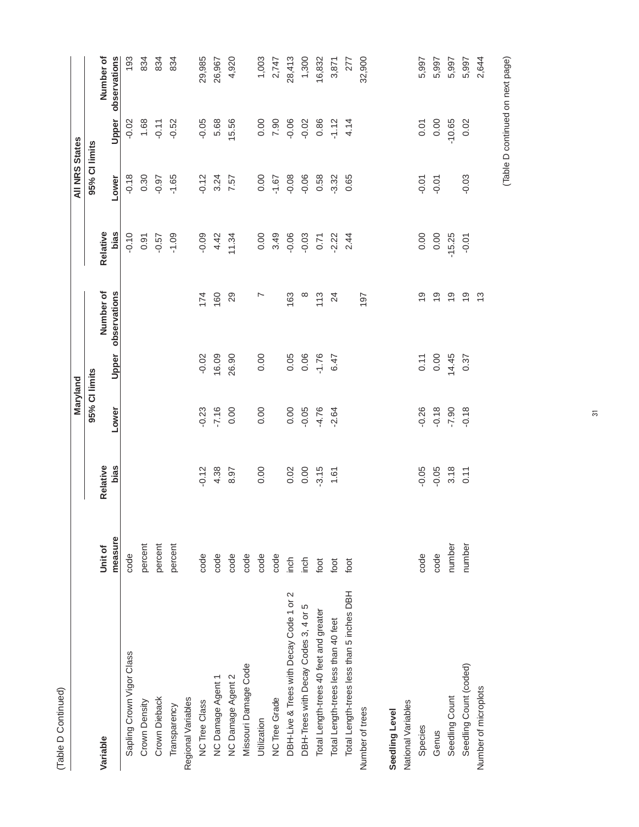|                                           |         |          | Maryland           |         |                |          | <b>All NRS States</b> |          |              |
|-------------------------------------------|---------|----------|--------------------|---------|----------------|----------|-----------------------|----------|--------------|
|                                           |         |          | 95% CI limits      |         |                |          | 95% Cl limits         |          |              |
| Variable                                  | Unit of | Relative |                    |         | Number of      | Relative |                       |          | Number of    |
|                                           | measure | bias     | Lower              | Upper   | observations   | bias     | Lower                 | Upper    | observations |
| Sapling Crown Vigor Class                 | code    |          |                    |         |                | $-0.10$  | $-0.18$               | $-0.02$  | 193          |
| Crown Density                             | percent |          |                    |         |                | 0.91     | 0.30                  | 1.68     | 834          |
| Crown Dieback                             | percent |          |                    |         |                | $-0.57$  | $-0.97$               | $-0.11$  | 834          |
| Transparency                              | percent |          |                    |         |                | $-1.09$  | $-1.65$               | $-0.52$  | 834          |
| Regional Variables                        |         |          |                    |         |                |          |                       |          |              |
| NC Tree Class                             | code    | $-0.12$  | $-0.23$            | $-0.02$ | 174            | $-0.09$  | $-0.12$               | $-0.05$  | 29,985       |
| NC Damage Agent 1                         | code    | 4.38     | $-7.16$            | 16.09   | 160            | 4.42     | 3.24                  | 5.68     | 26,967       |
| NC Damage Agent 2                         | code    | 8.97     | 0.00               | 26.90   | 29             | 11.34    | 7.57                  | 15.56    | 4,920        |
| Missouri Damage Code                      | code    |          |                    |         |                |          |                       |          |              |
| Utilization                               | code    | 0.00     | 0.00               | 0.00    | L              | 0.00     | 0.00                  | 0.00     | 1,003        |
| <b>NC Tree Grade</b>                      | code    |          |                    |         |                | 3.49     | $-1.67$               | 7.90     | 2,747        |
| DBH-Live & Trees with Decay Code 1 or 2   | inch    | 0.02     | 0.00               | 0.05    | 163            | $-0.06$  | $-0.08$               | $-0.06$  | 28,413       |
| DBH-Trees with Decay Codes 3, 4 or 5      | inch    | 0.00     | $-0.05$            | 0.06    | $\infty$       | $-0.03$  | $-0.06$               | $-0.02$  | 1,300        |
| Total Length-trees 40 feet and greater    | foot    | $-3.15$  | $-4.76$            | $-1.76$ | 113            | 0.71     | 0.58                  | 0.86     | 16,832       |
| Total Length-trees less than 40 feet      | foot    | 1.61     | $-2.64$            | 6.47    | 24             | $-2.22$  | $-3.32$               | $-1.12$  | 3,871        |
| Total Length-trees less than 5 inches DBH | foot    |          |                    |         |                | 2.44     | 0.65                  | 4.14     | 277          |
| Number of trees                           |         |          |                    |         | 197            |          |                       |          | 32,900       |
| Seedling Level                            |         |          |                    |         |                |          |                       |          |              |
| National Variables                        |         |          |                    |         |                |          |                       |          |              |
| Species                                   | code    | $-0.05$  | 0.26               | 0.11    | ი<br>ს         | 0.00     | $-0.01$               | 0.01     | 5,997        |
| Genus                                     | code    | $-0.05$  | $-0.18$<br>$-7.90$ | 0.00    | $\overline{0}$ | 0.00     | $-0.01$               | 0.00     | 5,997        |
| Seedling Count                            | number  | 3.18     |                    | 14.45   | $\frac{6}{1}$  | $-15.25$ |                       | $-10.65$ | 5,997        |
| Seedling Count (coded)                    | number  | 0.11     | $-0.18$            | 0.37    | $\overline{0}$ | $-0.01$  | $-0.03$               | 0.02     | 5,997        |
| Number of microplots                      |         |          |                    |         | $\frac{3}{2}$  |          |                       |          | 2,644        |
|                                           |         |          |                    |         |                |          |                       |          |              |

(Table D Continued)

(Table D Continued)

(Table D continued on next page) (Table D continued on next page)

31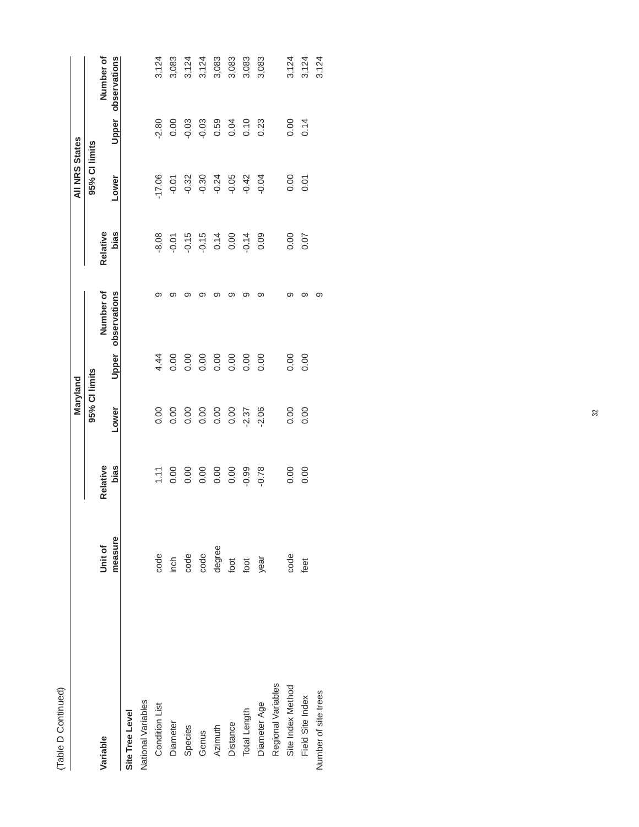|                           |         |          | Maryland           |                    |           |          | <b>All NRS States</b> |                                |                    |
|---------------------------|---------|----------|--------------------|--------------------|-----------|----------|-----------------------|--------------------------------|--------------------|
|                           |         |          | 95% CI limits      |                    |           |          | 95% Cl limits         |                                |                    |
| <b>Jariable</b>           | Unit of | Relative |                    |                    | Number of | Relative |                       |                                | Number of          |
|                           | measure | bias     | Lower              | Upper observations |           | bias     | Lower                 |                                | Upper observations |
| Site Tree Level           |         |          |                    |                    |           |          |                       |                                |                    |
| <b>Vational Variables</b> |         |          |                    |                    |           |          |                       |                                |                    |
| Condition List            | code    |          |                    | 4.44               |           | $-8.08$  | 17.06                 |                                | 3,124              |
| Diameter                  | inch    |          | 8888888            | 0.00               |           |          |                       | $2.80$<br>0.00<br>0.03<br>0.03 | 3,083              |
| Species                   | code    |          |                    | 0.00               |           |          | $-0.01$               |                                | 3,124              |
| Genus                     | code    |          |                    | 0.00               |           |          | $-0.30$               |                                | 3,124              |
| Azimuth                   | degree  |          |                    | 0.0000             | ග         |          | $-0.24$               | 0.59                           | 3,083              |
| Distance                  | foot    |          |                    |                    | ග         |          | $-0.05$               |                                | 3,083              |
| Total Length              | foot    | $-0.99$  | $.2.37$<br>$.2.06$ | 0.00               |           |          | $-0.42$               |                                | 3,083              |
| Diameter Age              | year    | $-0.78$  |                    | $\frac{8}{10}$     | ග         |          | $-0.04$               |                                | 3,083              |
| Regional Variables        |         |          |                    |                    |           |          |                       |                                |                    |
| Site Index Method         | code    | 0.00     | 0.00000            | 0.00               |           | 0.00     | 0.00                  | 0.14                           | 3,124              |
| Field Site Index          | feet    | 0.00     |                    | 0.00               | ග         | 0.07     | 0.01                  |                                | 3,124              |
| Number of site trees      |         |          |                    |                    | တ         |          |                       |                                | 3,124              |
|                           |         |          |                    |                    |           |          |                       |                                |                    |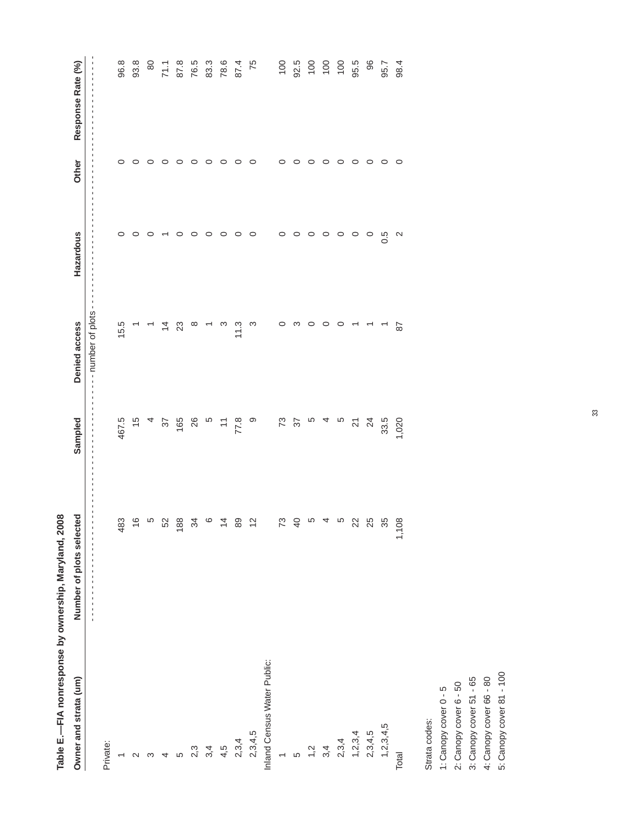|                             | Table E.-TFA nonresponse by ownership, Maryland, 2008                                                           |                                            |                                                        |                          |         |                                    |
|-----------------------------|-----------------------------------------------------------------------------------------------------------------|--------------------------------------------|--------------------------------------------------------|--------------------------|---------|------------------------------------|
| Owner and strata (um)       | о<br>Number of plots selecte                                                                                    | Sampled                                    | Denied access                                          | Hazardous                | Other   | Response Rate (%)                  |
|                             | f,<br>$\blacksquare$<br>$\mathbf{I}$<br>$\blacksquare$<br>$\blacksquare$<br>×<br>$\blacksquare$<br>$\mathbf{I}$ | ×                                          | $\blacksquare$<br>-- number of plots<br>$\blacksquare$ |                          |         |                                    |
| Private:                    |                                                                                                                 |                                            |                                                        |                          |         |                                    |
| $\overline{\phantom{0}}$    | 483                                                                                                             | 467.5                                      | 15.5                                                   | $\circ$                  | $\circ$ | 96.8                               |
| $\sim$                      | $\frac{6}{1}$                                                                                                   | $\frac{5}{2}$                              |                                                        | $\circ$                  | $\circ$ | 93.8                               |
| S                           | ယ                                                                                                               |                                            |                                                        | $\circ$                  | $\circ$ | 80                                 |
| 4                           | 52                                                                                                              | $\sqrt{6}$                                 | $\overline{4}$                                         | $\overline{\phantom{0}}$ | $\circ$ |                                    |
| LO                          | 188                                                                                                             | 165                                        | 23                                                     | $\circ$                  | $\circ$ |                                    |
| 2,3                         | 34                                                                                                              | 26                                         | ∞                                                      | $\circ$                  | $\circ$ | $71.7$ $87.8$ $83.8$ $87.8$ $87.8$ |
| 3,4                         | $\circ$                                                                                                         | $\overline{c}$                             |                                                        | $\circ$                  | $\circ$ |                                    |
| 4,5                         | $\frac{4}{4}$                                                                                                   | 77.8                                       | က                                                      | $\circ$                  | $\circ$ |                                    |
| 2,3,4                       | 89                                                                                                              |                                            | 11.3                                                   | $\circ$                  | $\circ$ |                                    |
| 2, 3, 4, 5                  | $\frac{1}{2}$                                                                                                   | $\circ$                                    | ო                                                      | $\circ$                  | $\circ$ | 75                                 |
| Inland Census Water Public: |                                                                                                                 |                                            |                                                        |                          |         |                                    |
| $\overline{\phantom{0}}$    | $\mathcal{L}$                                                                                                   |                                            | $\circ$                                                | $\circ$                  | $\circ$ |                                    |
| LO                          | $\overline{a}$                                                                                                  | $\begin{array}{c} 2 \\ 2 \\ 1 \end{array}$ | က                                                      | $\circ$                  | $\circ$ | $92.5$<br>$92.5$<br>$100$          |
| $\ddot{ }$                  | ယ                                                                                                               |                                            | $\circ$                                                | $\circ$                  | $\circ$ |                                    |
| 3,4                         | 4                                                                                                               | $\overline{a}$                             | $\circ$                                                | $\circ$                  | $\circ$ |                                    |
| 2,3,4                       | ယ                                                                                                               | $\overline{5}$                             | $\circ$                                                | $\circ$                  | $\circ$ | $\overline{100}$                   |
| 1, 2, 3, 4                  | 22                                                                                                              | $\overline{2}$                             |                                                        | $\circ$                  | $\circ$ | 95.5                               |
| 2,3,4,5                     | 25                                                                                                              | $\overline{24}$                            | $\overline{\phantom{0}}$                               | $\circ$                  | $\circ$ | 86                                 |
| 1, 2, 3, 4, 5               | 35                                                                                                              | 33.5                                       | $\overline{\phantom{m}}$                               | 0.5<br>O                 | $\circ$ | 95.7                               |
| Total                       | 1,108                                                                                                           | 1,020                                      | $\overline{8}$                                         | $\sim$                   | $\circ$ | 98.4                               |
| Strata codes:               |                                                                                                                 |                                            |                                                        |                          |         |                                    |
| 1: Canopy cover 0 - 5       |                                                                                                                 |                                            |                                                        |                          |         |                                    |
| 2: Canopy cover 6 - 50      |                                                                                                                 |                                            |                                                        |                          |         |                                    |
| 3: Canopy cover 51 - 65     |                                                                                                                 |                                            |                                                        |                          |         |                                    |
| 4: Canopy cover 66 - 80     |                                                                                                                 |                                            |                                                        |                          |         |                                    |
|                             |                                                                                                                 |                                            |                                                        |                          |         |                                    |

33

5: Canopy cover 81 - 100 5: Canopy cover 81 - 1004: Canopy cover 66 - 80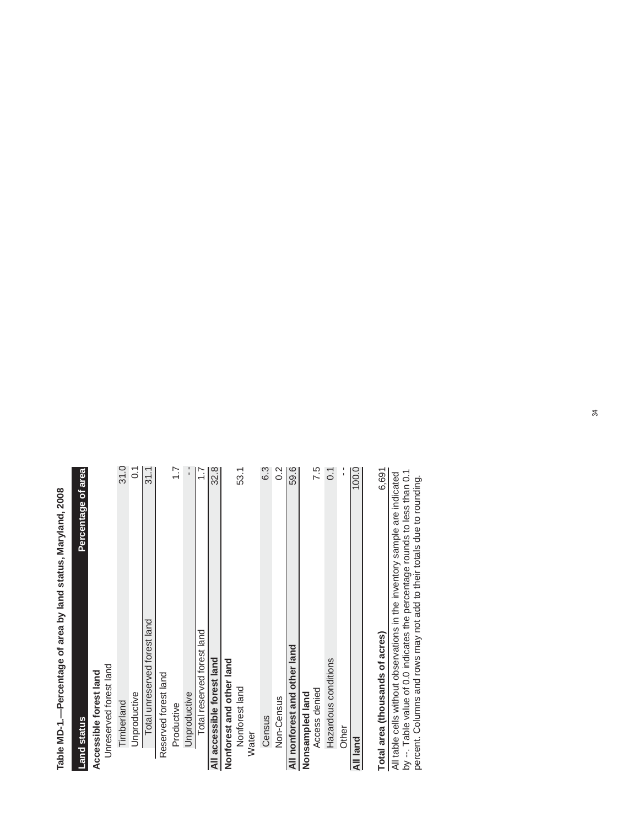Table MD-1.--Percentage of area by land status, Maryland, 2008 **Table MD-1.—Percentage of area by land status, Maryland, 2008**

| <b>Land status</b>                                                                                                                                                                                                                 | Percentage of area |
|------------------------------------------------------------------------------------------------------------------------------------------------------------------------------------------------------------------------------------|--------------------|
| Accessible forest land                                                                                                                                                                                                             |                    |
| Unreserved forest land                                                                                                                                                                                                             |                    |
| Timberland                                                                                                                                                                                                                         | 31.0               |
| Unproductive                                                                                                                                                                                                                       | $\tilde{\circ}$    |
| Total unreserved forest land                                                                                                                                                                                                       | 31.1               |
| Reserved forest land                                                                                                                                                                                                               |                    |
| Productive                                                                                                                                                                                                                         | $\overline{1}$ :   |
| Unproductive                                                                                                                                                                                                                       | ¦,                 |
| Total reserved forest land                                                                                                                                                                                                         | $\ddot{ }$ :       |
| All accessible forest land                                                                                                                                                                                                         | 32.8               |
| Nonforest and other land                                                                                                                                                                                                           |                    |
| Nonforest land                                                                                                                                                                                                                     | 53.1               |
| Water                                                                                                                                                                                                                              |                    |
| Census                                                                                                                                                                                                                             | 6.3                |
| Non-Census                                                                                                                                                                                                                         | $\sim$             |
| All nonforest and other land                                                                                                                                                                                                       | 59.6               |
| Nonsampled land                                                                                                                                                                                                                    |                    |
| Access denied                                                                                                                                                                                                                      | 7.5                |
| Hazardous conditions                                                                                                                                                                                                               | $\overline{0}$ .   |
| Other                                                                                                                                                                                                                              | ï                  |
| All land                                                                                                                                                                                                                           | 100.0              |
|                                                                                                                                                                                                                                    |                    |
| Total area (thousands of acres)                                                                                                                                                                                                    | 6,691              |
| by --. Table value of 0.0 indicates the percentage rounds to less than 0.1<br>All table cells without observations in the inventory sample are indicated<br>percent. Columns and rows may not add to their totals due to rounding. |                    |
|                                                                                                                                                                                                                                    |                    |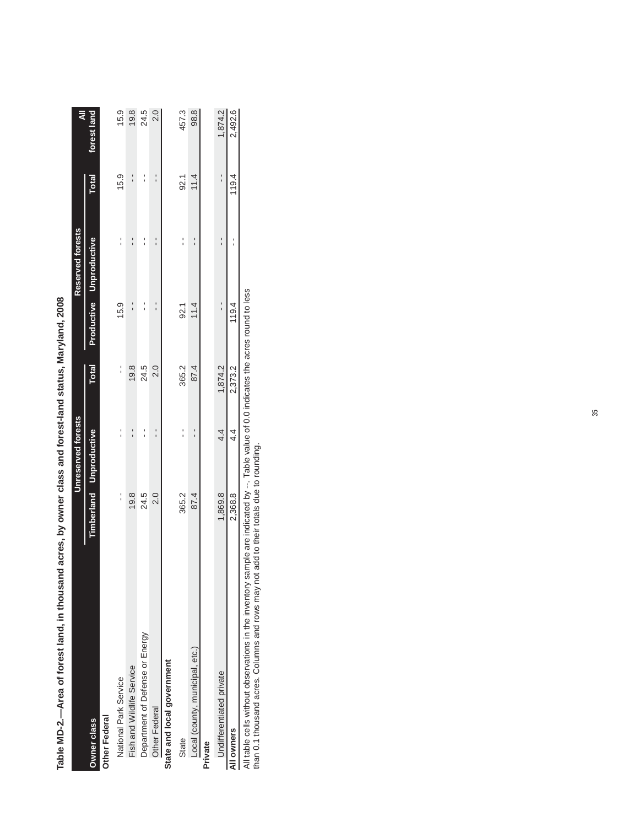|                                 |         | Unreserved forests             |              |       | Reserved forests        |               | ₹           |
|---------------------------------|---------|--------------------------------|--------------|-------|-------------------------|---------------|-------------|
| <b>Owner class</b>              |         | <b>Timberland Unproductive</b> | <b>Total</b> |       | Productive Unproductive | <b>Total</b>  | forest land |
| Other Federal                   |         |                                |              |       |                         |               |             |
| National Park Service           |         |                                | :            | 15.9  |                         | 15.9          | 15.9        |
| Fish and Wildlife Service       | 19.8    |                                | 19.8         |       |                         |               | 19.8        |
| Department of Defense or Energy | 24.5    | י<br>י                         | 24.5         |       | $\frac{1}{1}$           | $\frac{1}{1}$ | 24.5        |
| <b>Other Federal</b>            | 2.0     |                                | 2.0          |       |                         |               | 2.0         |
| State and local government      |         |                                |              |       |                         |               |             |
| State                           | 365.2   |                                | 365.2        | 92.1  |                         | 92.1          | 457.3       |
| Local (county, municipal, etc.) | 87.4    |                                | 87.4         | 11.4  |                         | 11.4          | 98.8        |
| Private                         |         |                                |              |       |                         |               |             |
| <b>Jndifferentiated private</b> | 1,869.8 | 4.4                            | 1,874.2      |       |                         |               | 1,874.2     |
| All owners                      | 2,368.8 | 4.4                            | 2,373.2      | 119.4 |                         | 119.4         | 2,492.6     |

Table MD-2.—Area of forest land, in thousand acres, by owner class and forest-land status, Maryland, 2008 **Table MD-2.—Area of forest land, in thousand acres, by owner class and forest-land status, Maryland, 2008** All table cells without observations in the inventory sample are indicated by --. Table value of 0.0 indicates the acres round to less<br>than 0.1 thousand acres. Columns and rows may not add to their totals due to rounding. All table cells without observations in the inventory sample are indicated by --. Table value of 0.0 indicates the acres round to less

than 0.1 thousand acres. Columns and rows may not add to their totals due to rounding.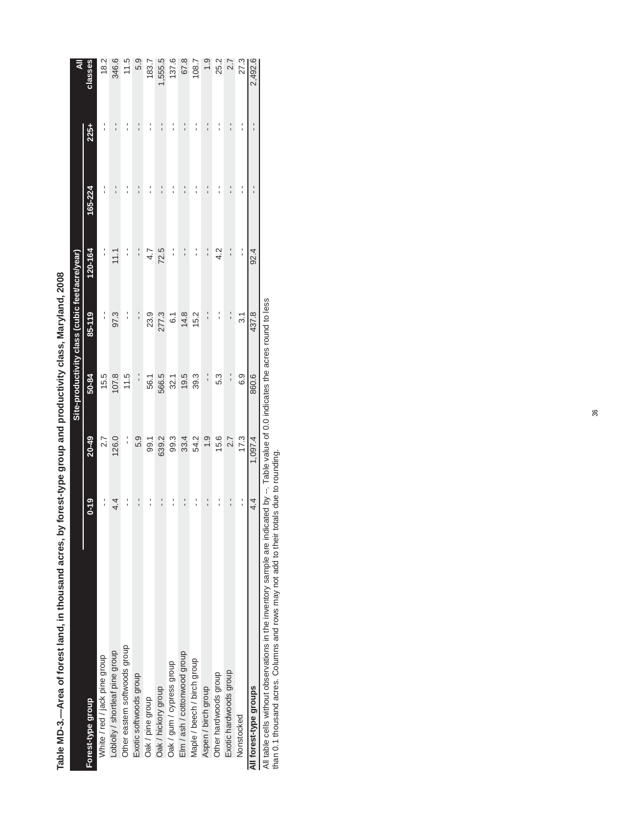|                                 |                 |           | Site-productivity class (cubic feet/acre/year) |                 |               |         |      |         |
|---------------------------------|-----------------|-----------|------------------------------------------------|-----------------|---------------|---------|------|---------|
| Forest-type group               | $0 - 19$        | $20 - 49$ | 50-84                                          | 85-119          | 120-164       | 165-224 | 225+ | classes |
| White / red / jack pine group   |                 | 2.7       | 15.5                                           |                 |               |         |      | 18.2    |
| Loblolly / shortleaf pine group | 4.4             | 126.0     | 107.8                                          | 97.3            | 11.1          |         |      | 346.6   |
| Other eastern softwoods group   |                 | :         | 11.5                                           |                 |               |         |      | 11.5    |
| Exotic softwoods group          |                 | 5.9       | :                                              |                 |               |         |      | 5.9     |
| Oak / pine group                |                 | 99.1      | 56.1                                           | 23.9            | 4.7           |         |      | 183.7   |
| Oak / hickory group             |                 | 639.2     | 566.5                                          | 277.3           | 72.5          |         |      | 555.5   |
| Oak / gum / cypress group       |                 | 99.3      | 32.1                                           | 6.1             | í             |         |      | 137.6   |
| Elm / ash / cottonwood group    |                 | 33.4      | 19.5                                           | 14.8            |               |         |      | 67.8    |
| Maple / beech / birch group     |                 | 54.2      | 39.3                                           | 15.2            |               |         |      | 108.7   |
| Aspen / birch group             |                 | 1.9       | $\frac{1}{1}$                                  |                 | ¦,            | ı       | I    | $-1.9$  |
| Other hardwoods group           |                 | 15.6      | 5.3                                            |                 | $\frac{2}{4}$ |         |      | 25.2    |
| Exotic hardwoods group          |                 | 2.7       | :                                              |                 |               | I       |      | 2.7     |
| Nonstocked                      | $\frac{1}{1}$   | 17.3      | 6.9                                            | $\overline{31}$ | י<br>י        |         | ı    | 27.3    |
| All forest-type groups          | $4\overline{4}$ | 1,097.4   | 860.6                                          | 437.8           | 92.4          |         | I    | 2,492.6 |

Table MD-3.-Area of forest land, in thousand acres, by forest-type group and productivity class, Maryland, 2008 **Table MD-3.—Area of forest land, in thousand acres, by forest-type group and productivity class, Maryland, 2008**

All table cells without observations in the inventory sample are indicated by --. Table value of 0.0 indicates the acres round to less

than 0.1 thousand acres. Columns and rows may not add to their totals due to rounding.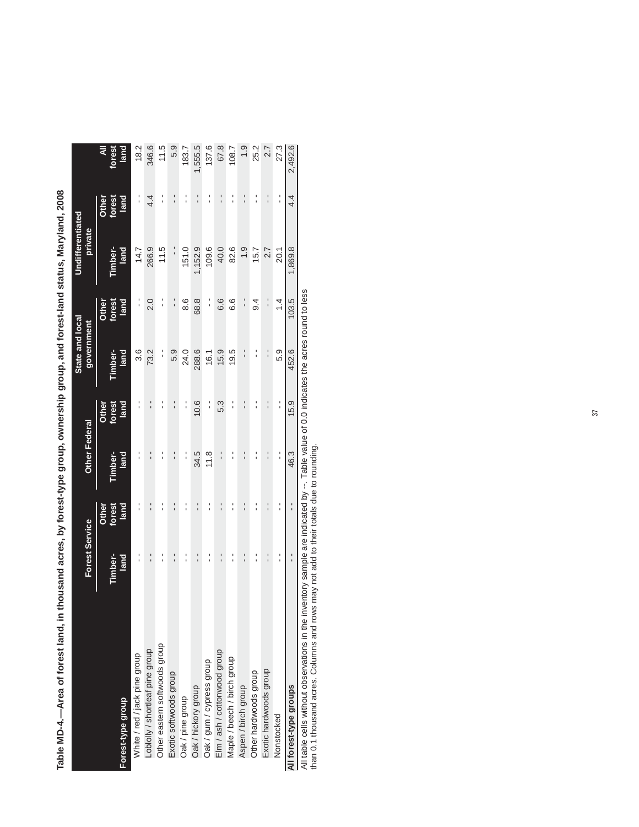|                                 |                       |        |                      |               | State and local |               | Undifferentiated |                 |         |
|---------------------------------|-----------------------|--------|----------------------|---------------|-----------------|---------------|------------------|-----------------|---------|
|                                 | <b>Forest Service</b> |        | <b>Other Federal</b> |               | government      |               | private          |                 |         |
|                                 |                       | Other  |                      | Other         |                 | Other         |                  | Other           | ₹       |
|                                 | Timber-               | forest | Timber-              | forest        | Fimber-         | forest        | Fimber-          | forest          | forest  |
| Forest-type group               | land                  | land   | land                 | land          | land            | land          | land             | land            | land    |
| White / red / jack pine group   |                       |        |                      |               | 3.6             | ı<br>1        | 14.7             | ı               | 18.2    |
| Loblolly / shortleaf pine group | $\frac{1}{1}$         |        | ı                    | ı             | 73.2            | 2.0           | 266.9            | 4.4             | 346.6   |
| Other eastern softwoods group   |                       |        |                      |               | :               | :             | 11.5             | :               | 11.5    |
| Exotic softwoods group          | $\frac{1}{1}$         | ı      | $\frac{1}{1}$        |               | 5.9             | ¦             | י<br>י           | :               | 5.9     |
| Oak / pine group                |                       |        | :                    |               | 24.0            | 8.6           | 151.0            |                 | 183.7   |
| Oak / hickory group             | $\frac{1}{1}$         |        | 34.5                 | 10.6          | 288.6           | 68.8          | 1,152.9          |                 | 1,555.5 |
| Oak / gum / cypress group       | ı                     |        | 11.8                 | $\frac{1}{1}$ | 16.1            | í             | 109.6            |                 | 137.6   |
| Elm / ash / cottonwood group    | $\frac{1}{1}$         |        | ı<br>ı               | 5.3           | 15.9            | 6.6           | 40.0             |                 | 67.8    |
| Maple / beech / birch group     |                       |        |                      |               | 19.5            | 6.6           | 82.6             |                 | 108.7   |
| Aspen / birch group             |                       |        |                      |               | $\frac{1}{1}$   | $\frac{1}{1}$ |                  |                 | ာ<br>1  |
| Other hardwoods group           |                       |        |                      |               |                 | $\frac{4}{9}$ | 15.7             |                 | 25.2    |
| Exotic hardwoods group          |                       |        |                      |               | $\frac{1}{1}$   | $\frac{1}{1}$ | 2.7              |                 | 2.7     |
| Nonstocked                      | ı                     |        | $\frac{1}{1}$        | l,            | 5.9             | $\frac{4}{4}$ | 20.1             | í               | 27.3    |
| All forest-type groups          |                       |        | 46.3                 | 15.9          | 452.6           | 103.5         | 1,869.8          | $4\overline{4}$ | 2,492.6 |

Table MD-4.--Area of forest land, in thousand acres, by forest-type group, ownership group, and forest-land status, Maryland, 2008 **Table MD-4.—Area of forest land, in thousand acres, by forest-type group, ownership group, and forest-land status, Maryland, 2008**

All table cells without observations in the inventory sample are indicated by --. Table value of 0.0 indicates the acres round to less than 0.1 thousand acres. Columns and rows may not add to their totals due to rounding.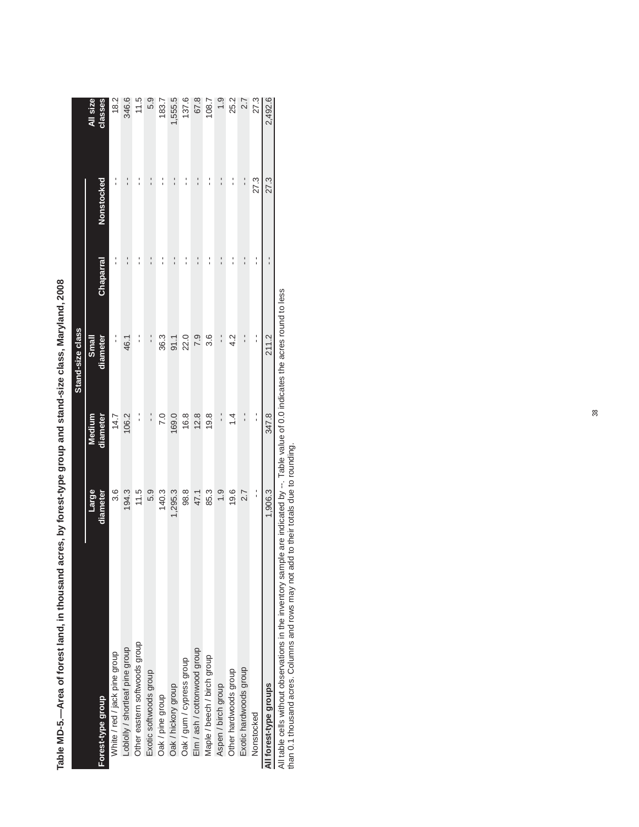|                                 |                   |                    | Stand-size class         |                  |               |                     |
|---------------------------------|-------------------|--------------------|--------------------------|------------------|---------------|---------------------|
| Forest-type group               | Large<br>diameter | Medium<br>diameter | <b>Small</b><br>diameter | <b>Chaparral</b> | Nonstocked    | All size<br>classes |
| White / red / jack pine group   | 3.6               | 14.7               | :                        |                  |               | 18.2                |
| -oblolly / shortleaf pine group | 194.3             | 106.2              | 46.1                     |                  | $\frac{1}{1}$ | 346.6               |
| Other eastern softwoods group   | 11.5              | $\frac{1}{1}$      | :                        |                  | ı             | 11.5                |
| Exotic softwoods group          | 5.9               | $\frac{1}{1}$      | $\frac{1}{1}$            |                  | $\frac{1}{1}$ | 5.9                 |
| Oak / pine group                | 140.3             | 7.0                | 36.3                     |                  |               | 183.7               |
| Oak / hickory group             | 1,295.3           | 169.0              | 91.1                     |                  | $\frac{1}{1}$ | 1,555.5             |
| Oak / gum / cypress group       | 98.8              | 16.8               | 22.0                     |                  | ı             | 137.6               |
| Elm / ash / cottonwood group    | 47.1              | 12.8               | 7.9                      |                  | ı             | 67.8                |
| Maple / beech / birch group     | 85.3              | 19.8               | 3.6                      |                  |               | 108.7               |
| Aspen / birch group             | $\frac{0}{1}$     | $\frac{1}{1}$      | $\frac{1}{1}$            | ı                | ı             | $\frac{5}{1}$       |
| Other hardwoods group           | 19.6              | $\dot{4}$          | 4.2                      | ı                | ı             | 25.2                |
| Exotic hardwoods group          | 2.7               | $\frac{1}{1}$      | $\frac{1}{1}$            | ı                | $\frac{1}{1}$ | 2.7                 |
| Nonstocked                      | :                 | י<br>י             | י<br>י                   |                  | 27.3          | 27.3                |
| All forest-type groups          | 1,906.3           | 347.8              | 211.2                    | ı                | 27.3          | 2,492.6             |
|                                 |                   |                    |                          |                  |               |                     |

Table MD-5.--Area of forest land, in thousand acres, by forest-type group and stand-size class, Maryland, 2008 **Table MD-5.—Area of forest land, in thousand acres, by forest-type group and stand-size class, Maryland, 2008**

All table cells without observations in the inventory sample are indicated by --. Table value of 0.0 indicates the acres round to less

than 0.1 thousand acres. Columns and rows may not add to their totals due to rounding.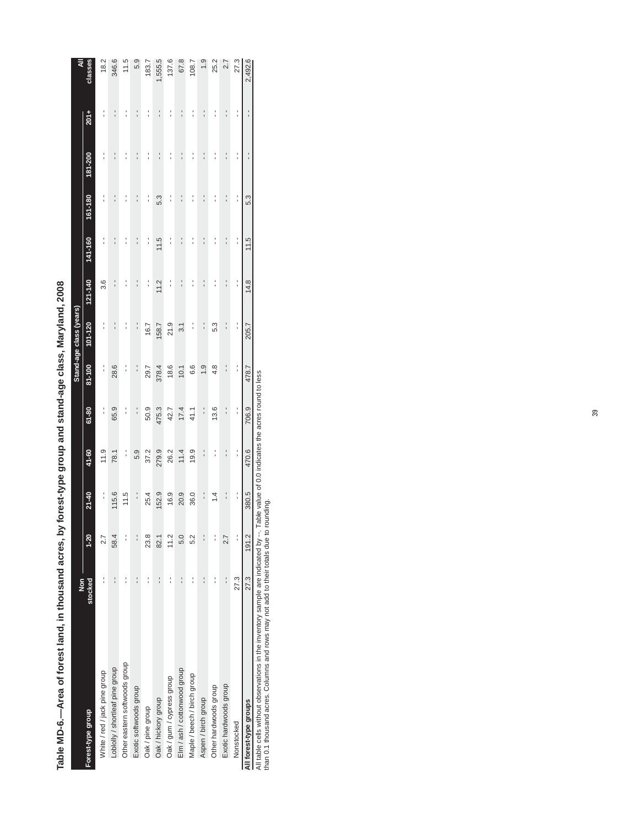|                                 |                          |               |               |               |                |               | Stand-age class (years) |                      |                |                                           |                |                |               |
|---------------------------------|--------------------------|---------------|---------------|---------------|----------------|---------------|-------------------------|----------------------|----------------|-------------------------------------------|----------------|----------------|---------------|
| Forest-type group               | $\frac{5}{2}$<br>stocked | $1 - 20$      | $21 - 40$     | 41-60         | $61-80$        | 81-100        | $101 - 120$             | 121-140              | 141-160        | $161 - 180$                               | 181-200        | $201 +$        | classes<br>₹  |
| White / red / jack pine group   |                          | 2.7           | $\frac{1}{1}$ | 11.9          | :              | $\frac{1}{1}$ | :                       | 3.6                  | :              | :                                         |                | :              | 18.2          |
| Loblolly / shortleaf pine group |                          | 58.4          | 115.6         | 78.1          | 65.9           | 28.6          | $\frac{1}{1}$           | $\ddot{\phantom{0}}$ | $\frac{1}{1}$  | $\frac{1}{1}$                             | $\frac{1}{1}$  | $\ddot{\cdot}$ | 346.6         |
| Other eastern softwoods group   |                          |               | 11.5          | :             | :              | í             | :                       |                      | :              | :                                         | $\frac{1}{1}$  | í              | 11.5          |
| Exotic softwoods group          | $\frac{1}{1}$            | $\frac{1}{1}$ | $\frac{1}{1}$ | 5.9           | $\ddot{\cdot}$ | $\frac{1}{1}$ | $\ddot{\cdot}$          | $\ddot{\cdot}$       | $\frac{1}{1}$  | $\frac{1}{1}$                             | $\frac{1}{1}$  | $\ddot{\cdot}$ | 5.9           |
| Oak / pine group                |                          | 23.8          | 25.4          | 37.2          | 50.9           | 29.7          | 16.7                    | :                    | í              | :                                         | :              | :              | 183.7         |
| Oak / hickory group             | $\frac{1}{1}$            | 82.1          | 152.9         | 279.9         | 475.3          | 378.4         | 158.7                   | 11.2                 | 11.5           | 5.3                                       | $\ddot{\cdot}$ | $\frac{1}{1}$  | ,555.5        |
| Oak / gum / cypress group       |                          | 11.2          | 16.9          | 26.2          | 42.7           | 18.6          | 21.9                    | $\frac{1}{1}$        | í              | í                                         |                | í              | 137.6         |
| Elm / ash / cottonwood group    | $\frac{1}{1}$            | 5.0           | 20.9          | 11.4          | 17.4           | 10.1          | 3.1                     | $\ddot{\cdot}$       | $\ddot{\cdot}$ | $\ddot{\cdot}$                            | $\ddot{\cdot}$ | $\frac{1}{1}$  | 67.8          |
| Maple / beech / birch group     |                          | 5.2           | 36.0          | 19.9          | 41.1           | 6.6           | :                       | י<br>י               | $\frac{1}{1}$  | :                                         | :              | í              | 108.7         |
| Aspen / birch group             |                          |               | $\frac{1}{1}$ | $\frac{1}{1}$ | $\frac{1}{1}$  | $\frac{0}{1}$ | $\frac{1}{1}$           | $\ddot{\phantom{0}}$ | $\ddot{\cdot}$ | $\frac{1}{1}$                             | $\ddot{\cdot}$ | $\ddot{\cdot}$ | $\frac{0}{1}$ |
| Other hardwoods group           |                          | $\frac{1}{1}$ | $\dot{z}$     | í             | 13.6           | 4.8           | 5.3                     | :                    | $\frac{1}{1}$  | ׅ֪֚֚֚֚֚֚֚֚֚֚֚֚֚֚֚֚֚֚֚֚֚֚֚֚֚֬֡֡֡֡֡֡֓֡֡֡֡֡֝ | $\frac{1}{1}$  | í              | 25.2          |
| Exotic hardwoods group          | $\frac{1}{1}$            | 2.7           | $\frac{1}{1}$ | $\frac{1}{1}$ | $\frac{1}{1}$  | $\frac{1}{1}$ | $\frac{1}{1}$           | $\frac{1}{1}$        | $\frac{1}{1}$  | $\ddot{\cdot}$                            | $\ddot{\cdot}$ | $\ddot{\cdot}$ | 2.7           |
| Nonstocked                      | 27.3                     | $\frac{1}{1}$ | :             | :             | :              | :             | :                       | $\frac{1}{1}$        | $\frac{1}{1}$  | $\frac{1}{1}$                             | :              | :              | 27.3          |
| All forest-type groups          | 27.3                     | 191.2         | 380.5         | 470.6         | 706.9          | 478.7         | 205.7                   | 14.8                 | 11.5           | 5.3                                       |                | $\frac{1}{1}$  | 2,492.6       |

Table MD-6.--Area of forest land, in thousand acres, by forest-type group and stand-age class, Maryland, 2008 **Table MD-6.—Area of forest land, in thousand acres, by forest-type group and stand-age class, Maryland, 2008**

All table cells without observations in the inventory sample are indicated by --. Table value of 0.0 indicates the acres round to less

than 0.1 thousand acres. Columns and rows may not add to their totals due to rounding.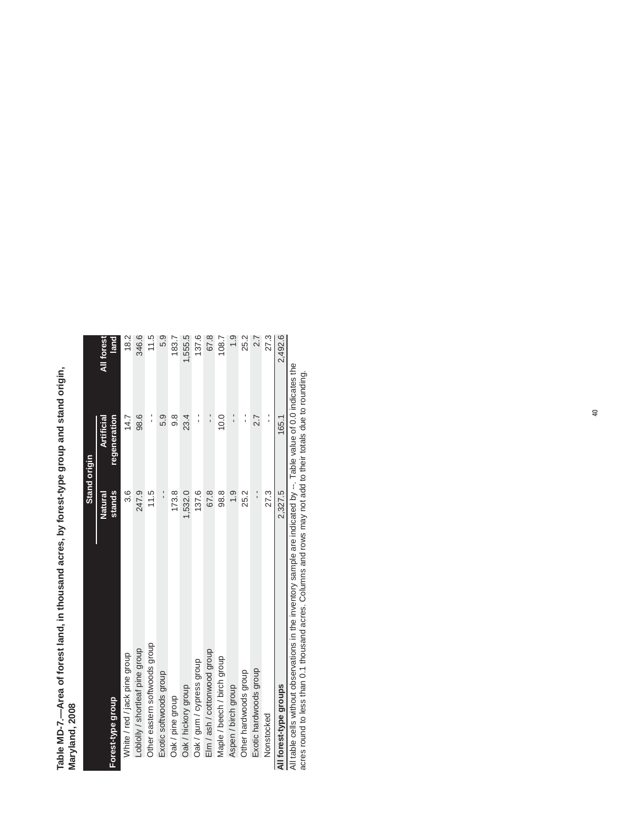| Table MD-7.—Area of forest land, in thousand acres, by forest-type group and stand or |  |
|---------------------------------------------------------------------------------------|--|
|                                                                                       |  |
|                                                                                       |  |
|                                                                                       |  |
|                                                                                       |  |

|                                                                                                                    |               | Stand origin  |            |
|--------------------------------------------------------------------------------------------------------------------|---------------|---------------|------------|
|                                                                                                                    | Natural       | Artificial    | All forest |
| Forest-type group                                                                                                  | stands        | regeneration  | land       |
| White / red / jack pine group                                                                                      | 3.6           | 14.7          | 18.2       |
| Loblolly / shortleaf pine group                                                                                    | 247.9         | 98.6          | 346.6      |
| Other eastern softwoods group                                                                                      | 11.5          | :             | 11.5       |
| Exotic softwoods group                                                                                             | $\frac{1}{1}$ | 5.9           | 5.9        |
| Oak / pine group                                                                                                   | 173.8         | ග<br>ග        | 183.7      |
| Oak / hickory group                                                                                                | 1,532.0       | 23.4          | 1,555.5    |
| Oak / gum / cypress group                                                                                          | 137.6         | :             | 137.6      |
| Elm / ash / cottonwood group                                                                                       | 67.8          | $\frac{1}{1}$ | 67.8       |
| Maple / beech / birch group                                                                                        | 98.8          | 10.0          | 108.7      |
| Aspen / birch group                                                                                                | ი<br>1.9      | $\frac{1}{1}$ | ი<br>1.9   |
| Other hardwoods group                                                                                              | 25.2          | :             | 25.2       |
| Exotic hardwoods group                                                                                             | $\frac{1}{1}$ | 2.7           | 2.7        |
| Nonstocked                                                                                                         | 27.3          | $\frac{1}{1}$ | 27.3       |
| All forest-type groups                                                                                             | 2.327.5       | 165.1         | 2,492.6    |
| All table cells without observations in the inventory sample are indicated by $-$ Table value of 0.0 indicates the |               |               |            |

value of 0.0 indicates the All table cells without observations in the inventory sample are indicated by --. Table value of 0.0 indicates the<br>acres round to less than 0.1 thousand acres. Columns and rows may not add to their totals due to rounding. All table cells without observations in the inventory sample are indicated by --. Table value of 0.0 indicates the acres round to less than 0.1 thousand acres. Columns and rows may not add to their totals due to rounding.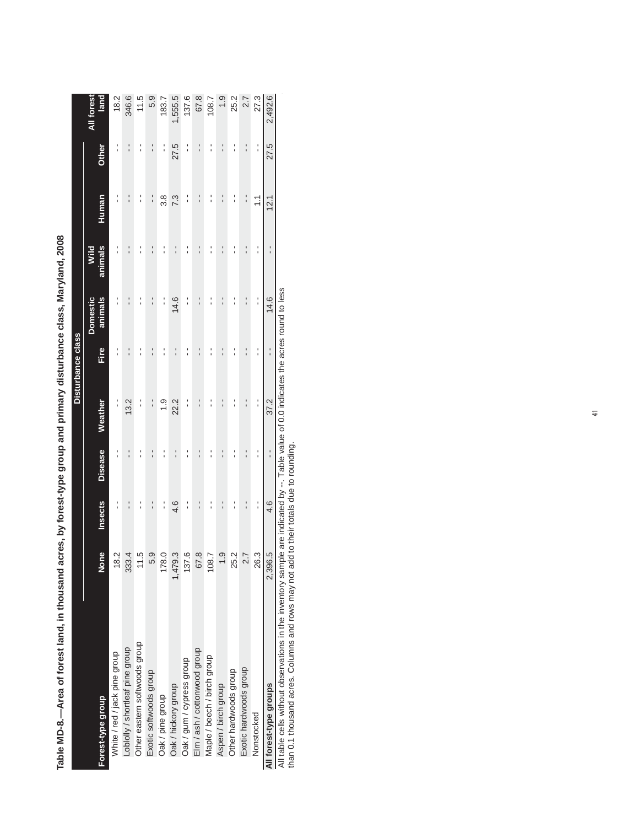|                                 |               |         |                |               | Disturbance class              |                     |                 |               |               |                    |
|---------------------------------|---------------|---------|----------------|---------------|--------------------------------|---------------------|-----------------|---------------|---------------|--------------------|
|                                 |               |         |                |               |                                |                     |                 |               |               |                    |
| Forest-type group               | None          | Insects | <b>Disease</b> | Weather       | Fire                           | animals<br>Domestic | animals<br>Wild | Human         | Other         | All forest<br>lanc |
| White / red / jack pine group   | $\frac{2}{8}$ |         |                | :             | ı                              |                     |                 |               | :             | 18.2               |
| Loblolly / shortleaf pine group | 333.4         |         |                | 13.2          | ֖֪֪֪֚֚֚֚֚֚֚֚֚֚֚֚֚֚֚֚֚֬֡֡֡֡֡֡֡֡ |                     |                 |               |               | 346.6              |
| Other eastern softwoods group   | $\frac{5}{1}$ |         |                |               | ı                              |                     |                 |               |               | 11.5               |
| Exotic softwoods group          | 5.9           |         |                |               | $\frac{1}{1}$                  | $\frac{1}{1}$       | $\frac{1}{1}$   | :             |               | 5.9                |
| Oak / pine group                | 178.0         | ı       |                | $\frac{0}{1}$ | ı                              | $\frac{1}{1}$       |                 | 3.8           | :             | 183.7              |
| Oak / hickory group             | 1,479.3       | 4.6     | $\overline{1}$ | 22.2          | $\frac{1}{1}$                  | 14.6                | $\frac{1}{1}$   | 7.3           | 27.5          | 1,555.5            |
| Oak / gum / cypress group       | 137.6         |         |                |               | :                              |                     | :               | :             | י<br>י        | 137.6              |
| Elm / ash / cottonwood group    | 67.8          |         | $\frac{1}{1}$  | $\frac{1}{1}$ | $\frac{1}{1}$                  | $\frac{1}{1}$       | $\frac{1}{1}$   | $\frac{1}{1}$ | $\frac{1}{1}$ | 67.8               |
| Maple / beech / birch group     | 108.7         |         |                |               | ֪֪֪֚֚֚֚֚֚֚֚֚֚֚֚֚֚֬֡֡֡֡֡֡֡֡֓֡֡֡ |                     | י<br>י          | :             |               | 108.7              |
| Aspen / birch group             | $\frac{0}{1}$ |         |                | I             | 1                              | ı                   |                 | $\frac{1}{1}$ |               | $\frac{0}{1}$      |
| Other hardwoods group           | 25.2          |         |                |               | ֪֪֪֚֚֚֚֚֚֚֚֚֚֚֚֚֚֬֡֡֡֡֡֡֡֡֓֡֡֡ |                     |                 |               |               | 25.2               |
| Exotic hardwoods group          | 2.7           |         |                |               | ı                              | $\frac{1}{1}$       |                 | י<br>י        |               | 2.7                |
| Nonstocked                      | 26.3          | :       | י<br>י         | $\frac{1}{1}$ | $\frac{1}{1}$                  | $\frac{1}{1}$       | י<br>י          | $\tilde{=}$   | $\frac{1}{1}$ | 27.3               |
| All forest-type groups          | 2,396.5       | 4.6     | $\frac{1}{1}$  | 37.2          | $\frac{1}{1}$                  | 14.6                | $\frac{1}{1}$   | 12.1          | 27.5          | 2,492.6            |

Table MD-8.--Area of forest land, in thousand acres, by forest-type group and primary disturbance class, Maryland, 2008 **Table MD-8.—Area of forest land, in thousand acres, by forest-type group and primary disturbance class, Maryland, 2008**

All table cells without observations in the inventory sample are indicated by --. Table value of 0.0 indicates the acres round to less than 0.1 thousand acres. Columns and rows may not add to their totals due to rounding.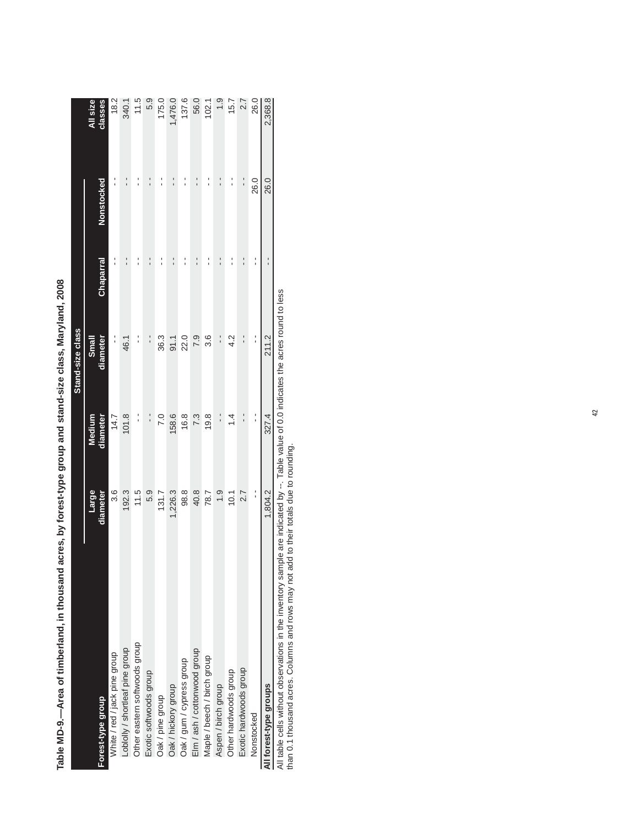|                                                 |                                            |                                                                                   | Stand-size class  |                |                   |                     |
|-------------------------------------------------|--------------------------------------------|-----------------------------------------------------------------------------------|-------------------|----------------|-------------------|---------------------|
| Forest-type group                               | Large<br>diameter                          | diameter<br>Medium                                                                | Small<br>diameter | Chaparral      | <b>Nonstocked</b> | All size<br>classes |
| White / red / jack pine group                   | 3.6                                        | 14.7                                                                              | :                 |                |                   | 18.2                |
| Loblolly / shortleaf pine group                 | 192.3                                      | 101.8                                                                             | 46.1              | ı              | י<br>י            | 340.1               |
| Other eastern softwoods group                   | 11.5                                       | $\frac{1}{1}$                                                                     |                   | ı              |                   | 11.5                |
| Exotic softwoods group                          | 5.9                                        | $\frac{1}{1}$                                                                     | $\frac{1}{1}$     | $\frac{1}{1}$  | $\frac{1}{1}$     | 5.9                 |
| Oak / pine group                                | 131.7                                      | 7.0                                                                               | 36.3              | l              |                   | 175.0               |
| Oak / hickory group                             | 1,226.3                                    | 158.6                                                                             | 91.1              | ı              | ı                 | 1,476.0             |
| Oak / gum / cypress group                       | 98.8                                       | 16.8                                                                              | 22.0              | ı              | ı                 | 137.6               |
| Elm / ash / cottonwood group                    | 40.8                                       | 7.3                                                                               | 7.9               | $\overline{1}$ | $\frac{1}{1}$     | 56.0                |
| Maple / beech / birch group                     | 78.7                                       | 19.8                                                                              | 3.6               | ı              | :                 | 102.1               |
| Aspen / birch group                             | $\ddot{0}$                                 | $\frac{1}{1}$                                                                     | $\frac{1}{1}$     | l              | $\frac{1}{1}$     | $\frac{5}{1}$       |
| Other hardwoods group                           | 10.1                                       | $\dot{4}$                                                                         | 4.2               | ı              | ı                 | 15.7                |
| Exotic hardwoods group                          | 2.7                                        | $\frac{1}{1}$                                                                     | $\frac{1}{1}$     | $\frac{1}{1}$  | $\frac{1}{1}$     | 2.7                 |
| Nonstocked                                      | í                                          | l,                                                                                | í                 | I<br>ı         | 26.0              | 26.0                |
| All forest-type groups                          | 1,804.2                                    | 327.4                                                                             | 211.2             |                | 26.0              | 2,368.8             |
| 医肝血管 医白色 医血管性 医心理性 医血管血管 医心理学 医血管切除术 医血管血管 计数据库 | ومساوله ومقاومه فالمسترد ومستحدث والمستحدث | $\mathbf{F}$ and $\mathbf{F}$ are all $\mathbf{F}$ . The contract of $\mathbf{F}$ |                   |                |                   |                     |

Table MD-9.--Area of timberland, in thousand acres, by forest-type group and stand-size class, Maryland, 2008 **Table MD-9.—Area of timberland, in thousand acres, by forest-type group and stand-size class, Maryland, 2008**

All table cells without observations in the inventory sample are indicated by --. Table value of 0.0 indicates the acres round to less

than 0.1 thousand acres. Columns and rows may not add to their totals due to rounding.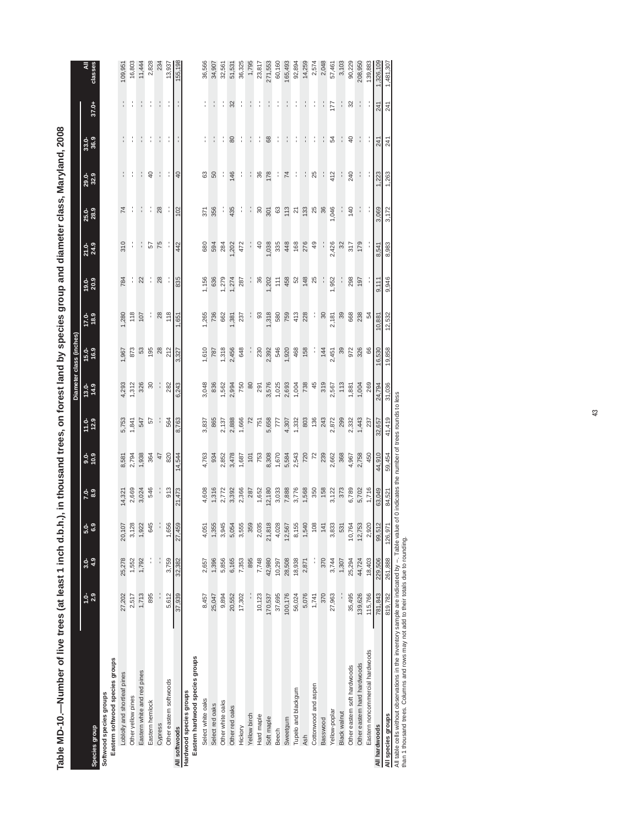Table MD-10.-Number of live trees (at least 1 inch d.b.h.), in thousand trees, on forest land by species group and diameter class, Maryland, 2008 **Table MD-10.—Number of live trees (at least 1 inch d.b.h.), in thousand trees, on forest land by species group and diameter class, Maryland, 2008**

|                                                                                                                                                 |             |             |               |             |             |            |                     | Diameter class (inches) |             |               |                |               |                 |                |       |              |
|-------------------------------------------------------------------------------------------------------------------------------------------------|-------------|-------------|---------------|-------------|-------------|------------|---------------------|-------------------------|-------------|---------------|----------------|---------------|-----------------|----------------|-------|--------------|
| Species group                                                                                                                                   | $1.0 - 2.9$ | $3.0 - 4.9$ | $5.0 - 0.3$   | $7.0 - 0.7$ | $3.0 - 0.9$ | $11.0 - 9$ | $\frac{13.0}{14.9}$ | $15.0 - 16.9$           | $17.0 - 11$ | $19.0 - 20.9$ | 21.0-<br>24.9  | 25.0-<br>28.9 | 29.0-<br>32.9   | 33.0-<br>36.9  | 37.0+ | classes<br>₹ |
| Eastern softwood species groups<br>Softwood species groups                                                                                      |             |             |               |             |             |            |                     |                         |             |               |                |               |                 |                |       |              |
| Loblolly and shortleaf pines                                                                                                                    | 27,202      | 25,278      | 20,107        | 14,321      | 8,581       | 5,753      | 4,293               | 1,967                   | 1,280       | 784           | 310            | 74            |                 |                |       | 109,951      |
| Other yellow pines                                                                                                                              | 2,517       | 1,552       | 3,128         | 2,669       | 2,794       | 1,841      | 1,312               | 873                     | 118         | ÷             | ÷              |               |                 |                |       | 16,803       |
| Eastern white and red pines                                                                                                                     | 1,713       | 1,792       | 1,922         | 3,024       | 1,938       | 547        | 326                 | 53                      | 107         | 22            |                |               |                 |                |       | 11,444       |
| Eastern hemlock                                                                                                                                 | 895         | í           | 645           | 546         | 364         | 57         | $30\,$              | 195                     | ÷           | f,            | 57             |               | $\overline{40}$ |                |       | 2,828        |
| Cypress                                                                                                                                         |             | í           |               |             | 47          |            |                     | 28                      | 28          | 28            | 75             | 28            |                 |                |       | 234          |
| Other eastern softwoods                                                                                                                         | 5,612       | 3,759       | 1,656         | 913         | 820         | 564        | 282                 | 212                     | 118         |               |                |               |                 |                |       | 13,937       |
| All softwoods                                                                                                                                   | 37,939      | 32,382      | 27,459        | 21,473      | 14,544      | 8,763      | 6,243               | 3,327                   | 1,651       | 835           | 442            | 102           | 40              |                |       | 155,198      |
| Eastern hardwood species groups<br>Hardwood species groups                                                                                      |             |             |               |             |             |            |                     |                         |             |               |                |               |                 |                |       |              |
| Select white oaks                                                                                                                               | 8,457       | 2,657       | 4,051         | 4,608       | 4,763       | 3,837      | 3,048               | 1,610                   | 1,265       | 1,156         | 680            | 371           | 63              |                |       | 36,566       |
| Select red oaks                                                                                                                                 | 25,047      | 1,396       | 1,355         | 1,316       | 934         | 865        | 836                 |                         | 736         | 636           | 594            | 356           | 50              |                |       | 34,907       |
| Other white oaks                                                                                                                                | 9,894       | 5,856       | 3,945         | 2,772       | 2,852       | 2,137      | 1,562               | 1,318                   | 662         | ,279          | 284            | ţ.            | I,              | f,             |       | 32,561       |
| Other red oaks                                                                                                                                  | 20,552      | 6,165       | 5,054         | 3,392       | 3,478       | 2,888      | 2,994               | 2,456                   | 1,381       | .274          | 202            | 435           | 146             | 80             | 32    | 51,531       |
| Hickory                                                                                                                                         | 17,302      | 7,353       | 3,555         | 2,366       | 1,687       | 1,666      | 750                 | 648                     | 237         | 287           | 472            | f,            | f,              | ÷              |       | 36,325       |
| Yellow birch                                                                                                                                    | ¦,          | 895         | 359           | 287         | 101         | 72         | 80                  |                         |             |               |                |               |                 |                |       | 1,795        |
| Hard maple                                                                                                                                      | 10,123      | 7,748       | 2,035         | 1,652       | 753         | 751        | 291                 | 230                     | 3           | 36            | $\overline{4}$ | 8             | 36              |                |       | 23,817       |
| Soft maple                                                                                                                                      | 170,537     | 42,980      | 21,818        | 12,180      | 8,308       | 5,658      | 3,576               | 2,392                   | 1,318       | 202           | ,038           | 301           | 178             | 68             |       | 271,553      |
| <b>Beech</b>                                                                                                                                    | 37,695      | 10,297      | 4,028         | 3,033       | 1,670       | TТ         | 1,025               | 546                     | 580         | 111           | 335            | යි            |                 |                |       | 60,160       |
| Sweetgum                                                                                                                                        | 100,176     | 28,508      | 12,567        | 7,888       | 5,584       | 4,307      | 2,693               | 1,920                   | 759         | 458           | 448            | 113           | $\overline{7}$  |                |       | 165,493      |
| Tupelo and blackgum                                                                                                                             | 56,024      | 18,938      | 8,155         | 3,776       | 2,543       | 1,332      | 1,004               | 468                     | 413         | $52\,$        | 168            | 21            |                 |                |       | 92,894       |
| <b>Ash</b>                                                                                                                                      | 5,076       | 2,871       | 1,540         | 1,568       | 720         | 803        | 738                 | 158                     | 228         | 148           | 276            | 133           |                 |                |       | 14,259       |
| Cottonwood and aspen                                                                                                                            | 1,741       | ţ           | $\frac{8}{3}$ | 350         | 72          | 136        | 45                  | î,                      | f,          | 25            | 49             | 25            | 25              |                |       | 2,574        |
| Basswood                                                                                                                                        | 370         | 370         | 141           | 158         | 239         | 243        | 319                 | 144                     | 30          |               |                | 36            |                 |                |       | 2,048        |
| Yellow-poplar                                                                                                                                   | 27,963      | 3,744       | 3,833         | 3,122       | 2,662       | 2,872      | 2,567               | 2,451                   | 2,181       | 952           | 2,426          | 1,046         | 412             | 54             | 177   | 57,461       |
| Black walnut                                                                                                                                    |             | 1,307       | 531           | 373         | 368         | 299        | 113                 | 39                      | 39          |               | 32             |               |                 | I,             |       | 3,103        |
| Other eastern soft hardwoods                                                                                                                    | 35,495      | 25,294      | 10,764        | 6,789       | 4,967       | 2,332      | 1,881               | 972                     | 668         | 298           | 317            | 140           | 240             | $\overline{a}$ | 32    | 90,229       |
| Other eastern hard hardwoods                                                                                                                    | 139,626     | 44,724      | 12,753        | 5,702       | 2,758       | 1,443      | 1,004               | 326                     | 238         | 197           | 179            |               |                 |                |       | 208,950      |
| Eastern noncommercial hardwoods                                                                                                                 | 115,766     | 18,403      | 2,920         | 1,716       | 450         | 237        | 269                 | 8                       | 54          |               |                |               |                 |                |       | 139,883      |
| All hardwoods                                                                                                                                   | 781,843     | 229,506     | 99,512        | 63,049      | 44,910      | 32,657     | 24,794              | 16,530                  | 10,881      | 9,111         | 8,541          | 3,069         | ,223            | 241            | 241   | ,326,109     |
| All species groups                                                                                                                              | 819,782     | 261,888     | 126, 97       | 84,521      | 59,454      | 41,419     | 31,036              | 19,858                  | 12,532      | 9,946         | 8,983          | 3,172         | 1,263           | 241            | 241   | 1,481,307    |
| All table cells without observations in the inventory sample are indicated by --. Table value of 0 indicates the number of trees rounds to less |             |             |               |             |             |            |                     |                         |             |               |                |               |                 |                |       |              |

All table cells without observations in the inventory sample are indicated by --. Table value of 0 indicates the number of trees rounds to less<br>than 1 thousand trees. Columns and rows may not add to their totals due to rou than 1 thousand trees. Columns and rows may not add to their totals due to rounding.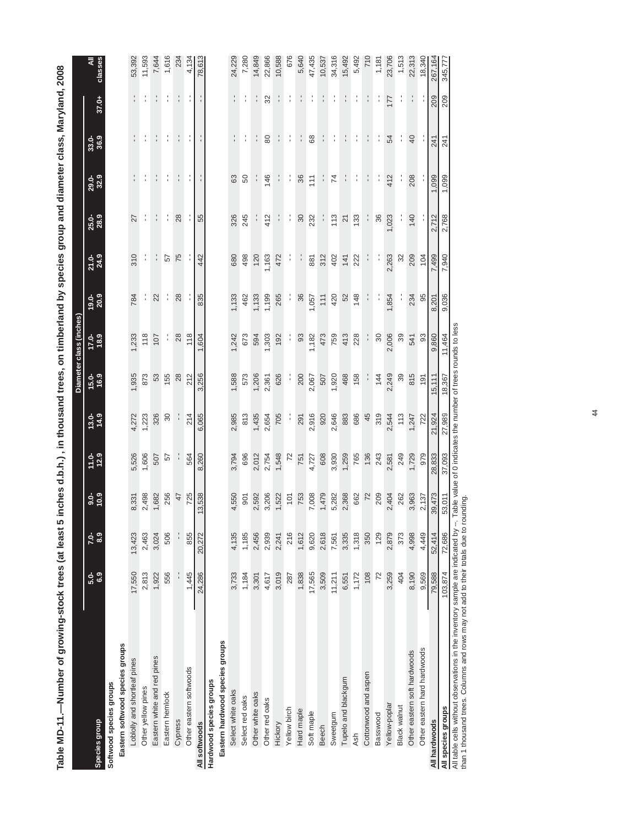| ר ניני אינו ווי אינו ווי אינו ווי אינו ווי אינו ווי אינו ווי אינו ווי אינו ווי אינו ווי אינו ווי אינו ווי אינו<br>אינו ווי אינו ווי אינו ווי אינו ווי אינו ווי אינו ווי אינו ווי אינו ווי אינו ווי אינו ווי אינו ווי אינו ווי אי<br>$\frac{1}{2}$ . The state is the state of $\frac{1}{2}$ |                 |               |                  |                |                     |               |                         |                     |               |                |                      |                |         |              |
|---------------------------------------------------------------------------------------------------------------------------------------------------------------------------------------------------------------------------------------------------------------------------------------------|-----------------|---------------|------------------|----------------|---------------------|---------------|-------------------------|---------------------|---------------|----------------|----------------------|----------------|---------|--------------|
|                                                                                                                                                                                                                                                                                             |                 |               |                  |                |                     |               | Diameter class (inches) |                     |               |                |                      |                |         |              |
| Species group                                                                                                                                                                                                                                                                               | 6.9<br>5.0-     | 8.9<br>5.6    | $\frac{6}{10.9}$ | $11.0 - 12.9$  | $\frac{13.0}{14.9}$ | 15.0-<br>16.9 | 17.0-                   | $\frac{19.0}{20.9}$ | 21.0-<br>24.9 | 25.0-<br>28.9  | <b>29.0-</b><br>32.9 | 33.0-<br>36.9  | $37.0+$ | ₹<br>classes |
| Softwood species groups                                                                                                                                                                                                                                                                     |                 |               |                  |                |                     |               |                         |                     |               |                |                      |                |         |              |
| Eastern softwood species groups                                                                                                                                                                                                                                                             |                 |               |                  |                |                     |               |                         |                     |               |                |                      |                |         |              |
| Loblolly and shortleaf pines                                                                                                                                                                                                                                                                | 17,550          | 13,423        | 8,331            | 5,526          | 4,272               | 1,935         | 1,233                   | 784                 | 310           | 27             |                      |                |         | 53,392       |
| Other yellow pines                                                                                                                                                                                                                                                                          | 2,813           | 2,463         | 2,498            | 1,606          | 1,223               | 873           | 118                     |                     |               |                |                      |                |         | 11,593       |
| Eastern white and red pines                                                                                                                                                                                                                                                                 | 1,922           | 3,024         | 1,682            | 507            | 326                 | 53            | 107                     | 22                  |               |                |                      |                |         | 7,644        |
| Eastern hemlock                                                                                                                                                                                                                                                                             | 556             | 506           | 256              | 57             | 30                  | 155           | ÷                       | ÷                   | 29            | ÷              |                      |                |         | 1,616        |
| Cypress                                                                                                                                                                                                                                                                                     | $\frac{1}{1}$   | $\frac{1}{1}$ | 47               |                |                     | 28            | 28                      | 28                  | 75            | 28             |                      |                |         | 234          |
| Other eastern softwoods                                                                                                                                                                                                                                                                     | 1,445           | 855           | 725              | 564            | 214                 | 212           | 118                     |                     |               |                |                      |                |         | 4,134        |
| All softwoods                                                                                                                                                                                                                                                                               | 24,286          | 20,272        | 13,538           | 8,260          | 6,065               | 3,256         | 1,604                   | 835                 | 442           | 55             |                      |                |         | 78,613       |
| Hardwood species groups                                                                                                                                                                                                                                                                     |                 |               |                  |                |                     |               |                         |                     |               |                |                      |                |         |              |
| Eastern hardwood species groups                                                                                                                                                                                                                                                             |                 |               |                  |                |                     |               |                         |                     |               |                |                      |                |         |              |
| Select white oaks                                                                                                                                                                                                                                                                           | 3,733           | 4,135         | 4,550            | 3,794          | 2,985               | 1,588         | 1,242                   | 1,133               | 680           | 326            | 63                   |                |         | 24,229       |
| Select red oaks                                                                                                                                                                                                                                                                             | 1,184           | 1,185         | 901              | 696            | 813                 | 573           | 673                     | 462                 | 498           | 245            | 50                   |                |         | 7,280        |
| Other white oaks                                                                                                                                                                                                                                                                            | 3,301           | 2,456         | 2,592            | 2,012          | 1,435               | 1,206         | 594                     | ,133                | 120           |                |                      |                |         | 14,849       |
| Other red oaks                                                                                                                                                                                                                                                                              | 4,617           | 2,939         | 3,206            | 2,754          | 2,654               | 2,361         | 1,303                   | 1,199               | 1,163         | 412            | 146                  | 80             | 32      | 22,866       |
| Hickory                                                                                                                                                                                                                                                                                     | 3,019           | 2,241         | 1,522            | 1,548          | 705                 | 626           | 192                     | 265                 | 472           |                |                      |                |         | 10,588       |
| Yellow birch                                                                                                                                                                                                                                                                                | 287             | 216           | 101              | $\overline{z}$ |                     |               | ÷,                      | ţ,                  | ŀ,            | ÷              | ţ.                   |                |         | 676          |
| Hard maple                                                                                                                                                                                                                                                                                  | 1,838           | 1,612         | 753              | 751            | 291                 | 200           | 93                      | 36                  | ÷,            | 30             | 36                   |                |         | 5,640        |
| Soft maple                                                                                                                                                                                                                                                                                  | 17,565          | 9,620         | 7,008            | 4,727          | 2,916               | 2,067         | 1,182                   | 1,057               | 881           | 232            | 111                  | 89             |         | 47,435       |
| Beech                                                                                                                                                                                                                                                                                       | 3,509           | 2,618         | 1,479            | 608            | 920                 | 507           | 473                     | 111                 | 312           |                |                      |                |         | 10,537       |
| Sweetgum                                                                                                                                                                                                                                                                                    | 11,211          | 7,561         | 5,282            | 3,930          | 2,646               | 1,920         | 759                     | 420                 | 402           | 113            | $\overline{7}$       |                |         | 34,316       |
| Tupelo and blackgum                                                                                                                                                                                                                                                                         | 6,551           | 3,335         | 2,368            | 1,259          | 883                 | 468           | 413                     | 52                  | 141           | $\overline{2}$ |                      |                |         | 15,492       |
| Ash                                                                                                                                                                                                                                                                                         | 1,172           | 1,318         | 662              | 765            | 686                 | 158           | 228                     | 148                 | 222           | 133            | ţ.                   |                |         | 5,492        |
| Cottonwood and aspen                                                                                                                                                                                                                                                                        | 108             | 350           | 72               | 136            | 45                  | ÷,            | ÷,                      |                     | ÷,            | ÷,             |                      |                |         | 710          |
| Basswood                                                                                                                                                                                                                                                                                    | $\overline{72}$ | 129           | 209              | 243            | 319                 | 144           | 80                      |                     |               | 36             |                      |                |         | 1,181        |
| Yellow-poplar                                                                                                                                                                                                                                                                               | 3,259           | 2,879         | 2,404            | 2,581          | 2,544               | 2,249         | 2,006                   | 1,854               | 2,263         | 1,023          | 412                  | 54             | 177     | 23,706       |
| Black walnut                                                                                                                                                                                                                                                                                | 404             | 373           | 262              | 249            | 113                 | 89            | 39                      |                     | 32            |                |                      |                |         | 1,513        |
| Other eastern soft hardwoods                                                                                                                                                                                                                                                                | 8,190           | 4,998         | 3,963            | 1,729          | 1,247               | 815           | 541                     | 234                 | 209           | 140            | 208                  | $\overline{a}$ |         | 22,313       |
| Other eastern hard hardwoods                                                                                                                                                                                                                                                                | 9,569           | 4,449         | 2,137            | 979            | 722                 | 191           | 83                      | 95                  | 104           |                |                      |                |         | 18,340       |
| All hardwoods                                                                                                                                                                                                                                                                               | 79,588          | 52,414        | 39,473           | 28,833         | 21,924              | 15,111        | 9,860                   | 8,201               | 7,499         | 2,712          | 0.099                | 241            | 209     | 267,164      |
| All species groups                                                                                                                                                                                                                                                                          | 103,874         | 72,686        | 53,011           | 37,093         | 27,989              | 18,367        | 11,464                  | 9,036               | 7,940         | 2,768          | 1,099                | 241            | 209     | 345,777      |

Table MD-11.—Number of growing-stock trees (at least 5 inches d.b.h.), in thousand trees, on timberland by species group and diameter class, Maryland, 2008 **Table MD-11.—Number of growing-stock trees (at least 5 inches d.b.h.) , in thousand trees, on timberland by species group and diameter class, Maryland, 2008**  103,874 72,686 53,011 37,093 **All species groups**  All table cells without observations in the inventory sample are indicated by --. Table value of 0 indicates the number of trees rounds to less 77,777,7945,777 345,789 3000,1 30,000,000 30,000 30,000 30,000 30,000 30,000 30,000 30,000 30,000 30,000 30,00 11,464 11,464 2464 2,768 2,768 2,768 2,090 2,090 2,17 2,47

than 1 thousand trees. Columns and rows may not add to their totals due to rounding.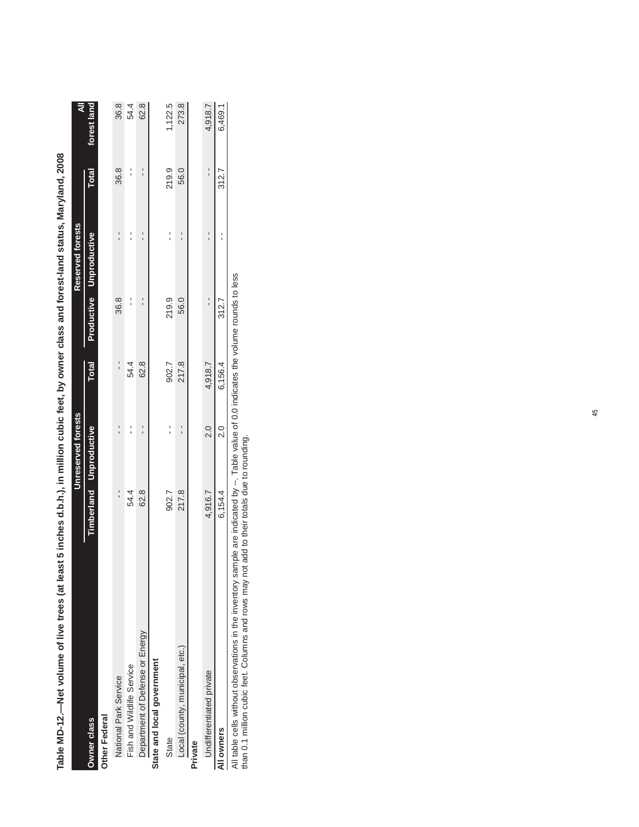|                                 |         | Unreserved forests             |               |               | Reserved forests        |               |             |
|---------------------------------|---------|--------------------------------|---------------|---------------|-------------------------|---------------|-------------|
| Owner class                     |         | <b>Timberland</b> Unproductive | Total         |               | Productive Unproductive | <b>Total</b>  | forest land |
| Other Federal                   |         |                                |               |               |                         |               |             |
| National Park Service           | ı       |                                | $\frac{1}{1}$ | 36.8          |                         | 36.8          | 36.8        |
| Fish and Wildlife Service       | 54.4    |                                | 54.4          |               |                         |               | 54.4        |
| Department of Defense or Energy | 62.8    |                                | 62.8          | $\frac{1}{1}$ |                         |               | 62.8        |
| State and local government      |         |                                |               |               |                         |               |             |
| State                           | 902.7   |                                | 902.7         | 219.9         |                         | 219.9         | 1,122.5     |
| Local (county, municipal, etc.) | 217.8   |                                | 217.8         | 56.0          |                         | 56.0          | 273.8       |
| Private                         |         |                                |               |               |                         |               |             |
| <b>Jndifferentiated private</b> | 4,916.7 | $\frac{0}{20}$                 | 4,918.7       |               |                         | $\frac{1}{1}$ | 4,918.7     |
| All owners                      | 6,154.4 | $\frac{0}{2}$                  | 6,156.4       | 312.7         |                         | 312.7         | 6,469.1     |
|                                 |         |                                |               |               |                         |               |             |

Table MD-12.—Net volume of live trees (at least 5 inches d.b.h.), in million cubic feet, by owner class and forest-land status, Maryland, 2008 **Table MD-12.—Net volume of live trees (at least 5 inches d.b.h.), in million cubic feet, by owner class and forest-land status, Maryland, 2008**

All table cells without observations in the inventory sample are indicated by --. Table value of 0.0 indicates the volume rounds to less<br>than 0.1 million cubic feet. Columns and rows may not add to their totals due to roun All table cells without observations in the inventory sample are indicated by --. Table value of 0.0 indicates the volume rounds to less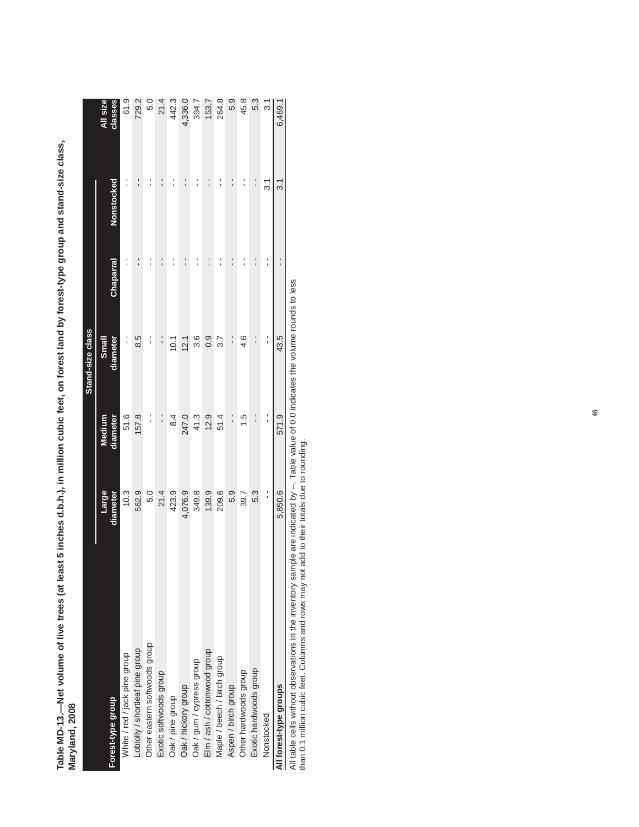|                                 |                   |                    | Stand-size class  |               |                 |                     |
|---------------------------------|-------------------|--------------------|-------------------|---------------|-----------------|---------------------|
| Forest-type group               | Large<br>diameter | diameter<br>Medium | Small<br>diameter | Chaparral     | Nonstocked      | All size<br>classes |
| White / red / jack pine group   | 10.3              | 51.6               | 1                 |               |                 | 61.9                |
| Loblolly / shortleaf pine group | 562.9             | 157.8              | 8.5               | $\frac{1}{1}$ | י<br>י          | 729.2               |
| Other eastern softwoods group   | 5.0               |                    |                   |               | ı               | 5.0                 |
| Exotic softwoods group          | 21.4              | $\frac{1}{1}$      | $\frac{1}{1}$     | $\frac{1}{1}$ | :               | 21.4                |
| Oak / pine group                | 423.9             | $\frac{4}{6}$      | 10.1              |               | :               | 442.3               |
| Oak / hickory group             | 4,076.9           | 247.0              | 12.1              | $\frac{1}{1}$ | י<br>י          | 4,336.0             |
| Oak / gum / cypress group       | 349.8             | 41.3               | 3.6               | $\frac{1}{1}$ | :               | 394.7               |
| Elm / ash / cottonwood group    | 139.9             | 12.9               | 0.9               | $\frac{1}{1}$ | $\frac{1}{1}$   | 153.7               |
| Maple / beech / birch group     | 209.6             | 51.4               | 3.7               | í             | í               | 264.8               |
| Aspen / birch group             | 5.9               | $\frac{1}{1}$      | $\frac{1}{1}$     | $\frac{1}{1}$ | :               | 5.9                 |
| Other hardwoods group           | 39.7              | $\frac{5}{1}$      | 4.6               | $\frac{1}{1}$ | $\frac{1}{1}$   | 45.8                |
| Exotic hardwoods group          | 5.3               | $\frac{1}{1}$      | $\frac{1}{1}$     | $\frac{1}{1}$ | $\frac{1}{1}$   | 5.3                 |
| Nonstocked                      | $\frac{1}{1}$     | $\frac{1}{1}$      | $\frac{1}{1}$     | $\frac{1}{1}$ | $\overline{31}$ | 3.1                 |
| All forest-type groups          | 5,850.6           | 571.9              | 43.5              |               | $\overline{31}$ | 6,469.              |
|                                 |                   |                    |                   |               |                 |                     |

Table MD-13.—Net volume of live trees (at least 5 inches d.b.h.), in million cubic feet, on forest land by forest-type group and stand-size class,<br>Maryland, 2008 **Table MD-13.—Net volume of live trees (at least 5 inches d.b.h.), in million cubic feet, on forest land by forest-type group and stand-size class, Maryland, 2008**

All table cells without observations in the inventory sample are indicated by --. Table value of 0.0 indicates the volume rounds to less than 0.1 million cubic feet. Columns and rows may not add to their totals due to rounding.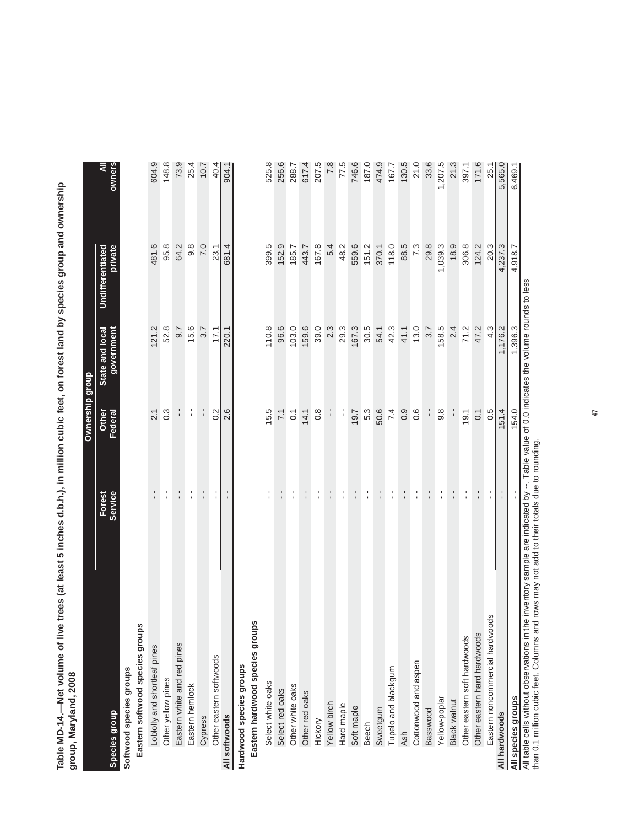Table MD-14.—Net volume of live trees (at least 5 inches d.b.h.), in million cubic feet, on forest land by species group and ownership<br>group, Maryland, 2008 **Table MD-14.—Net volume of live trees (at least 5 inches d.b.h.), in million cubic feet, on forest land by species group and ownership group, Maryland, 2008**

|                                                                                                                                          |                   | Ownership group  |                               |                             |             |
|------------------------------------------------------------------------------------------------------------------------------------------|-------------------|------------------|-------------------------------|-----------------------------|-------------|
| Species group                                                                                                                            | Service<br>Forest | Other<br>Federal | State and local<br>government | private<br>Undifferentiated | owners<br>₹ |
| Softwood species groups                                                                                                                  |                   |                  |                               |                             |             |
| Eastern softwood species groups                                                                                                          |                   |                  |                               |                             |             |
| Loblolly and shortleaf pines                                                                                                             | $\frac{1}{1}$     | 2.1              | 121.2                         | 481.6                       | 604.9       |
| Other yellow pines                                                                                                                       | l,                | $0.\overline{3}$ | 52.8                          | 95.8                        | 148.8       |
| Eastern white and red pines                                                                                                              | $\frac{1}{1}$     | $\frac{1}{1}$    | 9.7                           | 64.2                        | 73.9        |
| Eastern hemlock                                                                                                                          | l.                | l,               | 15.6                          | $9.\overline{8}$            | 25.4        |
| Cypress                                                                                                                                  |                   |                  | 3.7                           | 7.0                         | 10.7        |
| Other eastern softwoods                                                                                                                  |                   | $\frac{2}{3}$    | 17.1                          | 23.1                        | 40.4        |
| All softwoods                                                                                                                            |                   | 2.6              | 220.1                         | 681.4                       | 904.1       |
| Hardwood species groups                                                                                                                  |                   |                  |                               |                             |             |
| Ñ<br>Eastern hardwood species group                                                                                                      |                   |                  |                               |                             |             |
| Select white oaks                                                                                                                        | t,                | 15.5             | 110.8                         | 399.5                       | 525.8       |
| Select red oaks                                                                                                                          |                   | 7.1              | 96.6                          | 152.9                       | 256.6       |
| Other white oaks                                                                                                                         | l.                | $\overline{0}$ : | 103.0                         | 185.7                       | 288.7       |
| Other red oaks                                                                                                                           | $\frac{1}{1}$     | 14.1             | 159.6                         | 443.7                       | 617.4       |
| Hickory                                                                                                                                  | $\frac{1}{1}$     | $0.\overline{8}$ | 39.0                          | 167.8                       | 207.5       |
| Yellow birch                                                                                                                             |                   | $\frac{1}{1}$    | 2.3                           | 5.4                         | 7.8         |
| Hard maple                                                                                                                               | l,                | í                | 29.3                          | 48.2                        | 77.5        |
| Soft maple                                                                                                                               |                   | 19.7             | 167.3                         | 559.6                       | 746.6       |
| Beech                                                                                                                                    | l.                | 5.3              | 30.5                          | 151.2                       | 187.0       |
| Sweetgum                                                                                                                                 |                   | 50.6             | 54.1                          | 370.1                       | 474.9       |
| Tupelo and blackgum                                                                                                                      | $\frac{1}{1}$     | 7.4              | 42.3                          | 118.0                       | 167.7       |
| <b>Ash</b>                                                                                                                               | $\frac{1}{1}$     | 0.9              | 41.1                          | 88.5                        | 130.5       |
| Cottonwood and aspen                                                                                                                     | $\frac{1}{1}$     | 0.6              | 13.0                          | 7.3                         | 21.0        |
| Basswood                                                                                                                                 | $\frac{1}{1}$     |                  | 3.7                           | 29.8                        | 33.6        |
| Yellow-poplar                                                                                                                            | $\frac{1}{1}$     | $9.\overline{8}$ | 158.5                         | 1,039.3                     | 1,207.5     |
| <b>Black walnut</b>                                                                                                                      |                   |                  | 2.4                           | 18.9                        | 21.3        |
| Other eastern soft hardwoods                                                                                                             | $\frac{1}{1}$     | 19.1             | 71.2                          | 306.8                       | 397.1       |
| Other eastern hard hardwoods                                                                                                             |                   | 0.1              | 47.2                          | 124.2                       | 171.6       |
| Eastern noncommercial hardwoods                                                                                                          | l.                | 0.5              | 4.3                           | 20.3                        | 25.1        |
| All hardwoods                                                                                                                            |                   | 151.4            | 1,176.2                       | 4,237.3                     | 5,565.0     |
| All species groups                                                                                                                       |                   | 154.0            | 1,396.3                       | 4,918.7                     | 6,469.1     |
| All table cells without observations in the inventory sample are indicated by --. Table value of 0.0 indicates the volume rounds to less |                   |                  |                               |                             |             |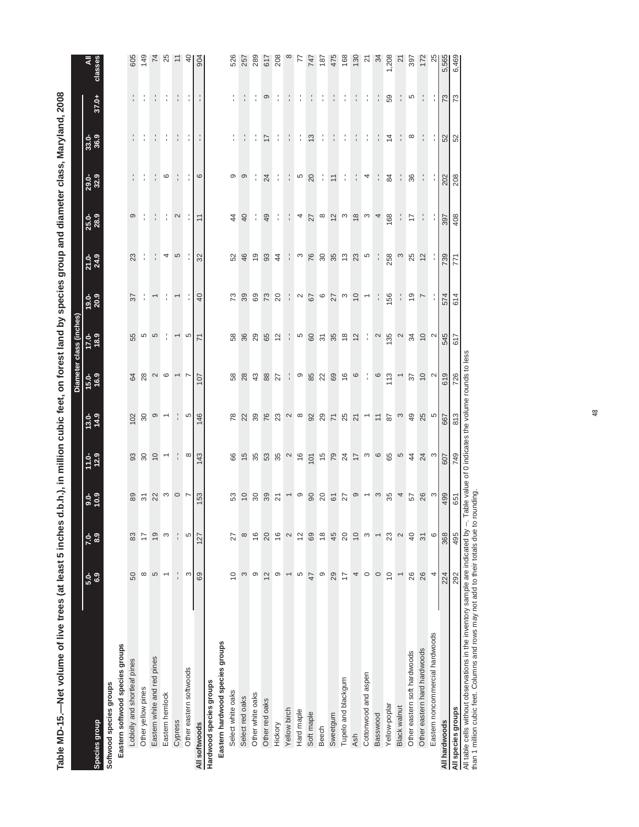| Table MD-15.-Net volume of live trees (at least 5 inches   |                          |                          |                             |                |                          |                |                          |                      |                |                   | d.b.h.), in million cubic feet, on forest land by species group and diameter class, Maryland, 2008 |                  |               |                |
|------------------------------------------------------------|--------------------------|--------------------------|-----------------------------|----------------|--------------------------|----------------|--------------------------|----------------------|----------------|-------------------|----------------------------------------------------------------------------------------------------|------------------|---------------|----------------|
|                                                            |                          |                          |                             |                |                          |                | Diameter class (inches)  |                      |                |                   |                                                                                                    |                  |               |                |
| Species group                                              | $5.0 - 0.0$              | 8.9<br>$7.0 -$           | $\frac{6}{10.9}$            | $11.0 - 12.9$  | 13.0-<br>14.9            | $15.0 - 16.9$  | $17.0 - 11$              | $19.0 - 20.9$        | $21.0 - 24.9$  | 25.0-<br>28.9     | 29.0-<br>32.9                                                                                      | 33.0-<br>36.9    | 37.0+         | classes<br>₹   |
| Eastern softwood species groups<br>Softwood species groups |                          |                          |                             |                |                          |                |                          |                      |                |                   |                                                                                                    |                  |               |                |
| Loblolly and shortleaf pines                               | 50                       | 83                       | 89                          |                | 102                      |                | 55                       | 57                   | 23             | ၜ                 |                                                                                                    |                  |               | 605            |
| Other yellow pines                                         | $\infty$                 | $\overline{1}$           | 52                          | 380            | $30\,$                   |                |                          |                      | ÷              |                   |                                                                                                    |                  |               | 149            |
| Eastern white and red pines                                | 5                        | $\frac{0}{1}$            |                             |                | $\circ$                  |                | ro<br>5                  |                      |                |                   |                                                                                                    |                  |               |                |
| Eastern hemlock                                            | $\overline{\phantom{0}}$ | S                        |                             | $\overline{ }$ | $\overline{ }$           | $28000 -$      |                          |                      |                |                   | 6                                                                                                  |                  |               | $74$ 25        |
| Cypress                                                    |                          |                          | $\frac{1}{2}$ $\frac{1}{2}$ |                |                          |                | $\overline{\phantom{0}}$ |                      | 4 ro           | $\mathbf{\Omega}$ |                                                                                                    |                  |               |                |
| Other eastern softwoods                                    | S                        | 5                        |                             | $\infty$       | ယ                        |                | S                        |                      |                |                   |                                                                                                    |                  |               | $\theta$       |
| All softwoods                                              | 69                       | 127                      | <b>IS3</b>                  | 143            | 146                      | $\overline{5}$ | 71                       | $\overline{4}$       | 32             |                   | $\circ$                                                                                            |                  |               | 904            |
| Hardwood species groups                                    |                          |                          |                             |                |                          |                |                          |                      |                |                   |                                                                                                    |                  |               |                |
| Eastern hardwood species groups                            |                          |                          |                             |                |                          |                |                          |                      |                |                   |                                                                                                    |                  |               |                |
| Select white oaks                                          | $\overline{C}$           | 27                       | S3                          | 66             | 78                       | 58             | 58                       | 73                   | 52             | $\frac{4}{3}$     | ၜ                                                                                                  |                  |               | 526            |
| Select red oaks                                            | 3                        | $\infty$                 |                             | $\frac{5}{2}$  | $22$ 39                  | 28             | <b>86</b><br>29          | 39                   | 46             | $\overline{a}$    | တ                                                                                                  |                  |               | 257            |
| Other white oaks                                           | ၜ                        | $\frac{6}{1}$            |                             | -95            |                          | $43$           |                          | 69                   | $\overline{0}$ | ÷                 |                                                                                                    | ÷                |               | 289            |
| Other red oaks                                             | $\overline{2}$           | 20                       | 2885                        | 53<br>35       | 76                       | $_{88}$        | 65<br>12                 | 73                   | 93             | 49                | 24                                                                                                 | $\overline{17}$  | ၜ             | 617            |
| Hickory                                                    | တ                        | $\frac{6}{1}$            |                             |                | 23                       | 27             |                          | 20                   | $\overline{4}$ |                   |                                                                                                    |                  |               | 208            |
| Yellow birch                                               | $\overline{\phantom{0}}$ | $\mathbf{\Omega}$        |                             | $\sim$         |                          | ÷              |                          |                      |                |                   |                                                                                                    |                  |               |                |
| Hard maple                                                 | S                        | $\frac{2}{3}$            | $-$ 0                       | $\frac{6}{5}$  | $\sim$ $\infty$          | ၜ              | Ю                        | $\sim$               | S              | 4                 | Ю                                                                                                  |                  |               | F              |
| Soft maple                                                 | 47                       | 69                       |                             | 101            |                          |                |                          |                      | 76             | 27                | 20                                                                                                 | $\tilde{\omega}$ |               | 747            |
| <b>Beech</b>                                               | တ                        | $\frac{8}{1}$            |                             |                |                          |                |                          | $rac{6}{6}$          | $\frac{8}{2}$  | $\infty$          |                                                                                                    |                  |               | 187            |
| Sweetgum                                                   | 29                       | 45                       | $8850 - 9$                  | 5045000007     | 287587                   | 828666167      | 8 5 8 8 2                |                      |                | $\tilde{c}$       | $\tilde{=}$                                                                                        |                  |               | 475            |
| Tupelo and blackgum                                        | 17                       | 20                       |                             |                |                          |                |                          |                      | $35$ $23$      | က                 |                                                                                                    |                  |               | 168            |
| Ash                                                        | 4                        | $\overline{10}$          |                             |                |                          |                |                          | $27$ $9$ $9$ $-$     |                | $\frac{8}{2}$     |                                                                                                    |                  |               | 130            |
| Cottonwood and aspen                                       | $\circ$                  | S                        |                             |                |                          |                |                          |                      | 5              | က                 | 4                                                                                                  |                  |               | 24             |
| Basswood                                                   | $\circ$                  | $\overline{\phantom{0}}$ |                             |                | $\overline{\phantom{a}}$ |                | $\mathbf{\Omega}$        |                      |                | $\overline{4}$    |                                                                                                    |                  |               |                |
| Yellow-poplar                                              | $\overline{C}$           | 23                       | $35$ 4                      |                | $\sqrt{8}$               |                | $135$ 2                  | 156                  | 258            | 168               | 84                                                                                                 | $\overline{4}$   | 59            | ,208           |
| Black walnut                                               | $\overline{\phantom{0}}$ | 2                        |                             |                | $\boldsymbol{\omega}$    |                |                          |                      |                |                   | ÷,                                                                                                 |                  |               | $\overline{z}$ |
| Other eastern soft hardwoods                               | 26                       | 40                       |                             |                | 49                       | $\sqrt{3}$     | 34                       | $\tilde{\mathbf{c}}$ | 25             | 17                | 36                                                                                                 | $\infty$         | 5             | 397            |
| Other eastern hard hardwoods                               | 26                       | $\overline{3}$           | 57 8 3                      | $24$ $3$       | $\frac{5}{25}$           | $2^{\circ}$    | $2^{\circ}$              | L                    | $12$           |                   | t.                                                                                                 |                  |               | 172            |
| Eastern noncommercial hardwoods                            | 4                        | 6                        |                             |                |                          |                |                          |                      |                |                   |                                                                                                    |                  |               | 2              |
| All hardwoods                                              | 224                      | 368                      | 499                         | 607            | 667                      | 619            | 545                      | 574                  | 739            | <b>297</b>        | 202                                                                                                | $\frac{52}{52}$  | $\frac{2}{3}$ | 5,565          |
| All species groups                                         | 292                      | 495                      | 651                         | 749            | 813                      | 726            | 617                      | 614                  | 771            | 408               | 208                                                                                                |                  | 73            | 6,469          |

All table cells without observations in the inventory sample are indicated by --. Table value of 0 indicates the volume rounds to less than 1 million cubic feet. Columns and rows may not add to their totals due to rounding.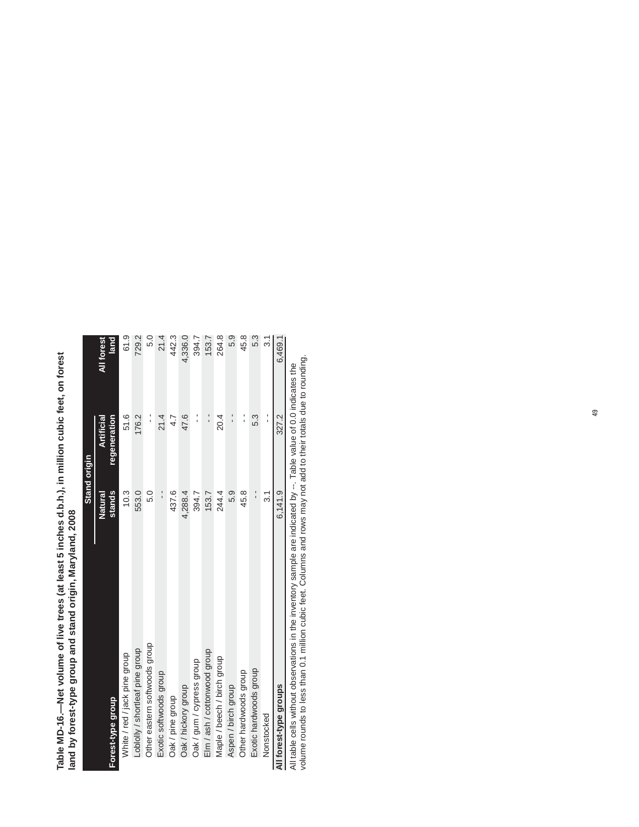| Table MD-16.—Net volume of live trees (at least 5 inches d.b.h.), in million cubic feet, on forest | š<br>id by forest-type group and stand origin, Maryland<br>lallu Dy II |
|----------------------------------------------------------------------------------------------------|------------------------------------------------------------------------|

|                                 | Stand origin  |               |            |
|---------------------------------|---------------|---------------|------------|
|                                 | Natural       | Artificial    | All forest |
| Forest-type group               | stands        | regeneration  | land       |
| White / red / jack pine group   | 10.3          | 51.6          | 61.9       |
| -oblolly / shortleaf pine group | 553.0         | 176.2         | 729.2      |
| Other eastern softwoods group   | 5.0           | י<br>י        | 5.0        |
| Exotic softwoods group          | $\frac{1}{1}$ | 21.4          | 21.4       |
| Oak / pine group                | 437.6         | 4.7           | 442.3      |
| Oak / hickory group             | 4,288.4       | 47.6          | 4,336.0    |
| Oak / gum / cypress group       | 394.7         | $\frac{1}{1}$ | 394.7      |
| Elm / ash / cottonwood group    | 153.7         | $\frac{1}{1}$ | 153.7      |
| Maple / beech / birch group     | 244.4         | 20.4          | 264.8      |
| Aspen / birch group             | 5.9           | $\frac{1}{1}$ | 5.9        |
| Other hardwoods group           | 45.8          | :             | 45.8       |
| Exotic hardwoods group          | $\frac{1}{1}$ | 53            | 5.3        |
| Nonstocked                      | $\frac{1}{3}$ |               | ಸ          |
| All forest-type groups          | 6.141.9       | 327.2         | 6.469.7    |
|                                 |               |               |            |

value of 0.0 indicates the All table cells without observations in the inventory sample are indicated by --. Table value of 0.0 indicates the<br>volume rounds to less than 0.1 million cubic feet. Columns and rows may not add to their totals due to roun volume rounds to less than 0.1 million cubic feet. Columns and rows may not add to their totals due to rounding. All table cells without observations in the inventory sample are indicated by --. Table value of 0.0 indicates the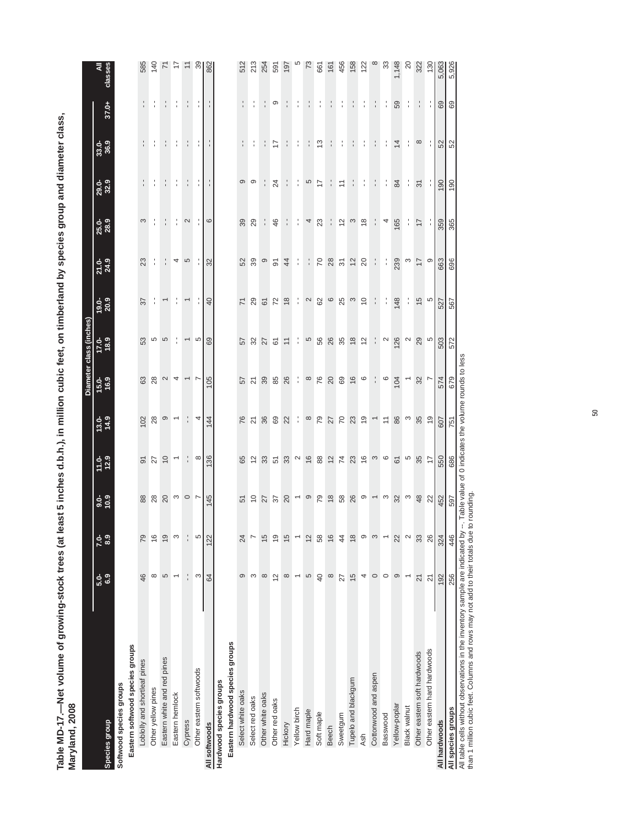Table MD-17.—Net volume of growing-stock trees (at least 5 inches d.b.h.), in million cubic feet, on timberland by species group and diameter class,<br>Maryland, 2008 **Table MD-17.—Net volume of growing-stock trees (at least 5 inches d.b.h.), in million cubic feet, on timberland by species group and diameter class, Maryland, 2008**

|                                 |                          |                          |                               |                     |                          |                          | Diameter class (inches)  |                          |                |                                |                      |                |               |                |
|---------------------------------|--------------------------|--------------------------|-------------------------------|---------------------|--------------------------|--------------------------|--------------------------|--------------------------|----------------|--------------------------------|----------------------|----------------|---------------|----------------|
| Species group                   | 5.9<br>6.9               | 8.9<br>$7.0 -$           | $\frac{6}{10}$ .9             | $11.0 - 12.9$       | $13.0 - 14.9$            | 15.0-<br>16.9            | $17.0 - 11.0$            | $19.0 - 20.9$            | $21.0 - 24.9$  | 25.0-<br>28.9                  | <b>29.0-</b><br>32.9 | 33.0-<br>36.9  | 37.0+         | ₹<br>classes   |
| Softwood species groups         |                          |                          |                               |                     |                          |                          |                          |                          |                |                                |                      |                |               |                |
| Eastern softwood species groups |                          |                          |                               |                     |                          |                          |                          |                          |                |                                |                      |                |               |                |
| Loblolly and shortleaf pines    | 46                       | 79                       |                               | $\overline{6}$      | 102                      | 63                       | 53                       | 22                       | 23             | S                              |                      |                | ÷,            | 585            |
| Other yellow pines              | $\infty$                 | $\frac{6}{5}$            | 88 8                          | 27                  | 28                       | 28                       | Ю                        | ÷                        | ÷              |                                |                      |                | ÷             | 140            |
| Eastern white and red pines     | 5                        | $\overline{9}$           | $20$                          |                     | $\circ$                  | $\mathbf{\Omega}$        | 5                        | Γ                        | f,             | $\frac{1}{4}$                  |                      | ÷              | ÷,            |                |
| Eastern hemlock                 | $\overline{\phantom{0}}$ | S                        |                               | $rac{1}{2}$         | $\overline{\phantom{0}}$ | 4                        | ÷                        | î,                       | 4              | l,                             | ÷                    | ÷              | ÷             | ココ             |
| Cypress                         | $\overline{a}$           |                          | $\frac{1}{2}$ 0 $\frac{1}{2}$ | $\frac{1}{2}$       |                          | $\overline{\phantom{0}}$ | $\overline{\phantom{0}}$ | $\overline{\phantom{0}}$ | 5              | $\mathbf{\Omega}$              |                      |                | f,            |                |
| Other eastern softwoods         | S                        | 5                        |                               | $\infty$            | 4                        |                          | $\omega$                 |                          |                |                                | ÷,                   | ţ.             | ÷,            | $\frac{8}{3}$  |
| All softwoods                   | 64                       | 122                      | 145                           | 136                 | 144                      | 105                      | 69                       | $\overline{4}$           | 32             | $\circ$                        |                      |                |               | 862            |
| Hardwood species groups         |                          |                          |                               |                     |                          |                          |                          |                          |                |                                |                      |                |               |                |
| Eastern hardwood species groups |                          |                          |                               |                     |                          |                          |                          |                          |                |                                |                      |                |               |                |
| Select white oaks               | ၜ                        | 24                       | 51                            | 65                  | 76                       | 57                       | 57                       | $\overline{7}$           | 52             | 39                             | $\circ$              | $\frac{1}{1}$  | ÷             | 512            |
| Select red oaks                 | S                        |                          | $\tilde{0}$                   | $\overline{c}$      | $\overline{2}1$          | $\overline{z}$           | $\mathfrak{B}$           | 29                       | 39             | 29                             | ၜ                    |                |               | 213            |
| Other white oaks                | $\infty$                 | 15                       | 27                            | 33                  | 36                       | 39                       | 27                       | $\overline{6}$           | σ              |                                |                      |                |               | 254            |
| Other red oaks                  | $\overline{2}$           | $\overline{9}$           | 37                            | 51                  | 69                       | 85                       | 61                       | 72                       | $\overline{5}$ | 46                             | 24                   | 17             | ၜ             | 591            |
| Hickory                         | $\infty$                 | $\overline{5}$           |                               | 33                  | 22                       | 26                       | $\overline{1}$           | $\frac{8}{3}$            | $\overline{4}$ | ÷,                             | f,                   |                |               | 197            |
| Yellow birch                    | $\overline{\phantom{0}}$ |                          | $\overline{\phantom{0}}$      | $\boldsymbol{\sim}$ | f,                       | f,                       | ÷                        | ÷                        | ÷              | f,                             | $\frac{1}{1}$        | f,             | f,            |                |
| Hard maple                      | 5                        | $\overline{c}$           | ၜ                             | $16$                | $\infty$                 | $\infty$                 | 5                        | $\sim$                   | ţ.             | 4                              | 5                    |                | ÷             | 73             |
| Soft maple                      | $\overline{6}$           | 58                       | 79                            | $^{\rm 88}$         | $\overline{79}$          | 76                       | 56                       |                          | $\sim$         | 23                             | 17                   | 5,             | f,            | 661            |
| <b>Beech</b>                    | $\infty$                 | $\frac{6}{2}$            | $\frac{8}{2}$                 | $12$                | 27                       | $20$                     | 26                       | <b>82</b> 6              | $28$           | f,                             | f,                   |                | ÷             | 161            |
| Sweetgum                        | 27                       | $\overline{4}$           |                               | 74                  |                          | 69                       |                          | 25                       | $\approx$      | $\frac{2}{3}$                  | $\overline{a}$       | f,             | ţ.            | 456            |
| Tupelo and blackgum             | $\frac{5}{2}$            | $\frac{8}{1}$            | 58<br>26                      | 23                  | <b>2365</b>              | $\frac{6}{2}$            | $35$<br>18               | $\omega$                 | $\overline{c}$ | $\infty$                       |                      |                | ÷.            | 158            |
| Ash                             | 4                        | ၜ                        | $\circ$                       | $\frac{6}{5}$       |                          | $\circ$                  | $\frac{1}{2}$            | $\tilde{c}$              | $_{20}$        | $\overset{\circ}{\phantom{a}}$ | ţ.                   | ţ.             | ţ.            | 122            |
| Cottonwood and aspen            | $\circ$                  | S                        | $\overline{ }$                |                     | $\overline{\phantom{a}}$ | f,                       | f,                       | ÷                        | ÷              | ÷                              | $\cdot$              | ÷              | $\frac{1}{1}$ | $\infty$       |
| Basswood                        | $\circ$                  | $\overline{\phantom{0}}$ | $\infty$                      | $\infty$            | $\overleftarrow{\cdot}$  | $\circ$                  | $\sim$                   | ÷                        | ÷              | 4                              | ÷                    | ţ.             | ţ.            | 33             |
| Yellow-poplar                   | ၜ                        | 22                       | 32                            | $\overline{6}$      | 86                       | 104                      | 126                      | 148                      | 239            | 165                            | 84                   | $\overline{4}$ | 59            | 1,148          |
| <b>Black walnut</b>             |                          | $\mathbf{\Omega}$        | S                             | 5                   | $\infty$                 | Τ                        | $\mathbf{\Omega}$        |                          | ო              | ÷,                             | ţ.                   | ţ.             | ţ.            | $\overline{c}$ |
| Other eastern soft hardwoods    | $\overline{2}$           | 33                       | 48                            | 35                  | 35                       | 32                       | 29                       | 15                       | $\overline{1}$ | $\overline{17}$                | $\overline{5}$       | $\infty$       | ÷             | 322            |
| Other eastern hard hardwoods    | $\overline{2}$           | 26                       | $\frac{2}{3}$                 | $\overline{1}$      | $\overline{6}$           |                          | 5                        | 5                        | ၜ              | ÷                              | ÷                    |                |               | 130            |
| All hardwoods                   | 192                      | 324                      | 452                           | 550                 | 607                      | 574                      | 503                      | 527                      | 663            | 359                            | 190                  | 52             | 69            | 5,063          |
| All species groups              | 256                      | 446                      | 597                           | 686                 | 751                      | 679                      | 572                      | 567                      | 696            | 365                            | 190                  | 52             | 69            | 5,926          |

All table cells without observations in the inventory sample are indicated by --. Table value of 0 indicates the volume rounds to less than 1 million cubic feet. Columns and rows may not add to their totals due to rounding.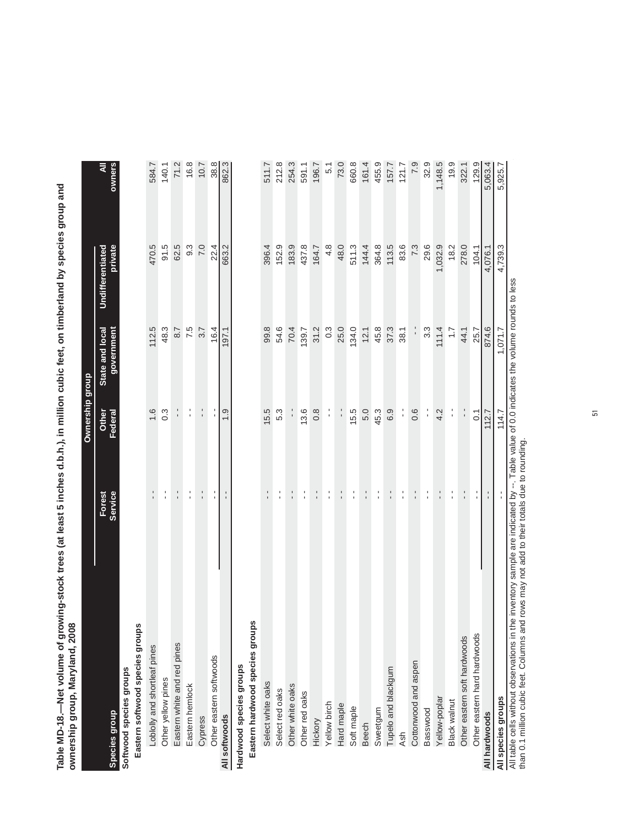Table MD-18.—Net volume of growing-stock trees (at least 5 inches d.b.h.), in million cubic feet, on timberland by species group and<br>ownership group, Maryland, 2008 **Table MD-18.—Net volume of growing-stock trees (at least 5 inches d.b.h.), in million cubic feet, on timberland by species group and ownership group, Maryland, 2008**

|                                                                                                                                          |                   | Ownership group  |                               |                             |             |
|------------------------------------------------------------------------------------------------------------------------------------------|-------------------|------------------|-------------------------------|-----------------------------|-------------|
| Species group                                                                                                                            | Service<br>Forest | Other<br>Federal | State and local<br>government | private<br>Undifferentiated | owners<br>₹ |
| Softwood species groups                                                                                                                  |                   |                  |                               |                             |             |
| Eastern softwood species groups                                                                                                          |                   |                  |                               |                             |             |
| Loblolly and shortleaf pines                                                                                                             |                   | 1.6              | 112.5                         | 470.5                       | 584.7       |
| Other yellow pines                                                                                                                       |                   | $0.\overline{3}$ | 48.3                          | 91.5                        | 140.1       |
| Eastern white and red pines                                                                                                              | $\frac{1}{1}$     | $\frac{1}{1}$    | 8.7                           | 62.5                        | 71.2        |
| Eastern hemlock                                                                                                                          | l.                | l.               | 7.5                           | 9.3                         | 16.8        |
| Cypress                                                                                                                                  | $\frac{1}{1}$     | $\frac{1}{1}$    | 3.7                           | 7.0                         | 10.7        |
| Other eastern softwoods                                                                                                                  | Ť.                | í                | 16.4                          | 22.4                        | 38.8        |
| All softwoods                                                                                                                            | $\frac{1}{1}$     | $\frac{0}{1}$    | 197.1                         | 663.2                       | 862.3       |
| Hardwood species groups                                                                                                                  |                   |                  |                               |                             |             |
| Eastern hardwood species groups                                                                                                          |                   |                  |                               |                             |             |
| Select white oaks                                                                                                                        | ı<br>ı            | 15.5             | 99.8                          | 396.4                       | 511.7       |
| Select red oaks                                                                                                                          | l.                | 5.3              | 54.6                          | 152.9                       | 212.8       |
| Other white oaks                                                                                                                         |                   |                  | 70.4                          | 183.9                       | 254.3       |
| Other red oaks                                                                                                                           | f,                | 13.6             | 139.7                         | 437.8                       | 591.1       |
| Hickory                                                                                                                                  |                   | $\frac{8}{1}$    | 31.2                          | 164.7                       | 196.7       |
| Yellow birch                                                                                                                             | l.                | $\frac{1}{1}$    | $0.\overline{3}$              | 4.8                         | 5.1         |
| Hard maple                                                                                                                               |                   |                  | 25.0                          | 48.0                        | 73.0        |
| Soft maple                                                                                                                               | $\frac{1}{1}$     | 15.5             | 134.0                         | 511.3                       | 660.8       |
| <b>Beech</b>                                                                                                                             | t,                | 5.0              | 12.1                          | 144.4                       | 161.4       |
| Sweetgum                                                                                                                                 | f,                | 45.3             | 45.8                          | 364.8                       | 455.9       |
| Tupelo and blackgum                                                                                                                      | $\frac{1}{1}$     | 6.9              | 37.3                          | 113.5                       | 157.7       |
| <b>Ash</b>                                                                                                                               | f,                | í                | 38.1                          | 83.6                        | 121.7       |
| Cottonwood and aspen                                                                                                                     | t,                | 0.6              |                               | 7.3                         | 7.9         |
| Basswood                                                                                                                                 | f,                | $\frac{1}{1}$    | 3.3                           | 29.6                        | 32.9        |
| Yellow-poplar                                                                                                                            |                   | 4.2              | 111.4                         | 1,032.9                     | 1,148.5     |
| <b>Black walnut</b>                                                                                                                      | $\frac{1}{1}$     | $\frac{1}{1}$    | $\ddot{ }$ :                  | 18.2                        | 19.9        |
| Other eastern soft hardwoods                                                                                                             | f,                | $\frac{1}{1}$    | 44.1                          | 278.0                       | 322.1       |
| Other eastern hard hardwoods                                                                                                             | t,                | $\overline{0}$   | 25.7                          | 104.1                       | 129.9       |
| All hardwoods                                                                                                                            |                   | 112.7            | 874.6                         | 4,076.1                     | 5,063.4     |
| All species groups                                                                                                                       |                   | 114.7            | 1,071.7                       | 4,739.3                     | 5,925.7     |
| All table cells without observations in the inventory sample are indicated by --. Table value of 0.0 indicates the volume rounds to less |                   |                  |                               |                             |             |

All table cells without observations in the inventory sample are indicated by --. Table value of 0.0 indicates the volume rounds to less than 0.1 million cubic feet. Columns and rows may not add to their totals due to rounding. than 0.1 million cubic feet. Columns and rows may not add to their totals due to rounding. ₹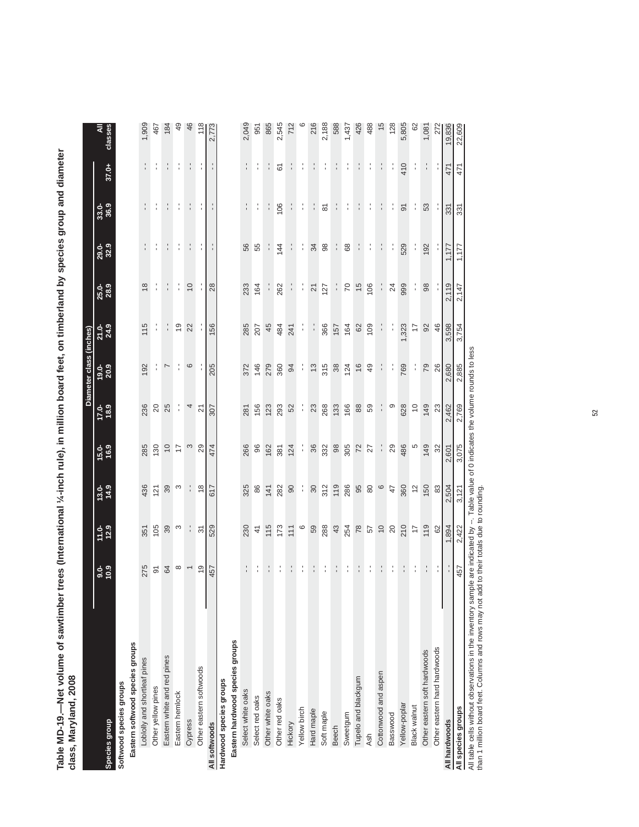| class, Maryland, 2008           |                  |                |                   |               |                          |                         |                  |                 |               |                     |               |                 |
|---------------------------------|------------------|----------------|-------------------|---------------|--------------------------|-------------------------|------------------|-----------------|---------------|---------------------|---------------|-----------------|
|                                 |                  |                |                   |               |                          | Diameter class (inches) |                  |                 |               |                     |               |                 |
| Species group                   | $\frac{6}{10.9}$ | $11.0 - 12.9$  | $13.0 - 14.9$     | $15.0 - 16.9$ | $17.0 - 11.9$            | $19.0 - 20.9$           | $21.9$<br>$24.9$ | 25.0-           | 29.0-<br>32.9 | 33.0-<br>36.9       | 37.0+         | classes         |
| Softwood species groups         |                  |                |                   |               |                          |                         |                  |                 |               |                     |               |                 |
| Eastern softwood species groups |                  |                |                   |               |                          |                         |                  |                 |               |                     |               |                 |
| Loblolly and shortleaf pines    | 275              | 351            | 436               | 285           | 236                      | 192                     | 115              | $\frac{8}{2}$   | l.            |                     | $\frac{1}{1}$ | 1,909           |
| Other yellow pines              | $\overline{9}$   | 105            | 121               | 130           | $\overline{c}$           |                         | f,               |                 |               |                     |               | 467             |
| Eastern white and red pines     | 64               | 39             | 39                | $\ominus$     | 25                       | $\overline{ }$          | ÷                |                 | f,            |                     |               | 184             |
| Eastern hemlock                 | $\infty$         | $\infty$       | S                 | 17            | ÷                        |                         | $\frac{6}{5}$    |                 | ţ.            |                     |               | $\overline{49}$ |
| Cypress                         |                  | ÷,             |                   | $\infty$      | $\overline{\phantom{a}}$ | $\circ$                 | 22               | $\overline{0}$  | t,            |                     |               | 46              |
| Other eastern softwoods         | $\frac{6}{10}$   | $\overline{5}$ | $\frac{8}{3}$     | 29            | $\overline{2}$           |                         |                  |                 |               |                     |               | 118             |
| All softwoods                   | 457              | 529            | 617               | 474           | 307                      | 205                     | 156              | 28              |               |                     |               | 2,773           |
| Hardwood species groups         |                  |                |                   |               |                          |                         |                  |                 |               |                     |               |                 |
| Eastern hardwood species groups |                  |                |                   |               |                          |                         |                  |                 |               |                     |               |                 |
| Select white oaks               |                  | 230            | 325               | 266           | 281                      | 372                     | 285              | 233             | 56            |                     |               | 2,049           |
| Select red oaks                 |                  | $\frac{4}{3}$  | 86                | $96$          | 156                      | 146                     | 207              | 164             | 55            |                     |               | 951             |
| Other white oaks                |                  | 115            | 141               | 162           | 123                      | 279                     | 45               |                 |               |                     |               | 865             |
| Other red oaks                  |                  | 173            | 282               | 381           | 293                      | 360                     | 484              | 262             | 144           | 106                 | 61            | 2,545           |
| Hickory                         |                  | 111            | $\infty$          | 124           | 52                       | 94                      | 241              | f,              | ÷             |                     |               | 712             |
| Yellow birch                    |                  | $\circ$        | ÷                 | ÷             |                          |                         | ţ.               |                 | ţ             | Î                   | ÷             |                 |
| Hard maple                      |                  | 59             | $\infty$          | $36\,$        | $23$                     | $\frac{3}{2}$           | ÷,               | $\overline{2}$  | 34            |                     |               | 216             |
| Soft maple                      |                  | 288            |                   | 332           | 268                      | 315                     | 366              | 127             | $_{98}$       | $\overline{\infty}$ |               | 2,188           |
| <b>Beech</b>                    |                  | $43$           | $\frac{312}{119}$ | $98$          | 133                      | 38                      | 157              | J.              | ÷             |                     |               | 588             |
| Sweetgum                        |                  | 254            | 286               | 305           | 166                      | 124                     | 164              | $\overline{C}$  | 68            |                     |               | 1,437           |
| Tupelo and blackgum             |                  |                | 95                | $72$          | 88                       | $\frac{6}{2}$           | 62               | $\frac{5}{2}$   | ÷,            |                     |               | 426             |
| <b>Ash</b>                      |                  |                | $\rm ^{\rm 6}$    | 27            | 59                       | $\overline{49}$         | 109              | 106             | ţ.            | f,                  |               | 488             |
| Cottonwood and aspen            |                  | $850$<br>$95$  | $\circ$           | ÷             |                          |                         | ÷,               | ÷,              | ÷,            |                     |               | 15              |
| Basswood                        |                  |                | 47                | 29            | ၜ                        |                         |                  | $\overline{24}$ | f,            |                     |               | 128             |
| Yellow-poplar                   |                  | 210            | 360               | 486           | 628                      | 769                     | ,323             | 999             | 529           | $\overline{5}$      | 410           | 5,805           |
| Black walnut                    |                  | $\overline{1}$ | $\tilde{c}$       | 5             | $\tilde{c}$              |                         | $\overline{1}$   | ţ               | f,            |                     |               | 62              |
| Other eastern soft hardwoods    |                  | 119            | 150               | 149           | 149                      | 79                      | 92               | 98              | 192           | 53                  |               | 1,081           |
| Other eastern hard hardwoods    |                  | 82             | 83                | 32            | 23                       | 26                      | 46               |                 |               |                     |               | 272             |
| All hardwoods                   |                  | 1,894          | 2,504             | 2,601         | ,462                     | 2,680                   | 3,598            | 2,119           | 1,177         | 331                 | 471           | 19,836          |
| All species groups              | 457              | 2,422          | 3,121             | 3,075         | 2,769                    | 2,885                   | 3,754            | 2,147           | 1,177         | 331                 | 471           | 22,609          |

Table MD-19.—Net volume of sawtimber trees (International ¼-inch rule), in million board feet, on timberland by species group and diameter<br>class, Maryland, 2008 **Table MD-19.—Net volume of sawtimber trees (International ¼-inch rule), in million board feet, on timberland by species group and diameter** 

All table cells without observations in the inventory sample are indicated by --. Table value of 0 indicates the volume rounds to less

than 1 million board feet. Columns and rows may not add to their totals due to rounding.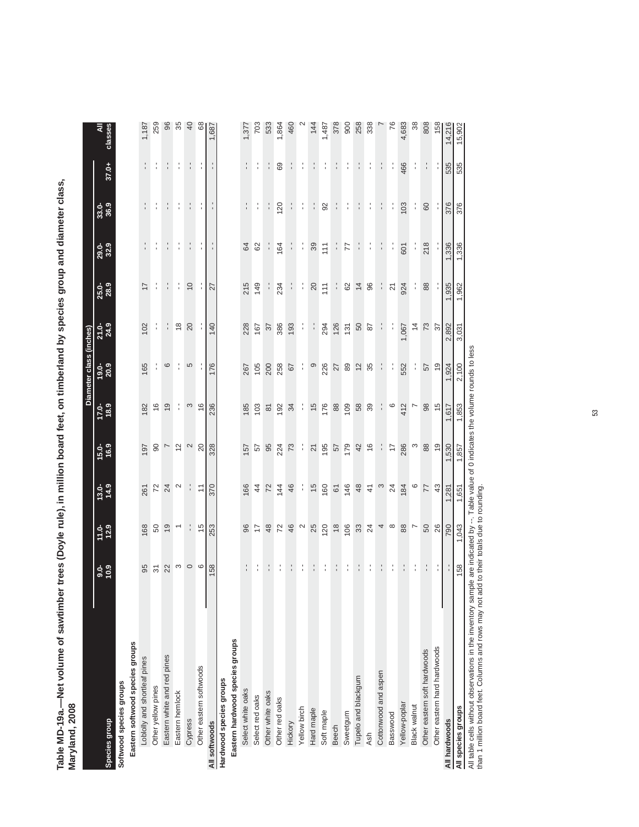Table MD-19a.—Net volume of sawtimber trees (Doyle rule), in million board feet, on timberland by species group and diameter class,<br>Maryland, 2008 **Table MD-19a.—Net volume of sawtimber trees (Doyle rule), in million board feet, on timberland by species group and diameter class, Maryland, 2008**

|                                 |                          |                                |                     |                   |                    | Diameter class (inches) |                      |                |               |               |               |               |
|---------------------------------|--------------------------|--------------------------------|---------------------|-------------------|--------------------|-------------------------|----------------------|----------------|---------------|---------------|---------------|---------------|
| Species group                   | $3.0 - 0.6$              | $11.0 - 12.9$                  | $\frac{13.0}{14.9}$ | $15.0 - 16.9$     | $17.0 - 18.9$      | $19.0 - 20.9$           | $21.9$<br>$24.9$     | 25.0-<br>28.9  | 29.0-<br>32.9 | 33.0-<br>36.9 | 37.0+         | classes       |
| Softwood species groups         |                          |                                |                     |                   |                    |                         |                      |                |               |               |               |               |
| Eastern softwood species groups |                          |                                |                     |                   |                    |                         |                      |                |               |               |               |               |
| Loblolly and shortleaf pines    | 95                       | 168                            | 261                 | 197               | 182                | 165                     | 102                  | $\overline{1}$ | $\frac{1}{1}$ | :             | $\frac{1}{1}$ | 1,187         |
| Other yellow pines              | $\overline{\mathcal{E}}$ | SO                             | 72                  | $\Theta$          | 16                 | ţ                       |                      |                |               |               |               | 259           |
| Eastern white and red pines     | 22                       | $\overline{9}$                 | 24                  | $\overline{ }$    | $\frac{0}{2}$      | $\circ$                 | ÷,                   |                |               | f,            |               | 96            |
| Eastern hemlock                 | $\infty$                 | $\overline{\phantom{0}}$       | $\mathbf{\Omega}$   | $\Xi$             | ÷                  | :                       | $\frac{8}{1}$        | ÷,             | f,            | ţ.            | t,            | 35            |
| Cypress                         | $\circ$                  |                                | ÷                   | $\mathbf{\Omega}$ | S                  | 5                       | 20                   | $\overline{0}$ |               |               | t,            | 40            |
| Other eastern softwoods         | $\circ$                  | $\frac{5}{2}$                  | $\tilde{=}$         | 20                | $\frac{6}{5}$      |                         |                      | ÷,             | ţ.            |               |               | $\frac{8}{3}$ |
| All softwoods                   | 158                      | 253                            | 370                 | 328               | 236                | 176                     | 140                  | 27             |               |               |               | 1,687         |
| Hardwood species groups         |                          |                                |                     |                   |                    |                         |                      |                |               |               |               |               |
| Eastern hardwood species groups |                          |                                |                     |                   |                    |                         |                      |                |               |               |               |               |
| Select white oaks               |                          | 96                             | 166                 | 157               | 185                | 267                     | 228                  | 215            | 84            |               | $\frac{1}{1}$ | 1,377         |
| Select red oaks                 |                          | 17                             |                     | 57                | 103                | 105                     | 167                  | 149            | 62            | f,            | Î             | 703           |
| Other white oaks                |                          | $\frac{8}{3}$                  | 4 7                 | 95                | $\overline{\circ}$ | 200                     | 57                   |                |               | f,            |               | 533           |
| Other red oaks                  |                          | 72                             | 144                 | 224               | 192                | 258                     | 386                  | 234            | 164           | 120           | 69            | 1,864         |
| Hickory                         |                          | 46                             | 46                  | 73                | 34                 | 67                      | 193                  |                |               |               |               | 460           |
| Yellow birch                    | ÷                        | $\mathbf{\Omega}$              | ÷,                  | f,                | f,                 | ¦,                      | f,                   | ţ.             | f,            | l,            |               |               |
| Hard maple                      |                          | 25                             | $\frac{5}{3}$       | $\overline{2}$    | $\frac{5}{3}$      | $\circ$                 | ÷,                   | $\Omega$       | 39            |               |               | 144           |
| Soft maple                      |                          | 120                            | 160                 | 195               | 176                | 226                     | 294                  | 111            | 111           | $\Omega$      |               | 1,487         |
| <b>Beech</b>                    |                          | $\overset{\circ}{\phantom{a}}$ | $\mathfrak{S}$      | 57                | $_{88}$            | 27                      | 126                  |                |               |               |               | 378           |
| Sweetgum                        |                          | 106                            | 146                 | 179               | 109                | 89                      | 131                  | 62             | 77            | ÷,            |               | 900           |
| Tupelo and blackgum             |                          | $33\,$                         | $48$                | 42                | 58                 | 12                      | 50                   | $\overline{4}$ |               |               |               | 258           |
| Ash                             | ÷,                       | 24                             | $\frac{4}{7}$       | $\frac{6}{5}$     | 39                 | 35                      | 87                   | 96             | ţ             | f,            |               | 338           |
| Cottonwood and aspen            | ÷,                       | 4                              | $\infty$            | ÷,                | ţ.                 | ÷,                      | $\ddot{\phantom{0}}$ | f,             | ţ,            | ţ.            |               |               |
| Basswood                        | ÷.                       | $\infty$                       | 24                  | 17                | 0                  | f,                      |                      | 21             |               | f,            | f,            | 76            |
| Yellow-poplar                   |                          | 88                             | 184                 | 286               | 412                | 552                     | 1,067                | 924            | 601           | 103           | 466           | 4,683         |
| Black walnut                    | ÷,                       | $\overline{r}$                 | $\circ$             | S                 | r                  | ţ.                      | $\overline{4}$       | ÷              | ÷             | ÷             | f,            | 38            |
| Other eastern soft hardwoods    | t.                       | 50                             | 77                  | 88                | 98                 | 57                      | 73                   | 88             | 218           | 60            | ÷.            | 808           |
| Other eastern hard hardwoods    |                          | 26                             | 43                  | $\overline{9}$    | $\frac{5}{3}$      | $\frac{0}{2}$           | 57                   |                |               |               |               | 158           |
| All hardwoods                   |                          | 790                            | 1,281               | 1,530             | 1,617              | 1,924                   | 2,892                | 1,935          | 1,336         | 376           | 535           | 14,216        |
| All species groups              | 158                      | 1,043                          | 1,651               | 1,857             | 1,853              | 2,100                   | 3,031                | 1,962          | 1,336         | 376           | 535           | 15,902        |

All table cells without observations in the inventory sample are indicated by --. Table value of 0 indicates the volume rounds to less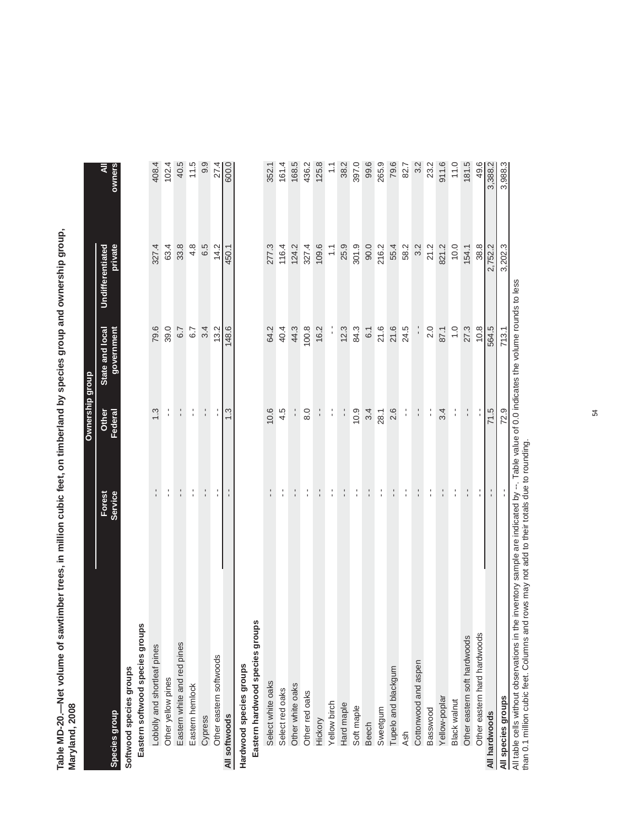Table MD-20.—Net volume of sawtimber trees, in million cubic feet, on timberland by species group and ownership group,<br>Maryland, 2008 **Table MD-20.—Net volume of sawtimber trees, in million cubic feet, on timberland by species group and ownership group, Maryland, 2008**

akia.

|                                                                                                                                          |                   | Ownership group  |                               |                             |               |
|------------------------------------------------------------------------------------------------------------------------------------------|-------------------|------------------|-------------------------------|-----------------------------|---------------|
| <b>Species group</b>                                                                                                                     | Service<br>Forest | Other<br>Federal | State and local<br>government | private<br>Undifferentiated | owners<br>₹   |
| Softwood species groups                                                                                                                  |                   |                  |                               |                             |               |
| Eastern softwood species groups                                                                                                          |                   |                  |                               |                             |               |
| Loblolly and shortleaf pines                                                                                                             | $\frac{1}{1}$     | 1.3              | 79.6                          | 327.4                       | 408.4         |
| Other yellow pines                                                                                                                       | t,                | $\frac{1}{4}$    | 39.0                          | 63.4                        | 102.4         |
| Eastern white and red pines                                                                                                              | ÷.                | $\frac{1}{1}$    | 6.7                           | 33.8                        | 40.5          |
| Eastern hemlock                                                                                                                          | $\frac{1}{1}$     | $\frac{1}{1}$    | 6.7                           | 4.8                         | 11.5          |
| Cypress                                                                                                                                  | $\frac{1}{1}$     | $\frac{1}{1}$    | 3.4                           | 6.5                         | 9.9           |
| Other eastern softwoods                                                                                                                  | $\frac{1}{1}$     | ţ                | 13.2                          | 14.2                        | 27.4          |
| All softwoods                                                                                                                            |                   | $\ddot{.}3$      | 148.6                         | 450.1                       | 600.0         |
| Hardwood species groups                                                                                                                  |                   |                  |                               |                             |               |
| Eastern hardwood species groups                                                                                                          |                   |                  |                               |                             |               |
| Select white oaks                                                                                                                        | $\frac{1}{1}$     | 10.6             | 64.2                          | 277.3                       | 352.1         |
| Select red oaks                                                                                                                          | t,                | 4.5              | 40.4                          | 116.4                       | 161.4         |
| Other white oaks                                                                                                                         | $\frac{1}{1}$     |                  | 44.3                          | 124.2                       | 168.5         |
| Other red oaks                                                                                                                           | $\frac{1}{4}$     | $\frac{0}{8}$    | 100.8                         | 327.4                       | 436.2         |
| Hickory                                                                                                                                  | $\frac{1}{1}$     |                  | 16.2                          | 109.6                       | 125.8         |
| Yellow birch                                                                                                                             | $\frac{1}{1}$     | f,               |                               | $\tilde{=}$                 | $\frac{1}{1}$ |
| Hard maple                                                                                                                               | $\frac{1}{1}$     | $\frac{1}{1}$    | 12.3                          | 25.9                        | 38.2          |
| Soft maple                                                                                                                               | f,                | 10.9             | 84.3                          | 301.9                       | 397.0         |
| <b>Beech</b>                                                                                                                             | $\frac{1}{4}$     | 3.4              | 6.1                           | 90.0                        | 99.6          |
| Sweetgum                                                                                                                                 | f,                | 28.1             | 21.6                          | 216.2                       | 265.9         |
| Tupelo and blackgum                                                                                                                      | $\frac{1}{1}$     | 2.6              | 21.6                          | 55.4                        | 79.6          |
| <b>Ash</b>                                                                                                                               | f,                | ţ.               | 24.5                          | 58.2                        | 82.7          |
| Cottonwood and aspen                                                                                                                     | ÷.                | $\frac{1}{1}$    |                               | 3.2                         | 3.2           |
| Basswood                                                                                                                                 | $\frac{1}{1}$     | Î                | 2.0                           | 21.2                        | 23.2          |
| Yellow-poplar                                                                                                                            | $\frac{1}{1}$     | 3.4              | 87.1                          | 821.2                       | 911.6         |
| Black walnut                                                                                                                             | $\frac{1}{1}$     | $\frac{1}{1}$    | $\frac{0}{1}$                 | 10.0                        | 11.0          |
| Other eastern soft hardwoods                                                                                                             |                   |                  | 27.3                          | 154.1                       | 181.5         |
| Other eastern hard hardwoods                                                                                                             |                   |                  | 10.8                          | 38.8                        | 49.6          |
| All hardwoods                                                                                                                            |                   | 71.5             | 564.5                         | 2,752.2                     | 3,388.2       |
| All species groups                                                                                                                       |                   | 72.9             | 713.1                         | 3,202.3                     | 3,988.3       |
| All table cells without observations in the inventory sample are indicated by --. Table value of 0.0 indicates the volume rounds to less |                   |                  |                               |                             |               |

All table cells without observations in the inventory sample are indicated by --. Table value of 0.0 indicates the volume rounds to less than 0.1 million cubic feet. Columns and rows may not add to their totals due to rounding.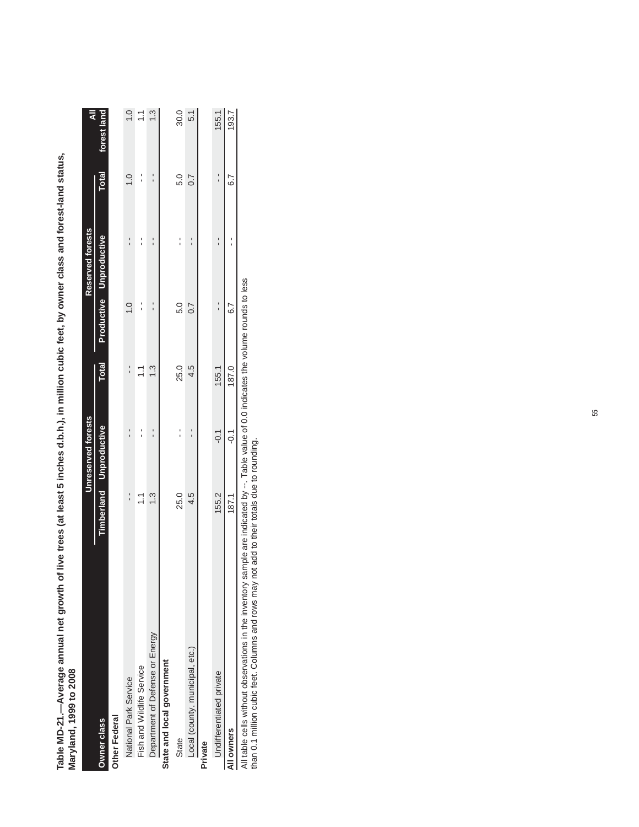| Maryland, 1999 to 2008          |       |                                |               |                 |                                 |               |               |
|---------------------------------|-------|--------------------------------|---------------|-----------------|---------------------------------|---------------|---------------|
|                                 |       | Unreserved forests             |               |                 | Reserved forests                |               | ₹             |
| Owner class                     |       | <b>Timberland Unproductive</b> | <b>Total</b>  |                 | <b>Productive Unproductive</b>  | <b>Total</b>  | forest land   |
| Other Federal                   |       |                                |               |                 |                                 |               |               |
| National Park Service           |       |                                | ı             | $\frac{1}{2}$   | ı                               | $\frac{0}{1}$ | $\frac{0}{1}$ |
| Fish and Wildlife Service       | こ     |                                | Ξ             |                 | ı                               | ı             | $\tilde{=}$   |
| Department of Defense or Energy | 1.3   |                                | $\frac{3}{2}$ |                 |                                 |               | $\frac{3}{2}$ |
| State and local government      |       |                                |               |                 |                                 |               |               |
| State                           | 25.0  |                                | 25.0          | 5.0             | ׅ֪֚֚֚֚֚֚֚֚֚֚֚֚֚֚֚֚֚֚֬֡֡֜֡֜֓֡֡֡֝ | 5.0           | 30.0          |
| Local (county, municipal, etc.) | 4.5   |                                | 4.5           | 0.7             |                                 | 0.7           | 51            |
| Private                         |       |                                |               |                 |                                 |               |               |
| <b>Jndifferentiated private</b> | 155.2 | $-0.1$                         | 155.1         |                 |                                 |               | 155.1         |
| All owners                      | 187.1 | $\overline{0}$ :               | 187.0         | $\overline{67}$ |                                 | 6.7           | 193.7         |

Table MD-21.-Average annual net growth of live trees (at least 5 inches d.b.h.), in million cubic feet, by owner class and forest-land status, **Table MD-21.—Average annual net growth of live trees (at least 5 inches d.b.h.), in million cubic feet, by owner class and forest-land status,** 

All table cells without observations in the inventory sample are indicated by --. Table value of 0.0 indicates the volume rounds to less<br>than 0.1 million cubic feet. Columns and rows may not add to their totals due to roun All table cells without observations in the inventory sample are indicated by --. Table value of 0.0 indicates the volume rounds to less

than 0.1 million cubic feet. Columns and rows may not add to their totals due to rounding.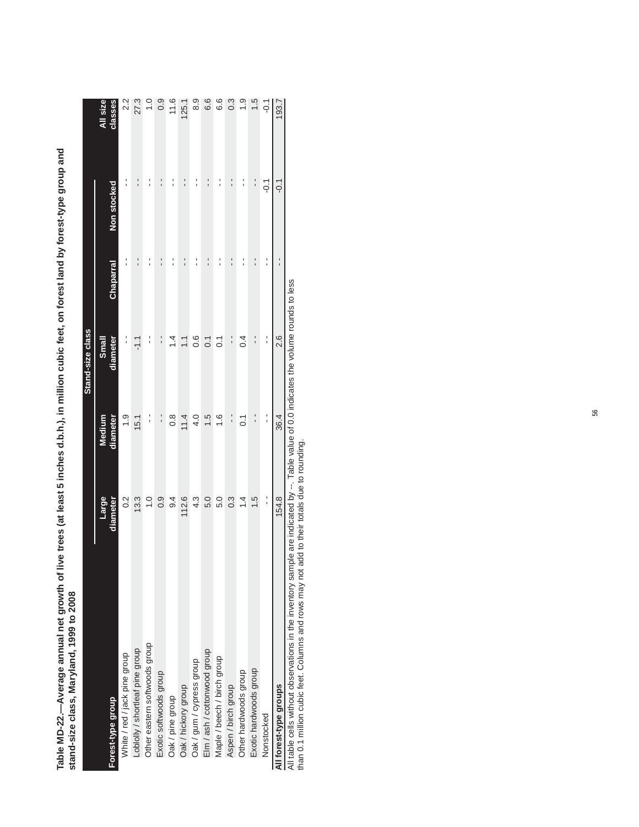|                                 |                   |                    | Stand-size class  |           |               |                     |
|---------------------------------|-------------------|--------------------|-------------------|-----------|---------------|---------------------|
| Forest-type group               | Large<br>diameter | diameter<br>Medium | diameter<br>Small | Chaparral | Non stocked   | All size<br>classes |
|                                 |                   |                    |                   |           |               |                     |
| White / red / jack pine group   | $0.\overline{2}$  | $\frac{0}{1}$ .    | í                 |           |               | 2.2                 |
| Loblolly / shortleaf pine group | 13.3              | 15.1               | ニー                |           | $\frac{1}{1}$ | 27.3                |
| Other eastern softwoods group   | $\overline{1}$ .0 | :                  |                   |           | :             | $\frac{0}{1}$       |
| Exotic softwoods group          | 0.9               | $\frac{1}{1}$      |                   |           |               | 0.9                 |
| Oak / pine group                | 9.4               | $\frac{8}{10}$     | 4.                |           | ı             | 11.6                |
| Oak / hickory group             | 112.6             | 11.4               | $\leq$            |           | י<br>י        | 125.1               |
| Oak / gum / cypress group       | $4.\overline{3}$  | 4.0                | $\frac{6}{1}$     |           | :             | $\frac{8}{9}$       |
| Elm / ash / cottonwood group    | 5.0               | 1.5                | $\overline{0}$    |           | $\frac{1}{1}$ | 6.6                 |
| Maple / beech / birch group     | 5.0               | $\frac{6}{1}$      | $\overline{O}$    |           | í             | 6.6                 |
| Aspen / birch group             | $0.\overline{3}$  | $\frac{1}{1}$      | $\frac{1}{1}$     |           | י<br>י        | $0.\overline{3}$    |
| Other hardwoods group           | 1.4               | $\overline{0}$     | ρ4                |           | :             | $\frac{0}{1}$       |
| Exotic hardwoods group          | 1.5               | $\frac{1}{1}$      | $\frac{1}{1}$     | ı         | $\frac{1}{1}$ | 1.5                 |
| Nonstocked                      | $\frac{1}{1}$     | l,                 | í                 |           | $-0.1$        | $-0.1$              |
| All forest-type groups          | 154.8             | 36.4               | 2.6               | ı<br>1    | ς<br>Ρ        | 193.7               |
|                                 |                   |                    |                   |           |               |                     |

Table MD-22.—Average annual net growth of live trees (at least 5 inches d.b.h.), in million cubic feet, on forest land by forest-type group and<br>stand-size class, Maryland, 1999 to 2008 **Table MD-22.—Average annual net growth of live trees (at least 5 inches d.b.h.), in million cubic feet, on forest land by forest-type group and stand-size class, Maryland, 1999 to 2008**

All table cells without observations in the inventory sample are indicated by --. Table value of 0.0 indicates the volume rounds to less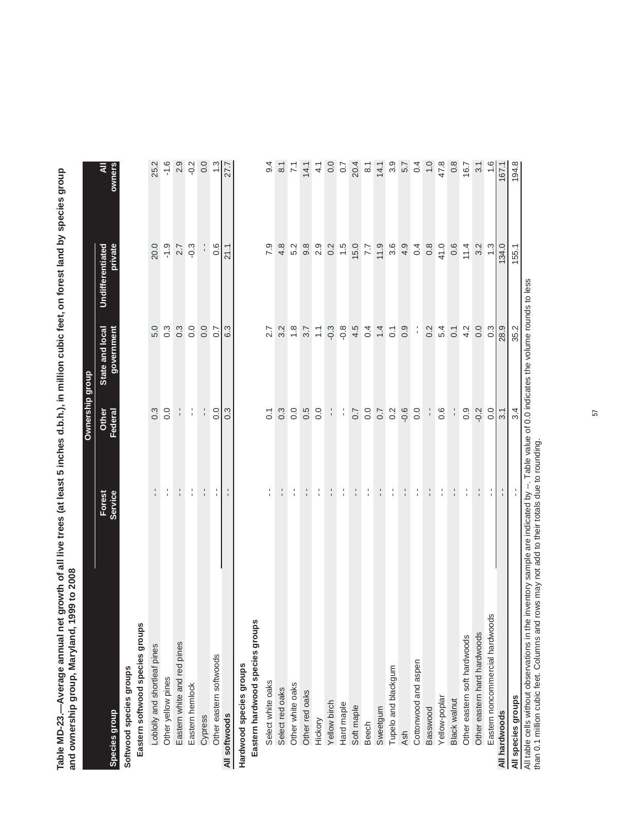Table MD-23.—Average annual net growth of all live trees (at least 5 inches d.b.h.), in million cubic feet, on forest land by species group<br>and ownership group, Maryland, 1999 to 2008 **Table MD-23.—Average annual net growth of all live trees (at least 5 inches d.b.h.), in million cubic feet, on forest land by species group and ownership group, Maryland, 1999 to 2008**

|                                                                                                                                          |                   | Ownership group  |                               |                             |                    |
|------------------------------------------------------------------------------------------------------------------------------------------|-------------------|------------------|-------------------------------|-----------------------------|--------------------|
| <b>Species group</b>                                                                                                                     | Forest<br>Service | Other<br>Federal | State and local<br>government | private<br>Undifferentiated |                    |
| Softwood species groups                                                                                                                  |                   |                  |                               |                             |                    |
| Eastern softwood species groups                                                                                                          |                   |                  |                               |                             |                    |
| Loblolly and shortleaf pines                                                                                                             |                   | $0.\overline{3}$ | 5.0                           | 20.0                        | 25.2               |
| Other yellow pines                                                                                                                       | f,                | 0.0              | $0.\overline{3}$              | $-1.9$                      | $-1.6$             |
| Eastern white and red pines                                                                                                              | $\frac{1}{1}$     |                  | $0.\overline{3}$              | 2.7                         | 2.9                |
| Eastern hemlock                                                                                                                          | f,                | ţ.               | 0.0                           | $-0.3$                      | $-0.2$             |
| Cypress                                                                                                                                  | $\frac{1}{1}$     | $\frac{1}{1}$    | 0.0                           |                             | 0.0                |
| Other eastern softwoods                                                                                                                  | ţ.                | 0.0              | 0.7                           | 0.6                         | 1.3                |
| All softwoods                                                                                                                            |                   | 0.3              | 6.3                           | 21.1                        | 27.7               |
| Hardwood species groups                                                                                                                  |                   |                  |                               |                             |                    |
| Eastern hardwood species groups                                                                                                          |                   |                  |                               |                             |                    |
| Select white oaks                                                                                                                        | $\frac{1}{1}$     | $\overline{C}$   | 2.7                           | 7.9                         | 9.4                |
| Select red oaks                                                                                                                          |                   | $0.\overline{3}$ | 3.2                           | $\frac{8}{4}$               | $\overline{8}$ .1  |
| Other white oaks                                                                                                                         | l.                | 0.0              | $\frac{8}{1}$                 | 5.2                         | $\mathbb{Z}$       |
| Other red oaks                                                                                                                           | f,                | 0.5              | 3.7                           | 9.8                         | 14.1               |
| Hickory                                                                                                                                  | $\frac{1}{1}$     | 0.0              | $\overline{1}$                | 2.9                         | $\frac{4}{1}$      |
| Yellow birch                                                                                                                             |                   | Ļ,               | $-0.3$                        | 0.2                         | 0.0                |
| Hard maple                                                                                                                               | $\frac{1}{1}$     | f,               | $-0.8$                        | 1.5                         | $\overline{0.7}$   |
| Soft maple                                                                                                                               |                   | 0.7              | 4.5                           | 15.0                        | 20.4               |
| Beech                                                                                                                                    | $\frac{1}{4}$     | $\rm ^{0}$       | 0.4                           | 7.7                         | $\overline{8}$     |
| Sweetgum                                                                                                                                 |                   |                  | 1.4                           | 11.9                        |                    |
| Tupelo and blackgum                                                                                                                      | $\frac{1}{4}$     | $0.7$<br>$0.2$   | $\overline{O}$                | 3.6                         | $14.1$<br>3.9      |
| Ash                                                                                                                                      |                   | $-0.6$           | 0.9                           | 4.9                         | 5.7                |
| Cottonwood and aspen                                                                                                                     | $\frac{1}{4}$     | 0.0              | f,                            | 0.4                         | 0.4                |
| Basswood                                                                                                                                 |                   |                  | 0.2                           | $0.\overline{8}$            | $\overline{1}$ . O |
| Yellow-poplar                                                                                                                            | t,                | 0.6              | 5.4                           | 41.0                        | 47.8               |
| Black walnut                                                                                                                             | $\frac{1}{1}$     |                  | $\overline{O}$                | 0.6                         | $0.\overline{8}$   |
| Other eastern soft hardwoods                                                                                                             | f,                | 0.9              | 4.2                           | 11.4                        | 16.7               |
| Other eastern hard hardwoods                                                                                                             |                   | $-0.2$           | 0.0                           | 3.2                         | 3.1                |
| Eastern noncommercial hardwoods                                                                                                          |                   | 0.0              | $0.\overline{3}$              | $\frac{3}{2}$               |                    |
| All hardwoods                                                                                                                            |                   | 3.1              | 28.9                          | 134.0                       | 167.1              |
| All species groups                                                                                                                       |                   | 3.4              | 35.2                          | 155.1                       | 194.8              |
| All table cells without observations in the inventory sample are indicated by --. Table value of 0.0 indicates the volume rounds to less |                   |                  |                               |                             |                    |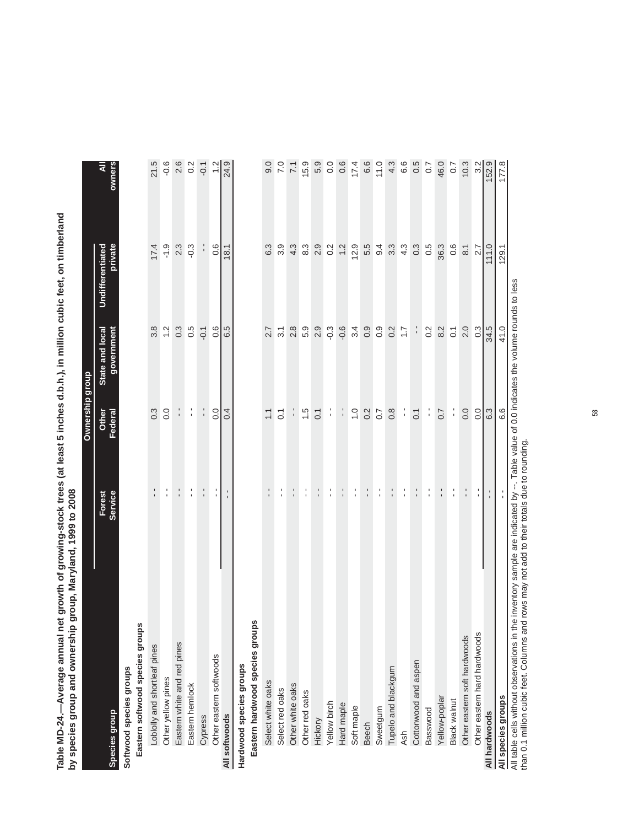Table MD-24.—Average annual net growth of growing-stock trees (at least 5 inches d.b.h.), in million cubic feet, on timberland<br>by species group and ownership group, Maryland, 1999 to 2008 **Table MD-24.—Average annual net growth of growing-stock trees (at least 5 inches d.b.h.), in million cubic feet, on timberland by species group and ownership group, Maryland, 1999 to 2008**

|                                                                                                                                          |                   | Ownership group    |                               |                             |                  |
|------------------------------------------------------------------------------------------------------------------------------------------|-------------------|--------------------|-------------------------------|-----------------------------|------------------|
| Species group                                                                                                                            | Forest<br>Service | Other<br>Federal   | State and local<br>government | private<br>Undifferentiated |                  |
| Softwood species groups                                                                                                                  |                   |                    |                               |                             |                  |
| Eastern softwood species groups                                                                                                          |                   |                    |                               |                             |                  |
| Loblolly and shortleaf pines                                                                                                             |                   | 0.3                | 3.8                           | 17.4                        | 21.5             |
| Other yellow pines                                                                                                                       | f,                | 0.0                | 1.2                           | $-1.9$                      | $-0.6$           |
| Eastern white and red pines                                                                                                              | ÷.                | f,                 | $0.\overline{3}$              | 2.3                         |                  |
| Eastern hemlock                                                                                                                          | ţ.                | $\frac{1}{1}$      | 0.5                           | $-0.3$                      | $2.6$<br>0.2     |
| Cypress                                                                                                                                  | $\frac{1}{1}$     | $\frac{1}{1}$      | $-0.1$                        |                             | $-0.1$           |
| Other eastern softwoods                                                                                                                  | $\frac{1}{4}$     | 0.0                | 0.6                           | 0.6                         |                  |
| All softwoods                                                                                                                            | $\frac{1}{1}$     | $\overline{0}$ .   | 6.5                           | 18.1                        | 24.9             |
| Hardwood species groups                                                                                                                  |                   |                    |                               |                             |                  |
| Eastern hardwood species groups                                                                                                          |                   |                    |                               |                             |                  |
| Select white oaks                                                                                                                        |                   | $\overline{1}$ .   | 2.7                           | 6.3                         | 0.6              |
| Select red oaks                                                                                                                          | f,                | $\overline{0}$ .   | 3.1                           | $3.\overline{9}$            | $\overline{7.0}$ |
| Other white oaks                                                                                                                         |                   |                    | 2.8                           | 4.3                         | $\overline{71}$  |
| Other red oaks                                                                                                                           | f,                | 1.5                | 5.9                           | 8.3                         | 15.9             |
| Hickory                                                                                                                                  |                   | $\overline{0}$ .   | 2.9                           | 2.9                         | 5.9              |
| Yellow birch                                                                                                                             | f,                | f,                 | $-0.3$                        | 0.2                         | $rac{0}{0}$      |
| Hard maple                                                                                                                               | $\frac{1}{1}$     | f,                 | $-0.6$                        | 1.2                         | 0.6              |
| Soft maple                                                                                                                               | Ť,                | $\overline{1}$ . O | 3.4                           | 12.9                        | 17.4             |
| <b>Beech</b>                                                                                                                             |                   | 0.2                | 0.9                           | 5.5                         | 6.6              |
| Sweetgum                                                                                                                                 | ÷,                | 0.7                | $0.\overline{9}$              | 9.4                         | 11.0             |
| Tupelo and blackgum                                                                                                                      | $\frac{1}{1}$     | $0.\overline{8}$   | 0.2                           | $3.\overline{3}$            | 4.3              |
| Ash                                                                                                                                      | f,                | ÷,                 | $\overline{1.7}$              | 4.3                         | 6.6              |
| Cottonwood and aspen                                                                                                                     |                   | $\overline{0}$ . 1 | $\frac{1}{1}$                 | 0.3                         | 0.5              |
| Basswood                                                                                                                                 | ţ.                | f,                 | 0.2                           | 0.5                         | 0.7              |
| Yellow-poplar                                                                                                                            | $\frac{1}{1}$     | 0.7                | 8.2                           | 36.3                        | 46.0             |
| <b>Black walnut</b>                                                                                                                      | f,                | ÷,                 | $\overline{0}$ .              | 0.6                         | 0.7              |
| Other eastern soft hardwoods                                                                                                             |                   | 0.0                | 2.0                           | $\overline{8}$ .1           | 10.3             |
| Other eastern hard hardwoods                                                                                                             |                   | $\overline{0}$     | $0.\overline{3}$              | $\overline{2.7}$            | 3.2              |
| All hardwoods                                                                                                                            |                   | 6.3                | 34.5                          | 111.0                       | 152.9            |
| All species groups                                                                                                                       |                   | 6.6                | 41.0                          | 129.1                       | 177.8            |
| All table cells without observations in the inventory sample are indicated by --. Table value of 0.0 indicates the volume rounds to less |                   |                    |                               |                             |                  |

All table cells without observations in the inventory sample are indicated by --. Table value of 0.0 indicates the volume rounds to less than 0.1 million cubic feet. Columns and rows may not add to their totals due to rounding.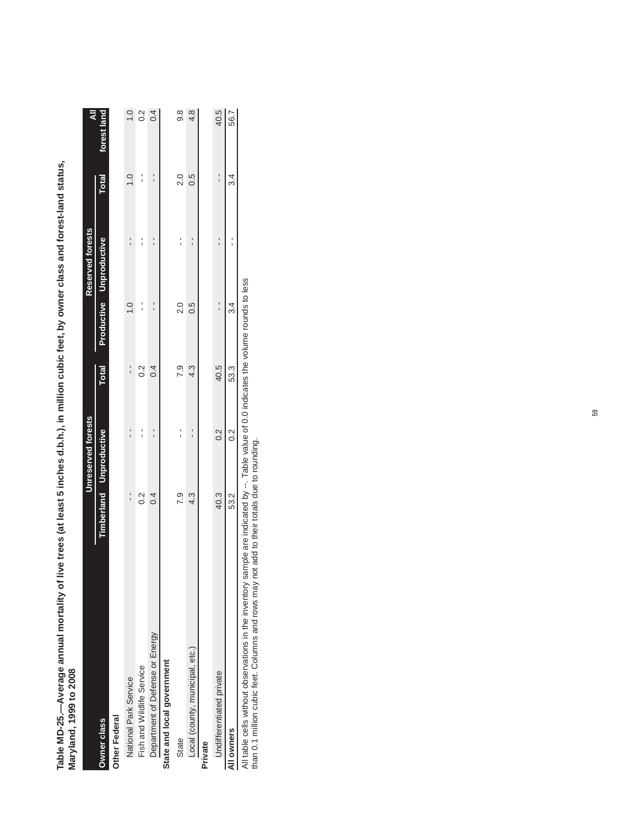| Maryland, 1999 to 2008          |      |                           |              |               |                                         |               |               |
|---------------------------------|------|---------------------------|--------------|---------------|-----------------------------------------|---------------|---------------|
|                                 |      | <b>Unreserved forests</b> |              |               | Reserved forests                        |               | ₹             |
| Owner class                     |      | Timberland Unproductive   | <b>Total</b> |               | <b>Productive Unproductive</b>          | <b>Total</b>  | forest land   |
| Other Federal                   |      |                           |              |               |                                         |               |               |
| National Park Service           |      |                           |              | $\frac{0}{1}$ |                                         | $\bar{c}$     | $\frac{0}{1}$ |
| Fish and Wildlife Service       | 0.2  | $\frac{1}{1}$             | 0.2          | $\frac{1}{1}$ |                                         | $\frac{1}{1}$ | 0.2           |
| Department of Defense or Energy | 0.4  | ı                         | 0.4          |               | $\frac{1}{1}$                           | י<br>י        | 0.4           |
| State and local government      |      |                           |              |               |                                         |               |               |
| State                           | 7.9  | י<br>י                    | 7.9          | 2.0           | ׅ֪֧֚֚֚֚֚֚֚֚֚֚֚֚֚֚֚֚֚֚֚֚֚֚֚֚֚֬֡֡֡֡֓֡֟֝֓֝ | 2.0           | ය.<br>ඉ       |
| Local (county, municipal, etc.) | 4.3  |                           | 4.3          | 0.5           |                                         | S.O           | 4.8           |
| Private                         |      |                           |              |               |                                         |               |               |
| Undifferentiated private        | 40.3 | 0.2                       | 40.5         | $\frac{1}{1}$ |                                         | $\frac{1}{1}$ | 40.5          |
| All owners                      | 53.2 | $\frac{2}{3}$             | 53.3         | 34            |                                         | 34            | 56.7          |

Table MD-25.--Average annual mortality of live trees (at least 5 inches d.b.h.), in million cubic feet, by owner class and forest-land status, **Table MD-25.—Average annual mortality of live trees (at least 5 inches d.b.h.), in million cubic feet, by owner class and forest-land status,** 

All owners<br>All table cells without observations in the inventory sample are indicated by --. Table value of 0.0 indicates the volume rounds to less<br>than 0.1 million cubic feet. Columns and rows may not add to their totals All table cells without observations in the inventory sample are indicated by --. Table value of 0.0 indicates the volume rounds to less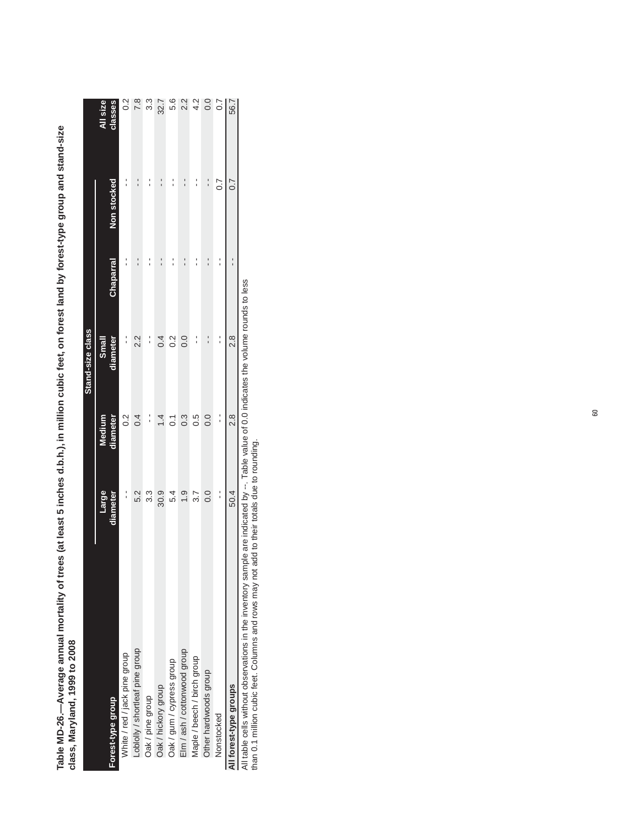| crass, marking is to the factor |                   |                    |                   |                                   |                  |                     |
|---------------------------------|-------------------|--------------------|-------------------|-----------------------------------|------------------|---------------------|
|                                 |                   |                    | Stand-size class  |                                   |                  |                     |
| Forest-type group               | Large<br>diameter | diameter<br>Medium | diameter<br>Small | <b>Chaparral</b>                  | Non stocked      | All size<br>classes |
| White / red / jack pine group   |                   | 0.2                | $\frac{1}{1}$     |                                   |                  | $\frac{2}{3}$       |
| Loblolly / shortleaf pine group | 5.2               | 0.4                | 2.2               |                                   |                  | $\frac{8}{10}$      |
| Oak / pine group                | 3.3               | :                  | Í                 |                                   |                  | ი<br>ი              |
| Oak / hickory group             | 30.9              | 1.4                | 0.4               | ׅ֧֚֚֚֚֚֚֚֚֚֚֚֚֚֚֚֚֚֚֚֚֚֚֚֚֬֡֡֡֡֓֡ | $\frac{1}{1}$    | 32.7                |
| Oak / gum / cypress group       | 5.4               | $\overline{0}$     | 0.2               |                                   | :                | 5.6                 |
| Elm / ash / cottonwood group    | $\ddot{0}$        | $0.\overline{3}$   | 0.0               |                                   |                  | $\frac{2}{3}$       |
| Maple / beech / birch group     | 3.7               | 0.5                |                   |                                   |                  | $rac{2}{4}$         |
| Other hardwoods group           | 0.0               | 0.0                |                   | ֪֢ׅ֚֚֚֚֚֚֚֚֚֚֚֚֚֚֚֚֚֚֚֚֬֡֡֡֡֡֡    |                  | $\overline{0}$      |
| Nonstocked                      | í                 | $\frac{1}{1}$      | $\frac{1}{1}$     | ı                                 | $\overline{0.7}$ | $\overline{0}$ .    |
| All forest-type groups          | 50.4              | 2.8                | $\frac{8}{2}$     |                                   | 0.7              | 56.7                |

Table MD-26.—Average annual mortality of trees (at least 5 inches d.b.h.), in million cubic feet, on forest land by forest-type group and stand-size<br>class, Maryland, 1999 to 2008 **Table MD-26.—Average annual mortality of trees (at least 5 inches d.b.h.), in million cubic feet, on forest land by forest-type group and stand-size class, Maryland, 1999 to 2008**

All table cells without observations in the inventory sample are indicated by --. Table value of 0.0 indicates the volume rounds to less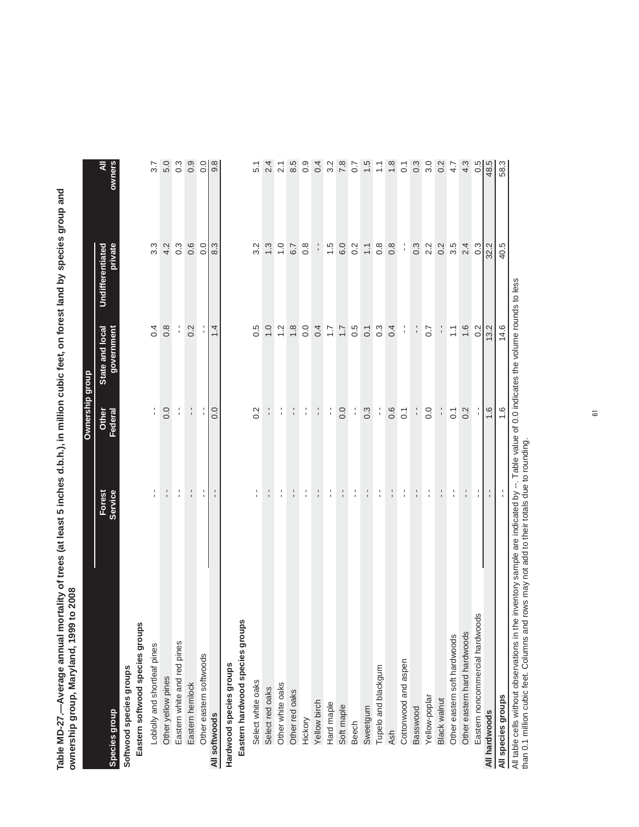Table MD-27.—Average annual mortality of trees (at least 5 inches d.b.h.), in million cubic feet, on forest land by species group and<br>ownership group, Maryland, 1999 to 2008 **Table MD-27.—Average annual mortality of trees (at least 5 inches d.b.h.), in million cubic feet, on forest land by species group and ownership group, Maryland, 1999 to 2008**

|                                                       |                                       | Ownership group  |                                                        |                             |                  |
|-------------------------------------------------------|---------------------------------------|------------------|--------------------------------------------------------|-----------------------------|------------------|
| <b>Species group</b>                                  | Forest<br>Service                     | Federal<br>Other | government<br>State and local                          | private<br>Undifferentiated | owners           |
| Softwood species groups                               |                                       |                  |                                                        |                             |                  |
| Eastern softwood species groups                       |                                       |                  |                                                        |                             |                  |
| Loblolly and shortleaf pines                          | $\frac{1}{1}$                         | $\frac{1}{4}$    | 0.4                                                    | $3.\overline{3}$            | 3.7              |
| Other yellow pines                                    | t,                                    | 0.0              | $0.\overline{8}$                                       | 4.2                         | 5.0              |
| Eastern white and red pines                           | $\frac{1}{1}$                         | $\frac{1}{1}$    | $\frac{1}{1}$                                          | $0.\overline{3}$            | $0.\overline{3}$ |
| Eastern hemlock                                       | $\frac{1}{1}$                         | $\frac{1}{1}$    | 0.2                                                    | 0.6                         | 0.9              |
| Other eastern softwoods                               | $\frac{1}{1}$                         |                  |                                                        | 0.0                         | $\frac{0}{0}$    |
| All softwoods                                         | $\frac{1}{1}$                         | 0.0              | 1.4                                                    | 8.3                         | 9.8              |
| Hardwood species groups                               |                                       |                  |                                                        |                             |                  |
| Eastern hardwood species groups                       |                                       |                  |                                                        |                             |                  |
| Select white oaks                                     | t                                     | 0.2              | 0.5                                                    | $3.\overline{2}$            | 5.1              |
| Select red oaks                                       | :                                     |                  | 1.0                                                    | $\frac{3}{2}$               | 2.4              |
| Other white oaks                                      | $\frac{1}{4}$                         | $\frac{1}{1}$    | $\frac{2}{1}$                                          | $\overline{1}$ .0           | 2.1              |
| Other red oaks                                        | $\frac{1}{1}$                         |                  | 1.8                                                    | 6.7                         | 8.5              |
| Hickory                                               | $\frac{1}{4}$                         | t,               | 0.0                                                    | $0.\overline{8}$            | 0.9              |
| Yellow birch                                          | t,                                    |                  | 0.4                                                    | ı                           | 0.4              |
| Hard maple                                            | f,                                    | l,               | $\ddot{ }$ :                                           | 1.5                         | 3.2              |
| Soft maple                                            | $\frac{1}{1}$                         | 0.0              | $\overline{1}$ .                                       | 6.0                         | 7.8              |
| <b>Beech</b>                                          | $\frac{1}{4}$                         | $\frac{1}{1}$    | 0.5                                                    | 0.2                         | $\frac{2}{3}$    |
| Sweetgum                                              |                                       | $0.\overline{3}$ | $\overline{0}$ :                                       | $\overline{1.1}$            | 1.5              |
| Tupelo and blackgum                                   | f,                                    | l,               | $0.\overline{3}$                                       | $0.\overline{8}$            | $\mathbb{Z}$     |
| <b>Ash</b>                                            | l.                                    | 0.6              | 0.4                                                    | $0.\overline{8}$            | $\frac{8}{1}$    |
| Cottonwood and aspen                                  | f,                                    | $\overline{0}$ : | $\frac{1}{1}$                                          | ĵ                           | $\overline{C}$   |
| Basswood                                              | t,                                    |                  |                                                        | $0.\overline{3}$            | $0.\overline{3}$ |
| Yellow-poplar                                         | l,                                    | $\frac{0}{0}$    | $\overline{0}$ .7                                      | 2.2                         | 3.0              |
| <b>Black walnut</b>                                   | $\frac{1}{1}$                         |                  |                                                        | 0.2                         | 0.2              |
| Other eastern soft hardwoods                          | l.                                    | $\overline{0}$ . | $\frac{1}{1}$                                          | 3.5                         | 4.7              |
| Other eastern hard hardwoods                          | $\blacksquare$                        | 0.2              | 1.6                                                    | 2.4                         | 4.3              |
| $\overline{\omega}$<br>Eastern noncommercial hardwood | $\mathbf{r}$                          |                  | 0.2                                                    | $0.\overline{3}$            | 0.5              |
| All hardwoods                                         | $\mathbf{r}$                          | 1.6              | 13.2                                                   | 32.2                        | 48.5             |
| All species groups                                    | $\frac{1}{4}$                         | 1.6              | 14.6                                                   | 40.5                        | 58.3             |
| All table cells without observations in the           | inventory sample are indicated by --. |                  | Table value of 0.0 indicates the volume rounds to less |                             |                  |

All table cells without observations in the inventory sample are indicated by --. Table value of 0.0 indicates the volume rounds to less than 0.1 million cubic feet. Columns and rows may not add to their totals due to rounding.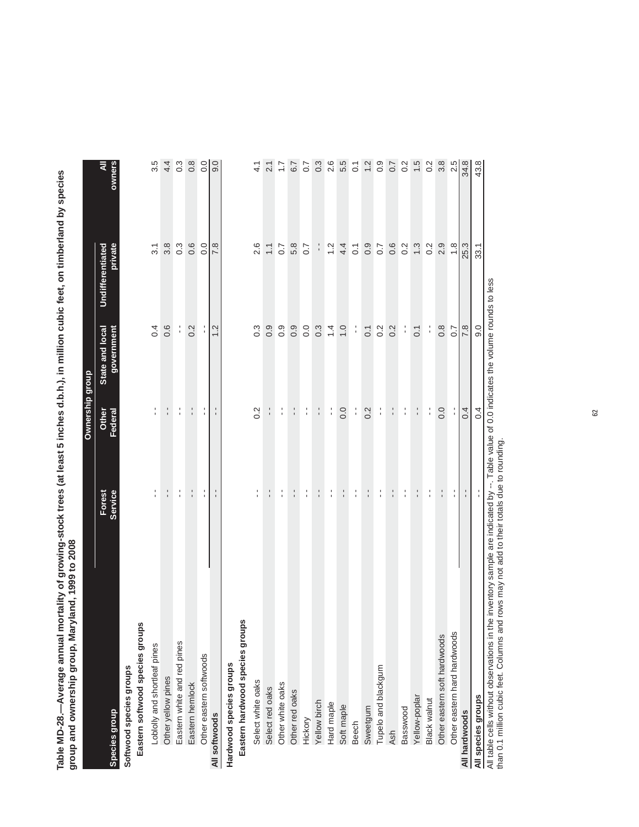Table MD-28.—Average annual mortality of growing-stock trees (at least 5 inches d.b.h.), in million cubic feet, on timberland by species<br>group and ownership group, Maryland, 1999 to 2008 **Table MD-28.—Average annual mortality of growing-stock trees (at least 5 inches d.b.h.), in million cubic feet, on timberland by species group and ownership group, Maryland, 1999 to 2008**

|                                 |                   | Ownership group  |                               |                                    |                  |
|---------------------------------|-------------------|------------------|-------------------------------|------------------------------------|------------------|
| Species group                   | Forest<br>Service | Federal<br>Other | State and local<br>government | private<br><b>Undifferentiated</b> | Š                |
| Softwood species groups         |                   |                  |                               |                                    |                  |
| Eastern softwood species groups |                   |                  |                               |                                    |                  |
| Loblolly and shortleaf pines    | $\frac{1}{1}$     | l,               | 0.4                           | 3.1                                | 3.5              |
| Other yellow pines              | $\frac{1}{1}$     | $\frac{1}{1}$    | 0.6                           | 3.8                                | 4.4              |
| Eastern white and red pines     | $\frac{1}{1}$     | f,               | $\frac{1}{1}$                 | $0.\overline{3}$                   | $0.\overline{3}$ |
| Eastern hemlock                 | $\frac{1}{1}$     | $\frac{1}{1}$    | 0.2                           | 0.6                                | $0.\overline{8}$ |
| Other eastern softwoods         | t,                | ţ.               | $\frac{1}{1}$                 | 0.0                                | 0.0              |
| All softwoods                   | $\frac{1}{1}$     | $\frac{1}{1}$    | 1.2                           | 7.8                                | 0.6              |
| Hardwood species groups         |                   |                  |                               |                                    |                  |
| Eastern hardwood species groups |                   |                  |                               |                                    |                  |
| Select white oaks               | $\frac{1}{1}$     | 0.2              | $0.\overline{3}$              | 2.6                                | 4.1              |
| Select red oaks                 | $\frac{1}{1}$     | $\frac{1}{1}$    | 0.9                           | $\overline{\cdot}$                 | 2.1              |
| Other white oaks                | f,                | ţ                | $0.\overline{9}$              | $\overline{0.7}$                   | $\ddot{ }$ :     |
| Other red oaks                  | $\frac{1}{1}$     | $\frac{1}{1}$    | 0.9                           | 5.8                                | 6.7              |
| Hickory                         | f,                | l.               | 0.0                           | 0.7                                | $\overline{0.7}$ |
| Yellow birch                    | $\frac{1}{1}$     | $\frac{1}{1}$    | $0.\overline{3}$              | ÷,                                 | $0.\overline{3}$ |
| Hard maple                      | l.                | l.               | $\ddot{4}$                    | 1.2                                | 2.6              |
| Soft maple                      | $\frac{1}{4}$     | 0.0              | $\overline{1}$ .0             | 4.4                                | 5.5              |
| <b>Beech</b>                    | t,                | f,               | f,                            | $\overline{\text{o}}$              | $\overline{0}$ . |
| Sweetgum                        | f,                | 0.2              | $\overline{0}$ .1             | 0.9                                | 1.2              |
| Tupelo and blackgum             | $\frac{1}{1}$     | l.               | 0.2                           | 0.7                                | $0.\overline{0}$ |
| Ash                             | $\frac{1}{1}$     | $\frac{1}{1}$    | 0.2                           | 0.6                                | 0.7              |
| Basswood                        | f,                | l.               | f,                            | 0.2                                | 0.2              |
| Yellow-poplar                   | $\frac{1}{1}$     | $\frac{1}{1}$    | $\overline{0}$ .1             | 1.3                                | 1.5              |
| <b>Black walnut</b>             | f,                | f,               | f,                            | 0.2                                | 0.2              |
| Other eastern soft hardwoods    | $\frac{1}{1}$     | 0.0              | $0.\overline{8}$              | 2.9                                | 3.8              |
| Other eastern hard hardwoods    | t,                |                  | $\overline{0.7}$              | $\frac{8}{1}$                      | 2.5              |
| All hardwoods                   |                   | 0.4              | 7.8                           | 25.3                               | 34.8             |
| All species groups              |                   | 0.4              | 0.6                           | 33.1                               | 43.8             |

All table cells without observations in the inventory sample are indicated by --. Table value of 0.0 indicates the volume rounds to less<br>than 0.1 million cubic feet. Columns and rows may not add to their totals due to roun All table cells without observations in the inventory sample are indicated by --. Table value of 0.0 indicates the volume rounds to less

 $S$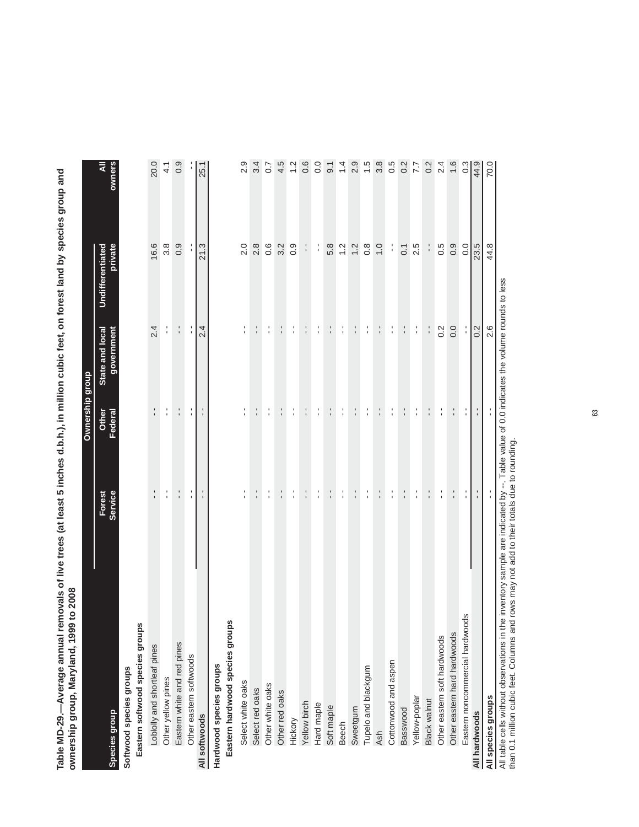Table MD-29.—Average annual removals of live trees (at least 5 inches d.b.h.), in million cubic feet, on forest land by species group and<br>ownership group, Maryland, 1999 to 2008 **Table MD-29.—Average annual removals of live trees (at least 5 inches d.b.h.), in million cubic feet, on forest land by species group and ownership group, Maryland, 1999 to 2008**

|                                                                                                                                          |                   | Ownership group  |                               |                             |                   |
|------------------------------------------------------------------------------------------------------------------------------------------|-------------------|------------------|-------------------------------|-----------------------------|-------------------|
| <b>Species group</b>                                                                                                                     | Forest<br>Service | Federal<br>Other | State and local<br>government | private<br>Undifferentiated | owners            |
| Softwood species groups                                                                                                                  |                   |                  |                               |                             |                   |
| Eastern softwood species groups                                                                                                          |                   |                  |                               |                             |                   |
| Loblolly and shortleaf pines                                                                                                             | $\frac{1}{1}$     | $\frac{1}{1}$    | 2.4                           | 16.6                        | 20.0              |
| Other yellow pines                                                                                                                       | f,                | f,               | $\frac{1}{1}$                 | 3.8                         | $\frac{1}{4}$     |
| Eastern white and red pines                                                                                                              | $\frac{1}{1}$     | $\frac{1}{1}$    | t,                            | 0.9                         | 0.9               |
| Other eastern softwoods                                                                                                                  | l.                | ţ                | $\frac{1}{1}$                 |                             |                   |
| All softwoods                                                                                                                            | $\frac{1}{1}$     | $\frac{1}{4}$    | 2.4                           | 21.3                        | 25.1              |
| Hardwood species groups                                                                                                                  |                   |                  |                               |                             |                   |
| Eastern hardwood species groups                                                                                                          |                   |                  |                               |                             |                   |
| Select white oaks                                                                                                                        | l,                | t.               | l,                            | 2.0                         | 2.9               |
| Select red oaks                                                                                                                          | $\frac{1}{1}$     | $\frac{1}{4}$    | $\frac{1}{4}$                 | 2.8                         | 3.4               |
| Other white oaks                                                                                                                         | l.                | f,               | l.                            | $0.\overline{6}$            | $\overline{0}$    |
| Other red oaks                                                                                                                           | $\frac{1}{1}$     | $\frac{1}{1}$    | $\frac{1}{1}$                 | 3.2                         | 4.5               |
| Hickory                                                                                                                                  | f,                | t                | f,                            | 0.9                         | $\frac{2}{3}$     |
| Yellow birch                                                                                                                             | $\frac{1}{1}$     | $\frac{1}{1}$    | $\frac{1}{1}$                 | i,                          | 0.6               |
| Hard maple                                                                                                                               | l,                | l.               | $\frac{1}{1}$                 | l,                          | $\frac{0}{0}$     |
| Soft maple                                                                                                                               | ÷,                | ÷                | ÷,                            | 5.8                         | $\overline{9}$ .1 |
| <b>Beech</b>                                                                                                                             | l.                | l.               | f,                            | $\frac{2}{1}$               | $\frac{4}{1}$     |
| Sweetgum                                                                                                                                 | $\frac{1}{1}$     | $\frac{1}{1}$    | $\frac{1}{1}$                 | 1.2                         | 2.9               |
| Tupelo and blackgum                                                                                                                      | $\frac{1}{1}$     | $\frac{1}{4}$    | $\frac{1}{4}$                 | $0.\overline{8}$            | 1.5               |
| Ash                                                                                                                                      | $\frac{1}{1}$     | t,               | $\frac{1}{1}$                 | 0.1                         | 3.8               |
| Cottonwood and aspen                                                                                                                     | f,                | f,               | t,                            | ţ.                          | 0.5               |
| Basswood                                                                                                                                 |                   | ÷                | ÷.                            | 0.1                         | 0.2               |
| Yellow-poplar                                                                                                                            | l.                | f,               | ţ.                            | 2.5                         | 7.7               |
| <b>Black walnut</b>                                                                                                                      | t,                | ÷,               | f,                            | $\frac{1}{1}$               | 0.2               |
| Other eastern soft hardwoods                                                                                                             | f,                | $\frac{1}{1}$    | 0.2                           | 0.5                         |                   |
| Other eastern hard hardwoods                                                                                                             | $\frac{1}{1}$     | $\frac{1}{1}$    | 0.0                           | 0.9                         | $2.4$<br>1.6      |
| Eastern noncommercial hardwoods                                                                                                          |                   | f,               |                               | $\overline{0}$ .            | $0.\overline{3}$  |
| All hardwoods                                                                                                                            |                   |                  | 0.2                           | 23.5                        | $\sqrt{4.9}$      |
| All species groups                                                                                                                       |                   |                  | 2.6                           | 44.8                        | 70.0              |
| All table cells without observations in the inventory sample are indicated by --. Table value of 0.0 indicates the volume rounds to less |                   |                  |                               |                             |                   |

rounds to less All table cells without observations in the inventory sample are indicated by --. Table value of 0.0 indicates the volume rounds to less n<br>D 5 All table cells without observations in the inventory sample are indicated by --. Table value<br>than 0.1 million cubic feet. Columns and rows may not add to their totals due to rounding.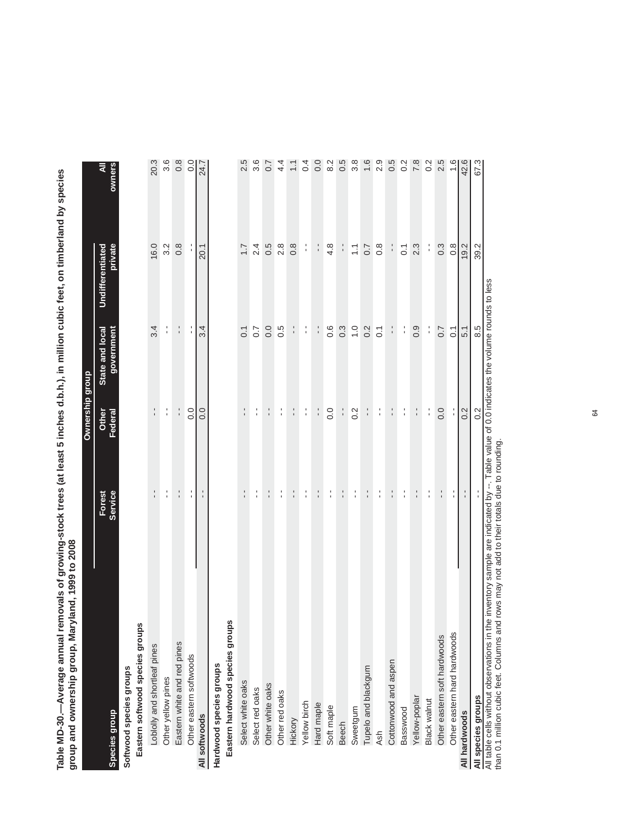Table MD-30.—Average annual removals of growing-stock trees (at least 5 inches d.b.h.), in million cubic feet, on timberland by species<br>group and ownership group, Maryland, 1999 to 2008 **Table MD-30.—Average annual removals of growing-stock trees (at least 5 inches d.b.h.), in million cubic feet, on timberland by species group and ownership group, Maryland, 1999 to 2008**

|                                                                                                                                          |                   | Ownership group  |                               |                             |                |
|------------------------------------------------------------------------------------------------------------------------------------------|-------------------|------------------|-------------------------------|-----------------------------|----------------|
| <b>Species group</b>                                                                                                                     | Forest<br>Service | Federal<br>Other | government<br>State and local | private<br>Undifferentiated | owners         |
| Softwood species groups                                                                                                                  |                   |                  |                               |                             |                |
| Eastern softwood species groups                                                                                                          |                   |                  |                               |                             |                |
| Loblolly and shortleaf pines                                                                                                             | $\frac{1}{1}$     |                  | 3.4                           | 16.0                        | 20.3           |
| Other yellow pines                                                                                                                       | $\frac{1}{1}$     | $\frac{1}{1}$    | $\frac{1}{1}$                 | 3.2                         | 3.6            |
| Eastern white and red pines                                                                                                              | $\frac{1}{1}$     | $\frac{1}{1}$    | $\frac{1}{4}$                 | $0.\overline{8}$            | 0.8            |
| Other eastern softwoods                                                                                                                  | $\frac{1}{1}$     | 0.0              | $\frac{1}{1}$                 |                             | 0.0            |
| All softwoods                                                                                                                            | $\frac{1}{1}$     | 0.0              | 3.4                           | 20.1                        | 24.7           |
| Hardwood species groups                                                                                                                  |                   |                  |                               |                             |                |
| Eastern hardwood species groups                                                                                                          |                   |                  |                               |                             |                |
| Select white oaks                                                                                                                        | $\frac{1}{1}$     | t,               | $\overline{0}$ .              | $\overline{1}$ .            | 2.5            |
| Select red oaks                                                                                                                          | $\frac{1}{1}$     | l.               | $\overline{0}$ .7             | $\frac{4}{2}$               | 3.6            |
| Other white oaks                                                                                                                         | f                 | $\frac{1}{1}$    | 0.0                           | 0.5                         | $\overline{0}$ |
| Other red oaks                                                                                                                           | $\frac{1}{1}$     | $\frac{1}{1}$    | 0.5                           | 2.8                         | 4.4            |
| Hickory                                                                                                                                  | t.                | t,               | t,                            | $0.\overline{8}$            |                |
| Yellow birch                                                                                                                             | $\frac{1}{1}$     | $\frac{1}{1}$    | $\frac{1}{1}$                 | $\frac{1}{1}$               | 0.4            |
| Hard maple                                                                                                                               | $\frac{1}{1}$     | $\frac{1}{1}$    | $\frac{1}{1}$                 |                             | 0.0            |
| Soft maple                                                                                                                               | $\frac{1}{1}$     | 0.0              | 0.6                           | 4.8                         | 8.2            |
| <b>Beech</b>                                                                                                                             | $\frac{1}{1}$     |                  | $0.\overline{3}$              | $\frac{1}{1}$               | 0.5            |
| Sweetgum                                                                                                                                 | f,                | 0.2              | $\overline{1}$ . O            | $\sum$                      | 3.8            |
| Tupelo and blackgum                                                                                                                      | $\frac{1}{1}$     | i.               | 0.2                           | 0.7                         | 1.6            |
| <b>Ash</b>                                                                                                                               | $\frac{1}{1}$     | l.               | $\overline{0}$ .              | $0.\overline{8}$            | 2.9            |
| Cottonwood and aspen                                                                                                                     | $\frac{1}{4}$     | $\frac{1}{1}$    | t,                            | f,                          | 0.5            |
| Basswood                                                                                                                                 | $\frac{1}{1}$     | $\frac{1}{1}$    | $\frac{1}{1}$                 | $\overline{0}$              | 0.2            |
| Yellow-poplar                                                                                                                            | $\frac{1}{1}$     | f,               | 0.9                           | $2.\overline{3}$            | 7.8            |
| Black walnut                                                                                                                             | f,                | ţ.               | f,                            | f,                          | 0.2            |
| Other eastern soft hardwoods                                                                                                             | $\frac{1}{1}$     | $\overline{0}$ . | 0.7                           | $0.\overline{3}$            | 2.5            |
| Other eastern hard hardwoods                                                                                                             | f,                |                  | $\overline{C}$                | $0.\overline{8}$            | $\frac{6}{1}$  |
| All hardwoods                                                                                                                            |                   | 0.2              | 5.1                           | 19.2                        | 42.6           |
| All species groups                                                                                                                       |                   | 0.2              | 8.5                           | 39.2                        | 67.3           |
| All table cells without observations in the inventory sample are indicated by --. Table value of 0.0 indicates the volume rounds to less |                   |                  |                               |                             |                |

All table cells without observations in the inventory sample are indicated by --. Table value of 0.0 indicates the volume rounds to less than 0.1 million cubic feet. Columns and rows may not add to their totals due to rounding.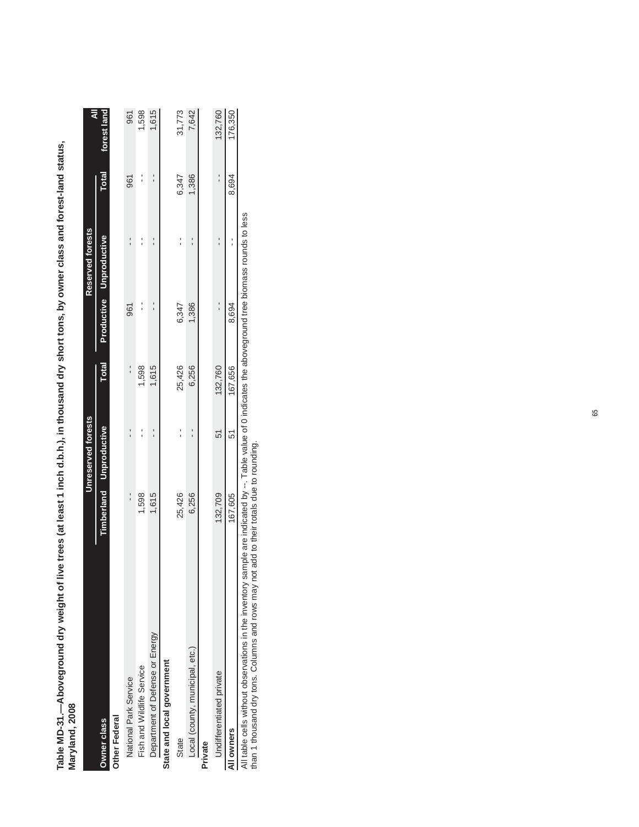| Maryland, 2008                  |         |                                |              |       |                         |                                           |             |
|---------------------------------|---------|--------------------------------|--------------|-------|-------------------------|-------------------------------------------|-------------|
|                                 |         | Unreserved forests             |              |       | Reserved forests        |                                           | ₹           |
| Owner class                     |         | <b>Timberland</b> Unproductive | <b>Total</b> |       | Productive Unproductive | <b>Total</b>                              | forest land |
| Other Federal                   |         |                                |              |       |                         |                                           |             |
| National Park Service           |         |                                | ı            | 961   |                         | 961                                       | 961         |
| Fish and Wildlife Service       | 1,598   |                                | 1,598        | I     |                         | ֧֦֧֦֧֧֚֚֚֚֚֚֚֚֚֚֚֚֚֚֚֬֕֕֓֕֓֕֓֕֓֡֝֓֕֓֡֝֬֝֓ | 1,598       |
| Department of Defense or Energy | 1,615   |                                | 1,615        |       |                         |                                           | 1,615       |
| State and local government      |         |                                |              |       |                         |                                           |             |
| State                           | 25,426  |                                | 25,426       | 6,347 |                         | 6,347                                     | 31,773      |
| Local (county, municipal, etc.) | 6,256   |                                | 6,256        | 1,386 |                         | 1,386                                     | 7,642       |
| Private                         |         |                                |              |       |                         |                                           |             |
| Undifferentiated private        | 132,709 | 51                             | 132,760      |       |                         |                                           | 132,760     |
| All owners                      | 167,605 | 51                             | 167.656      | 8,694 |                         | 8,694                                     | 176,350     |

Table MD-31.-Aboveground dry weight of live trees (at least 1 inch d.b.h.), in thousand dry short tons, by owner class and forest-land status, **Table MD-31.—Aboveground dry weight of live trees (at least 1 inch d.b.h.), in thousand dry short tons, by owner class and forest-land status,** 

(Table 32 continued on next page) - - 8,694 176,350 8,694 All table cells without observations in the inventory sample are indicated by --. Table value of 0 indicates the aboveground tree biomass rounds to less 167,605 51 167,656 8,694 **All owners** 

than 1 thousand dry tons. Columns and rows may not add to their totals due to rounding.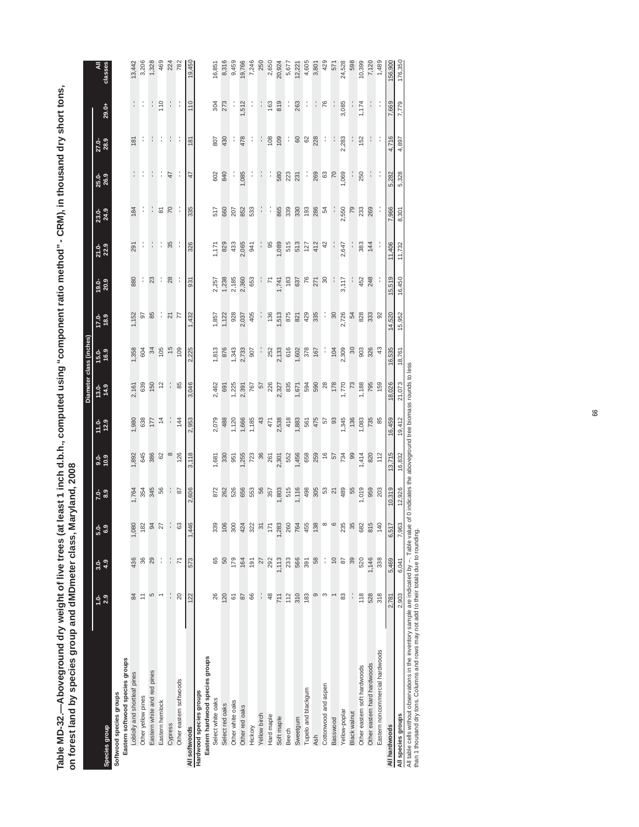Table MD-32.—Aboveground dry weight of live trees (at least 1 inch d.b.h., computed using "component ratio method" - CRM), in thousand dry short tons,<br>on forest land by species group and dMDmeter class, Maryland, 2008 **Table MD-32.—Aboveground dry weight of live trees (at least 1 inch d.b.h., computed using "component ratio method" - CRM), in thousand dry short tons, on forest land by species group and dMDmeter class, Maryland, 2008**

|                                 |                |                |                            |                       |                  |                 |                             | Diameter class (inches)    |                          |                                           |               |                |               |                  |                      |                 |
|---------------------------------|----------------|----------------|----------------------------|-----------------------|------------------|-----------------|-----------------------------|----------------------------|--------------------------|-------------------------------------------|---------------|----------------|---------------|------------------|----------------------|-----------------|
| Species group                   | $1.0 - 2.9$    | $3.0 -$<br>4.9 | <u>ດິ</u>                  | 7.89                  | $3.0 - 0.9$      | $11.0 - 12.9$   | $\frac{13.0}{14.9}$         | 15.0-<br>16.9              | $17.0 - 11.9$            | $19.0 - 20.9$                             | $21.0 - 22.9$ | 23.0-<br>24.9  | 25.0-<br>26.9 | $27.0 - 28.9$    | 29.0+                | All<br>classes  |
| Softwood species groups         |                |                |                            |                       |                  |                 |                             |                            |                          |                                           |               |                |               |                  |                      |                 |
| Eastern softwood species groups |                |                |                            |                       |                  |                 |                             |                            |                          |                                           |               |                |               |                  |                      |                 |
| Loblolly and shortleaf pines    | $\frac{4}{3}$  | 436            |                            | 1,764                 | 1,892            | 1,980           | 2,161                       | 1,358                      | 1,152                    | 880                                       | 291           | 184            |               | 181              | f,                   | 13,442          |
| Other yellow pines              | $\overline{a}$ | 36             |                            | 354<br>345            |                  | 638             | 639                         | 604                        | <b>95</b>                |                                           | f,            | ÷              |               | f,               | f,                   | 3,206           |
| Eastern white and red pines     | 5              | 29             | $4.80$<br>$4.82$<br>$5.87$ |                       | 645<br>386<br>62 | 177             | 150                         | 34                         |                          | $\frac{1}{2}$                             | í             | ţ.             | $\frac{1}{1}$ |                  | f,                   | 1,328           |
| Eastern hemlock                 |                | ţ              |                            | 56                    |                  |                 | $\frac{2}{3}$               |                            |                          |                                           |               |                |               |                  | 110                  | 469             |
| Cypress                         | $\frac{1}{1}$  | $\frac{1}{1}$  |                            | ÷                     | $\infty$         | ÷               | ÷                           | $rac{6}{6}$<br>$rac{1}{6}$ | : 2<br>2                 | $\frac{1}{28}$                            | 35            | $\frac{5}{20}$ | 47            | ÷                | ÷                    | 224<br>782      |
| Other eastern softwoods         | $\overline{c}$ | $\overline{7}$ |                            | 67                    | 126              | 144             | 85                          |                            |                          |                                           |               |                |               |                  |                      |                 |
| All softwoods                   | 122            | 573            | 1,446                      | 2,606                 | 3,118            | 2,953           | 3,046                       | 2,225                      | 1,432                    | 931                                       | 326           | 335            | 47            | 181              | 110                  | 19,450          |
| Hardwood species groups         |                |                |                            |                       |                  |                 |                             |                            |                          |                                           |               |                |               |                  |                      |                 |
| Eastern hardwood species groups |                |                |                            |                       |                  |                 |                             |                            |                          |                                           |               |                |               |                  |                      |                 |
| Select white oaks               | 26             | 65             | 339                        | 872                   | 1,681            | 2,079           | 2,462                       | 1,813                      | 1,857                    | 2,257                                     | 1,171         | 517            | 602           | 807              | 304                  | 16,851          |
| Select red oaks                 | 120            | 50             | 106                        | 262<br>526            | 330              | 488             | 691                         | 876                        | 1,122                    | 1,238<br>2,185                            | 829           | 660            | 840           | 430              | 273                  | 8,316           |
| Other white oaks                | $\overline{6}$ | 179            | 300                        |                       | 951              | 1,120           | 1,225                       | 1,343                      | 928                      |                                           | 433           | 207            |               |                  |                      | 9,459           |
| Other red oaks                  | $87\,$         | 164            | 424                        | 656<br>553            | 1,255            | 1,666           | 2,391                       | 2,733                      | 2,037                    | 2,360                                     | 2,065         | 852            | 1,085         | 478              | 1,512                | 19,766          |
| Hickory                         | 86             | 191            |                            |                       | 723              | 1,185           | 767                         | 907                        | 405                      | 653                                       | 941           | 533            |               |                  | ÷,                   | 7,246           |
| Yellow birch                    |                | 27             | $\frac{22}{37}$            | 56                    | 36               | $43$            | 57<br>226                   |                            |                          |                                           |               | ÷,             | f,            | ì                | ÷,                   | 250             |
| Hard maple                      | \$             | 292            |                            |                       |                  | 471             |                             | 252                        | 136                      | $\overline{7}$                            | 95            | ÷              | ÷,            |                  | 163                  | 2,650           |
| Soft maple                      | 711            | I,113          | 1,283                      | 357<br>1,803<br>1,116 | 261              | 2,538           | 2,327<br>835                | 2,133                      | ,513                     | 1,741                                     | ,089          | 865            | 580           | $\frac{60}{100}$ | 819                  | 20,924          |
| Beech                           | 112            | 233            | 260                        |                       | 552              | 418             |                             | 616                        |                          |                                           | 515           |                | 223           | ÷                |                      |                 |
| Sweetgum                        | 310            | 566            | 764                        |                       | 1,456            | 1,883           | .671                        | 1,602                      |                          |                                           | 513           | 330            | 231           | <b>88</b>        | 263                  | 5,677<br>12,221 |
| Tupelo and blackgum             | 183            | 391            | 455                        |                       | 658              | 561             | 594                         | 378<br>167                 | 875<br>821<br>429<br>335 | $\frac{183}{57}$<br>$\frac{75}{27}$<br>30 | 127           | 193            | ÷,            |                  | $\ddot{\phantom{0}}$ | 4,605           |
| <b>Ash</b>                      | $\circ$        | 58             | 138                        |                       | 259              | 475             | 590<br>28<br>1,770<br>1,770 |                            |                          |                                           | 412           | 286            | 269           | 228              | ÷.                   | 3,801           |
| Cottonwood and aspen            | S              | t              |                            |                       |                  | <b>57</b><br>58 |                             | ÷,                         | ÷,                       |                                           | 42            | 54             | $63\,$        | ÷,               | 76                   | 429             |
| Basswood                        |                | $\overline{0}$ |                            |                       | 674              |                 |                             | 104                        | $\infty$                 |                                           | f,            | ÷,             | $\alpha$      | Ŷ                |                      | 571             |
| Yellow-poplar                   | 83             | 87             | 235                        |                       |                  | , 345           |                             | 2,309                      | 2,726                    | 3,117                                     | 2,647         | 2,550          | 1,069         | 2,283            | 3,085                | 24,528          |
| Black walnut                    | í              | 39             | ო                          | 55                    | $\overline{8}$   | 136             | 73                          | $\approx$                  | 54                       | f,                                        | ŀ             | 79             |               |                  |                      | 598             |
| Other eastern soft hardwoods    | 118            | 520            | 682                        | 1,019                 | 1,414            | 1,083           | 1,188                       | 903                        | 828                      | 452                                       | 383           | 233            | 250           | 152              | 1,174                | 10,399          |
| Other eastern hard hardwoods    | 528            | 1,146          | 815                        | 959                   | 820              | 735             | 795                         | 326                        | 333                      | 248                                       | 144           | 269            |               |                  |                      | 7,120           |
| Eastern noncommercial hardwoods | 318            | 338            | 140                        | 203                   | 112              | 85              | 159                         | 43                         | $\infty$                 |                                           |               | ÷              |               | ÷                |                      | 1,489           |
| All hardwoods                   | 2,781          | 5,469          | 6,51                       | 10,319                | 13,715           | 16,459          | 18,026                      | 16,535                     | 14,520                   | 15,519                                    | 11,406        | 7,966          | 5,282         | 4,716            | 7,669                | 156,900         |
| All species groups              | 2,903          | 6,041          | 7,96                       | 12,926                | 16,832           | 19,412          | 21,073                      | 18,761                     | 15,952                   | 16,450                                    | 11,732        | $-301$<br>ထံ   | 5,328         | 4,897            | 7,779                | 176,350         |
|                                 |                |                |                            |                       |                  |                 |                             |                            |                          |                                           |               |                |               |                  |                      |                 |

All table cells without observations in the inventory sample are indicated by --. Table value of 0 indicates the aboveground tree biomass rounds to less

than 1 thousand dry tons. Columns and rows may not add to their totals due to rounding.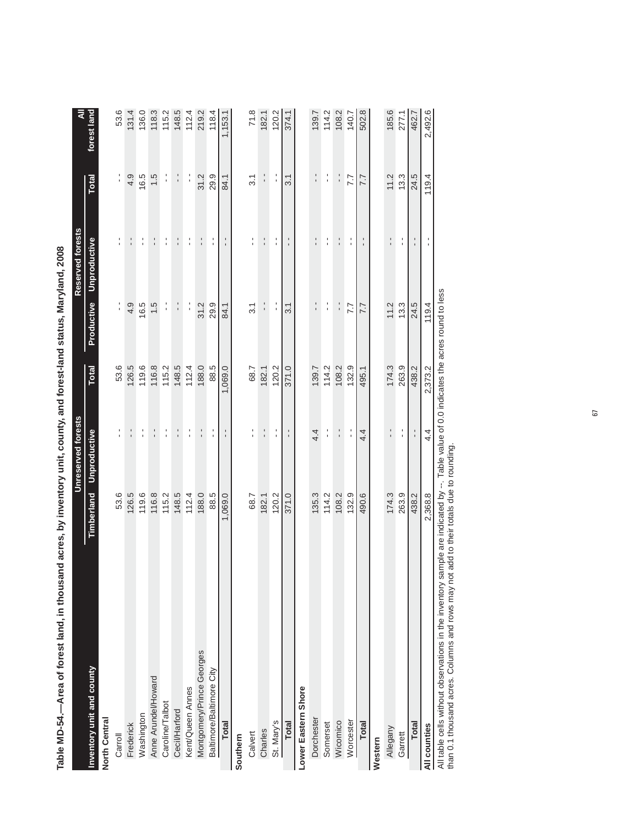| opportunity the control of the control of the control of the control of the control of the control of the control of the control of the control of the control of the control of the control of the control of the control of<br>abie MD-24. |                         |                                                      |              |                  |                  |                  |             |
|----------------------------------------------------------------------------------------------------------------------------------------------------------------------------------------------------------------------------------------------|-------------------------|------------------------------------------------------|--------------|------------------|------------------|------------------|-------------|
|                                                                                                                                                                                                                                              |                         | <b>Unreserved forests</b>                            |              |                  | Reserved forests |                  | ₹           |
| Inventory unit and county                                                                                                                                                                                                                    | Timberland Unproductive |                                                      | <b>Total</b> | Productive       | Unproductive     | Total            | forest land |
| North Central                                                                                                                                                                                                                                |                         |                                                      |              |                  |                  |                  |             |
| Carroll                                                                                                                                                                                                                                      | 53.6                    | $\blacksquare$                                       | 53.6         | $\frac{1}{1}$    | ٠                | $\frac{1}{1}$    | 53.6        |
| Frederick                                                                                                                                                                                                                                    | 126.5                   | I                                                    | 126.5        | 4.9              | $\frac{1}{1}$    | 4.9              | 131.4       |
| Washington                                                                                                                                                                                                                                   | 119.6                   | $\frac{1}{1}$                                        | 119.6        | 16.5             | ţ                | 16.5             | 136.0       |
| Anne Arundel/Howard                                                                                                                                                                                                                          | 116.8                   | $\frac{1}{1}$                                        | 116.8        | 1.5              | $\frac{1}{1}$    | 1.5              | 118.3       |
| Caroline/Talbot                                                                                                                                                                                                                              | 115.2                   | $\frac{1}{1}$                                        | 115.2        | $\frac{1}{1}$    | $\frac{1}{1}$    | $\frac{1}{1}$    | 115.2       |
| Cecil/Harford                                                                                                                                                                                                                                | 148.5                   | ı                                                    | 148.5        | $\frac{1}{1}$    | $\frac{1}{1}$    | $\frac{1}{1}$    | 148.5       |
| Kent/Queen Annes                                                                                                                                                                                                                             | 112.4                   | $\frac{1}{1}$                                        | 112.4        | $\frac{1}{1}$    | $\frac{1}{1}$    | l,               | 112.4       |
| Montgomery/Prince Georges                                                                                                                                                                                                                    | 188.0                   | $\frac{1}{1}$                                        | 188.0        | 31.2             | $\frac{1}{1}$    | 31.2             | 219.2       |
| Baltimore/Baltimore City                                                                                                                                                                                                                     | 88.5                    | l.                                                   | 88.5         | 29.9             | ţ                | 29.9             | 118.4       |
| <b>Total</b>                                                                                                                                                                                                                                 | 1,069.0                 |                                                      | 1,069.0      | 84.1             | $\frac{1}{1}$    | 84.1             | 1,153.1     |
| Southern                                                                                                                                                                                                                                     |                         |                                                      |              |                  |                  |                  |             |
| Calvert                                                                                                                                                                                                                                      | 68.7                    | I                                                    | 68.7         | $\overline{3}$ . | $\frac{1}{1}$    | $\overline{3}$ . | 71.8        |
| Charles                                                                                                                                                                                                                                      | 182.1                   | $\frac{1}{1}$                                        | 182.1        |                  | $\frac{1}{1}$    | f,               | 182.1       |
| St. Mary's                                                                                                                                                                                                                                   | 120.2                   | $\frac{1}{1}$                                        | 120.2        | l.               | $\frac{1}{1}$    | $\frac{1}{1}$    | 120.2       |
| <b>Total</b>                                                                                                                                                                                                                                 | 371.0                   | $\frac{1}{1}$                                        | 371.0        | $\overline{31}$  | $\frac{1}{1}$    | $\overline{3}$ . | 374.1       |
| Lower Eastern Shore                                                                                                                                                                                                                          |                         |                                                      |              |                  |                  |                  |             |
| Dorchester                                                                                                                                                                                                                                   | 135.3                   | 4.4                                                  | 139.7        |                  |                  | '<br>'           | 139.7       |
| Somerset                                                                                                                                                                                                                                     | 114.2                   | $\frac{1}{1}$                                        | 114.2        | $\frac{1}{1}$    | $\frac{1}{1}$    | $\frac{1}{1}$    | 114.2       |
| Wicomico                                                                                                                                                                                                                                     | 108.2                   | $\frac{1}{1}$                                        | 108.2        | $\frac{1}{1}$    | $\frac{1}{1}$    | $\frac{1}{1}$    | 108.2       |
| Worcester                                                                                                                                                                                                                                    | 132.9                   |                                                      | 132.9        | 7.7              | $\mathbf{r}$     | 7.7              | 140.7       |
| <b>Total</b>                                                                                                                                                                                                                                 | 490.6                   | 4.4                                                  | 495.1        | 7.7              | $\frac{1}{1}$    | 7.7              | 502.8       |
| Western                                                                                                                                                                                                                                      |                         |                                                      |              |                  |                  |                  |             |
| Allegany                                                                                                                                                                                                                                     | 174.3                   | $\frac{1}{1}$                                        | 174.3        | 11.2             | $\frac{1}{1}$    | 11.2             | 185.6       |
| Garrett                                                                                                                                                                                                                                      | 263.9                   | l.                                                   | 263.9        | 13.3             | $\blacksquare$   | 13.3             | 277.1       |
| Total                                                                                                                                                                                                                                        | 438.2                   | $\frac{1}{1}$                                        | 438.2        | 24.5             | $\frac{1}{1}$    | 24.5             | 462.7       |
| All counties                                                                                                                                                                                                                                 | 2,368.8                 | $4\overline{4}$                                      | 2,373.2      | 119.4            | l,               | 119.4            | 2,492.6     |
| All table cells without observations in the inventory sample are indicated by                                                                                                                                                                |                         | Table value of 0.0 indicates the acres round to less |              |                  |                  |                  |             |

Table MD-54 —Area of forest land, in thousand acres, by inventory unit, county, and forest-land status, Maryland, 2008 **Table MD-54.—Area of forest land, in thousand acres, by inventory unit, county, and forest-land status, Maryland, 2008**

All table cells without observations in the inventory sample are indicated by --. Table value of 0.0 indicates the acres round to less<br>than 0.1 thousand acres. Columns and rows may not add to their totals due to rounding. All table cells without observations in the inventory sample are indicated by --. Table value of 0.0 indicates the acres round to less than 0.1 thousand acres. Columns and rows may not add to their totals due to rounding.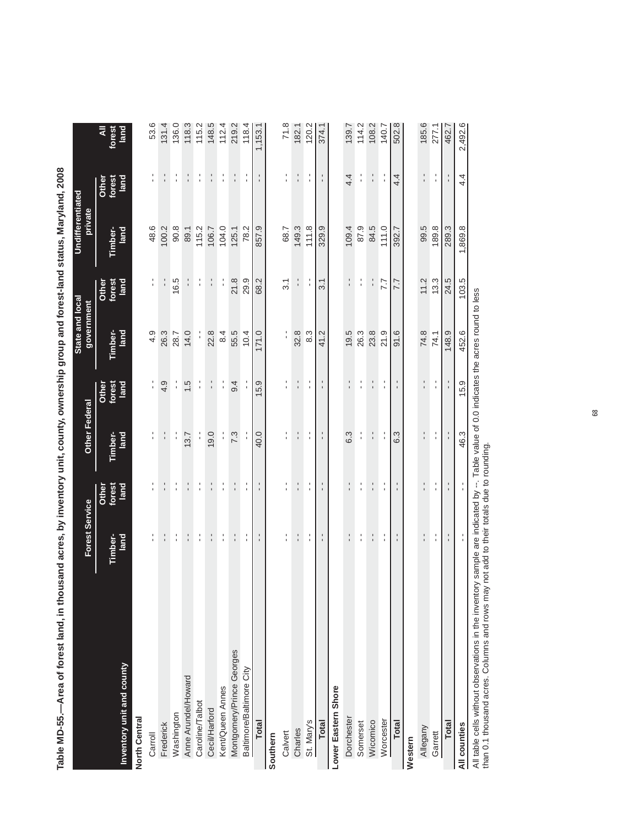|                           | <b>Forest Service</b> |                         | <b>Other Federal</b> |                                  | State and local<br>government |                         | Undifferentiated<br>private |                         |                     |
|---------------------------|-----------------------|-------------------------|----------------------|----------------------------------|-------------------------------|-------------------------|-----------------------------|-------------------------|---------------------|
| Inventory unit and county | Timber-<br>land       | Other<br>forest<br>land | land<br>Timber-      | Other<br>forest<br>land          | land<br>Timber-               | forest<br>land<br>Other | Timber-<br>land             | Other<br>forest<br>land | ₹<br>forest<br>land |
| North Central             |                       |                         |                      |                                  |                               |                         |                             |                         |                     |
| Carroll                   | $\frac{1}{1}$         |                         |                      |                                  | 4.9                           | $\blacksquare$          | 48.6                        | ٠<br>$\mathbf{r}$       | 53.6                |
| Frederick                 | $\frac{1}{1}$         | $\frac{1}{1}$           | $\frac{1}{1}$        | 4.9                              | 26.3                          |                         | 100.2                       | $\frac{1}{1}$           | 131.4               |
| Washington                | $\frac{1}{1}$         | f,                      | l,                   | $\frac{1}{1}$                    | 28.7                          | 16.5                    | 90.8                        | $\frac{1}{1}$           | 136.0               |
| Anne Arundel/Howard       | $\frac{1}{1}$         | $\frac{1}{1}$           | 13.7                 | 1.5                              | 14.0                          |                         | 89.1                        | ı                       | 118.3               |
| Caroline/Talbot           | l.                    | l,                      | l,                   | $\frac{1}{1}$                    | $\frac{1}{1}$                 | l.                      | 115.2                       | l.                      | 115.2               |
| Cecil/Harford             | $\frac{1}{1}$         | $\frac{1}{1}$           | 0.6                  | $\frac{1}{1}$                    | 22.8                          | $\frac{1}{1}$           | 106.7                       | $\frac{1}{1}$           | 148.5               |
| Kent/Queen Annes          | $\frac{1}{1}$         | $\frac{1}{1}$           | l.                   | l,                               | 8.4                           | l,                      | 104.0                       | l.                      | 112.4               |
| Montgomery/Prince Georges | $\frac{1}{1}$         | $\frac{1}{1}$           | 7.3                  | $\ddot{9}$ .                     | 55.5                          | 21.8                    | 125.1                       | $\frac{1}{1}$           | 219.2               |
| Baltimore/Baltimore City  | ٠<br>$\mathbf{r}$     | l.                      |                      |                                  | 10.4                          | 29.9                    | 78.2                        | $\mathbf{I}$            | 118.4               |
| <b>Total</b>              | t,                    | f,                      | 40.0                 | 15.9                             | 171.0                         | 68.2                    | 857.9                       | $\frac{1}{1}$           | 1,153.1             |
| Southern                  |                       |                         |                      |                                  |                               |                         |                             |                         |                     |
| Calvert                   | t.                    | l.                      | ı<br>ı               | ٠<br>ı                           | t,                            | $\overline{3}$ .        | 68.7                        | ٠<br>ı                  | 71.8                |
| Charles                   | $\frac{1}{1}$         | $\frac{1}{1}$           | $\blacksquare$<br>ı. | $\frac{1}{1}$                    | 32.8                          | $\frac{1}{1}$           | 149.3                       | $\frac{1}{1}$           | 182.1               |
| St. Mary's                | l.                    | l,                      | ı<br>$\mathbf{r}$    | ٠<br>$\blacksquare$              | 8.3                           | ı                       | 111.8                       | l,                      | 120.2               |
| Total                     | f,                    | $\frac{1}{1}$           | $\frac{1}{1}$        | $\blacksquare$<br>$\blacksquare$ | 41.2                          | 3.1                     | 329.9                       | $\frac{1}{1}$           | 374.1               |
| Lower Eastern Shore       |                       |                         |                      |                                  |                               |                         |                             |                         |                     |
| Dorchester                | í.                    | ı<br>ı                  | 6.3                  | $\blacksquare$                   | 19.5                          | $\frac{1}{1}$           | 109.4                       | 4.4                     | 139.7               |
| Somerset                  | $\frac{1}{1}$         | $\frac{1}{1}$           | $\frac{1}{1}$        | $\frac{1}{1}$                    | 26.3                          | $\frac{1}{1}$           | 87.9                        | $\frac{1}{1}$           | 114.2               |
| Wicomico                  | $\frac{1}{1}$         | $\frac{1}{1}$           | $\frac{1}{1}$        | $\frac{1}{1}$                    | 23.8                          |                         | 84.5                        | $\frac{1}{1}$           | 108.2               |
| Worcester                 | $\frac{1}{1}$         | l,                      | $\frac{1}{1}$        | I<br>ı                           | 21.9                          | 7.7                     | 111.0                       | $\frac{1}{1}$           | 140.7               |
| Total                     | $\frac{1}{1}$         | $\frac{1}{1}$           | 6.3                  | $\blacksquare$<br>$\blacksquare$ | 91.6                          | 7.7                     | 392.7                       | 4.4                     | 502.8               |
| Western                   |                       |                         |                      |                                  |                               |                         |                             |                         |                     |
| Allegany                  | ,<br>ĭ.               | $\frac{1}{1}$           | ı<br>r.              | ,<br>ı                           | 74.8                          | 11.2                    | 99.5                        | ı<br>0                  | 185.6               |
| Garrett                   | $\frac{1}{4}$         | $\frac{1}{1}$           | $\frac{1}{1}$        | $\frac{1}{1}$                    | 74.1                          | 13.3                    | 189.8                       | $\frac{1}{1}$           | 277.1               |
| <b>Total</b>              | $\frac{1}{1}$         | $\frac{1}{1}$           | $\frac{1}{1}$        | $\frac{1}{1}$                    | 148.9                         | 24.5                    | 289.3                       | $\frac{1}{1}$           | 462.7               |
| All counties              | $\frac{1}{1}$         | $\frac{1}{1}$           | 46.3                 | 15.9                             | 452.6                         | 103.5                   | 1,869.8                     | 4.4                     | 2,492.6             |

Table MD-55.--Area of forest land, in thousand acres, by inventory unit, county, ownership group and forest-land status, Maryland, 2008 **Table MD-55.—Area of forest land, in thousand acres, by inventory unit, county, ownership group and forest-land status, Maryland, 2008**

All counties<br>All table cells without observations in the inventory sample are indicated by --. Table value of 0.0 indicates the acres round to less<br>than 0.1 thousand acres. Columns and rows may not add to their totals due All table cells without observations in the inventory sample are indicated by --. Table value of 0.0 indicates the acres round to less

than 0.1 thousand acres. Columns and rows may not add to their totals due to rounding.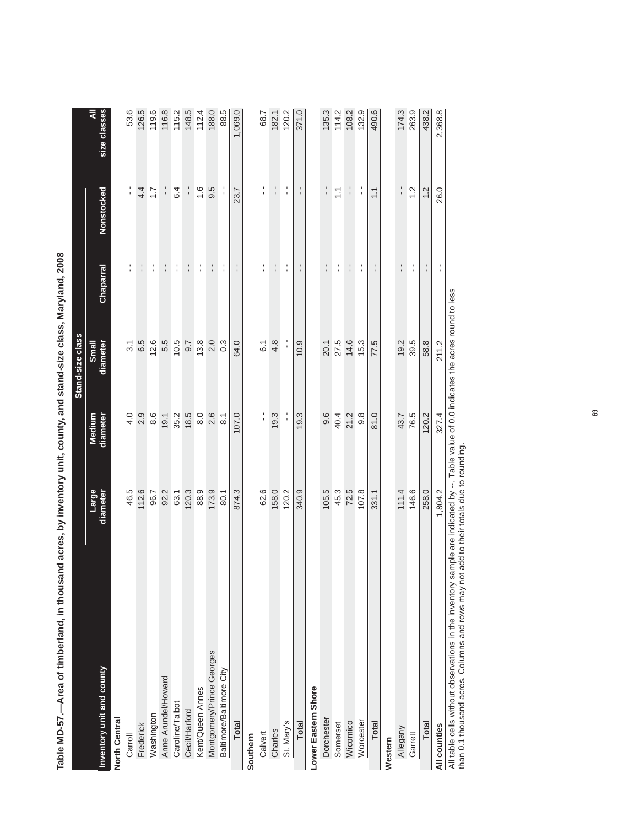|                                                                                     |                   |                                                      | Stand-size class  |               |                  |                   |
|-------------------------------------------------------------------------------------|-------------------|------------------------------------------------------|-------------------|---------------|------------------|-------------------|
| Inventory unit and county                                                           | Large<br>diameter | Medium<br>diameter                                   | diameter<br>Small | Chaparral     | Nonstocked       | size classes<br>₹ |
| North Central                                                                       |                   |                                                      |                   |               |                  |                   |
| Carroll                                                                             | 46.5              | 4.0                                                  | $\overline{3}$ .  | $\frac{1}{1}$ | f,               | 53.6              |
| Frederick                                                                           | 112.6             | 2.9                                                  | 6.5               | ÷             | 4.4              | 126.5             |
| Washington                                                                          | 96.7              | 8.6                                                  | 12.6              | $\frac{1}{1}$ | $\overline{1.7}$ | 119.6             |
| Anne Arundel/Howard                                                                 | 92.2              | 19.1                                                 | 5.5               | $\frac{1}{1}$ | $\frac{1}{1}$    | 116.8             |
| Caroline/Talbot                                                                     | 63.1              | 35.2                                                 | 10.5              | l,            | 6.4              | 115.2             |
| Cecil/Harford                                                                       | 120.3             | 18.5                                                 | 9.7               | $\frac{1}{1}$ |                  | 148.5             |
| Kent/Queen Annes                                                                    | 88.9              | 8.0                                                  | 13.8              | $\frac{1}{1}$ | $\frac{6}{1}$    | 112.4             |
| Montgomery/Prince Georges                                                           | 173.9             | 2.6                                                  | 2.0               | $\frac{1}{1}$ | 9.5              | 188.0             |
| Baltimore/Baltimore City                                                            | 80.1              | $\overline{8}$ :                                     | $0.\overline{3}$  | l,            |                  | 88.5              |
| <b>Total</b>                                                                        | 874.3             | 107.0                                                | 64.0              | f,            | 23.7             | 1,069.0           |
| Southern                                                                            |                   |                                                      |                   |               |                  |                   |
| Calvert                                                                             | 62.6              | l.                                                   | 6.1               | $\frac{1}{1}$ | l,               | 68.7              |
| Charles                                                                             | 158.0             | 19.3                                                 | 4.8               | $\frac{1}{1}$ | $\frac{1}{1}$    | 182.1             |
| St. Mary's                                                                          | 120.2             |                                                      |                   | l.            | l,               | 120.2             |
| <b>Total</b>                                                                        | 340.9             | 19.3                                                 | 10.9              | $\frac{1}{1}$ | $\frac{1}{1}$    | 371.0             |
| Lower Eastern Shore                                                                 |                   |                                                      |                   |               |                  |                   |
| Dorchester                                                                          | 105.5             | 9.6                                                  | 20.1              | $\frac{1}{1}$ | $\frac{1}{1}$    | 135.3             |
| Somerset                                                                            | 45.3              | 40.4                                                 | 27.5              | $\frac{1}{1}$ | $\frac{1}{1}$    | 114.2             |
| Wicomico                                                                            | 72.5              | 21.2                                                 | 14.6              | $\frac{1}{1}$ | f,               | 108.2             |
| Worcester                                                                           | 107.8             | $9.\overline{8}$                                     | 15.3              | ţ             | l,               | 132.9             |
| <b>Total</b>                                                                        | 331.1             | 81.0                                                 | 77.5              |               | $\tilde{=}$      | 490.6             |
| Western                                                                             |                   |                                                      |                   |               |                  |                   |
| Allegany                                                                            | 111.4             | 43.7                                                 | 19.2              | $\frac{1}{1}$ | $\frac{1}{1}$    | 174.3             |
| Garrett                                                                             | 146.6             | 76.5                                                 | 39.5              | $\frac{1}{1}$ | 1.2              | 263.9             |
| <b>Total</b>                                                                        | 258.0             | 120.2                                                | 58.8              | $\frac{1}{1}$ | 1.2              | 438.2             |
| All counties                                                                        | 1,804.2           | 327.4                                                | 211.2             | l.            | 26.0             | 2,368.8           |
| All table cells without observations in the inventory sample are indicated by $-$ . |                   | Table value of 0.0 indicates the acres round to less |                   |               |                  |                   |

Table MD-57.--Area of timberland, in thousand acres, by inventory unit, county, and stand-size class, Maryland, 2008 **Table MD-57.—Area of timberland, in thousand acres, by inventory unit, county, and stand-size class, Maryland, 2008**

All table cells without observations in the inventory sample are indicated by --. Table value of 0.0 indicates the acres round to less An adve cens without cooservations in the inventory sample are included by --. Table value<br>than 0.1 thousand acres. Columns and rows may not add to their totals due to rounding. than 0.1 thousand acres. Columns and rows may not add to their totals due to rounding.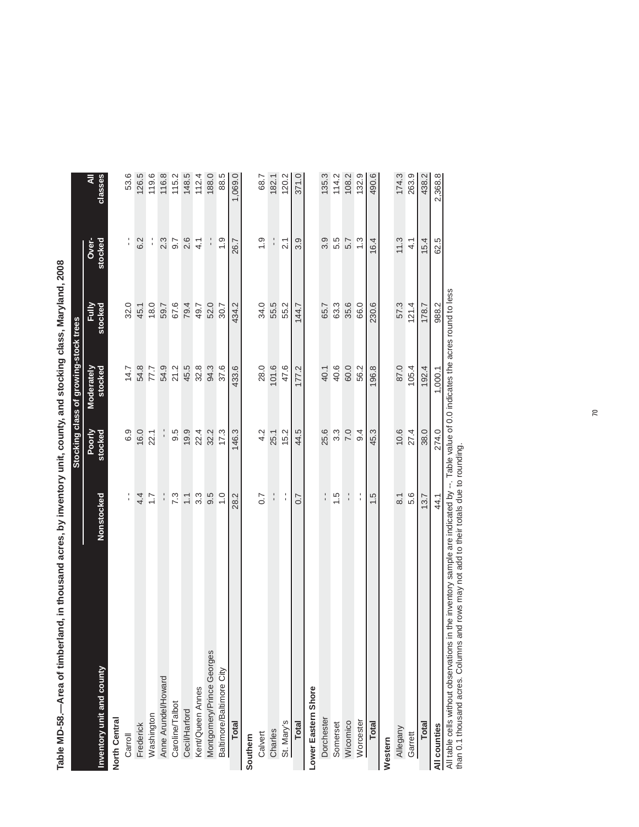| DANI   DANI   DANI   DANI   DANI   DANI   DANI   DANI   DANI   DANI   DANI   DANI   DANI   DANI   DANI   DAN<br>ż<br> <br> <br> <br> <br> <br> |                    |                   |                                       |                  |                  |              |
|------------------------------------------------------------------------------------------------------------------------------------------------|--------------------|-------------------|---------------------------------------|------------------|------------------|--------------|
|                                                                                                                                                |                    |                   | Stocking class of growing-stock trees |                  |                  |              |
| Inventory unit and county                                                                                                                      | Nonstocked         | Poorly<br>stocked | Moderately<br>stocked                 | stocked<br>Fully | stocked<br>Over- | classes<br>₹ |
| North Central                                                                                                                                  |                    |                   |                                       |                  |                  |              |
| Carroll                                                                                                                                        | $\frac{1}{1}$      | 6.9               | 14.7                                  | 32.0             | l.               | 53.6         |
| Frederick                                                                                                                                      | 4.4                | 16.0              | 54.8                                  | 45.1             | 6.2              | 126.5        |
| Washington                                                                                                                                     | 1.7                | 22.1              | 77.7                                  | 18.0             | l.<br>I          | 119.6        |
| Anne Arundel/Howard                                                                                                                            | $\frac{1}{1}$      |                   | 54.9                                  | 59.7             | 2.3              | 116.8        |
| Caroline/Talbot                                                                                                                                | 7.3                | 9.5               | 21.2                                  | 67.6             | 9.7              | 115.2        |
| Cecil/Harford                                                                                                                                  | $\overline{1}$ . 1 | 19.9              | 45.5                                  | 79.4             | 2.6              | 148.5        |
| Kent/Queen Annes                                                                                                                               | $3.\overline{3}$   | 22.4              | 32.8                                  | 49.7             | 4.1              | 112.4        |
| Montgomery/Prince Georges                                                                                                                      | 9.5                | 32.2              | 94.3                                  | 52.0             | $\frac{1}{1}$    | 188.0        |
| Baltimore/Baltimore City                                                                                                                       | $\frac{0}{1}$      | 17.3              | 37.6                                  | 30.7             | $\frac{0}{1}$    | 88.5         |
| <b>Total</b>                                                                                                                                   | 28.2               | 146.3             | 433.6                                 | 434.2            | 26.7             | 1,069.0      |
| Southern                                                                                                                                       |                    |                   |                                       |                  |                  |              |
| Calvert                                                                                                                                        | 0.7                | 4.2               | 28.0                                  | 34.0             | $\frac{0}{1}$    | 68.7         |
| Charles                                                                                                                                        | $\frac{1}{1}$      | 25.1              | 101.6                                 | 55.5             | $\frac{1}{1}$    | 182.1        |
| St. Mary's                                                                                                                                     | $\frac{1}{4}$      | 15.2              | 47.6                                  | 55.2             | $\overline{2.1}$ | 120.2        |
| <b>Total</b>                                                                                                                                   | 0.7                | 44.5              | 177.2                                 | 144.7            | 3.9              | 371.0        |
| Lower Eastern Shore                                                                                                                            |                    |                   |                                       |                  |                  |              |
| Dorchester                                                                                                                                     | $\frac{1}{1}$      | 25.6              | 40.1                                  | 65.7             | 3.9              | 135.3        |
| Somerset                                                                                                                                       | 1.5                | 3.3               | 40.6                                  | 63.3             | 5.5              | 114.2        |
| Wicomico                                                                                                                                       | $\frac{1}{1}$      | 7.0               | 60.0                                  | 35.6             | 5.7              | 108.2        |
| Worcester                                                                                                                                      | $\frac{1}{1}$      | 9.4               | 56.2                                  | 66.0             | 1.3              | 132.9        |
| <b>Total</b>                                                                                                                                   | 1.5                | 45.3              | 196.8                                 | 230.6            | 16.4             | 490.6        |
| Western                                                                                                                                        |                    |                   |                                       |                  |                  |              |
| <b>Allegany</b>                                                                                                                                | $\overline{8}$ .   | 10.6              | 87.0                                  | 57.3             | 11.3             | 174.3        |
| Garrett                                                                                                                                        | 5.6                | 27.4              | 105.4                                 | 121.4            | $\frac{1}{4}$    | 263.9        |
| <b>Total</b>                                                                                                                                   | 13.7               | 38.0              | 192.4                                 | 178.7            | 15.4             | 438.2        |
| All counties                                                                                                                                   | 44.1               | 274.0             | 1,000.1                               | 988.2            | 62.5             | 2,368.8      |

Table MD-58.—Area of timberland, in thousand acres, by inventory unit, county, and stocking class, Maryland, 2008 **Table MD-58.—Area of timberland, in thousand acres, by inventory unit, county, and stocking class, Maryland, 2008**

 $58$ All counties<br>All table cells without observations in the inventory sample are indicated by --. Table value of 0.0 indicates the acres round to less<br>than 0.1 thousand acres. Columns and rows may not add to their totals due All table cells without observations in the inventory sample are indicated by --. Table value of 0.0 indicates the acres round to less than 0.1 thousand acres. Columns and rows may not add to their totals due to rounding.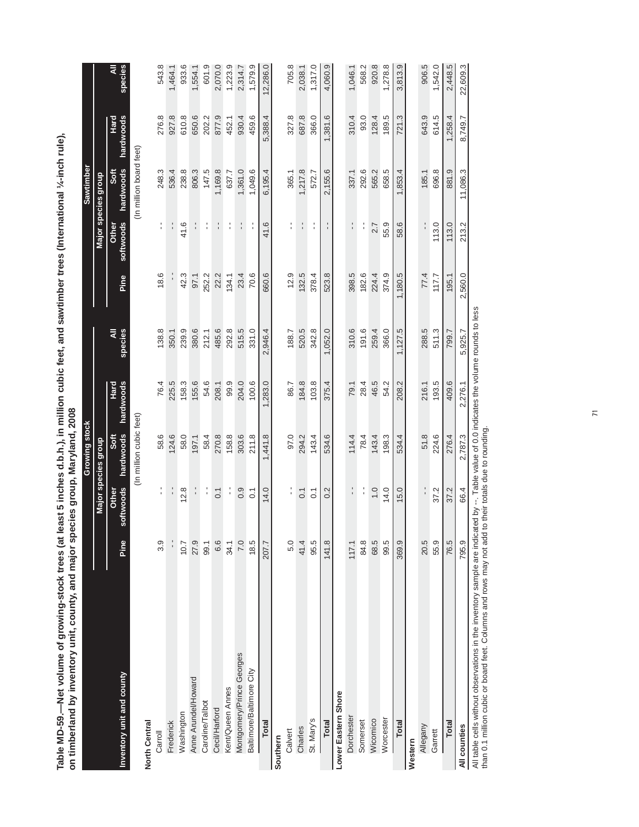Table MD-59.—Net volume of growing-stock trees (at least 5 inches d.b.h.), in million cubic feet, and sawtimber trees (International ¼-inch rule),<br>on timberland by inventory unit, county, and major species group, Maryland, **Table MD-59.—Net volume of growing-stock trees (at least 5 inches d.b.h.), in million cubic feet, and sawtimber trees (International ¼-inch rule),**  by inventory unit, county, and major species group, Maryland, 2008 **on timberland by inventory unit, county, and major species group, Maryland, 2008**

|                                                                                                                                         |       |                    | Growing stock           |                   |              |         |                    | Sawtimber               |                   |              |
|-----------------------------------------------------------------------------------------------------------------------------------------|-------|--------------------|-------------------------|-------------------|--------------|---------|--------------------|-------------------------|-------------------|--------------|
|                                                                                                                                         |       |                    | Major species group     |                   |              |         |                    | Major species group     |                   |              |
| Inventory unit and county                                                                                                               | Pine  | softwoods<br>Other | hardwoods<br>Soft       | hardwoods<br>Hard | ₹<br>species | Pine    | softwoods<br>Other | hardwoods<br>Soft       | hardwoods<br>Hard | species<br>₹ |
| North Central                                                                                                                           |       |                    | (In million cubic feet) |                   |              |         |                    | (In million board feet) |                   |              |
| Carroll                                                                                                                                 | 3.9   | $\frac{1}{1}$      | 58.6                    | 76.4              | 138.8        | 18.6    | $\frac{1}{1}$      | 248.3                   | 276.8             | 543.8        |
| Frederick                                                                                                                               |       |                    | 124.6                   | 225.5             | 350.1        |         | $\frac{1}{1}$      | 536.4                   | 927.8             | 1,464.1      |
| Washington                                                                                                                              | 10.7  | 12.8               | 58.0                    | 158.3             | 239.9        | 42.3    | 41.6               | 238.8                   | 610.8             | 933.6        |
| Anne Arundel/Howard                                                                                                                     | 27.9  |                    | 197.1                   | 155.6             | 380.6        | 97.1    | ¦                  | 806.3                   | 650.6             | 1,554.1      |
| Caroline/Talbot                                                                                                                         | 99.1  | l,                 | 58.4                    | 54.6              | 212.1        | 252.2   | $\frac{1}{1}$      | 147.5                   | 202.2             | 601.9        |
| Cecil/Harford                                                                                                                           | 6.6   | $\overline{0}$ .   | 270.8                   | 208.1             | 485.6        | 22.2    | t,                 | 1,169.8                 | 877.9             | 2,070.0      |
| Kent/Queen Annes                                                                                                                        | 34.1  | $\frac{1}{1}$      | 158.8                   | 99.9              | 292.8        | 134.1   | f,                 | 637.7                   | 452.1             | 1,223.9      |
| Montgomery/Prince Georges                                                                                                               | 7.0   | 0.9                | 303.6                   | 204.0             | 515.5        | 23.4    | f,                 | ,361.0                  | 930.4             | 2,314.7      |
| Baltimore/Baltimore City                                                                                                                | 18.5  | $\overline{0}$ .   | 211.8                   | 100.6             | 331.0        | 70.6    | $\frac{1}{1}$      | 1,049.6                 | 459.6             | 1,579.9      |
| Total                                                                                                                                   | 207.7 | 14.0               | 1,441.8                 | 1,283.0           | 2,946.4      | 660.6   | 41.6               | 6,195.4                 | 5,388.4           | 12,286.0     |
| Southern                                                                                                                                |       |                    |                         |                   |              |         |                    |                         |                   |              |
| Calvert                                                                                                                                 | 5.0   |                    | 97.0                    | 86.7              | 188.7        | 12.9    | $\frac{1}{1}$      | 365.1                   | 327.8             | 705.8        |
| Charles                                                                                                                                 | 41.4  | $\overline{0}$ .   | 294.2                   | 184.8             | 520.5        | 132.5   | l,                 | 1,217.8                 | 687.8             | 2,038.1      |
| St. Mary's                                                                                                                              | 95.5  | $\overline{0}$     | 143.4                   | 103.8             | 342.8        | 378.4   | f,                 | 572.7                   | 366.0             | 1,317.0      |
| Total                                                                                                                                   | 141.8 | 0.2                | 534.6                   | 375.4             | 1,052.0      | 523.8   |                    | 2,155.6                 | 1,381.6           | 4,060.9      |
| Lower Eastern Shore                                                                                                                     |       |                    |                         |                   |              |         |                    |                         |                   |              |
| Dorchester                                                                                                                              | 117.1 | $\frac{1}{1}$      | 114.4                   | 79.1              | 310.6        | 398.5   | $\frac{1}{1}$      | 337.1                   | 310.4             | 1,046.1      |
| Somerset                                                                                                                                | 84.8  | l,                 | 78.4                    | 28.4              | 191.6        | 182.6   | í                  | 292.6                   | 93.0              | 568.2        |
| Wicomico                                                                                                                                | 68.5  | $\overline{1}$ . O | 143.4                   | 46.5              | 259.4        | 224.4   | 2.7                | 565.2                   | 128.4             | 920.8        |
| Worcester                                                                                                                               | 99.5  | 14.0               | 198.3                   | 54.2              | 366.0        | 374.9   | 55.9               | 658.5                   | 189.5             | 1,278.8      |
| <b>Total</b>                                                                                                                            | 369.9 | 15.0               | 534.4                   | 208.2             | 1,127.5      | 1,180.5 | 58.6               | 1,853.4                 | 721.3             | 3,813.9      |
| Western                                                                                                                                 |       |                    |                         |                   |              |         |                    |                         |                   |              |
| Allegany                                                                                                                                | 20.5  | l.                 | 51.8                    | 216.1             | 288.5        | 77.4    |                    | 185.1                   | 643.9             | 906.5        |
| Garrett                                                                                                                                 | 55.9  | 37.2               | 224.6                   | 193.5             | 511.3        | 117.7   | 113.0              | 696.8                   | 614.5             | 1,542.0      |
| <b>Total</b>                                                                                                                            | 76.5  | 37.2               | 276.4                   | 409.6             | 799.7        | 195.1   | 113.0              | 881.9                   | 1,258.4           | 2,448.5      |
| All counties                                                                                                                            | 795.9 | 66.4               | 2,787.3                 | 2,276.1           | 5,925.7      | 2,560.0 | 213.2              | 11,086.3                | 8.749.7           | 22,609.3     |
| All table cells without observations in the inventory sample are indicated by $-$ Table value of 0.0 indicates the volume munds to less |       |                    |                         |                   |              |         |                    |                         |                   |              |

All table cells without observations in the inventory sample are indicated by --. Table value of 0.0 indicates the volume rounds to less All table cells without observations in the inventory sample are inclicated by --. I able value of U.U in<br>than 0.1 million cubic or board feet. Columns and rows may not add to their totals due to rounding. than 0.1 million cubic or board feet. Columns and rows may not add to their totals due to rounding.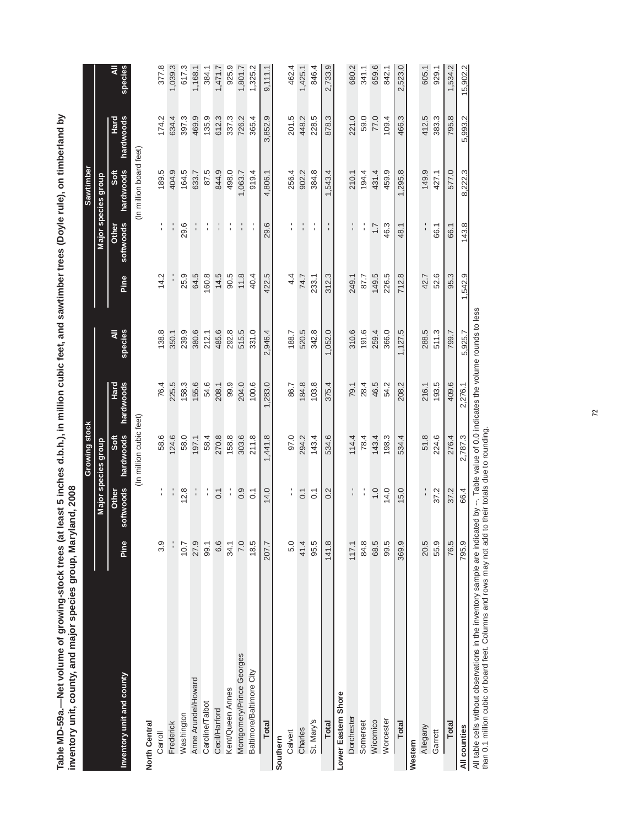Table MD-59a.—Net volume of growing-stock trees (at least 5 inches d.b.h.), in million cubic feet, and sawtimber trees (Doyle rule), on timberland by<br>inventory unit, county, and major species group, Maryland, 2008 **Table MD-59a.—Net volume of growing-stock trees (at least 5 inches d.b.h.), in million cubic feet, and sawtimber trees (Doyle rule), on timberland by**  of least 5 inches d h h 1 in million cubic feet and sawti **inventory unit, county, and major species group, Maryland, 2008**

|                                                                                                                                         |       |                    | Growing stock           |                   |              |         |                           | Sawtimber               |                   |              |
|-----------------------------------------------------------------------------------------------------------------------------------------|-------|--------------------|-------------------------|-------------------|--------------|---------|---------------------------|-------------------------|-------------------|--------------|
|                                                                                                                                         |       |                    | Major species group     |                   |              |         |                           | Major species group     |                   |              |
| Inventory unit and county                                                                                                               | Pine  | softwoods<br>Other | hardwoods<br>Soft       | Hard<br>hardwoods | ₹<br>species | Pine    | softwoods<br><b>Other</b> | hardwoods<br>Soft       | Hard<br>hardwoods | species<br>₹ |
| North Central                                                                                                                           |       |                    | (In million cubic feet) |                   |              |         |                           | (In million board feet) |                   |              |
| Carroll                                                                                                                                 | 3.9   | $\frac{1}{1}$      | 58.6                    | 76.4              | 138.8        | 14.2    | $\frac{1}{1}$             | 189.5                   | 174.2             | 377.8        |
| Frederick                                                                                                                               |       | $\frac{1}{1}$      | 124.6                   | 225.5             | 350.1        |         | $\frac{1}{1}$             | 404.9                   | 634.4             | 1,039.3      |
| Washington                                                                                                                              | 10.7  | 12.8               | 58.0                    | 158.3             | 239.9        | 25.9    | 29.6                      | 164.5                   | 397.3             | 617.3        |
| Anne Arundel/Howard                                                                                                                     | 27.9  |                    | 197.1                   | 155.6             | 380.6        | 64.5    |                           | 633.7                   | 469.9             | 1,168.1      |
| Caroline/Talbot                                                                                                                         | 99.1  | $\frac{1}{1}$      | 58.4                    | 54.6              | 212.1        | 160.8   | t,                        | 87.5                    | 135.9             | 384.1        |
| Cecil/Harford                                                                                                                           | 6.6   | $\overline{0}$ .   | 270.8                   | 208.1             | 485.6        | 14.5    | $\frac{1}{1}$             | 844.9                   | 612.3             | 1,471.7      |
| Kent/Queen Annes                                                                                                                        | 34.1  | $\frac{1}{1}$      | 158.8                   | 99.9              | 292.8        | 90.5    | f,                        | 498.0                   | 337.3             | 925.9        |
| Montgomery/Prince Georges                                                                                                               | 7.0   | 0.9                | 303.6                   | 204.0             | 515.5        | 11.8    | ţ.                        | 1,063.7                 | 726.2             | 1,801.7      |
| Baltimore/Baltimore City                                                                                                                | 18.5  | $\overline{0}$     | 211.8                   | 100.6             | 331.0        | 40.4    | $\frac{1}{1}$             | 919.4                   | 365.4             | ,325.2       |
| Total                                                                                                                                   | 207.7 | 14.0               | 1,441.8                 | 1,283.0           | ,946.4<br>ςi | 422.5   | 29.6                      | 4,806.1                 | 3,852.9           | 9,111.1      |
| Southern                                                                                                                                |       |                    |                         |                   |              |         |                           |                         |                   |              |
| Calvert                                                                                                                                 | 5.0   | $\frac{1}{1}$      | 97.0                    | 86.7              | 188.7        | 4.4     |                           | 256.4                   | 201.5             | 462.4        |
| Charles                                                                                                                                 | 41.4  | $\overline{0}$ .   | 294.2                   | 184.8             | 520.5        | 74.7    | $\frac{1}{1}$             | 902.2                   | 448.2             | 1,425.1      |
| St. Mary's                                                                                                                              | 95.5  | $\overline{C}$     | 143.4                   | 103.8             | 342.8        | 233.1   | $\frac{1}{1}$             | 384.8                   | 228.5             | 846.4        |
| <b>Total</b>                                                                                                                            | 141.8 | 0.2                | 534.6                   | 375.4             | 1,052.0      | 312.3   |                           | 1,543.4                 | 878.3             | 2,733.9      |
| Lower Eastern Shore                                                                                                                     |       |                    |                         |                   |              |         |                           |                         |                   |              |
| Dorchester                                                                                                                              | 117.1 | $\frac{1}{1}$      | 114.4                   | 79.1              | 310.6        | 249.1   | $\frac{1}{1}$             | 210.1                   | 221.0             | 680.2        |
| Somerset                                                                                                                                | 84.8  | $\frac{1}{1}$      | 78.4                    | 28.4              | 191.6        | 87.7    | $\frac{1}{1}$             | 194.4                   | 59.0              | 341.1        |
| Wicomico                                                                                                                                | 68.5  | $\overline{0}$ .   | 143.4                   | 46.5              | 259.4        | 149.5   | $\overline{1}$ .          | 431.4                   | 77.0              | 659.6        |
| Worcester                                                                                                                               | 99.5  | 14.0               | 198.3                   | 54.2              | 366.0        | 226.5   | 46.3                      | 459.9                   | 109.4             | 842.1        |
| Total                                                                                                                                   | 369.9 | 15.0               | 534.4                   | 208.2             | 1,127.5      | 712.8   | 48.1                      | 1,295.8                 | 466.3             | 2,523.0      |
| Western                                                                                                                                 |       |                    |                         |                   |              |         |                           |                         |                   |              |
| Allegany                                                                                                                                | 20.5  |                    | 51.8                    | 216.1             | 288.5        | 42.7    | $\frac{1}{1}$             | 149.9                   | 412.5             | 605.1        |
| Garrett                                                                                                                                 | 55.9  | 37.2               | 224.6                   | 193.5             | 511.3        | 52.6    | 66.1                      | 427.1                   | 383.3             | 929.1        |
| Total                                                                                                                                   | 76.5  | 37.2               | 276.4                   | 409.6             | 799.7        | 95.3    | 66.1                      | 577.0                   | 795.8             | 1,534.2      |
| All counties                                                                                                                            | 795.9 | 66.4               | 2,787.3                 | 2,276.1           | 5,925.7      | 1,542.9 | 143.8                     | 8.222.3                 | 5,993.2           | 15,902.2     |
| All table cells without observations in the inventory sample are indicated by $-$ Table value of 0.0 indicates the volume munds to less |       |                    |                         |                   |              |         |                           |                         |                   |              |

**10 less** All table cells without observations in the inventory sample are indicated by --. Table value of 0.0 indicates the volume rounds to less م All table cells without observations in the inventory sample are inclicated by --. I able value of U.U in<br>than 0.1 million cubic or board feet. Columns and rows may not add to their totals due to rounding. than 0.1 million cubic or board feet. Columns and rows may not add to their totals due to rounding.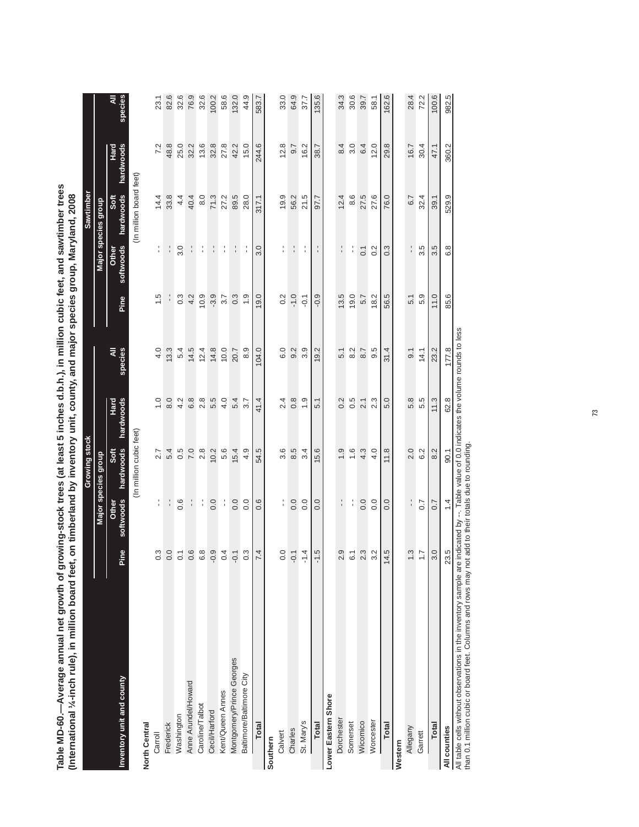| (International 1/4-inch rule), in million board feet,                                                                                    |                                                    |                    |                         | on timberland by inventory unit, county, and major species group, Maryland, 2008 |              |                  |                    |                         |                   |                     |
|------------------------------------------------------------------------------------------------------------------------------------------|----------------------------------------------------|--------------------|-------------------------|----------------------------------------------------------------------------------|--------------|------------------|--------------------|-------------------------|-------------------|---------------------|
|                                                                                                                                          |                                                    |                    | Growing stock           |                                                                                  |              |                  |                    | Sawtimber               |                   |                     |
|                                                                                                                                          |                                                    |                    | Major species group     |                                                                                  |              |                  |                    | Major species group     |                   |                     |
| Inventory unit and county                                                                                                                | Pine                                               | softwoods<br>Other | hardwoods<br>Soft       | hardwoods<br>Hard                                                                | species<br>₹ | Pine             | softwoods<br>Other | hardwoods<br>Soft       | Hard<br>hardwoods | <b>species</b><br>₹ |
|                                                                                                                                          |                                                    |                    | (In million cubic feet) |                                                                                  |              |                  |                    | (In million board feet) |                   |                     |
| North Central                                                                                                                            |                                                    |                    |                         |                                                                                  |              |                  |                    |                         |                   |                     |
| Carroll                                                                                                                                  | <u>ယ်</u>                                          | $\frac{1}{1}$      | 2.7                     | 1.0                                                                              | 4.0          | 1.5              | ţ                  | 14.4                    | 7.2               | 23.1                |
| Frederick                                                                                                                                | 0.0                                                |                    | 5.4                     | 8.0                                                                              | 13.3         |                  |                    | 33.8                    | 48.8              | 82.6                |
| Washington                                                                                                                               |                                                    | 0.6                | 0.5                     | 4.2                                                                              | 5.4          | $0.\overline{3}$ | 3.0                | 4.4                     | 25.0              | 32.6                |
| Anne Arundel/Howard                                                                                                                      | $\circ$                                            | l,                 | 7.0                     | 6.8                                                                              | 14.5         | 4.2              |                    | 40.4                    | 32.2              | 76.9                |
| Caroline/Talbot                                                                                                                          | ဖ္ ထံ<br>ဖ                                         | ţ.                 | 2.8                     | $2.\overline{8}$                                                                 | 12.4         | 10.9             | f,                 | 8.0                     | 13.6              | 32.6                |
| Cecil/Harford                                                                                                                            | ာ<br>P                                             | 0.0                | 10.2                    | 5.5                                                                              | 14.8         | $-3.9$           |                    | 71.3                    | 32.8              | 100.2               |
| Kent/Queen Annes                                                                                                                         | 4<br>$\circ$                                       | ţ.                 | 5.6                     | 4.0                                                                              | 10.0         | 3.7              | ţ                  | 27.2                    | 27.8              | 58.6                |
| Montgomery/Prince Georges                                                                                                                | $-0.1$                                             | 0.0                | 15.4                    | 5.4                                                                              | 20.7         | 0.3              |                    | 89.5                    | 42.2              | 132.0               |
| Baltimore/Baltimore City                                                                                                                 | Ċ,                                                 | 0.0                | 4.9                     | 3.7                                                                              | 8.9          | $\frac{0}{1}$    |                    | 28.0                    | 15.0              | 44.9                |
| Total                                                                                                                                    | 4                                                  | 0.6                | 54.5                    | 41.4                                                                             | 104.0        | 19.0             | 3.0                | 317.1                   | 244.6             | 583.7               |
| Southern                                                                                                                                 |                                                    |                    |                         |                                                                                  |              |                  |                    |                         |                   |                     |
| Calvert                                                                                                                                  |                                                    | l.                 | 3.6                     | 2.4                                                                              | 6.0          | 0.2              | Î                  | 19.9                    | 12.8              | 33.0                |
| Charles                                                                                                                                  | 0.0                                                | 0.0                | 8.5                     | $0.\overline{8}$                                                                 | 9.2          | $-1.0$           | $\frac{1}{1}$      | 56.2                    | 9.7               | 64.9                |
| St. Mary's                                                                                                                               | 4<br>Σ                                             | 0.0                | 3.4                     | 0.1                                                                              | 3.9          | $-0.1$           | f,                 | 21.5                    | 16.2              | 37.7                |
| Total                                                                                                                                    | r.<br>7                                            | 0.0                | 15.6                    | 5.1                                                                              | 19.2         | $-0.9$           |                    | 97.7                    | 38.7              | 135.6               |
| Lower Eastern Shore                                                                                                                      |                                                    |                    |                         |                                                                                  |              |                  |                    |                         |                   |                     |
| Dorchester                                                                                                                               | တ္<br>$\sim$                                       |                    | $\ddot{0}$              | 0.2                                                                              | 5.1          | 13.5             |                    | 12.4                    | 8.4               | 34.3                |
| Somerset                                                                                                                                 | $\overline{6}$                                     | f,                 | 1.6                     | 0.5                                                                              | 8.2          | 19.0             | ¦,                 | 8.6                     | 3.0               | 30.6                |
| Wicomico                                                                                                                                 | $\ddot{\circ}$ $\ddot{\circ}$<br>$\mathbf{\Omega}$ | 0.0                | 4.3                     | 2.1                                                                              | 8.7          | 5.7              | 0.1                | 27.5                    | 6.4               | 39.7                |
| Worcester                                                                                                                                |                                                    | 0.0                | 4.0                     | 2.3                                                                              | 9.5          | 18.2             | 0.2                | 27.6                    | 12.0              | 58.1                |
| Total                                                                                                                                    | rù<br>$\overline{4}$                               | 0.0                | 11.8                    | 5.0                                                                              | 31.4         | 56.5             | 0.3                | 76.0                    | 29.8              | 162.6               |
| Western                                                                                                                                  |                                                    |                    |                         |                                                                                  |              |                  |                    |                         |                   |                     |
| Allegany                                                                                                                                 |                                                    | l,                 | 2.0                     | 5.8                                                                              | 9.1          | 5.1              |                    | 6.7                     | 16.7              | 28.4                |
| Garrett                                                                                                                                  | $\frac{1}{2}$                                      | 0.7                | 6.2                     | 5.5                                                                              | 14.1         | 5.9              | 3.5                | 32.4                    | 30.4              | 72.2                |
| Total                                                                                                                                    | 3.0                                                | 0.7                | 8.2                     | 11.3                                                                             | 23.2         | 11.0             | 3.5                | 39.1                    | 47.1              | 100.6               |
| All counties                                                                                                                             | rù<br>$\mathbb{S}^2$                               | $\ddot{ }$         | $-0.1$                  | 62.8                                                                             | 177.8        | 85.6             | 6.8                | 529.9                   | 360.2             | 982.5               |
| All table cells without observations in the inventory sample are indicated by --. Table value of 0.0 indicates the volume rounds to less |                                                    |                    |                         |                                                                                  |              |                  |                    |                         |                   |                     |

Table 60. -- Average annual net growth of growing-stock trees (at least 5 inches d.b.h.), in million cubic feet, and sawtimber trees, in million board feet (International 1/4-inch rule), Table MD-60.--Average annual net growth of growing-stock trees (at least 5 inches d.b.h.), in million cubic feet, and sawtimber trees **Table MD-60.—Average annual net growth of growing-stock trees (at least 5 inches d.b.h.), in million cubic feet, and sawtimber trees**  on timber who is the section of the species group,  $\tilde{g}$  and  $\tilde{g}$  and  $\tilde{g}$  and  $\tilde{g}$  and  $\tilde{g}$  and  $\tilde{g}$  and  $\tilde{g}$  and  $\tilde{g}$  and  $\tilde{g}$  and  $\tilde{g}$  and  $\tilde{g}$  and  $\tilde{g}$  and  $\tilde{g}$  and  $\$ 

All table cells without observations in the inventory sample are indicated by --. Table value of 0.0 indicates the volume rounds to less than 0.1 million cubic or board feet. Columns and rows may not add to their totals due to rounding.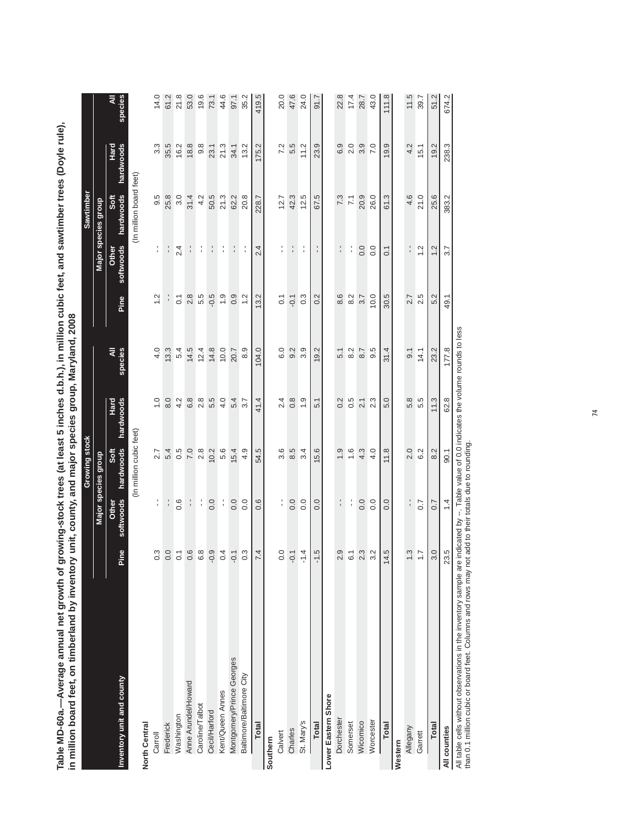| in million board feet, on timberland by inventory                |                      |                    |                         | unit, county, and major species group, Maryland, 2008                   |                  |                  |                    |                         |                   |              |
|------------------------------------------------------------------|----------------------|--------------------|-------------------------|-------------------------------------------------------------------------|------------------|------------------|--------------------|-------------------------|-------------------|--------------|
|                                                                  |                      |                    | Growing stock           |                                                                         |                  |                  |                    | Sawtimber               |                   |              |
|                                                                  |                      |                    | Major species group     |                                                                         |                  |                  |                    | Major species group     |                   |              |
| Inventory unit and county                                        | ၔ<br>ā               | softwoods<br>Other | hardwoods<br>Soft       | Hard<br>hardwoods                                                       | species<br>₹     | Pine             | softwoods<br>Other | Soft<br>hardwoods       | Hard<br>hardwoods | species<br>₹ |
|                                                                  |                      |                    | (In million cubic feet) |                                                                         |                  |                  |                    | (In million board feet) |                   |              |
| North Central                                                    |                      |                    |                         |                                                                         |                  |                  |                    |                         |                   |              |
| Carroll                                                          |                      | ţ                  | 2.7                     | 0.1                                                                     | 4.0              | 1.2              | ţ                  | 9.5                     | 3.3               | 14.0         |
| Frederick                                                        | 3007                 |                    | 5.4                     | 8.0                                                                     | 13.3             |                  | $\frac{1}{1}$      | 25.8                    | 35.5              | 61.2         |
| Washington                                                       |                      | 0.6                | 0.5                     | 4.2                                                                     | 5.4              | $\overline{0}$ . | 2.4                | 3.0                     | 16.2              | 21.8         |
| Anne Arundel/Howard                                              | $0.89$<br>$0.89$     | f,                 | 7.0                     | 6.8                                                                     | 14.5             | 2.8              |                    | 31.4                    | 18.8              | 53.0         |
| Caroline/Talbot                                                  |                      | Í                  | 2.8                     | 2.8                                                                     | 12.4             | 5.5              | í                  | 4.2                     | $9.\overline{8}$  | 19.6         |
| Cecil/Harford                                                    |                      | 0.0                | 10.2                    | 5.5                                                                     | 14.8             | $-0.5$           | $\frac{1}{1}$      | 50.5                    | 23.1              | 73.1         |
| Kent/Queen Annes                                                 | 0.4                  | ţ.                 | 5.6                     | 4.0                                                                     | 10.0             | 0.9              |                    | 21.3                    | 21.3              | 44.6         |
| Montgomery/Prince Georges                                        | $-0.1$               | 0.0                | 15.4                    | 5.4                                                                     | 20.7             | 0.9              |                    | 62.2                    | 34.1              | 97.1         |
| Baltimore/Baltimore City                                         | 0.3                  | 0.0                | 4.9                     | 3.7                                                                     | 8.9              | 1.2              |                    | 20.8                    | 13.2              | 35.2         |
| Total                                                            | 4                    | 0.6                | 54.5                    | 41.4                                                                    | 104.0            | 13.2             | 2.4                | 228.7                   | 175.2             | 419.5        |
| Southern                                                         |                      |                    |                         |                                                                         |                  |                  |                    |                         |                   |              |
| Calvert                                                          | 0.0                  |                    | 3.6                     | 2.4                                                                     | 6.0              | $\overline{0}$ : | f,                 | 12.7                    | 7.2               | 20.0         |
| Charles                                                          |                      | 0.0                | 8.5                     | 0.8                                                                     | 9.2              | $-0.1$           | l,                 | 42.3                    | 5.5               | 47.6         |
| St. Mary's                                                       | 4<br>Τ               | 0.0                | 3.4                     | 0.1                                                                     | 3.9              | $0.\overline{3}$ | ÷                  | 12.5                    | 11.2              | 24.0         |
| <b>Total</b>                                                     | r.<br>7              | 0.0                | 15.6                    | 5.1                                                                     | 19.2             | 0.2              |                    | 67.5                    | 23.9              | 51.7         |
| Lower Eastern Shore                                              |                      |                    |                         |                                                                         |                  |                  |                    |                         |                   |              |
| Dorchester                                                       | $2.9$<br>6.1         | ţ.                 | $\frac{0}{1}$           | 0.2                                                                     | 5.1              | 8.6              |                    | 7.3                     | 6.9               | 22.8         |
| Somerset                                                         |                      | f,                 | $\frac{6}{1}$           | 0.5                                                                     | 8.2              | 8.2              | f,                 | 7.1                     | 2.0               | 17.4         |
| Wicomico                                                         | $2.3$<br>$3.2$       | 0.0                | 4.3                     | $\overline{2}$ . 1                                                      | 8.7              | 3.7              | 0.0                | 20.9                    | 3.9               | 28.7         |
| Worcester                                                        |                      | 0.0                | 4.0                     | 2.3                                                                     | 9.5              | 10.0             | 0.0                | 26.0                    | 7.0               | 43.0         |
| <b>Total</b>                                                     | r.<br>$\overline{4}$ | 0.0                | 11.8                    | 5.0                                                                     | 31.4             | 30.5             | $\overline{0}$ .   | 61.3                    | 19.9              | 111.8        |
| Western                                                          |                      |                    |                         |                                                                         |                  |                  |                    |                         |                   |              |
| Allegany                                                         | $\ddot{c}$ is        | $\frac{1}{1}$      | 2.0                     | 5.8                                                                     | $\overline{9}$ . | 2.7              | $\frac{1}{1}$      | 4.6                     | 4.2               | 11.5         |
| Garrett                                                          |                      | 0.7                | 6.2                     | 5.5                                                                     | 14.1             | 2.5              | 1.2                | 21.0                    | 15.1              | 39.7         |
| Total                                                            | 3.0                  | 0.7                | 8.2                     | 11.3                                                                    | 23.2             | 5.2              | 1.2                | 25.6                    | 19.2              | 51.2         |
| All counties                                                     | 23.5                 | $1\overline{4}$    | $-90.1$                 | 62.8                                                                    | 177.8            | 49.1             | 3.7                | 383.2                   | 238.3             | 674.2        |
| All table cells without observations in the inventory sample are |                      |                    |                         | indicated by $-$ Table value of 0.0 indicates the volume rounds to less |                  |                  |                    |                         |                   |              |

Table MD-60a.--Average annual net growth of growing-stock trees (at least 5 inches d.b.h.), in million cubic feet, and sawtimber trees (Doyle rule), **Table MD-60a.—Average annual net growth of growing-stock trees (at least 5 inches d.b.h.), in million cubic feet, and sawtimber trees (Doyle rule),**  by inventory unit, county, and major species group, Maryland, 2008

All table cells without observations in the inventory sample are indicated by --. Table value of 0.0 indicates the volume rounds to less All table cells without observations in the inventory sample are indicated by --. Table value of 0.0 in<br>than 0.1 million cubic or board feet. Columns and rows may not add to their totals due to rounding. than 0.1 million cubic or board feet. Columns and rows may not add to their totals due to rounding.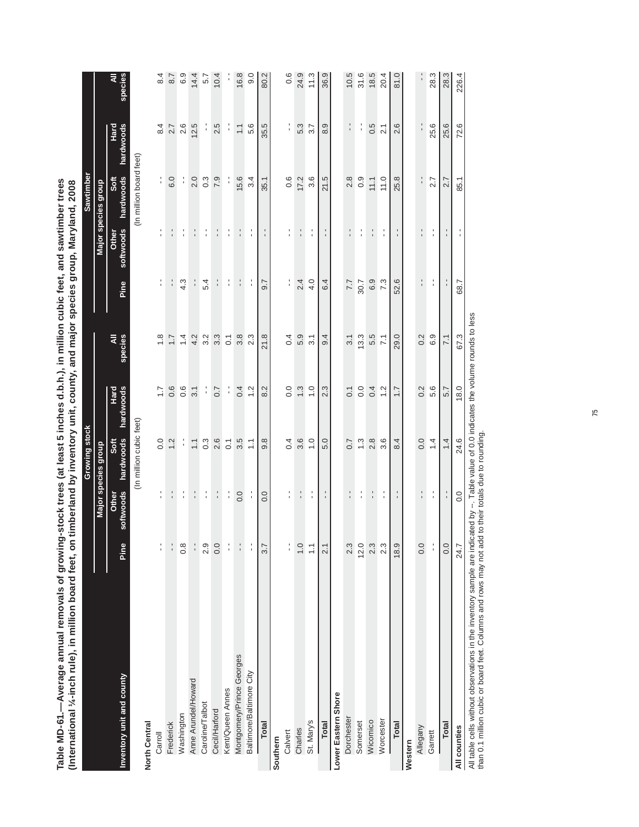| N removals of growing-stock trees (at least 5 inches d.b.h.), in million cubic feet, and sawtimber trees | million board feet, on timberland by inventory unit, county, and major species group, Maryland, 2008 |
|----------------------------------------------------------------------------------------------------------|------------------------------------------------------------------------------------------------------|
|                                                                                                          |                                                                                                      |
|                                                                                                          |                                                                                                      |
|                                                                                                          |                                                                                                      |
|                                                                                                          |                                                                                                      |
|                                                                                                          |                                                                                                      |
|                                                                                                          |                                                                                                      |
|                                                                                                          |                                                                                                      |
|                                                                                                          |                                                                                                      |
|                                                                                                          |                                                                                                      |
|                                                                                                          |                                                                                                      |
|                                                                                                          |                                                                                                      |
|                                                                                                          |                                                                                                      |
|                                                                                                          |                                                                                                      |
|                                                                                                          |                                                                                                      |
|                                                                                                          |                                                                                                      |
|                                                                                                          |                                                                                                      |
|                                                                                                          |                                                                                                      |
|                                                                                                          |                                                                                                      |
|                                                                                                          |                                                                                                      |
|                                                                                                          |                                                                                                      |
|                                                                                                          |                                                                                                      |
|                                                                                                          |                                                                                                      |

| Table MD-61.—Average annual removals of growing-stock trees (at least 5 inches d.b.h.), in million cubic feet, and sawtimber trees<br>(International ¼-inch rule), in million board feet, on t |                   |                    |                         | timberland by inventory unit, county, and major species group, Maryland, 2008 |                  |                   |                           |                         |                   |                  |
|------------------------------------------------------------------------------------------------------------------------------------------------------------------------------------------------|-------------------|--------------------|-------------------------|-------------------------------------------------------------------------------|------------------|-------------------|---------------------------|-------------------------|-------------------|------------------|
|                                                                                                                                                                                                |                   |                    | Growing stock           |                                                                               |                  |                   |                           | Sawtimber               |                   |                  |
|                                                                                                                                                                                                |                   |                    | Major species group     |                                                                               |                  |                   |                           | Major species group     |                   |                  |
| Inventory unit and county                                                                                                                                                                      | Pine              | softwoods<br>Other | hardwoods<br>Soft       | hardwoods<br>Hard                                                             | species<br>₹     | Pine              | softwoods<br><b>Other</b> | hardwoods<br>Soft       | Hard<br>hardwoods | species<br>₹     |
|                                                                                                                                                                                                |                   |                    | (In million cubic feet) |                                                                               |                  |                   |                           | (In million board feet) |                   |                  |
| North Central                                                                                                                                                                                  |                   |                    |                         |                                                                               |                  |                   |                           |                         |                   |                  |
| Carroll                                                                                                                                                                                        | $\frac{1}{1}$     | t,                 | 0.0                     | $\overline{1}$ .                                                              | $\frac{8}{1}$    | í                 | $\frac{1}{1}$             | f,                      | 8.4               | 8.4              |
| Frederick                                                                                                                                                                                      | $\frac{1}{1}$     | ţ.                 | 1.2                     | 0.6                                                                           | $\ddot{ }$ :     | ¦,                | $\frac{1}{1}$             | 6.0                     | 2.7               | 8.7              |
| Washington                                                                                                                                                                                     | $0.\overline{8}$  | $\frac{1}{4}$      | f,                      | 0.6                                                                           | $\overline{4}$   | 4.3               | f,                        | f,                      | 2.6               | 6.9              |
| Anne Arundel/Howard                                                                                                                                                                            | $\frac{1}{1}$     | t,                 | $\overline{1}$ .        | 3.1                                                                           | 4.2              |                   | t,                        | 2.0                     | 12.5              | 14.4             |
| Caroline/Talbot                                                                                                                                                                                | 2.9               | $\frac{1}{4}$      | $0.\overline{3}$        | f,                                                                            | 3.2              | 5.4               | f,                        | $0.\overline{3}$        |                   | 5.7              |
| Cecil/Harford                                                                                                                                                                                  | 0.0               | Ť.                 | 2.6                     | 0.7                                                                           | $3.\overline{3}$ |                   | t.                        | 7.9                     | 2.5               | 10.4             |
| Kent/Queen Annes                                                                                                                                                                               | f,                | f,                 | $\overline{0}$          | f,                                                                            | $\overline{C}$   | ţ.                | ţ.                        | ţ.                      | f,                |                  |
| Montgomery/Prince Georges                                                                                                                                                                      | $\frac{1}{1}$     | 0.0                | 3.5                     | 0.4                                                                           | 3.8              | ţ.                | ţ.                        | 15.6                    | $\frac{1}{2}$     | 16.8             |
| Baltimore/Baltimore City                                                                                                                                                                       | Î                 | f,                 | $\frac{1}{2}$           | 1.2                                                                           | 2.3              | f,                | f,                        | 3.4                     | 5.6               | 9.0              |
| Total                                                                                                                                                                                          | 3.7               | 0.0                | 9.8                     | 8.2                                                                           | 21.8             | 9.7               |                           | 35.1                    | 35.5              | 80.2             |
| Southern                                                                                                                                                                                       |                   |                    |                         |                                                                               |                  |                   |                           |                         |                   |                  |
| Calvert                                                                                                                                                                                        | l.                | f,                 | 0.4                     | 0.0                                                                           | 0.4              | $\frac{1}{1}$     | $\frac{1}{1}$             | 0.6                     | l.                | $0.\overline{6}$ |
| Charles                                                                                                                                                                                        | $\overline{1}$ .0 | ţ.                 | 3.6                     | $\ddot{.}$                                                                    | 5.9              | 2.4               | ţ.                        | 17.2                    | 5.3               | 24.9             |
| St. Mary's                                                                                                                                                                                     | $\frac{1}{2}$     | $\frac{1}{4}$      | $\frac{0}{1}$           | $\frac{0}{1}$                                                                 | $\overline{3.1}$ | 4.0               | f,                        | 3.6                     | 3.7               | 11.3             |
| <b>Total</b>                                                                                                                                                                                   | $\overline{2.1}$  | f,                 | 5.0                     | 2.3                                                                           | 9.4              | 6.4               | f,                        | 21.5                    | 8.9               | 36.9             |
| Lower Eastern Shore                                                                                                                                                                            |                   |                    |                         |                                                                               |                  |                   |                           |                         |                   |                  |
| Dorchester                                                                                                                                                                                     | 2.3               |                    | 0.7                     | $\overline{0}$ .                                                              | 31               | 7.7               |                           | 2.8                     |                   | 10.5             |
| Somerset                                                                                                                                                                                       | 12.0              | t.                 | $\ddot{.}3$             | 0.0                                                                           | 13.3             | 30.7              | l,                        | 0.9                     | ¦,                | 31.6             |
| Wicomico                                                                                                                                                                                       | 2.3               | ţ.                 | 2.8                     | 0.4                                                                           | 5.5              | 6.9               | t,                        | 11.1                    | 0.5               | 18.5             |
| Worcester                                                                                                                                                                                      | 2.3               | Ť,                 | 3.6                     | 1.2                                                                           | $\overline{71}$  | 7.3               | f,                        | 11.0                    | 21                | 20.4             |
| Total                                                                                                                                                                                          | 18.9              | f,                 | 8.4                     | $\overline{1}$ .                                                              | 29.0             | 52.6              | f,                        | 25.8                    | 2.6               | 81.0             |
| Western                                                                                                                                                                                        |                   |                    |                         |                                                                               |                  |                   |                           |                         |                   |                  |
| Allegany                                                                                                                                                                                       | 0.0               | 1                  | 0.0                     | 0.2                                                                           | 0.2              | ۰<br>$\mathbf{I}$ | ٠<br>$\blacksquare$       |                         |                   |                  |
| Garrett                                                                                                                                                                                        | Ť                 | t.                 | 1.4                     | 5.6                                                                           | 6.9              | ţ.                | f,                        | 2.7                     | 25.6              | 28.3             |
| Total                                                                                                                                                                                          | 0.0               | ţ.                 | 1.4                     | 5.7                                                                           | 71               | $\frac{1}{1}$     | f,                        | 2.7                     | 25.6              | 28.3             |
| All counties                                                                                                                                                                                   | 24.7              | 0.0                | 24.6                    | 18.0                                                                          | 67.3             | 68.7              |                           | 85.1                    | 72.6              | 226.4            |
| data.<br>$\wedge$ II $\wedge$                                                                                                                                                                  | م:<br>أحداث       |                    |                         |                                                                               |                  |                   |                           |                         |                   |                  |

All table cells without observations in the inventory sample are indicated by --. Table value of 0.0 indicates the volume rounds to less<br>than 0.1 million cubic or board feet. Columns and rows may not add to their totals du All table cells without observations in the inventory sample are indicated by --. Table value of 0.0 indicates the volume rounds to less

than 0.1 million cubic or board feet. Columns and rows may not add to their totals due to rounding.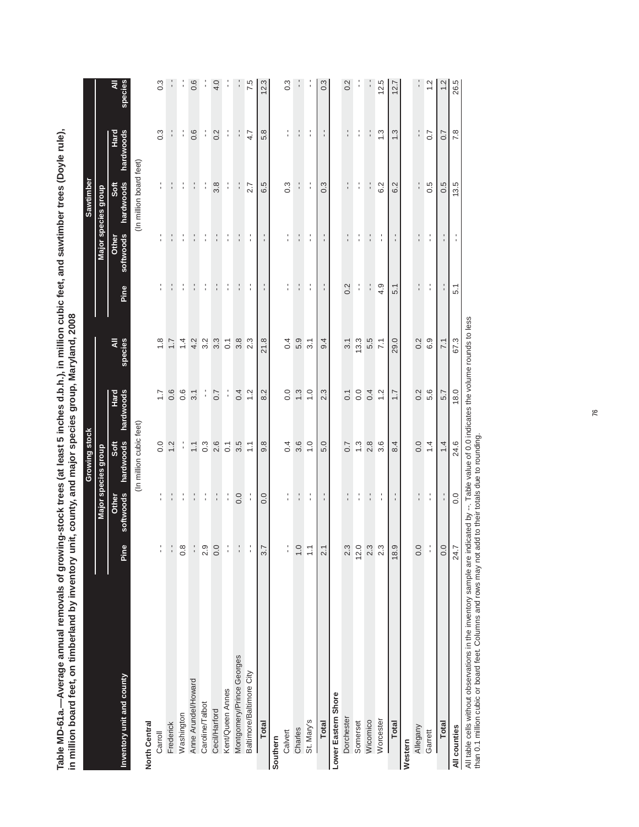| <b>Trees</b>                                      |                                                                                                                                                                                                                                |
|---------------------------------------------------|--------------------------------------------------------------------------------------------------------------------------------------------------------------------------------------------------------------------------------|
|                                                   |                                                                                                                                                                                                                                |
|                                                   |                                                                                                                                                                                                                                |
|                                                   |                                                                                                                                                                                                                                |
|                                                   |                                                                                                                                                                                                                                |
|                                                   |                                                                                                                                                                                                                                |
|                                                   |                                                                                                                                                                                                                                |
|                                                   |                                                                                                                                                                                                                                |
|                                                   |                                                                                                                                                                                                                                |
|                                                   |                                                                                                                                                                                                                                |
|                                                   |                                                                                                                                                                                                                                |
|                                                   | , 2008                                                                                                                                                                                                                         |
| nes d.b.h.), in million cubic feet, and sawtimber |                                                                                                                                                                                                                                |
|                                                   |                                                                                                                                                                                                                                |
|                                                   |                                                                                                                                                                                                                                |
|                                                   |                                                                                                                                                                                                                                |
|                                                   | <b>COLORED MORVIS</b>                                                                                                                                                                                                          |
|                                                   |                                                                                                                                                                                                                                |
|                                                   |                                                                                                                                                                                                                                |
|                                                   |                                                                                                                                                                                                                                |
| -"" trees (at least 5 inches u.v                  | ntory unit, county, and major species                                                                                                                                                                                          |
|                                                   |                                                                                                                                                                                                                                |
|                                                   |                                                                                                                                                                                                                                |
|                                                   |                                                                                                                                                                                                                                |
|                                                   |                                                                                                                                                                                                                                |
|                                                   |                                                                                                                                                                                                                                |
| ^^ ^*^^^                                          |                                                                                                                                                                                                                                |
|                                                   |                                                                                                                                                                                                                                |
|                                                   |                                                                                                                                                                                                                                |
|                                                   |                                                                                                                                                                                                                                |
| als of grow                                       | nver                                                                                                                                                                                                                           |
|                                                   |                                                                                                                                                                                                                                |
|                                                   |                                                                                                                                                                                                                                |
| ς<br>Ε                                            |                                                                                                                                                                                                                                |
|                                                   |                                                                                                                                                                                                                                |
|                                                   |                                                                                                                                                                                                                                |
|                                                   |                                                                                                                                                                                                                                |
| pei                                               |                                                                                                                                                                                                                                |
|                                                   | and the timber in timber of timber of the state of the state of the state of the state of the state of the state of the state of the state of the state of the state of the state of the state of the state of the state of th |
| ∫<br>¤                                            |                                                                                                                                                                                                                                |
| ר<br>בלה<br>ſ.                                    |                                                                                                                                                                                                                                |
|                                                   |                                                                                                                                                                                                                                |
|                                                   |                                                                                                                                                                                                                                |
|                                                   |                                                                                                                                                                                                                                |
|                                                   |                                                                                                                                                                                                                                |

|                           |                  |                    | Growing stock           |                   |                  |               |                                  | Sawtimber               |                     |                  |
|---------------------------|------------------|--------------------|-------------------------|-------------------|------------------|---------------|----------------------------------|-------------------------|---------------------|------------------|
|                           |                  |                    | Major species group     |                   |                  |               |                                  | Major species group     |                     |                  |
| Inventory unit and county | Pine             | softwoods<br>Other | hardwoods<br>Soft       | hardwoods<br>Hard | species<br>₹     | Pine          | softwoods<br>Other               | hardwoods<br>Soft       | hardwoods<br>Hard   | species<br>₹     |
| North Central             |                  |                    | (In million cubic feet) |                   |                  |               |                                  | (In million board feet) |                     |                  |
| Carroll                   | $\frac{1}{1}$    | $\frac{1}{1}$      | 0.0                     | $\overline{1.7}$  | $\frac{8}{1}$    | l,            | $\frac{1}{1}$                    | $\frac{1}{1}$           | $0.\overline{3}$    | $0.\overline{3}$ |
| Frederick                 | $\frac{1}{1}$    | l,                 | 1.2                     | 0.6               | $\overline{1}$ . | п             |                                  | $\frac{1}{1}$           |                     |                  |
| Washington                | $0.\overline{8}$ | f,                 | ţ.                      | 0.6               | 1.4              | l,            |                                  | l,                      | ţ                   |                  |
| Anne Arundel/Howard       | $\frac{1}{1}$    | $\frac{1}{1}$      | $\overline{1}$ .        | 3.1               | 4.2              | $\frac{1}{1}$ |                                  | $\frac{1}{1}$           | 0.6                 | 0.6              |
| Caroline/Talbot           | 2.9              | t                  | $0.\overline{3}$        | l,                | 3.2              | ţ             | í                                | Í                       | f,                  | ï                |
| Cecil/Harford             | 0.0              | $\frac{1}{1}$      | 2.6                     | 0.7               | 3.3              | $\frac{1}{1}$ | $\frac{1}{1}$                    | 3.8                     | 0.2                 | 4.0              |
| Kent/Queen Annes          | $\frac{1}{1}$    | $\frac{1}{1}$      | $\overline{0}$ .        | Î                 | $\overline{0}$   | ţ.            | í                                | $\frac{1}{1}$           | l,                  | :                |
| Montgomery/Prince Georges | $\frac{1}{1}$    | 0.0                | 3.5                     | 0.4               | 3.8              | ÷             |                                  |                         |                     |                  |
| Baltimore/Baltimore City  | $\frac{1}{4}$    | í                  | $\frac{1}{1}$           | $\frac{2}{3}$     | 2.3              | ţ             | ţ                                | 2.7                     | 4.7                 | 7.5              |
| Total                     | 3.7              | 0.0                | 9.8                     | 8.2               | 21.8             | ٠             |                                  | 6.5                     | 5.8                 | 12.3             |
| Southern                  |                  |                    |                         |                   |                  |               |                                  |                         |                     |                  |
| Calvert                   | $\frac{1}{1}$    | $\frac{1}{1}$      | 0.4                     | 0.0               | 0.4              | í             | ı<br>ı                           | $0.\overline{3}$        | ı<br>$\blacksquare$ | $0.\overline{3}$ |
| Charles                   | $\ddot{ }$ .0    | t,                 | 3.6                     | $\ddot{.}3$       | 5.9              | $\frac{1}{1}$ | t,                               | $\frac{1}{1}$           | $\frac{1}{1}$       |                  |
| St. Mary's                | $\overline{1}$ . | f,                 | $\frac{0}{1}$           | $\frac{0}{1}$     | 3.1              | $\frac{1}{1}$ | Ť                                | $\frac{1}{1}$           | Î                   |                  |
| <b>Total</b>              | $\overline{2}$ . | t,                 | 5.0                     | 2.3               | 9.4              | $\frac{1}{1}$ | $\blacksquare$                   | $0.\overline{3}$        | 1                   | $0.\overline{3}$ |
| Lower Eastern Shore       |                  |                    |                         |                   |                  |               |                                  |                         |                     |                  |
| Dorchester                | 2.3              | ٠                  | 0.7                     | $\overline{0}$    | $\overline{3}$ . | 0.2           |                                  | 1                       |                     | 0.2              |
| Somerset                  | 12.0             | ţ.                 | $\frac{3}{2}$           | 0.0               | 13.3             | l,            | l,                               | l,                      | l.                  | ï                |
| Wicomico                  | 2.3              | $\frac{1}{4}$      | 2.8                     | 0.4               | 5.5              | $\frac{1}{1}$ | $\frac{1}{1}$                    | $\frac{1}{1}$           | l,                  | 1                |
| Worcester                 | $2.\overline{3}$ | ţ.                 | 3.6                     | $\frac{2}{1}$     | 7.1              | 4.9           | $\frac{1}{1}$                    | 6.2                     | $\ddot{.}$          | 12.5             |
| <b>Total</b>              | 18.9             | ٠<br>ï             | 8.4                     | 7.7               | 29.0             | 5.1           |                                  | 6.2                     | 1.3                 | 12.7             |
| Western                   |                  |                    |                         |                   |                  |               |                                  |                         |                     |                  |
| Allegany                  | 0.0              | $\frac{1}{1}$      | 0.0                     | 0.2               | 0.2              | $\frac{1}{1}$ | $\blacksquare$<br>$\blacksquare$ | $\frac{1}{1}$           | $\frac{1}{1}$       |                  |
| Garrett                   | $\frac{1}{4}$    | f,                 | $1\overline{4}$         | 5.6               | 6.9              | t             | ٠<br>٠                           | 0.5                     | 0.7                 | $\frac{2}{1}$    |
| Total                     | 0.0              | $\frac{1}{1}$      | 1.4                     | 5.7               | 7.1              | $\frac{1}{1}$ | $\frac{1}{1}$                    | 0.5                     | 0.7                 | 1.2              |
| All counties              | 24.7             | 0.0                | 24.6                    | 18.0              | 67.3             | 5.1           | $\blacksquare$                   | 13.5                    | 7.8                 | 26.5             |
|                           |                  |                    |                         |                   |                  |               |                                  |                         |                     |                  |

All table cells without observations in the inventory sample are indicated by --. Table value of 0.0 indicates the volume rounds to less<br>than 0.1 million cubic or board feet. Columns and rows may not add to their totals du All table cells without observations in the inventory sample are indicated by --. Table value of 0.0 indicates the volume rounds to less than 0.1 million cubic or board feet. Columns and rows may not add to their totals due to rounding.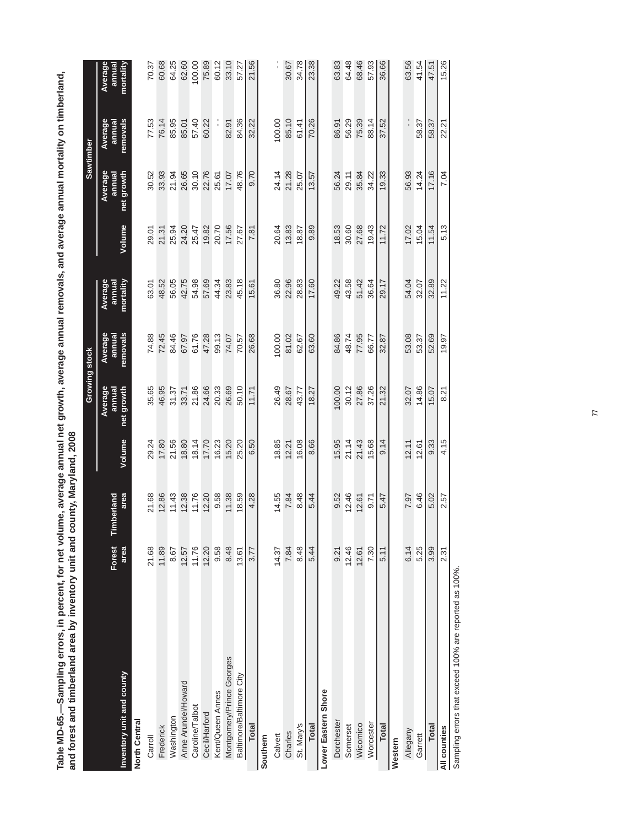| i<br>l                                                                      |                                       |
|-----------------------------------------------------------------------------|---------------------------------------|
|                                                                             |                                       |
|                                                                             |                                       |
|                                                                             |                                       |
|                                                                             |                                       |
|                                                                             |                                       |
|                                                                             |                                       |
| averade annual net drowth, averade annual removals, and averade annual mort | Š                                     |
| ume, av                                                                     | i<br>Si                               |
|                                                                             |                                       |
| ampling errors. in percent, for ne                                          | J<br>B<br><b>Sept 2</b>               |
| יצ<br>הסופה ה                                                               | area by Invel                         |
| C                                                                           | $\frac{1}{2}$<br>and tim <sup>2</sup> |
| ֧֝֝֜֜֜֜֜֜֜֜<br>֧֝֜֜֜֜֜֜֜֜֜֜֜֜֜֜֜֜֜֜֜֜֜֜֗֟֜֜<br>ׅׅׅ֝֜֝֜֝֜֝֜֝֜֝֜֝֜֗<br>ר<br>ר | こくらくらく<br>ra<br>Da                    |
|                                                                             |                                       |

|                           |                |                    |        |                                 | Growing stock                 |                                |        |                                 | Sawtimber                     |                               |
|---------------------------|----------------|--------------------|--------|---------------------------------|-------------------------------|--------------------------------|--------|---------------------------------|-------------------------------|-------------------------------|
| Inventory unit and county | Forest<br>area | area<br>Timberland | Volume | Average<br>net growth<br>annual | Average<br>removals<br>annual | Average<br>mortality<br>annual | Volume | Average<br>annual<br>net growth | Average<br>removals<br>annual | Average<br>mortality<br>annua |
| North Central             |                |                    |        |                                 |                               |                                |        |                                 |                               |                               |
| Carroll                   | 21.68          | 21.68              | 29.24  | 35.65                           | 74.88                         | 63.01                          | 29.01  | 30.52                           | 77.53                         | 70.37                         |
| Frederick                 | 11.89          | 12.86              | 17.80  | 46.95                           | 72.45                         | 48.52                          | 21.31  | 33.93                           | 76.14                         | 60.68                         |
| Washington                | 8.67           | 11.43              | 21.56  | 31.37                           | 84.46                         | 56.05                          | 25.94  | 21.94                           | 85.95                         | 64.25                         |
| Anne Arundel/Howard       | 12.57          | 12.38              | 18.80  | 33.71                           | 67.97                         | 42.75                          | 24.20  | 26.65                           | 85.01                         | 62.60                         |
| Caroline/Talbot           | 11.76          | 11.76              | 18.14  | 21.86                           | 61.76                         | 54.98                          | 25.47  | 30.10                           | 57.40                         | 100.00                        |
| <b>Cecil/Harford</b>      | 12.20          | 12.20              | 17.70  | 24.66                           | 47.28                         | 57.69                          | 19.82  | 22.76                           | 60.22                         | 75.89                         |
| Kent/Queen Annes          | 9.58           | 9.58               | 16.23  | 20.33                           | 99.13                         | 44.34                          | 20.70  | 25.61                           |                               | 60.12                         |
| Montgomery/Prince Georges | 8.48           | 11.38              | 15.20  | 26.69                           | 74.07                         | 23.83                          | 17.56  | 17.07                           | 82.91                         | 33.10                         |
| Baltimore/Baltimore City  | 13.61          | 18.59              | 25.20  | 50.10                           | 70.57                         | 45.18                          | 27.67  | 48.76                           | 84.36                         | 57.27                         |
| Total                     | 3.77           | 4.28               | 6.50   | 11.71                           | 26.68                         | 15.61                          | 7.81   | 0.70                            | 32.22                         | 21.56                         |
| Southern                  |                |                    |        |                                 |                               |                                |        |                                 |                               |                               |
| Calvert                   | 14.37          | 14.55              | 18.85  | 26.49                           | 100.00                        | 36.80                          | 20.64  | 24.14                           | 100.00                        |                               |
| Charles                   | 7.84           | 7.84               | 12.21  | 28.67                           | 81.02                         | 22.96                          | 13.83  | 21.28                           | 85.10                         | 30.67                         |
| St. Mary's                | 8.48           | 8.48               | 16.08  | 43.77                           | 62.67                         | 28.83                          | 18.87  | 25.07                           | 61.41                         | 34.78                         |
| <b>Total</b>              | 5.44           | 5.44               | 8.66   | 18.27                           | 63.60                         | 17.60                          | 9.89   | 13.57                           | 70.26                         | 23.38                         |
| Lower Eastern Shore       |                |                    |        |                                 |                               |                                |        |                                 |                               |                               |
| Dorchester                | 9.21           | 9.52               | 15.95  | 100.00                          | 84.86                         | 49.22                          | 18.53  | 56.24                           | 86.91                         | 63.83                         |
| Somerset                  | 12.46          | 12.46              | 21.14  | 30.12                           | 48.74                         | 43.58                          | 30.60  | 29.11                           | 56.29                         | 64.48                         |
| Wicomico                  | 12.61          | 12.61              | 21.43  | 27.86                           | 77.95                         | 51.42                          | 27.68  | 35.84                           | 75.39                         | 68.46                         |
| Worcester                 | 7.30           | 0.71               | 15.68  | 37.26                           | 66.77                         | 36.64                          | 19.43  | 34.22                           | 88.14                         | 57.93                         |
| Total                     | 5.11           | 5.47               | 9.14   | 21.32                           | 32.87                         | 29.17                          | 11.72  | 19.33                           | 37.52                         | 36.66                         |
| Western                   |                |                    |        |                                 |                               |                                |        |                                 |                               |                               |
| Allegany                  | 6.14           | 7.97               | 12.11  | 32.07                           | 53.08                         | 54.04                          | 17.02  | 56.93                           |                               | 63.56                         |
| Garrett                   | 5.25           | 6.46               | 12.61  | 14.86                           | 53.37                         | 32.07                          | 15.04  | 14.24                           | 58.37                         | 41.54                         |
| Total                     | 3.99           | 5.02               | 9.33   | 15.07                           | 52.69                         | 32.89                          | 11.54  | 17.16                           | 58.37                         | 47.51                         |
| All counties              | 2.31           | 2.57               | 4.15   | 8.21                            | 19.97                         | 11.22                          | 5.13   | 7.04                            | 22.21                         | 15.26                         |

Sampling errors that exceed 100% are reported as 100%. Sampling errors that exceed 100% are reported as 100%.